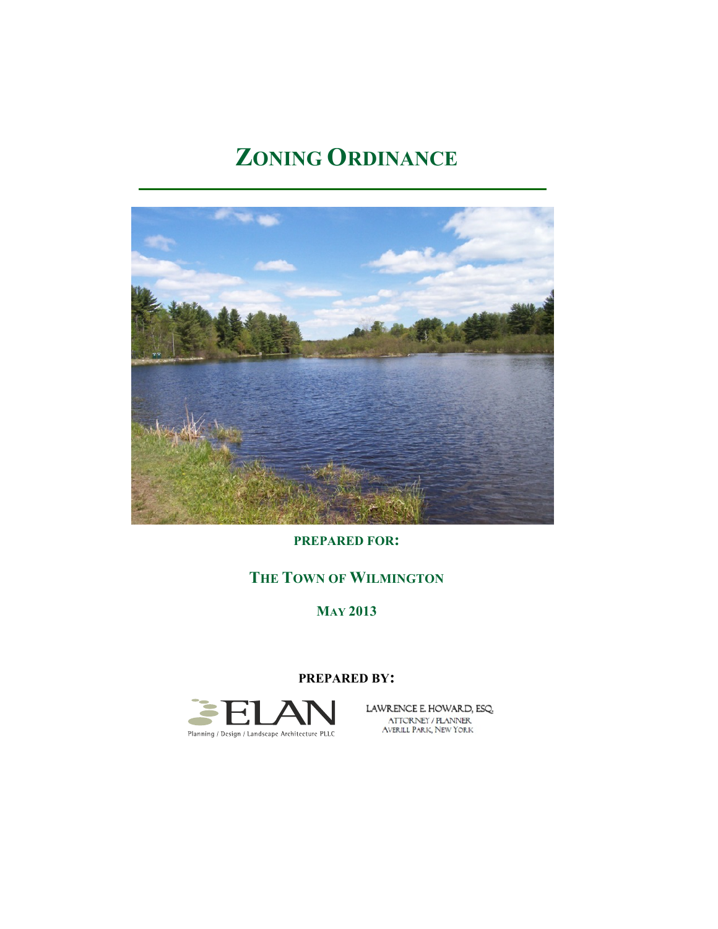# **ZONING ORDINANCE**



**PREPARED FOR:**

# **THE TOWN OF WILMINGTON**

**MAY 2013**

#### **PREPARED BY:**



LAWRENCE E. HOWARD, ESQ. ATTORNEY / PLANNER<br>AVERILL PARK, NEW YORK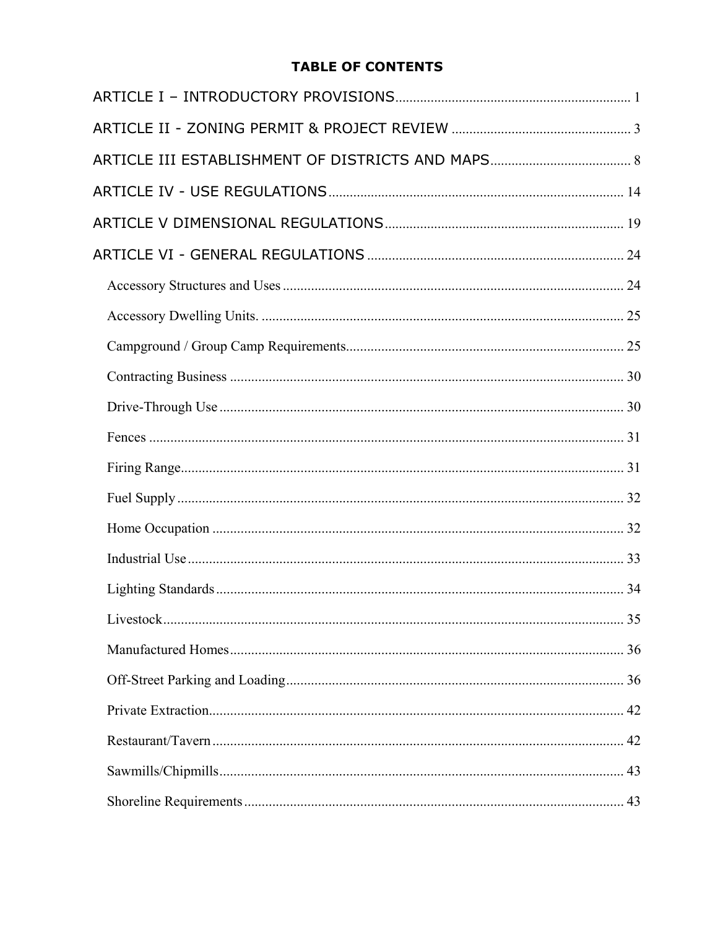# **TABLE OF CONTENTS**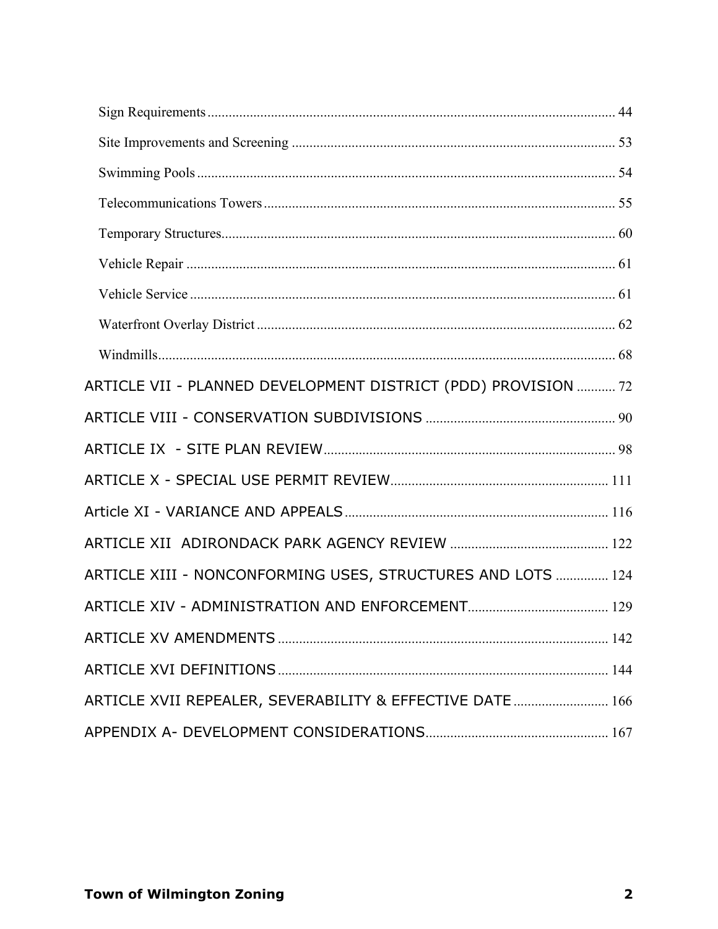| ARTICLE VII - PLANNED DEVELOPMENT DISTRICT (PDD) PROVISION  72 |  |
|----------------------------------------------------------------|--|
|                                                                |  |
|                                                                |  |
|                                                                |  |
|                                                                |  |
|                                                                |  |
| ARTICLE XIII - NONCONFORMING USES, STRUCTURES AND LOTS  124    |  |
|                                                                |  |
|                                                                |  |
|                                                                |  |
| ARTICLE XVII REPEALER, SEVERABILITY & EFFECTIVE DATE  166      |  |
|                                                                |  |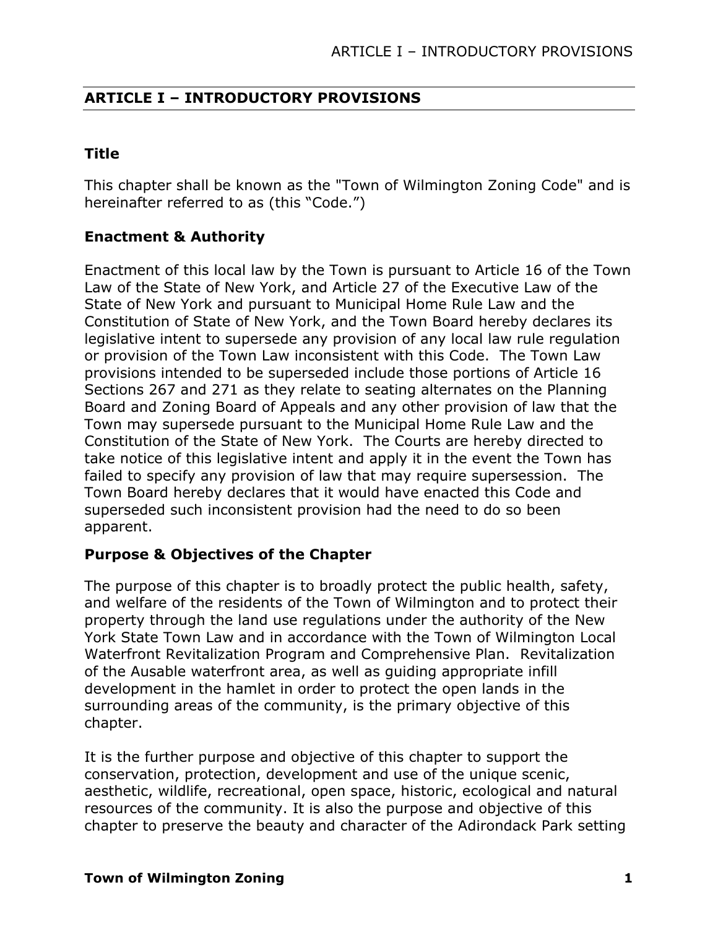# **ARTICLE I – INTRODUCTORY PROVISIONS**

# **Title**

This chapter shall be known as the "Town of Wilmington Zoning Code" and is hereinafter referred to as (this "Code.")

# **Enactment & Authority**

Enactment of this local law by the Town is pursuant to Article 16 of the Town Law of the State of New York, and Article 27 of the Executive Law of the State of New York and pursuant to Municipal Home Rule Law and the Constitution of State of New York, and the Town Board hereby declares its legislative intent to supersede any provision of any local law rule regulation or provision of the Town Law inconsistent with this Code. The Town Law provisions intended to be superseded include those portions of Article 16 Sections 267 and 271 as they relate to seating alternates on the Planning Board and Zoning Board of Appeals and any other provision of law that the Town may supersede pursuant to the Municipal Home Rule Law and the Constitution of the State of New York. The Courts are hereby directed to take notice of this legislative intent and apply it in the event the Town has failed to specify any provision of law that may require supersession. The Town Board hereby declares that it would have enacted this Code and superseded such inconsistent provision had the need to do so been apparent.

# **Purpose & Objectives of the Chapter**

The purpose of this chapter is to broadly protect the public health, safety, and welfare of the residents of the Town of Wilmington and to protect their property through the land use regulations under the authority of the New York State Town Law and in accordance with the Town of Wilmington Local Waterfront Revitalization Program and Comprehensive Plan. Revitalization of the Ausable waterfront area, as well as guiding appropriate infill development in the hamlet in order to protect the open lands in the surrounding areas of the community, is the primary objective of this chapter.

It is the further purpose and objective of this chapter to support the conservation, protection, development and use of the unique scenic, aesthetic, wildlife, recreational, open space, historic, ecological and natural resources of the community. It is also the purpose and objective of this chapter to preserve the beauty and character of the Adirondack Park setting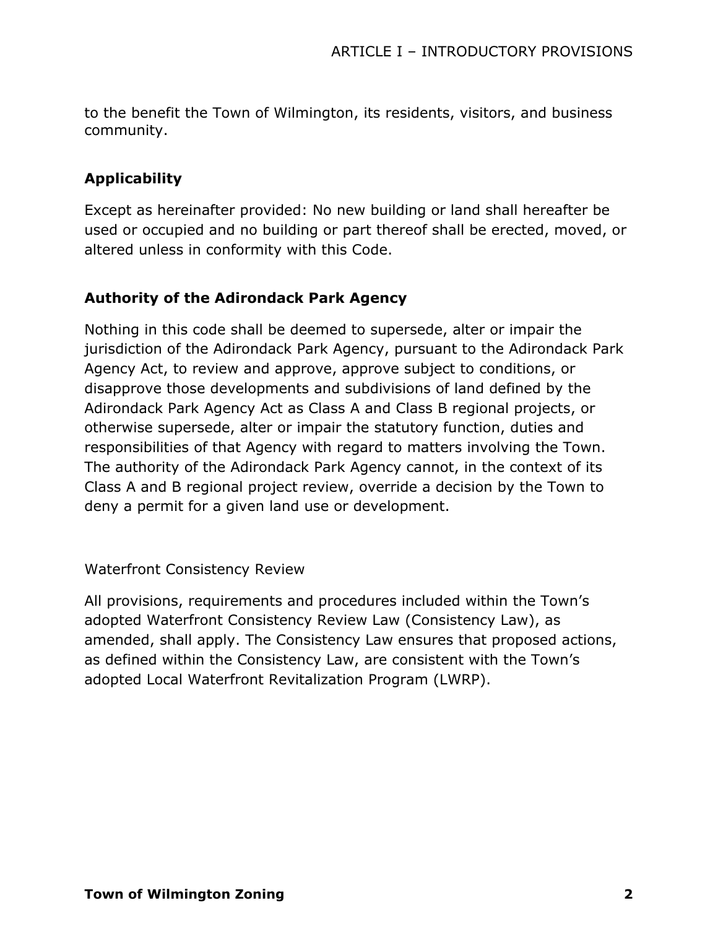to the benefit the Town of Wilmington, its residents, visitors, and business community.

# **Applicability**

Except as hereinafter provided: No new building or land shall hereafter be used or occupied and no building or part thereof shall be erected, moved, or altered unless in conformity with this Code.

#### **Authority of the Adirondack Park Agency**

Nothing in this code shall be deemed to supersede, alter or impair the jurisdiction of the Adirondack Park Agency, pursuant to the Adirondack Park Agency Act, to review and approve, approve subject to conditions, or disapprove those developments and subdivisions of land defined by the Adirondack Park Agency Act as Class A and Class B regional projects, or otherwise supersede, alter or impair the statutory function, duties and responsibilities of that Agency with regard to matters involving the Town. The authority of the Adirondack Park Agency cannot, in the context of its Class A and B regional project review, override a decision by the Town to deny a permit for a given land use or development.

#### Waterfront Consistency Review

All provisions, requirements and procedures included within the Town's adopted Waterfront Consistency Review Law (Consistency Law), as amended, shall apply. The Consistency Law ensures that proposed actions, as defined within the Consistency Law, are consistent with the Town's adopted Local Waterfront Revitalization Program (LWRP).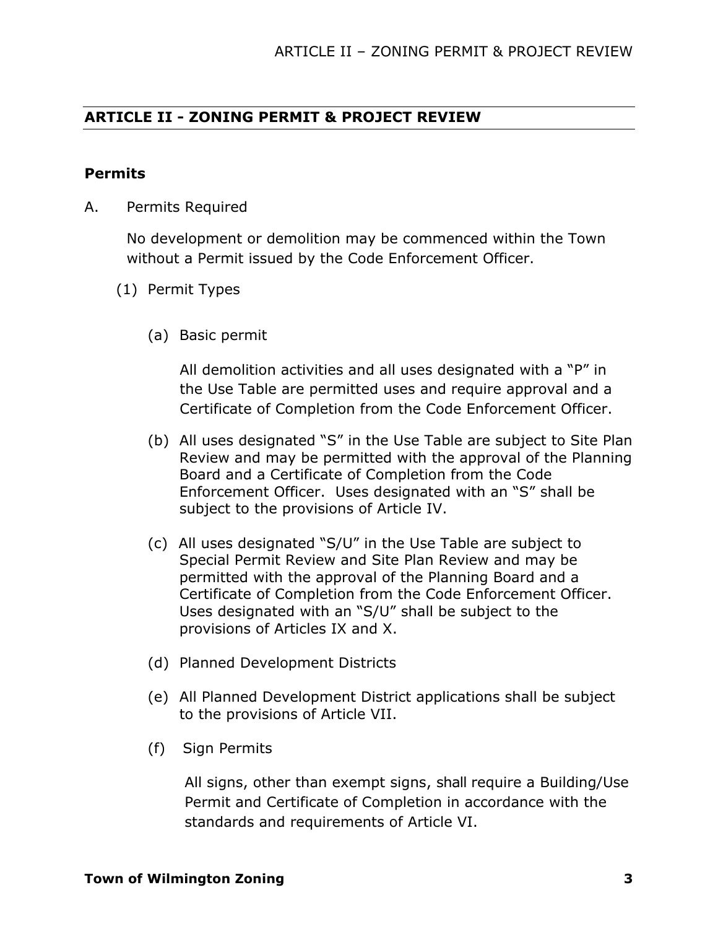# **ARTICLE II - ZONING PERMIT & PROJECT REVIEW**

#### **Permits**

A. Permits Required

No development or demolition may be commenced within the Town without a Permit issued by the Code Enforcement Officer.

- (1) Permit Types
	- (a) Basic permit

All demolition activities and all uses designated with a "P" in the Use Table are permitted uses and require approval and a Certificate of Completion from the Code Enforcement Officer.

- (b) All uses designated "S" in the Use Table are subject to Site Plan Review and may be permitted with the approval of the Planning Board and a Certificate of Completion from the Code Enforcement Officer. Uses designated with an "S" shall be subject to the provisions of Article IV.
- (c) All uses designated "S/U" in the Use Table are subject to Special Permit Review and Site Plan Review and may be permitted with the approval of the Planning Board and a Certificate of Completion from the Code Enforcement Officer. Uses designated with an "S/U" shall be subject to the provisions of Articles IX and X.
- (d) Planned Development Districts
- (e) All Planned Development District applications shall be subject to the provisions of Article VII.
- (f) Sign Permits

All signs, other than exempt signs, shall require a Building/Use Permit and Certificate of Completion in accordance with the standards and requirements of Article VI.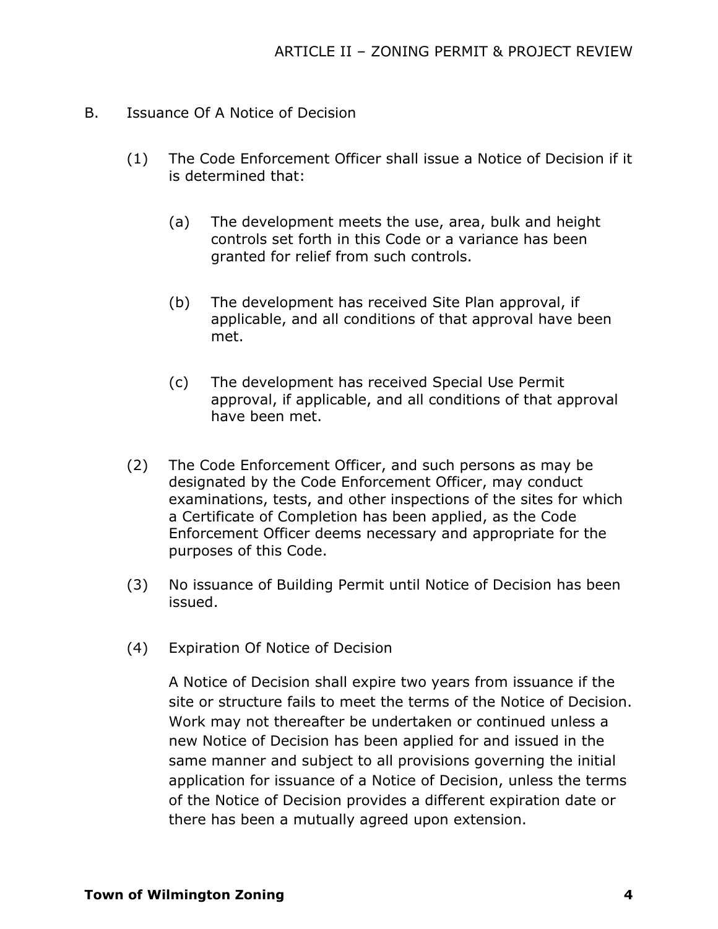- B. Issuance Of A Notice of Decision
	- (1) The Code Enforcement Officer shall issue a Notice of Decision if it is determined that:
		- (a) The development meets the use, area, bulk and height controls set forth in this Code or a variance has been granted for relief from such controls.
		- (b) The development has received Site Plan approval, if applicable, and all conditions of that approval have been met.
		- (c) The development has received Special Use Permit approval, if applicable, and all conditions of that approval have been met.
	- (2) The Code Enforcement Officer, and such persons as may be designated by the Code Enforcement Officer, may conduct examinations, tests, and other inspections of the sites for which a Certificate of Completion has been applied, as the Code Enforcement Officer deems necessary and appropriate for the purposes of this Code.
	- (3) No issuance of Building Permit until Notice of Decision has been issued.
	- (4) Expiration Of Notice of Decision

A Notice of Decision shall expire two years from issuance if the site or structure fails to meet the terms of the Notice of Decision. Work may not thereafter be undertaken or continued unless a new Notice of Decision has been applied for and issued in the same manner and subject to all provisions governing the initial application for issuance of a Notice of Decision, unless the terms of the Notice of Decision provides a different expiration date or there has been a mutually agreed upon extension.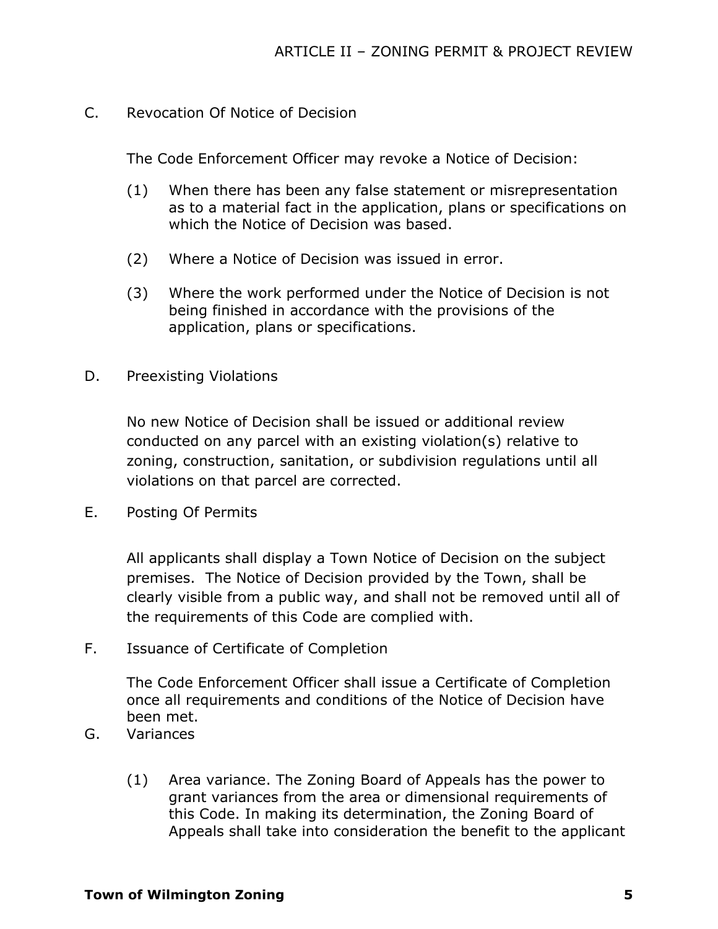C. Revocation Of Notice of Decision

The Code Enforcement Officer may revoke a Notice of Decision:

- (1) When there has been any false statement or misrepresentation as to a material fact in the application, plans or specifications on which the Notice of Decision was based.
- (2) Where a Notice of Decision was issued in error.
- (3) Where the work performed under the Notice of Decision is not being finished in accordance with the provisions of the application, plans or specifications.
- D. Preexisting Violations

No new Notice of Decision shall be issued or additional review conducted on any parcel with an existing violation(s) relative to zoning, construction, sanitation, or subdivision regulations until all violations on that parcel are corrected.

E. Posting Of Permits

All applicants shall display a Town Notice of Decision on the subject premises. The Notice of Decision provided by the Town, shall be clearly visible from a public way, and shall not be removed until all of the requirements of this Code are complied with.

F. Issuance of Certificate of Completion

The Code Enforcement Officer shall issue a Certificate of Completion once all requirements and conditions of the Notice of Decision have been met.

- G. Variances
	- (1) Area variance. The Zoning Board of Appeals has the power to grant variances from the area or dimensional requirements of this Code. In making its determination, the Zoning Board of Appeals shall take into consideration the benefit to the applicant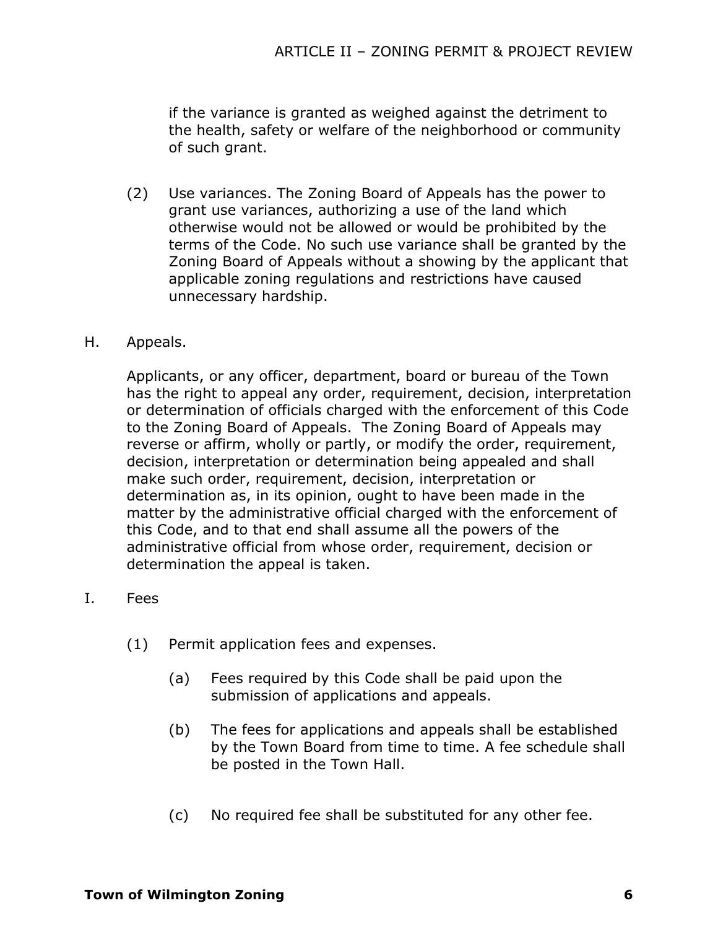if the variance is granted as weighed against the detriment to the health, safety or welfare of the neighborhood or community of such grant.

- (2) Use variances. The Zoning Board of Appeals has the power to grant use variances, authorizing a use of the land which otherwise would not be allowed or would be prohibited by the terms of the Code. No such use variance shall be granted by the Zoning Board of Appeals without a showing by the applicant that applicable zoning regulations and restrictions have caused unnecessary hardship.
- H. Appeals.

Applicants, or any officer, department, board or bureau of the Town has the right to appeal any order, requirement, decision, interpretation or determination of officials charged with the enforcement of this Code to the Zoning Board of Appeals. The Zoning Board of Appeals may reverse or affirm, wholly or partly, or modify the order, requirement, decision, interpretation or determination being appealed and shall make such order, requirement, decision, interpretation or determination as, in its opinion, ought to have been made in the matter by the administrative official charged with the enforcement of this Code, and to that end shall assume all the powers of the administrative official from whose order, requirement, decision or determination the appeal is taken.

- I. Fees
	- (1) Permit application fees and expenses.
		- (a) Fees required by this Code shall be paid upon the submission of applications and appeals.
		- (b) The fees for applications and appeals shall be established by the Town Board from time to time. A fee schedule shall be posted in the Town Hall.
		- (c) No required fee shall be substituted for any other fee.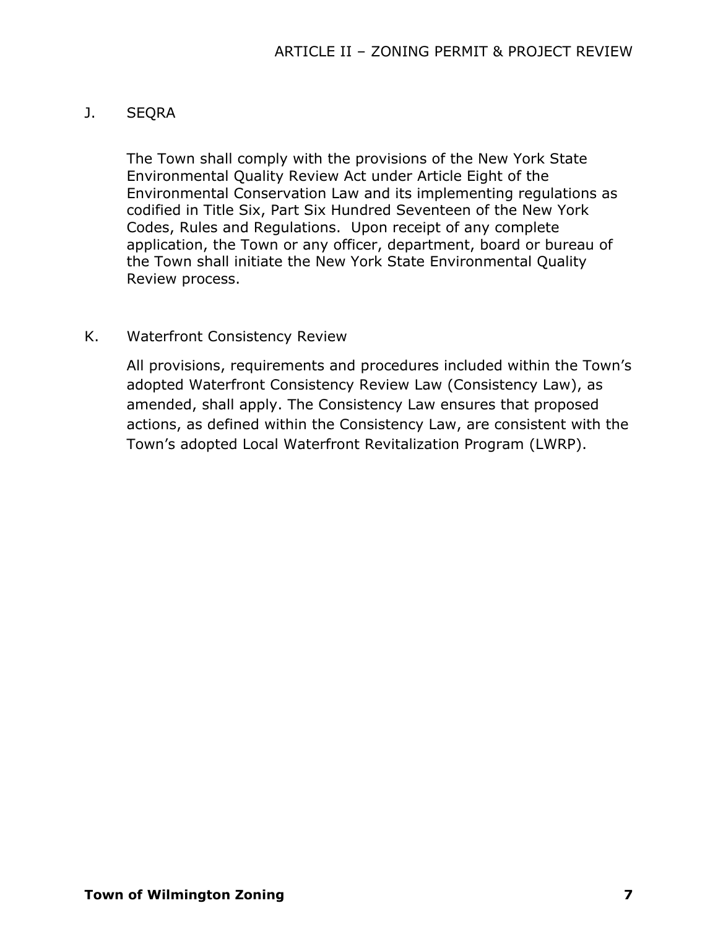# J. SEQRA

The Town shall comply with the provisions of the New York State Environmental Quality Review Act under Article Eight of the Environmental Conservation Law and its implementing regulations as codified in Title Six, Part Six Hundred Seventeen of the New York Codes, Rules and Regulations. Upon receipt of any complete application, the Town or any officer, department, board or bureau of the Town shall initiate the New York State Environmental Quality Review process.

#### K. Waterfront Consistency Review

All provisions, requirements and procedures included within the Town's adopted Waterfront Consistency Review Law (Consistency Law), as amended, shall apply. The Consistency Law ensures that proposed actions, as defined within the Consistency Law, are consistent with the Town's adopted Local Waterfront Revitalization Program (LWRP).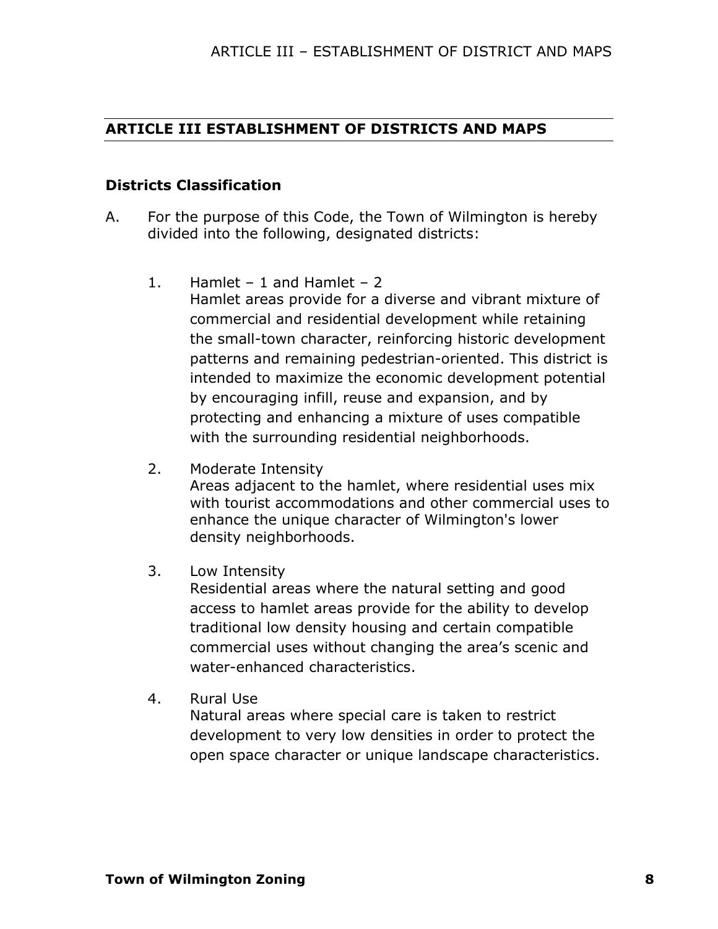#### **ARTICLE III ESTABLISHMENT OF DISTRICTS AND MAPS**

#### **Districts Classification**

- A. For the purpose of this Code, the Town of Wilmington is hereby divided into the following, designated districts:
	- 1. Hamlet 1 and Hamlet 2 Hamlet areas provide for a diverse and vibrant mixture of commercial and residential development while retaining the small-town character, reinforcing historic development patterns and remaining pedestrian-oriented. This district is intended to maximize the economic development potential by encouraging infill, reuse and expansion, and by protecting and enhancing a mixture of uses compatible with the surrounding residential neighborhoods.
	- 2. Moderate Intensity

Areas adjacent to the hamlet, where residential uses mix with tourist accommodations and other commercial uses to enhance the unique character of Wilmington's lower density neighborhoods.

3. Low Intensity

Residential areas where the natural setting and good access to hamlet areas provide for the ability to develop traditional low density housing and certain compatible commercial uses without changing the area's scenic and water-enhanced characteristics.

4. Rural Use

Natural areas where special care is taken to restrict development to very low densities in order to protect the open space character or unique landscape characteristics.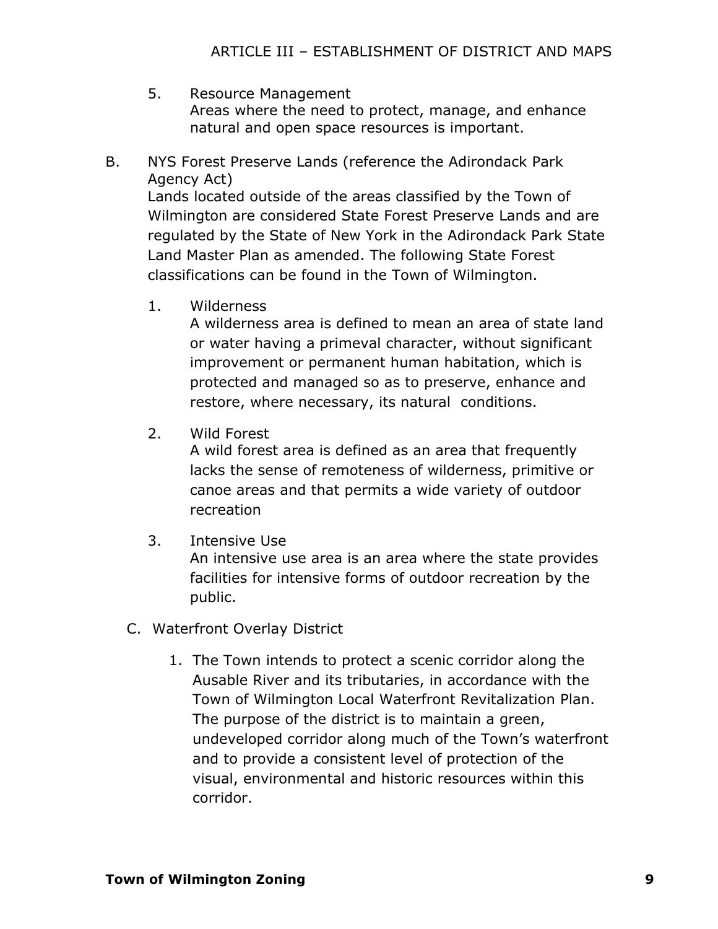- 5. Resource Management Areas where the need to protect, manage, and enhance natural and open space resources is important.
- B. NYS Forest Preserve Lands (reference the Adirondack Park Agency Act)

Lands located outside of the areas classified by the Town of Wilmington are considered State Forest Preserve Lands and are regulated by the State of New York in the Adirondack Park State Land Master Plan as amended. The following State Forest classifications can be found in the Town of Wilmington.

1. Wilderness

A wilderness area is defined to mean an area of state land or water having a primeval character, without significant improvement or permanent human habitation, which is protected and managed so as to preserve, enhance and restore, where necessary, its natural conditions.

2. Wild Forest

A wild forest area is defined as an area that frequently lacks the sense of remoteness of wilderness, primitive or canoe areas and that permits a wide variety of outdoor recreation

3. Intensive Use

An intensive use area is an area where the state provides facilities for intensive forms of outdoor recreation by the public.

- C. Waterfront Overlay District
	- 1. The Town intends to protect a scenic corridor along the Ausable River and its tributaries, in accordance with the Town of Wilmington Local Waterfront Revitalization Plan. The purpose of the district is to maintain a green, undeveloped corridor along much of the Town's waterfront and to provide a consistent level of protection of the visual, environmental and historic resources within this corridor.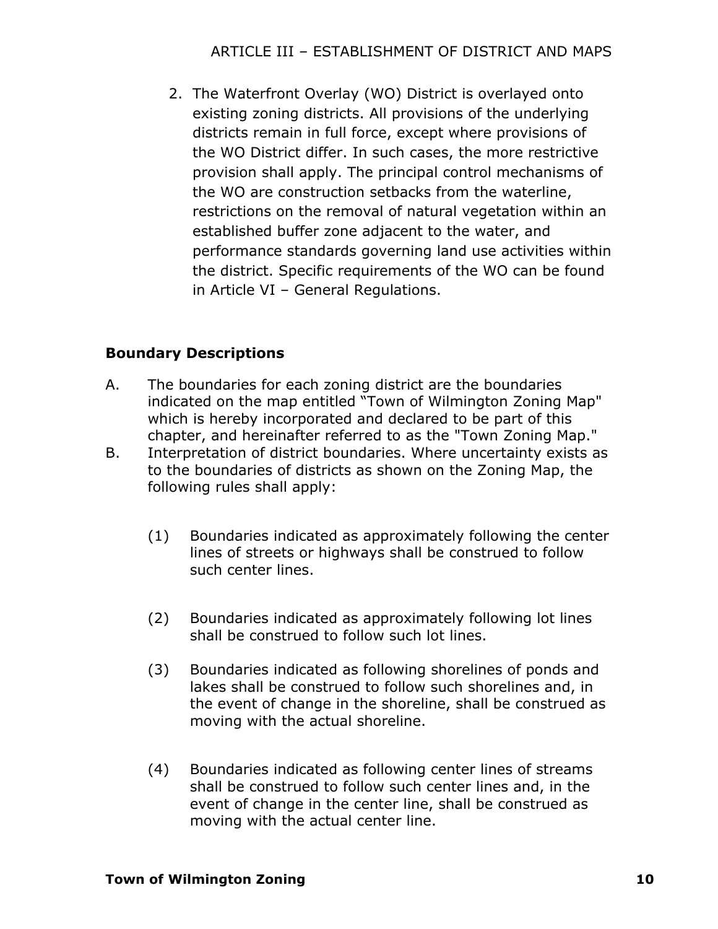# ARTICLE III – ESTABLISHMENT OF DISTRICT AND MAPS

2. The Waterfront Overlay (WO) District is overlayed onto existing zoning districts. All provisions of the underlying districts remain in full force, except where provisions of the WO District differ. In such cases, the more restrictive provision shall apply. The principal control mechanisms of the WO are construction setbacks from the waterline, restrictions on the removal of natural vegetation within an established buffer zone adjacent to the water, and performance standards governing land use activities within the district. Specific requirements of the WO can be found in Article VI – General Regulations.

#### **Boundary Descriptions**

- A. The boundaries for each zoning district are the boundaries indicated on the map entitled "Town of Wilmington Zoning Map" which is hereby incorporated and declared to be part of this chapter, and hereinafter referred to as the "Town Zoning Map."
- B. Interpretation of district boundaries. Where uncertainty exists as to the boundaries of districts as shown on the Zoning Map, the following rules shall apply:
	- (1) Boundaries indicated as approximately following the center lines of streets or highways shall be construed to follow such center lines.
	- (2) Boundaries indicated as approximately following lot lines shall be construed to follow such lot lines.
	- (3) Boundaries indicated as following shorelines of ponds and lakes shall be construed to follow such shorelines and, in the event of change in the shoreline, shall be construed as moving with the actual shoreline.
	- (4) Boundaries indicated as following center lines of streams shall be construed to follow such center lines and, in the event of change in the center line, shall be construed as moving with the actual center line.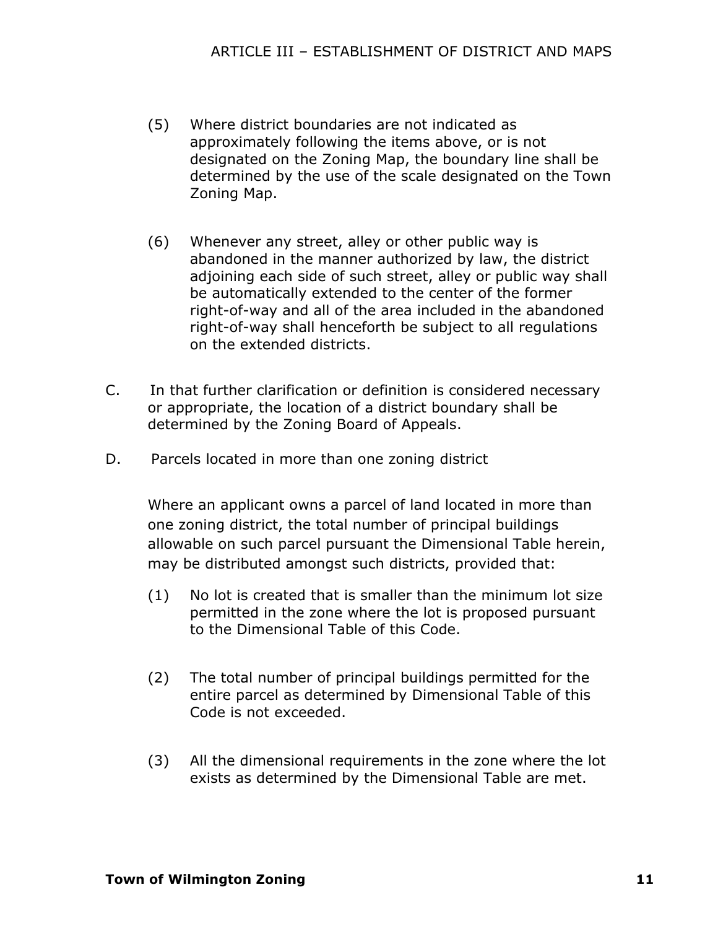- (5) Where district boundaries are not indicated as approximately following the items above, or is not designated on the Zoning Map, the boundary line shall be determined by the use of the scale designated on the Town Zoning Map.
- (6) Whenever any street, alley or other public way is abandoned in the manner authorized by law, the district adjoining each side of such street, alley or public way shall be automatically extended to the center of the former right-of-way and all of the area included in the abandoned right-of-way shall henceforth be subject to all regulations on the extended districts.
- C. In that further clarification or definition is considered necessary or appropriate, the location of a district boundary shall be determined by the Zoning Board of Appeals.
- D. Parcels located in more than one zoning district

Where an applicant owns a parcel of land located in more than one zoning district, the total number of principal buildings allowable on such parcel pursuant the Dimensional Table herein, may be distributed amongst such districts, provided that:

- (1) No lot is created that is smaller than the minimum lot size permitted in the zone where the lot is proposed pursuant to the Dimensional Table of this Code.
- (2) The total number of principal buildings permitted for the entire parcel as determined by Dimensional Table of this Code is not exceeded.
- (3) All the dimensional requirements in the zone where the lot exists as determined by the Dimensional Table are met.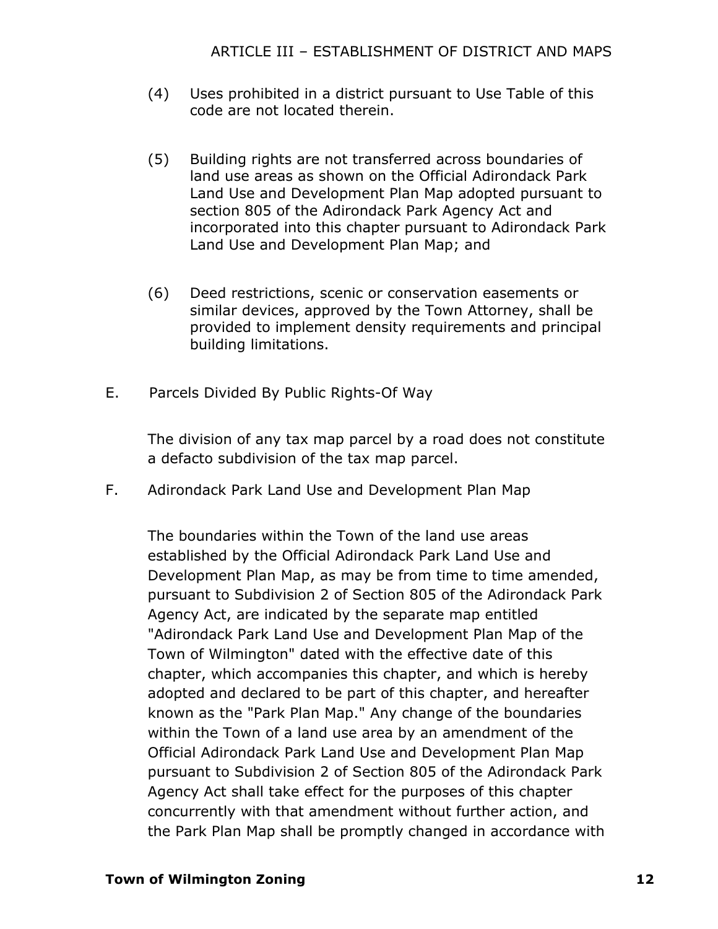- (4) Uses prohibited in a district pursuant to Use Table of this code are not located therein.
- (5) Building rights are not transferred across boundaries of land use areas as shown on the Official Adirondack Park Land Use and Development Plan Map adopted pursuant to section 805 of the Adirondack Park Agency Act and incorporated into this chapter pursuant to Adirondack Park Land Use and Development Plan Map; and
- (6) Deed restrictions, scenic or conservation easements or similar devices, approved by the Town Attorney, shall be provided to implement density requirements and principal building limitations.
- E. Parcels Divided By Public Rights-Of Way

The division of any tax map parcel by a road does not constitute a defacto subdivision of the tax map parcel.

F. Adirondack Park Land Use and Development Plan Map

The boundaries within the Town of the land use areas established by the Official Adirondack Park Land Use and Development Plan Map, as may be from time to time amended, pursuant to Subdivision 2 of Section 805 of the Adirondack Park Agency Act, are indicated by the separate map entitled "Adirondack Park Land Use and Development Plan Map of the Town of Wilmington" dated with the effective date of this chapter, which accompanies this chapter, and which is hereby adopted and declared to be part of this chapter, and hereafter known as the "Park Plan Map." Any change of the boundaries within the Town of a land use area by an amendment of the Official Adirondack Park Land Use and Development Plan Map pursuant to Subdivision 2 of Section 805 of the Adirondack Park Agency Act shall take effect for the purposes of this chapter concurrently with that amendment without further action, and the Park Plan Map shall be promptly changed in accordance with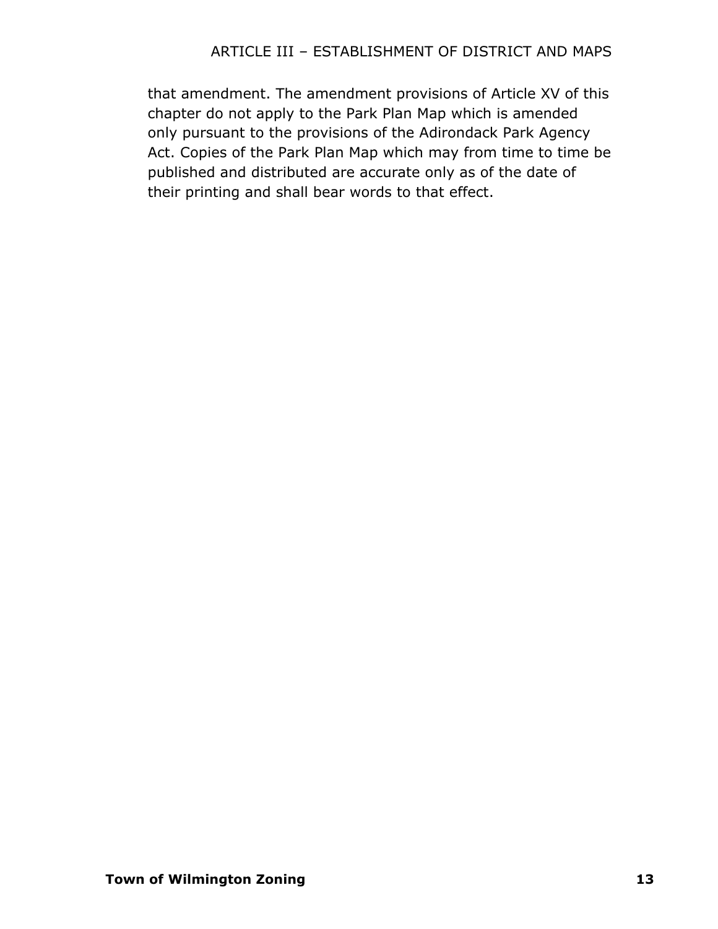# ARTICLE III – ESTABLISHMENT OF DISTRICT AND MAPS

that amendment. The amendment provisions of Article XV of this chapter do not apply to the Park Plan Map which is amended only pursuant to the provisions of the Adirondack Park Agency Act. Copies of the Park Plan Map which may from time to time be published and distributed are accurate only as of the date of their printing and shall bear words to that effect.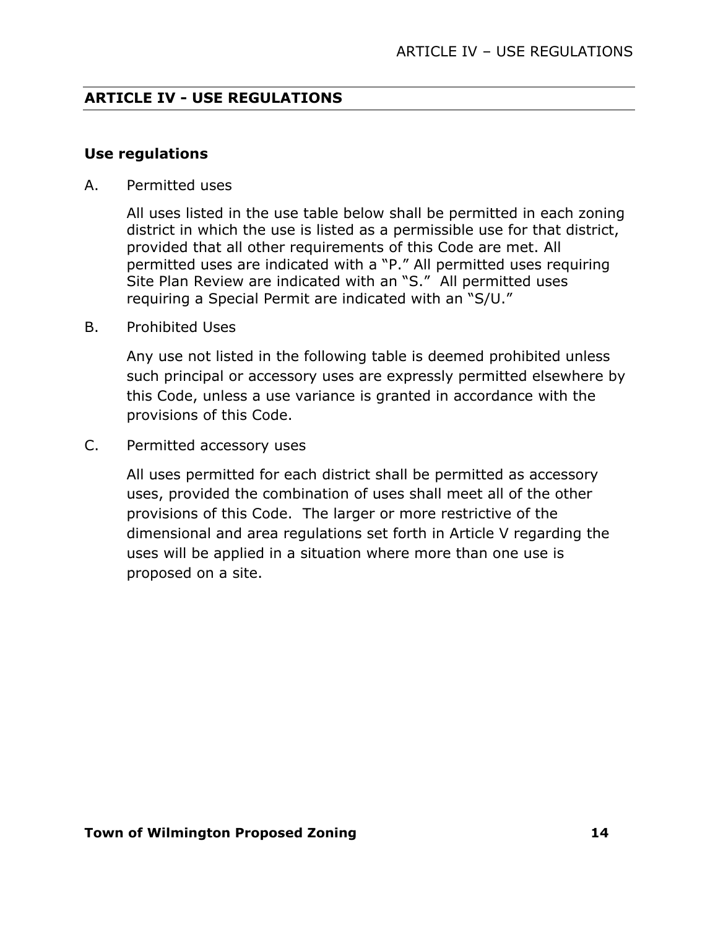#### **Use regulations**

A. Permitted uses

All uses listed in the use table below shall be permitted in each zoning district in which the use is listed as a permissible use for that district, provided that all other requirements of this Code are met. All permitted uses are indicated with a "P." All permitted uses requiring Site Plan Review are indicated with an "S." All permitted uses requiring a Special Permit are indicated with an "S/U."

B. Prohibited Uses

Any use not listed in the following table is deemed prohibited unless such principal or accessory uses are expressly permitted elsewhere by this Code, unless a use variance is granted in accordance with the provisions of this Code.

C. Permitted accessory uses

All uses permitted for each district shall be permitted as accessory uses, provided the combination of uses shall meet all of the other provisions of this Code. The larger or more restrictive of the dimensional and area regulations set forth in Article V regarding the uses will be applied in a situation where more than one use is proposed on a site.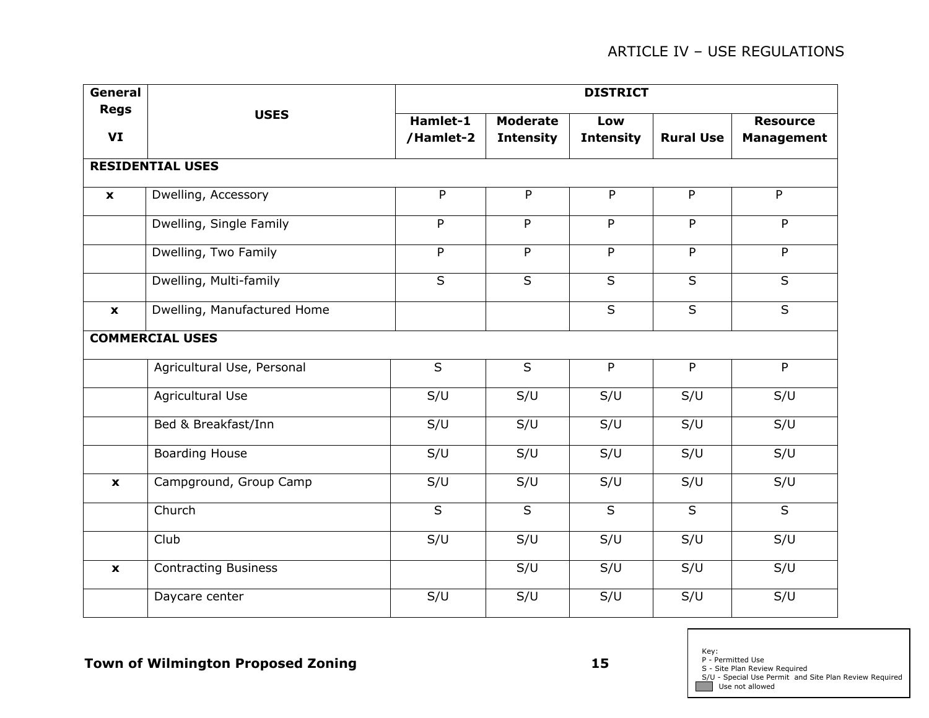| General                   |                             | <b>DISTRICT</b>         |                                     |                         |                         |                                      |  |  |  |
|---------------------------|-----------------------------|-------------------------|-------------------------------------|-------------------------|-------------------------|--------------------------------------|--|--|--|
| <b>Regs</b><br>VI         | <b>USES</b>                 | Hamlet-1<br>/Hamlet-2   | <b>Moderate</b><br><b>Intensity</b> | Low<br><b>Intensity</b> | <b>Rural Use</b>        | <b>Resource</b><br><b>Management</b> |  |  |  |
|                           | <b>RESIDENTIAL USES</b>     |                         |                                     |                         |                         |                                      |  |  |  |
| $\boldsymbol{\mathsf{x}}$ | Dwelling, Accessory         | P                       | P                                   | $\overline{P}$          | $\overline{P}$          | $\overline{P}$                       |  |  |  |
|                           | Dwelling, Single Family     | $\overline{P}$          | $\overline{P}$                      | $\overline{P}$          | $\overline{P}$          | $\overline{P}$                       |  |  |  |
|                           | Dwelling, Two Family        | P                       | P                                   | P                       | P                       | P                                    |  |  |  |
|                           | Dwelling, Multi-family      | $\overline{\mathsf{s}}$ | $\overline{\mathsf{s}}$             | $\overline{S}$          | $\overline{\mathsf{s}}$ | $\overline{\mathsf{S}}$              |  |  |  |
| $\mathbf{x}$              | Dwelling, Manufactured Home |                         |                                     | $\overline{s}$          | $\overline{s}$          | $\overline{\mathsf{s}}$              |  |  |  |
|                           | <b>COMMERCIAL USES</b>      |                         |                                     |                         |                         |                                      |  |  |  |
|                           | Agricultural Use, Personal  | $\mathsf S$             | $\mathsf{S}$                        | P                       | P                       | P                                    |  |  |  |
|                           | Agricultural Use            | S/U                     | S/U                                 | S/U                     | S/U                     | S/U                                  |  |  |  |
|                           | Bed & Breakfast/Inn         | S/U                     | S/U                                 | S/U                     | S/U                     | S/U                                  |  |  |  |
|                           | <b>Boarding House</b>       | S/U                     | S/U                                 | S/U                     | S/U                     | S/U                                  |  |  |  |
| $\pmb{\mathsf{x}}$        | Campground, Group Camp      | S/U                     | S/U                                 | S/U                     | S/U                     | S/U                                  |  |  |  |
|                           | Church                      | $\overline{\mathsf{S}}$ | $\overline{\mathsf{S}}$             | $\overline{\mathsf{S}}$ | $\overline{\mathsf{S}}$ | $\overline{S}$                       |  |  |  |
|                           | Club                        | S/U                     | S/U                                 | S/U                     | S/U                     | S/U                                  |  |  |  |
| $\pmb{\mathsf{x}}$        | <b>Contracting Business</b> |                         | S/U                                 | S/U                     | S/U                     | S/U                                  |  |  |  |
|                           | Daycare center              | S/U                     | S/U                                 | S/U                     | S/U                     | S/U                                  |  |  |  |

Key:<br>P - Permitted Use<br>S - Site Plan Review Required<br>S/U - Special Use Permit and Site Plan Review Required<br>Use not allowed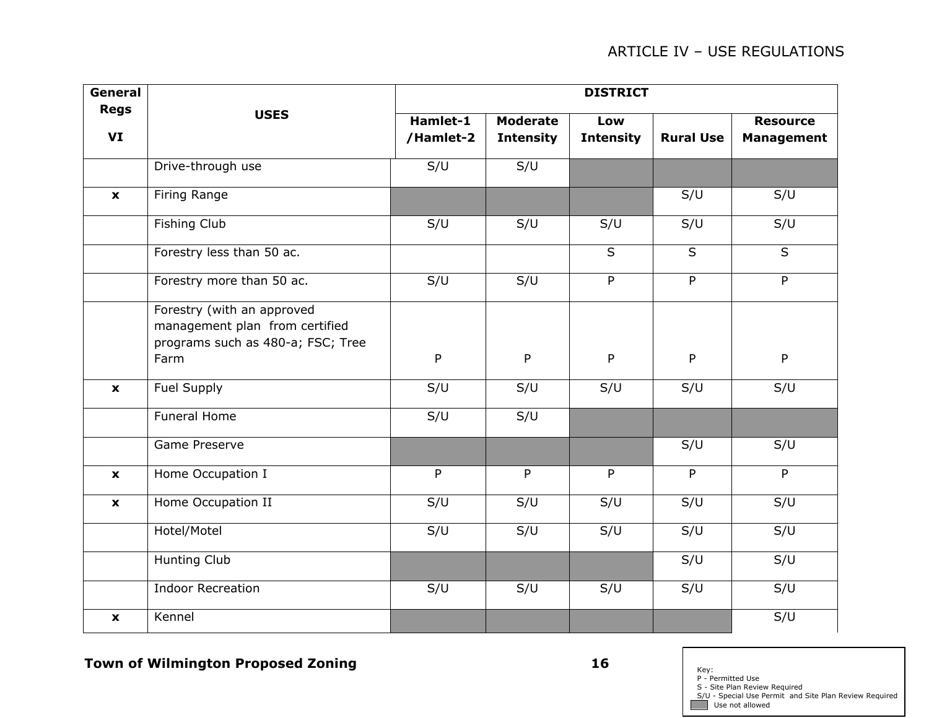| General            |                                                                                                           | <b>DISTRICT</b>       |                                     |                         |                  |                                      |  |  |  |
|--------------------|-----------------------------------------------------------------------------------------------------------|-----------------------|-------------------------------------|-------------------------|------------------|--------------------------------------|--|--|--|
| <b>Regs</b><br>VI  | <b>USES</b>                                                                                               | Hamlet-1<br>/Hamlet-2 | <b>Moderate</b><br><b>Intensity</b> | Low<br><b>Intensity</b> | <b>Rural Use</b> | <b>Resource</b><br><b>Management</b> |  |  |  |
|                    | Drive-through use                                                                                         | S/U                   | S/U                                 |                         |                  |                                      |  |  |  |
| $\mathbf{x}$       | Firing Range                                                                                              |                       |                                     |                         | S/U              | S/U                                  |  |  |  |
|                    | <b>Fishing Club</b>                                                                                       | S/U                   | $\overline{S}/U$                    | S/U                     | S/U              | S/U                                  |  |  |  |
|                    | Forestry less than 50 ac.                                                                                 |                       |                                     | $\mathsf S$             | $\sf S$          | $\mathsf S$                          |  |  |  |
|                    | Forestry more than 50 ac.                                                                                 | S/U                   | S/U                                 | P                       | $\mathsf{P}$     | P                                    |  |  |  |
|                    | Forestry (with an approved<br>management plan from certified<br>programs such as 480-a; FSC; Tree<br>Farm | P                     | P                                   | P                       | P                | P                                    |  |  |  |
| $\mathbf{x}$       | Fuel Supply                                                                                               | S/U                   | S/U                                 | S/U                     | S/U              | S/U                                  |  |  |  |
|                    | <b>Funeral Home</b>                                                                                       | S/U                   | S/U                                 |                         |                  |                                      |  |  |  |
|                    | Game Preserve                                                                                             |                       |                                     |                         | S/U              | S/U                                  |  |  |  |
| $\mathbf{x}$       | Home Occupation I                                                                                         | $\mathsf{P}$          | P                                   | P                       | $\mathsf{P}$     | $\overline{P}$                       |  |  |  |
| $\pmb{\mathsf{x}}$ | Home Occupation II                                                                                        | S/U                   | S/U                                 | S/U                     | S/U              | S/U                                  |  |  |  |
|                    | Hotel/Motel                                                                                               | S/U                   | S/U                                 | S/U                     | S/U              | S/U                                  |  |  |  |
|                    | <b>Hunting Club</b>                                                                                       |                       |                                     |                         | S/U              | S/U                                  |  |  |  |
|                    | <b>Indoor Recreation</b>                                                                                  | S/U                   | S/U                                 | S/U                     | S/U              | S/U                                  |  |  |  |
| $\mathbf{x}$       | Kennel                                                                                                    |                       |                                     |                         |                  | S/U                                  |  |  |  |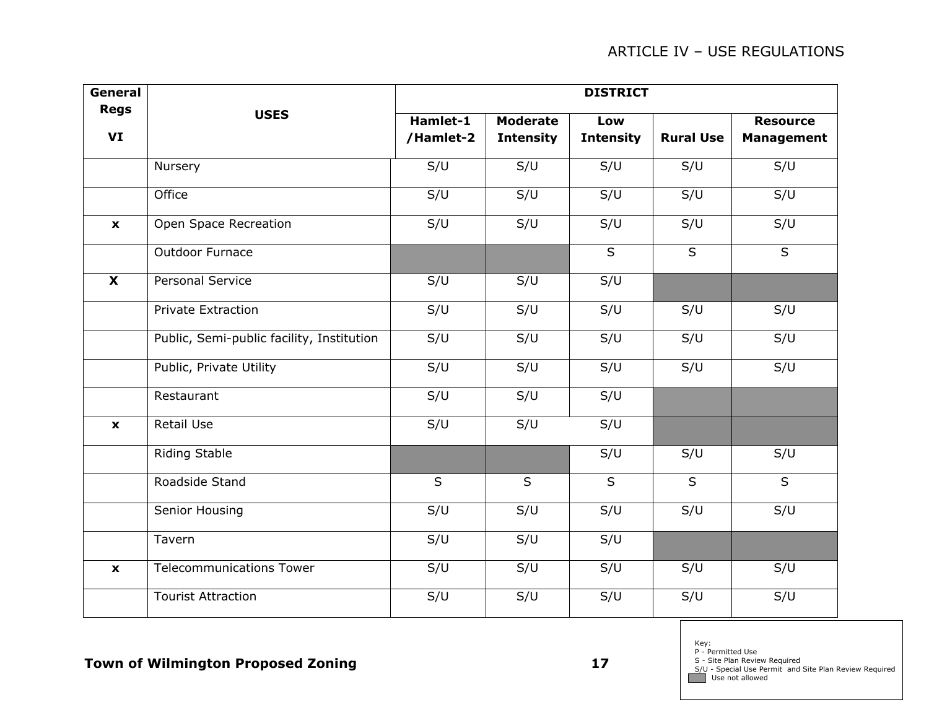| General                   |                                           | <b>DISTRICT</b> |                         |                  |                  |                         |  |  |  |
|---------------------------|-------------------------------------------|-----------------|-------------------------|------------------|------------------|-------------------------|--|--|--|
| <b>Regs</b>               | <b>USES</b>                               | Hamlet-1        | <b>Moderate</b>         | Low              |                  | <b>Resource</b>         |  |  |  |
| VI                        |                                           | /Hamlet-2       | <b>Intensity</b>        | <b>Intensity</b> | <b>Rural Use</b> | <b>Management</b>       |  |  |  |
|                           | Nursery                                   | S/U             | S/U                     | S/U              | S/U              | S/U                     |  |  |  |
|                           | Office                                    | S/U             | S/U                     | S/U              | S/U              | S/U                     |  |  |  |
| $\mathbf{x}$              | Open Space Recreation                     | S/U             | S/U                     | S/U              | S/U              | S/U                     |  |  |  |
|                           | Outdoor Furnace                           |                 |                         | $\overline{S}$   | $\overline{S}$   | $\overline{\mathsf{S}}$ |  |  |  |
| $\overline{\mathbf{x}}$   | <b>Personal Service</b>                   | S/U             | S/U                     | S/U              |                  |                         |  |  |  |
|                           | <b>Private Extraction</b>                 | S/U             | S/U                     | S/U              | S/U              | S/U                     |  |  |  |
|                           | Public, Semi-public facility, Institution | S/U             | S/U                     | S/U              | S/U              | S/U                     |  |  |  |
|                           | Public, Private Utility                   | S/U             | S/U                     | S/U              | S/U              | S/U                     |  |  |  |
|                           | Restaurant                                | S/U             | S/U                     | S/U              |                  |                         |  |  |  |
| $\boldsymbol{\mathsf{x}}$ | <b>Retail Use</b>                         | S/U             | S/U                     | S/U              |                  |                         |  |  |  |
|                           | <b>Riding Stable</b>                      |                 |                         | S/U              | S/U              | S/U                     |  |  |  |
|                           | Roadside Stand                            | $\overline{s}$  | $\overline{\mathsf{S}}$ | $\sf S$          | $\sf S$          | $\overline{S}$          |  |  |  |
|                           | Senior Housing                            | S/U             | S/U                     | S/U              | S/U              | S/U                     |  |  |  |
|                           | Tavern                                    | S/U             | S/U                     | S/U              |                  |                         |  |  |  |
| $\boldsymbol{\mathsf{x}}$ | <b>Telecommunications Tower</b>           | S/U             | S/U                     | S/U              | S/U              | S/U                     |  |  |  |
|                           | <b>Tourist Attraction</b>                 | S/U             | S/U                     | S/U              | S/U              | S/U                     |  |  |  |

Key: P - Permitted Use

S - Site Plan Review Required S/U - Special Use Permit and Site Plan Review Required Use not allowed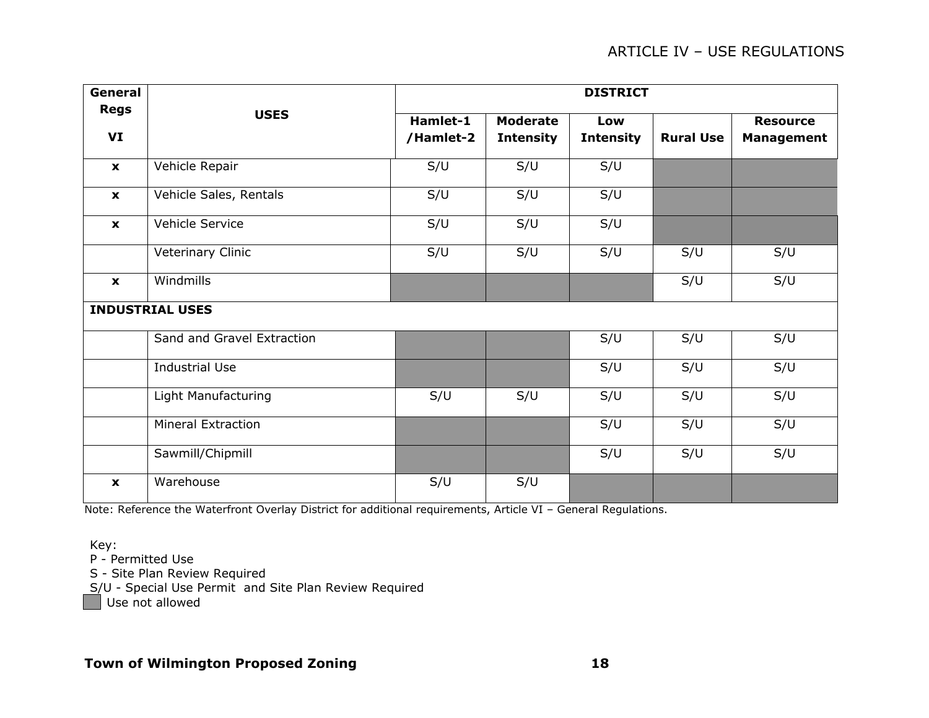| General                   |                            | <b>DISTRICT</b>       |                                     |                         |                  |                                      |  |  |
|---------------------------|----------------------------|-----------------------|-------------------------------------|-------------------------|------------------|--------------------------------------|--|--|
| <b>Regs</b><br>VI         | <b>USES</b>                | Hamlet-1<br>/Hamlet-2 | <b>Moderate</b><br><b>Intensity</b> | Low<br><b>Intensity</b> | <b>Rural Use</b> | <b>Resource</b><br><b>Management</b> |  |  |
| $\mathbf{x}$              | Vehicle Repair             | S/U                   | S/U                                 | S/U                     |                  |                                      |  |  |
| $\mathbf{x}$              | Vehicle Sales, Rentals     | S/U                   | S/U                                 | S/U                     |                  |                                      |  |  |
| $\mathbf{x}$              | Vehicle Service            | S/U                   | S/U                                 | S/U                     |                  |                                      |  |  |
|                           | Veterinary Clinic          | S/U                   | S/U                                 | S/U                     | S/U              | S/U                                  |  |  |
| $\mathbf{x}$              | Windmills                  |                       |                                     |                         | S/U              | S/U                                  |  |  |
|                           | <b>INDUSTRIAL USES</b>     |                       |                                     |                         |                  |                                      |  |  |
|                           | Sand and Gravel Extraction |                       |                                     | S/U                     | S/U              | S/U                                  |  |  |
|                           | <b>Industrial Use</b>      |                       |                                     | S/U                     | S/U              | S/U                                  |  |  |
|                           | Light Manufacturing        | S/U                   | S/U                                 | S/U                     | S/U              | S/U                                  |  |  |
|                           | <b>Mineral Extraction</b>  |                       |                                     | S/U                     | S/U              | S/U                                  |  |  |
|                           | Sawmill/Chipmill           |                       |                                     | S/U                     | S/U              | S/U                                  |  |  |
| Warehouse<br>$\mathbf{x}$ |                            | S/U                   | S/U                                 |                         |                  |                                      |  |  |

Note: Reference the Waterfront Overlay District for additional requirements, Article VI – General Regulations.

Key:

P - Permitted Use

S - Site Plan Review Required

S/U - Special Use Permit and Site Plan Review Required

Use not allowed

#### **Town of Wilmington Proposed Zoning 18**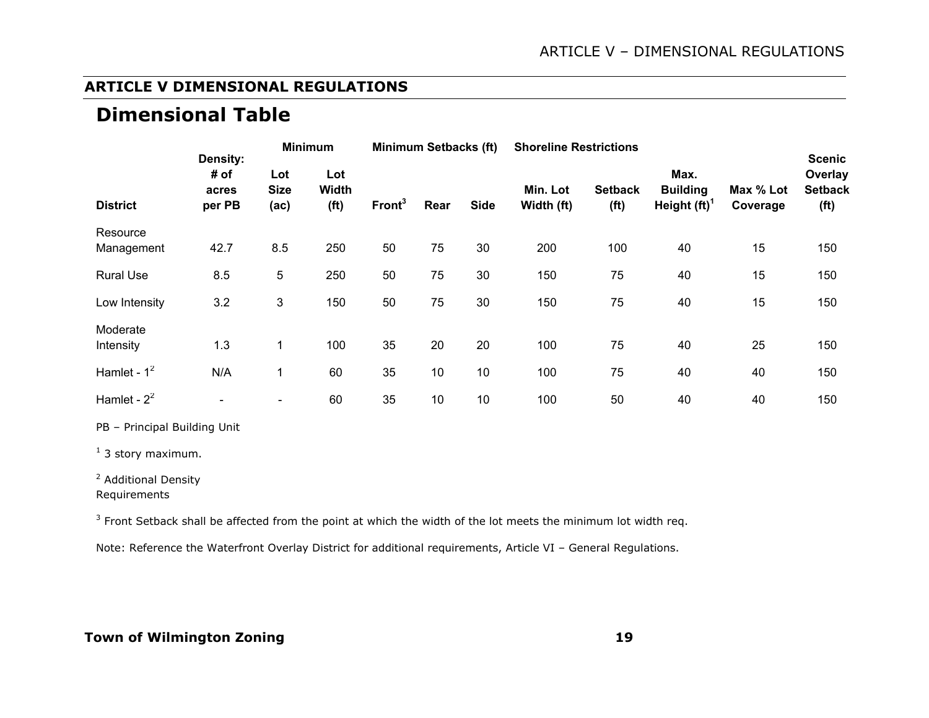#### **ARTICLE V DIMENSIONAL REGULATIONS**

# **Dimensional Table**

| Density:               |                         | <b>Minimum</b>               |                                          | <b>Minimum Setbacks (ft)</b> |      | <b>Shoreline Restrictions</b> |                        |                                     |                                            | <b>Scenic</b>         |                                                |
|------------------------|-------------------------|------------------------------|------------------------------------------|------------------------------|------|-------------------------------|------------------------|-------------------------------------|--------------------------------------------|-----------------------|------------------------------------------------|
| <b>District</b>        | # of<br>acres<br>per PB | Lot<br><b>Size</b><br>(ac)   | Lot<br><b>Width</b><br>(f <sup>t</sup> ) | Front <sup>3</sup>           | Rear | <b>Side</b>                   | Min. Lot<br>Width (ft) | <b>Setback</b><br>(f <sup>t</sup> ) | Max.<br><b>Building</b><br>Height $(ft)^T$ | Max % Lot<br>Coverage | Overlay<br><b>Setback</b><br>(f <sup>t</sup> ) |
| Resource<br>Management | 42.7                    | 8.5                          | 250                                      | 50                           | 75   | 30                            | 200                    | 100                                 | 40                                         | 15                    | 150                                            |
| <b>Rural Use</b>       | 8.5                     | 5                            | 250                                      | 50                           | 75   | 30                            | 150                    | 75                                  | 40                                         | 15                    | 150                                            |
| Low Intensity          | 3.2                     | 3                            | 150                                      | 50                           | 75   | 30                            | 150                    | 75                                  | 40                                         | 15                    | 150                                            |
| Moderate<br>Intensity  | 1.3                     | 1                            | 100                                      | 35                           | 20   | 20                            | 100                    | 75                                  | 40                                         | 25                    | 150                                            |
| Hamlet - $1^2$         | N/A                     | 1                            | 60                                       | 35                           | 10   | 10                            | 100                    | 75                                  | 40                                         | 40                    | 150                                            |
| Hamlet - $2^2$         |                         | $\qquad \qquad \blacksquare$ | 60                                       | 35                           | 10   | 10                            | 100                    | 50                                  | 40                                         | 40                    | 150                                            |

PB – Principal Building Unit

 $<sup>1</sup>$  3 story maximum.</sup>

<sup>2</sup> Additional Density

Requirements

 $3$  Front Setback shall be affected from the point at which the width of the lot meets the minimum lot width req.

Note: Reference the Waterfront Overlay District for additional requirements, Article VI – General Regulations.

#### **Town of Wilmington Zoning 19**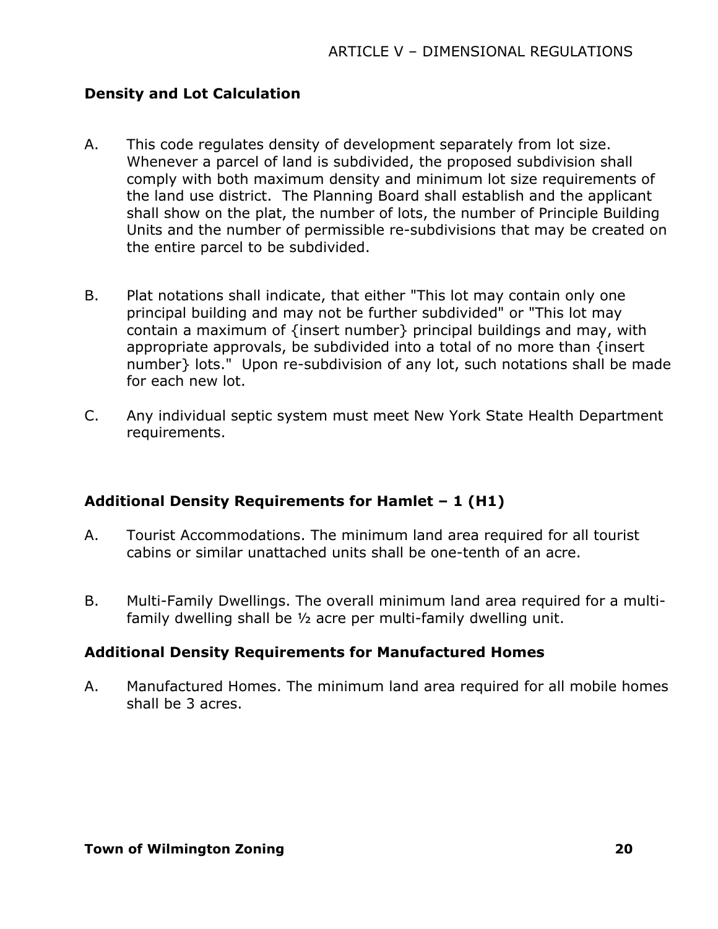#### **Density and Lot Calculation**

- A. This code regulates density of development separately from lot size. Whenever a parcel of land is subdivided, the proposed subdivision shall comply with both maximum density and minimum lot size requirements of the land use district. The Planning Board shall establish and the applicant shall show on the plat, the number of lots, the number of Principle Building Units and the number of permissible re-subdivisions that may be created on the entire parcel to be subdivided.
- B. Plat notations shall indicate, that either "This lot may contain only one principal building and may not be further subdivided" or "This lot may contain a maximum of {insert number} principal buildings and may, with appropriate approvals, be subdivided into a total of no more than {insert number} lots." Upon re-subdivision of any lot, such notations shall be made for each new lot.
- C. Any individual septic system must meet New York State Health Department requirements.

# **Additional Density Requirements for Hamlet – 1 (H1)**

- A. Tourist Accommodations. The minimum land area required for all tourist cabins or similar unattached units shall be one-tenth of an acre.
- B. Multi-Family Dwellings. The overall minimum land area required for a multifamily dwelling shall be ½ acre per multi-family dwelling unit.

#### **Additional Density Requirements for Manufactured Homes**

A. Manufactured Homes. The minimum land area required for all mobile homes shall be 3 acres.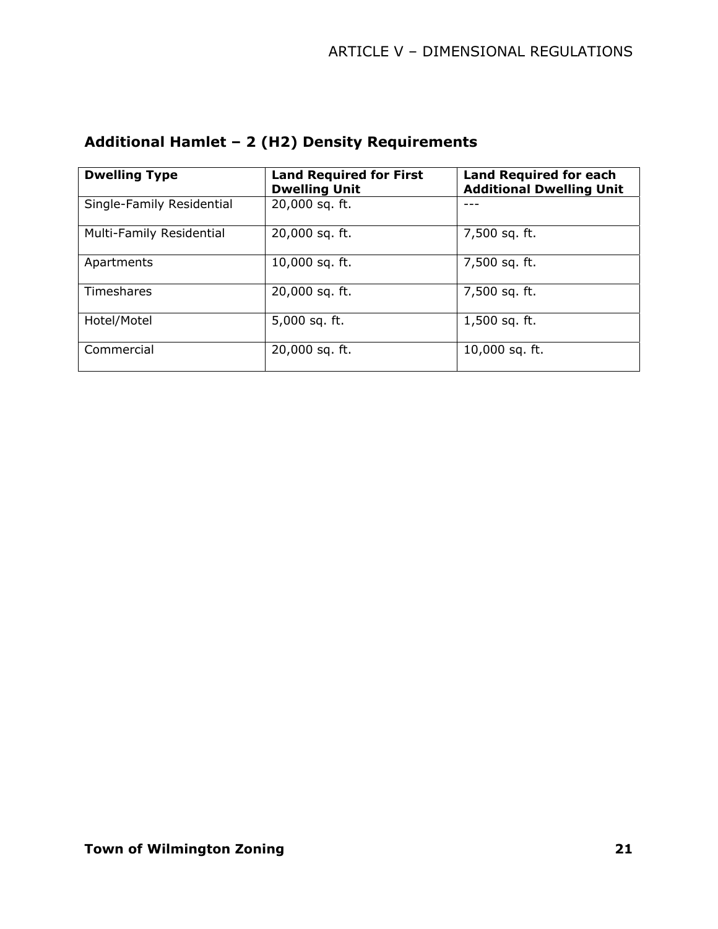| <b>Dwelling Type</b>      | <b>Land Required for First</b><br><b>Dwelling Unit</b> | <b>Land Required for each</b><br><b>Additional Dwelling Unit</b> |
|---------------------------|--------------------------------------------------------|------------------------------------------------------------------|
| Single-Family Residential | 20,000 sq. ft.                                         |                                                                  |
| Multi-Family Residential  | 20,000 sq. ft.                                         | 7,500 sq. ft.                                                    |
| Apartments                | 10,000 sq. ft.                                         | 7,500 sq. ft.                                                    |
| Timeshares                | 20,000 sq. ft.                                         | 7,500 sq. ft.                                                    |
| Hotel/Motel               | 5,000 sq. ft.                                          | $1,500$ sq. ft.                                                  |
| Commercial                | 20,000 sq. ft.                                         | 10,000 sq. ft.                                                   |

# **Additional Hamlet – 2 (H2) Density Requirements**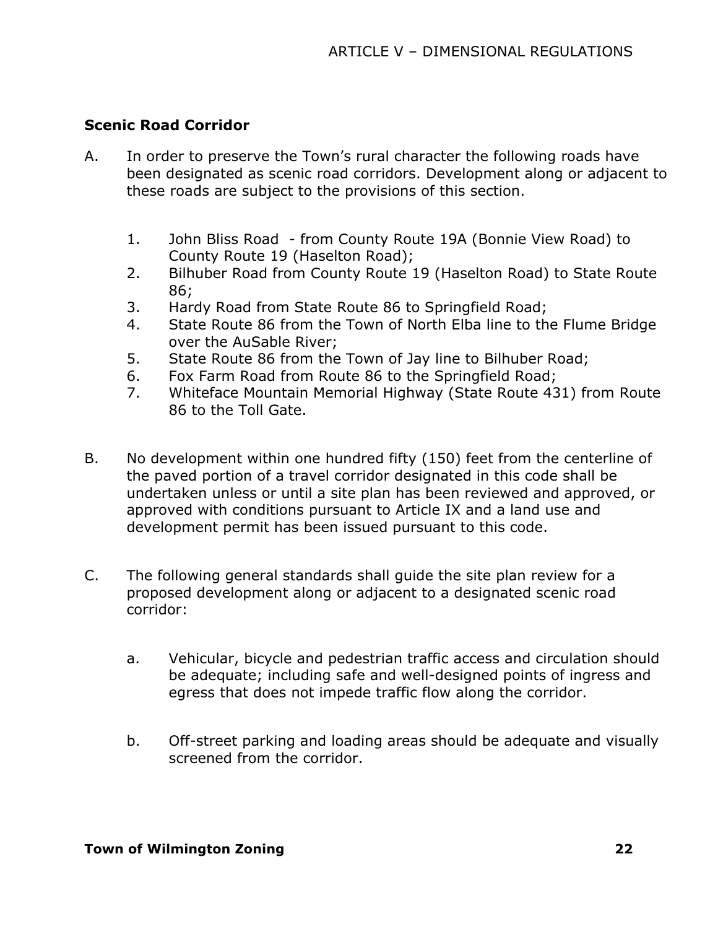#### **Scenic Road Corridor**

- A. In order to preserve the Town's rural character the following roads have been designated as scenic road corridors. Development along or adjacent to these roads are subject to the provisions of this section.
	- 1. John Bliss Road from County Route 19A (Bonnie View Road) to County Route 19 (Haselton Road);
	- 2. Bilhuber Road from County Route 19 (Haselton Road) to State Route 86;
	- 3. Hardy Road from State Route 86 to Springfield Road;
	- 4. State Route 86 from the Town of North Elba line to the Flume Bridge over the AuSable River;
	- 5. State Route 86 from the Town of Jay line to Bilhuber Road;
	- 6. Fox Farm Road from Route 86 to the Springfield Road;
	- 7. Whiteface Mountain Memorial Highway (State Route 431) from Route 86 to the Toll Gate.
- B. No development within one hundred fifty (150) feet from the centerline of the paved portion of a travel corridor designated in this code shall be undertaken unless or until a site plan has been reviewed and approved, or approved with conditions pursuant to Article IX and a land use and development permit has been issued pursuant to this code.
- C. The following general standards shall guide the site plan review for a proposed development along or adjacent to a designated scenic road corridor:
	- a. Vehicular, bicycle and pedestrian traffic access and circulation should be adequate; including safe and well-designed points of ingress and egress that does not impede traffic flow along the corridor.
	- b. Off-street parking and loading areas should be adequate and visually screened from the corridor.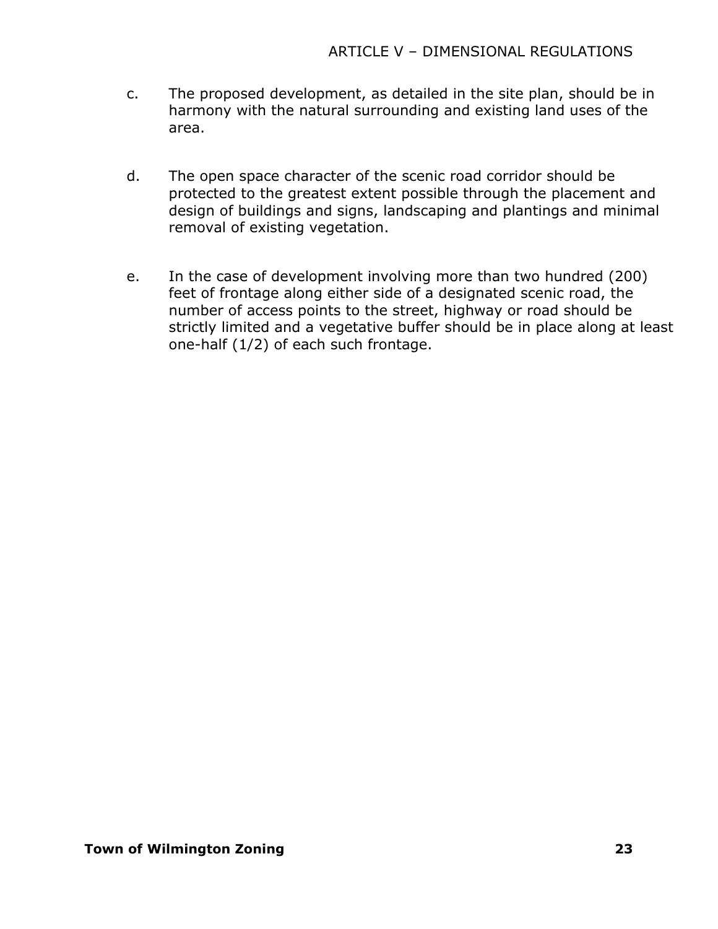- c. The proposed development, as detailed in the site plan, should be in harmony with the natural surrounding and existing land uses of the area.
- d. The open space character of the scenic road corridor should be protected to the greatest extent possible through the placement and design of buildings and signs, landscaping and plantings and minimal removal of existing vegetation.
- e. In the case of development involving more than two hundred (200) feet of frontage along either side of a designated scenic road, the number of access points to the street, highway or road should be strictly limited and a vegetative buffer should be in place along at least one-half (1/2) of each such frontage.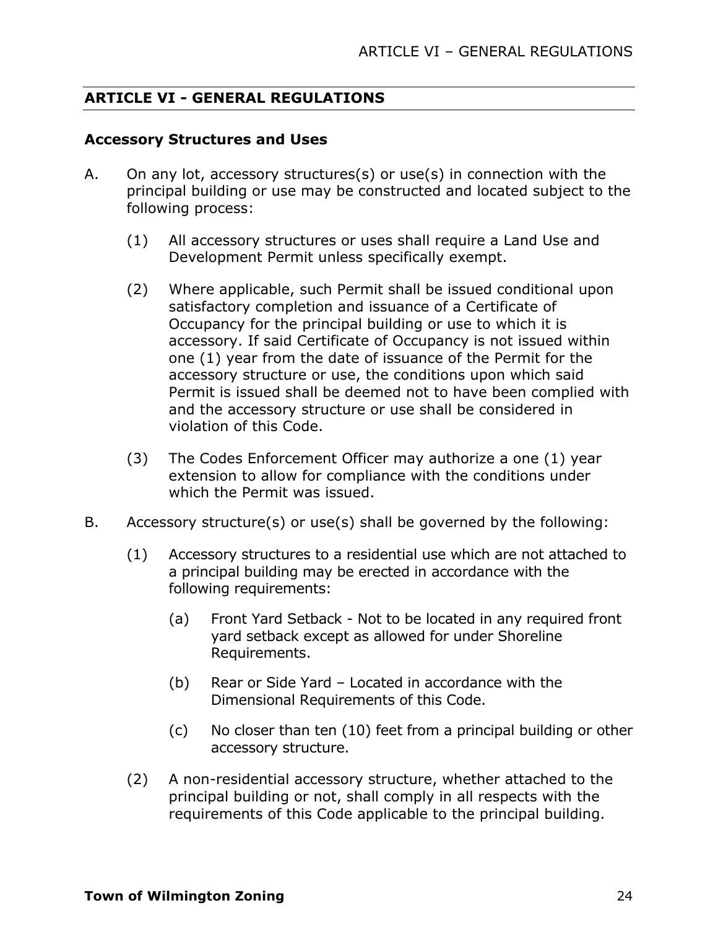#### **ARTICLE VI - GENERAL REGULATIONS**

#### **Accessory Structures and Uses**

- A. On any lot, accessory structures(s) or use(s) in connection with the principal building or use may be constructed and located subject to the following process:
	- (1) All accessory structures or uses shall require a Land Use and Development Permit unless specifically exempt.
	- (2) Where applicable, such Permit shall be issued conditional upon satisfactory completion and issuance of a Certificate of Occupancy for the principal building or use to which it is accessory. If said Certificate of Occupancy is not issued within one (1) year from the date of issuance of the Permit for the accessory structure or use, the conditions upon which said Permit is issued shall be deemed not to have been complied with and the accessory structure or use shall be considered in violation of this Code.
	- (3) The Codes Enforcement Officer may authorize a one (1) year extension to allow for compliance with the conditions under which the Permit was issued.
- B. Accessory structure(s) or use(s) shall be governed by the following:
	- (1) Accessory structures to a residential use which are not attached to a principal building may be erected in accordance with the following requirements:
		- (a) Front Yard Setback Not to be located in any required front yard setback except as allowed for under Shoreline Requirements.
		- (b) Rear or Side Yard Located in accordance with the Dimensional Requirements of this Code.
		- (c) No closer than ten (10) feet from a principal building or other accessory structure.
	- (2) A non-residential accessory structure, whether attached to the principal building or not, shall comply in all respects with the requirements of this Code applicable to the principal building.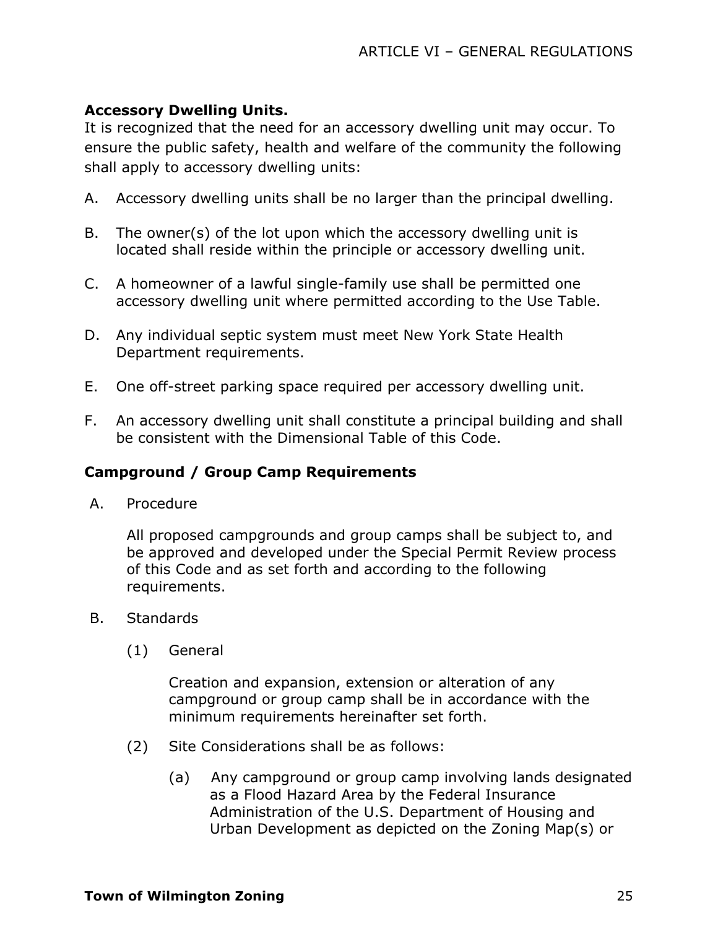# **Accessory Dwelling Units.**

It is recognized that the need for an accessory dwelling unit may occur. To ensure the public safety, health and welfare of the community the following shall apply to accessory dwelling units:

- A. Accessory dwelling units shall be no larger than the principal dwelling.
- B. The owner(s) of the lot upon which the accessory dwelling unit is located shall reside within the principle or accessory dwelling unit.
- C. A homeowner of a lawful single-family use shall be permitted one accessory dwelling unit where permitted according to the Use Table.
- D. Any individual septic system must meet New York State Health Department requirements.
- E. One off-street parking space required per accessory dwelling unit.
- F. An accessory dwelling unit shall constitute a principal building and shall be consistent with the Dimensional Table of this Code.

#### **Campground / Group Camp Requirements**

A. Procedure

All proposed campgrounds and group camps shall be subject to, and be approved and developed under the Special Permit Review process of this Code and as set forth and according to the following requirements.

- B. Standards
	- (1) General

Creation and expansion, extension or alteration of any campground or group camp shall be in accordance with the minimum requirements hereinafter set forth.

- (2) Site Considerations shall be as follows:
	- (a) Any campground or group camp involving lands designated as a Flood Hazard Area by the Federal Insurance Administration of the U.S. Department of Housing and Urban Development as depicted on the Zoning Map(s) or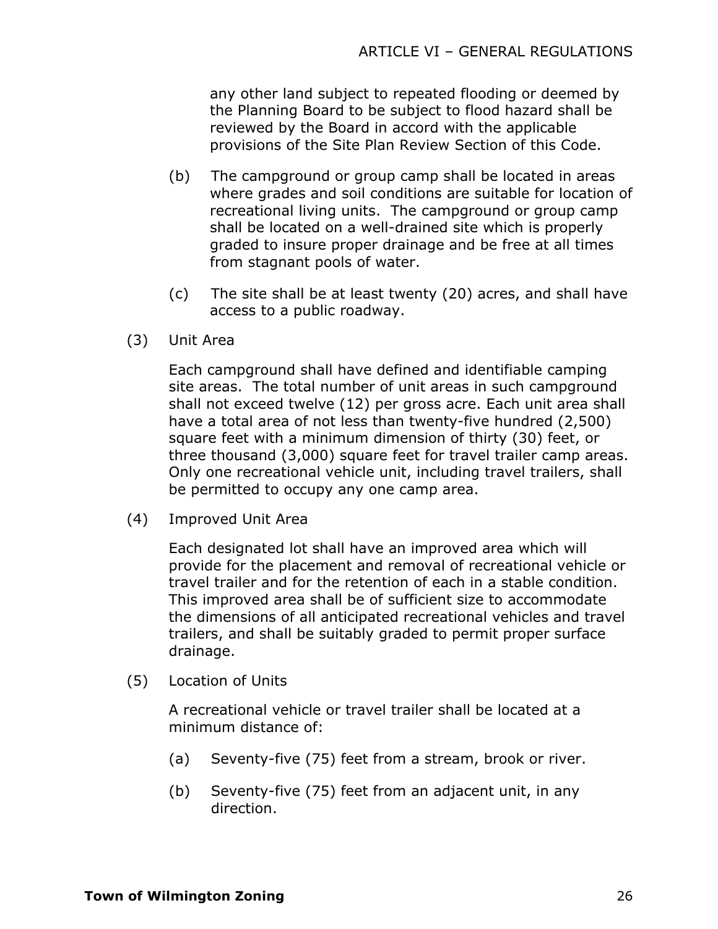any other land subject to repeated flooding or deemed by the Planning Board to be subject to flood hazard shall be reviewed by the Board in accord with the applicable provisions of the Site Plan Review Section of this Code.

- (b) The campground or group camp shall be located in areas where grades and soil conditions are suitable for location of recreational living units. The campground or group camp shall be located on a well-drained site which is properly graded to insure proper drainage and be free at all times from stagnant pools of water.
- (c) The site shall be at least twenty (20) acres, and shall have access to a public roadway.
- (3) Unit Area

Each campground shall have defined and identifiable camping site areas. The total number of unit areas in such campground shall not exceed twelve (12) per gross acre. Each unit area shall have a total area of not less than twenty-five hundred (2,500) square feet with a minimum dimension of thirty (30) feet, or three thousand (3,000) square feet for travel trailer camp areas. Only one recreational vehicle unit, including travel trailers, shall be permitted to occupy any one camp area.

(4) Improved Unit Area

Each designated lot shall have an improved area which will provide for the placement and removal of recreational vehicle or travel trailer and for the retention of each in a stable condition. This improved area shall be of sufficient size to accommodate the dimensions of all anticipated recreational vehicles and travel trailers, and shall be suitably graded to permit proper surface drainage.

(5) Location of Units

A recreational vehicle or travel trailer shall be located at a minimum distance of:

- (a) Seventy-five (75) feet from a stream, brook or river.
- (b) Seventy-five (75) feet from an adjacent unit, in any direction.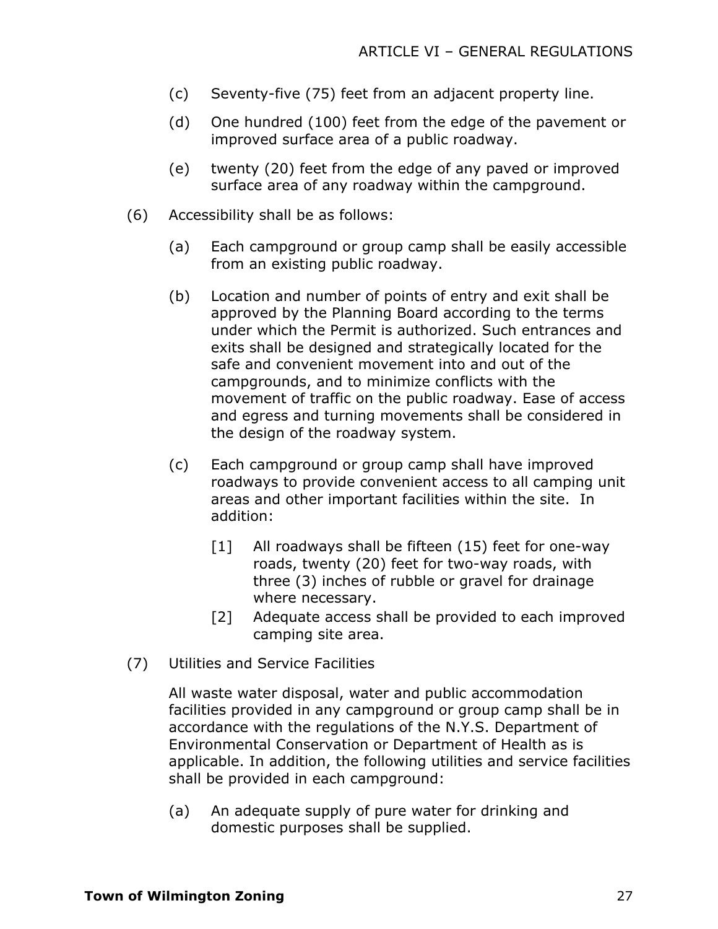- (c) Seventy-five (75) feet from an adjacent property line.
- (d) One hundred (100) feet from the edge of the pavement or improved surface area of a public roadway.
- (e) twenty (20) feet from the edge of any paved or improved surface area of any roadway within the campground.
- (6) Accessibility shall be as follows:
	- (a) Each campground or group camp shall be easily accessible from an existing public roadway.
	- (b) Location and number of points of entry and exit shall be approved by the Planning Board according to the terms under which the Permit is authorized. Such entrances and exits shall be designed and strategically located for the safe and convenient movement into and out of the campgrounds, and to minimize conflicts with the movement of traffic on the public roadway. Ease of access and egress and turning movements shall be considered in the design of the roadway system.
	- (c) Each campground or group camp shall have improved roadways to provide convenient access to all camping unit areas and other important facilities within the site. In addition:
		- [1] All roadways shall be fifteen (15) feet for one-way roads, twenty (20) feet for two-way roads, with three (3) inches of rubble or gravel for drainage where necessary.
		- [2] Adequate access shall be provided to each improved camping site area.
- (7) Utilities and Service Facilities

All waste water disposal, water and public accommodation facilities provided in any campground or group camp shall be in accordance with the regulations of the N.Y.S. Department of Environmental Conservation or Department of Health as is applicable. In addition, the following utilities and service facilities shall be provided in each campground:

(a) An adequate supply of pure water for drinking and domestic purposes shall be supplied.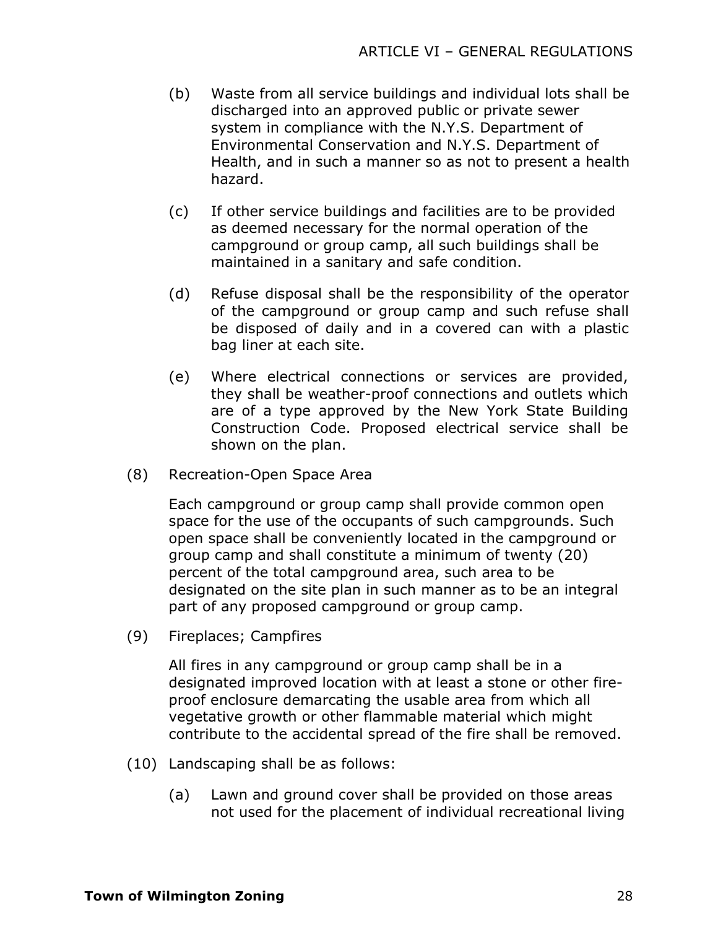- (b) Waste from all service buildings and individual lots shall be discharged into an approved public or private sewer system in compliance with the N.Y.S. Department of Environmental Conservation and N.Y.S. Department of Health, and in such a manner so as not to present a health hazard.
- (c) If other service buildings and facilities are to be provided as deemed necessary for the normal operation of the campground or group camp, all such buildings shall be maintained in a sanitary and safe condition.
- (d) Refuse disposal shall be the responsibility of the operator of the campground or group camp and such refuse shall be disposed of daily and in a covered can with a plastic bag liner at each site.
- (e) Where electrical connections or services are provided, they shall be weather-proof connections and outlets which are of a type approved by the New York State Building Construction Code. Proposed electrical service shall be shown on the plan.
- (8) Recreation-Open Space Area

Each campground or group camp shall provide common open space for the use of the occupants of such campgrounds. Such open space shall be conveniently located in the campground or group camp and shall constitute a minimum of twenty (20) percent of the total campground area, such area to be designated on the site plan in such manner as to be an integral part of any proposed campground or group camp.

(9) Fireplaces; Campfires

All fires in any campground or group camp shall be in a designated improved location with at least a stone or other fireproof enclosure demarcating the usable area from which all vegetative growth or other flammable material which might contribute to the accidental spread of the fire shall be removed.

- (10) Landscaping shall be as follows:
	- (a) Lawn and ground cover shall be provided on those areas not used for the placement of individual recreational living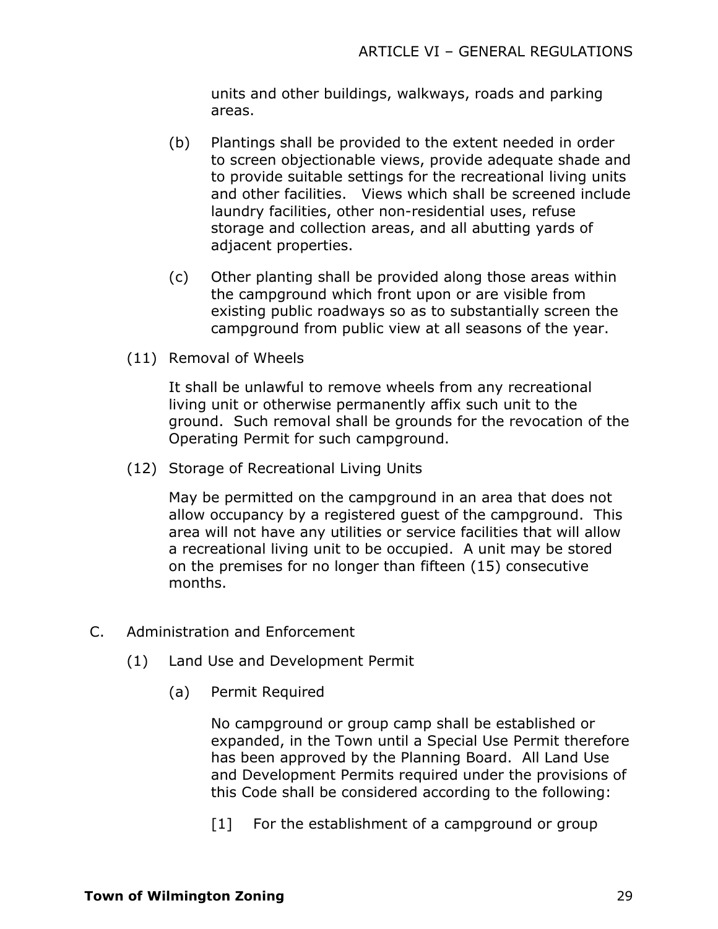units and other buildings, walkways, roads and parking areas.

- (b) Plantings shall be provided to the extent needed in order to screen objectionable views, provide adequate shade and to provide suitable settings for the recreational living units and other facilities. Views which shall be screened include laundry facilities, other non-residential uses, refuse storage and collection areas, and all abutting yards of adjacent properties.
- (c) Other planting shall be provided along those areas within the campground which front upon or are visible from existing public roadways so as to substantially screen the campground from public view at all seasons of the year.
- (11) Removal of Wheels

It shall be unlawful to remove wheels from any recreational living unit or otherwise permanently affix such unit to the ground. Such removal shall be grounds for the revocation of the Operating Permit for such campground.

(12) Storage of Recreational Living Units

May be permitted on the campground in an area that does not allow occupancy by a registered guest of the campground. This area will not have any utilities or service facilities that will allow a recreational living unit to be occupied. A unit may be stored on the premises for no longer than fifteen (15) consecutive months.

- C. Administration and Enforcement
	- (1) Land Use and Development Permit
		- (a) Permit Required

No campground or group camp shall be established or expanded, in the Town until a Special Use Permit therefore has been approved by the Planning Board. All Land Use and Development Permits required under the provisions of this Code shall be considered according to the following:

[1] For the establishment of a campground or group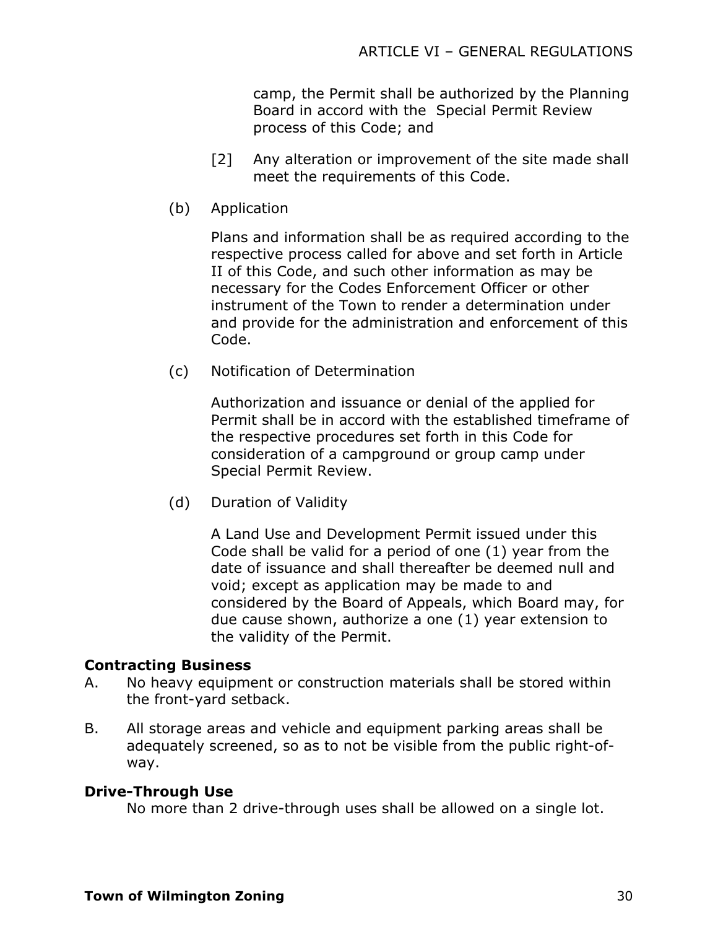camp, the Permit shall be authorized by the Planning Board in accord with the Special Permit Review process of this Code; and

- [2] Any alteration or improvement of the site made shall meet the requirements of this Code.
- (b) Application

Plans and information shall be as required according to the respective process called for above and set forth in Article II of this Code, and such other information as may be necessary for the Codes Enforcement Officer or other instrument of the Town to render a determination under and provide for the administration and enforcement of this Code.

(c) Notification of Determination

Authorization and issuance or denial of the applied for Permit shall be in accord with the established timeframe of the respective procedures set forth in this Code for consideration of a campground or group camp under Special Permit Review.

(d) Duration of Validity

A Land Use and Development Permit issued under this Code shall be valid for a period of one (1) year from the date of issuance and shall thereafter be deemed null and void; except as application may be made to and considered by the Board of Appeals, which Board may, for due cause shown, authorize a one (1) year extension to the validity of the Permit.

# **Contracting Business**

- A. No heavy equipment or construction materials shall be stored within the front-yard setback.
- B. All storage areas and vehicle and equipment parking areas shall be adequately screened, so as to not be visible from the public right-ofway.

#### **Drive-Through Use**

No more than 2 drive-through uses shall be allowed on a single lot.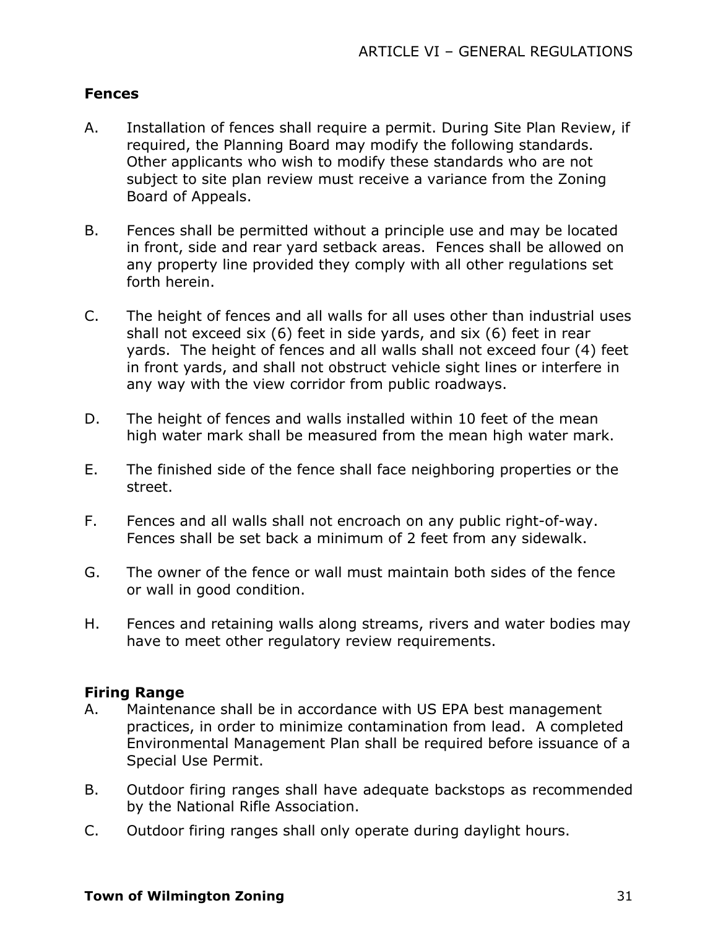#### **Fences**

- A. Installation of fences shall require a permit. During Site Plan Review, if required, the Planning Board may modify the following standards. Other applicants who wish to modify these standards who are not subject to site plan review must receive a variance from the Zoning Board of Appeals.
- B. Fences shall be permitted without a principle use and may be located in front, side and rear yard setback areas. Fences shall be allowed on any property line provided they comply with all other regulations set forth herein.
- C. The height of fences and all walls for all uses other than industrial uses shall not exceed six (6) feet in side yards, and six (6) feet in rear yards. The height of fences and all walls shall not exceed four (4) feet in front yards, and shall not obstruct vehicle sight lines or interfere in any way with the view corridor from public roadways.
- D. The height of fences and walls installed within 10 feet of the mean high water mark shall be measured from the mean high water mark.
- E. The finished side of the fence shall face neighboring properties or the street.
- F. Fences and all walls shall not encroach on any public right-of-way. Fences shall be set back a minimum of 2 feet from any sidewalk.
- G. The owner of the fence or wall must maintain both sides of the fence or wall in good condition.
- H. Fences and retaining walls along streams, rivers and water bodies may have to meet other regulatory review requirements.

#### **Firing Range**

- A. Maintenance shall be in accordance with US EPA best management practices, in order to minimize contamination from lead. A completed Environmental Management Plan shall be required before issuance of a Special Use Permit.
- B. Outdoor firing ranges shall have adequate backstops as recommended by the National Rifle Association.
- C. Outdoor firing ranges shall only operate during daylight hours.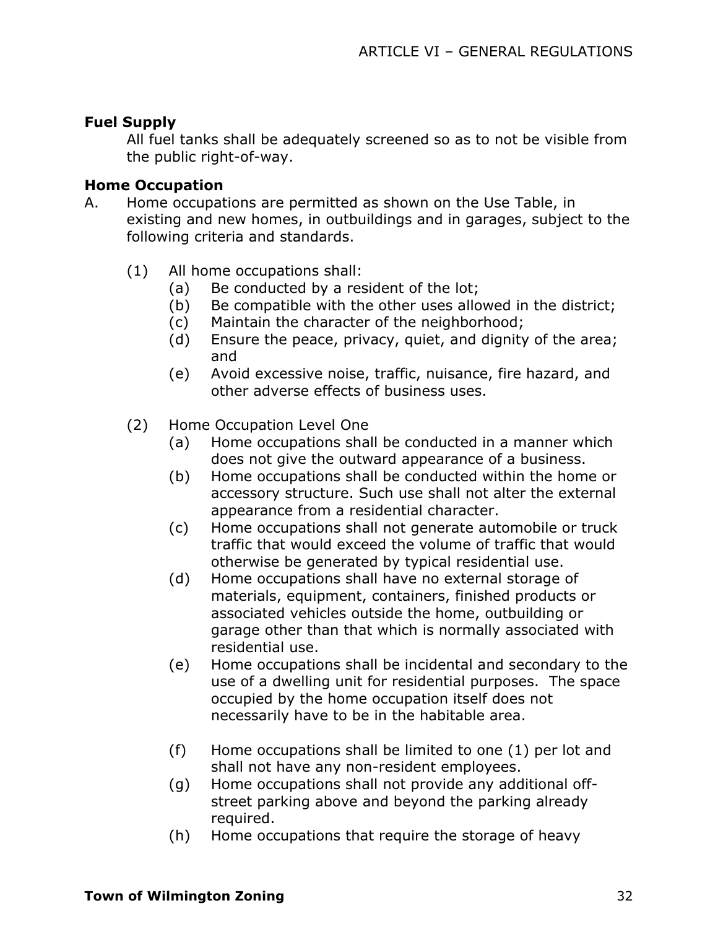## **Fuel Supply**

All fuel tanks shall be adequately screened so as to not be visible from the public right-of-way.

# **Home Occupation**

- A. Home occupations are permitted as shown on the Use Table, in existing and new homes, in outbuildings and in garages, subject to the following criteria and standards.
	- (1) All home occupations shall:
		- (a) Be conducted by a resident of the lot;
		- (b) Be compatible with the other uses allowed in the district;
		- (c) Maintain the character of the neighborhood;
		- (d) Ensure the peace, privacy, quiet, and dignity of the area; and
		- (e) Avoid excessive noise, traffic, nuisance, fire hazard, and other adverse effects of business uses.
	- (2) Home Occupation Level One
		- (a) Home occupations shall be conducted in a manner which does not give the outward appearance of a business.
		- (b) Home occupations shall be conducted within the home or accessory structure. Such use shall not alter the external appearance from a residential character.
		- (c) Home occupations shall not generate automobile or truck traffic that would exceed the volume of traffic that would otherwise be generated by typical residential use.
		- (d) Home occupations shall have no external storage of materials, equipment, containers, finished products or associated vehicles outside the home, outbuilding or garage other than that which is normally associated with residential use.
		- (e) Home occupations shall be incidental and secondary to the use of a dwelling unit for residential purposes. The space occupied by the home occupation itself does not necessarily have to be in the habitable area.
		- (f) Home occupations shall be limited to one (1) per lot and shall not have any non-resident employees.
		- (g) Home occupations shall not provide any additional offstreet parking above and beyond the parking already required.
		- (h) Home occupations that require the storage of heavy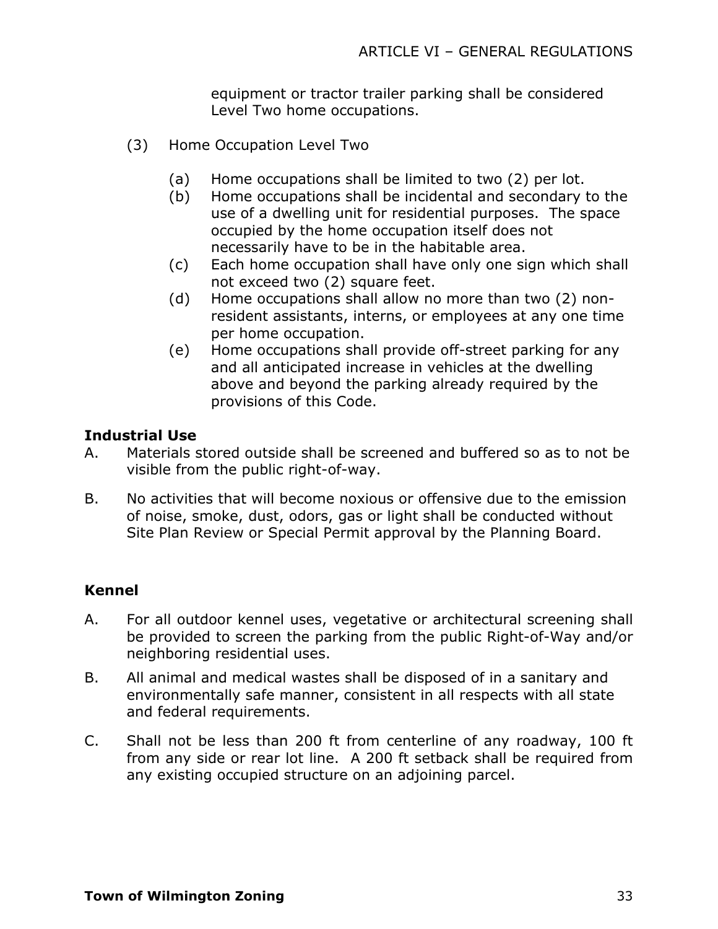equipment or tractor trailer parking shall be considered Level Two home occupations.

- (3) Home Occupation Level Two
	- (a) Home occupations shall be limited to two (2) per lot.
	- (b) Home occupations shall be incidental and secondary to the use of a dwelling unit for residential purposes. The space occupied by the home occupation itself does not necessarily have to be in the habitable area.
	- (c) Each home occupation shall have only one sign which shall not exceed two (2) square feet.
	- (d) Home occupations shall allow no more than two (2) nonresident assistants, interns, or employees at any one time per home occupation.
	- (e) Home occupations shall provide off-street parking for any and all anticipated increase in vehicles at the dwelling above and beyond the parking already required by the provisions of this Code.

#### **Industrial Use**

- A. Materials stored outside shall be screened and buffered so as to not be visible from the public right-of-way.
- B. No activities that will become noxious or offensive due to the emission of noise, smoke, dust, odors, gas or light shall be conducted without Site Plan Review or Special Permit approval by the Planning Board.

#### **Kennel**

- A. For all outdoor kennel uses, vegetative or architectural screening shall be provided to screen the parking from the public Right-of-Way and/or neighboring residential uses.
- B. All animal and medical wastes shall be disposed of in a sanitary and environmentally safe manner, consistent in all respects with all state and federal requirements.
- C. Shall not be less than 200 ft from centerline of any roadway, 100 ft from any side or rear lot line. A 200 ft setback shall be required from any existing occupied structure on an adjoining parcel.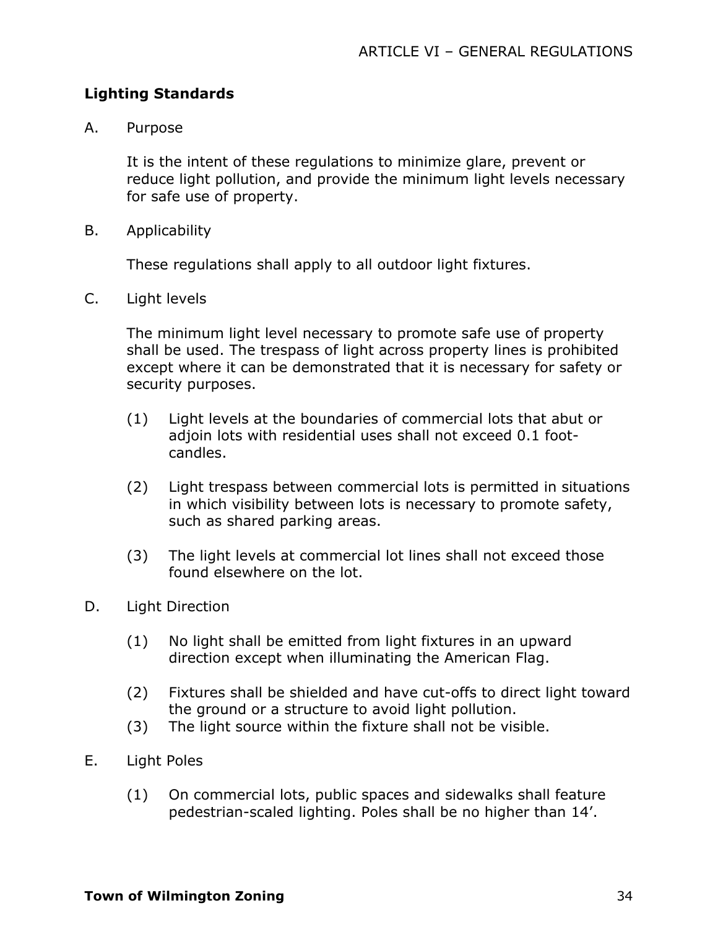# **Lighting Standards**

A. Purpose

It is the intent of these regulations to minimize glare, prevent or reduce light pollution, and provide the minimum light levels necessary for safe use of property.

B. Applicability

These regulations shall apply to all outdoor light fixtures.

C. Light levels

The minimum light level necessary to promote safe use of property shall be used. The trespass of light across property lines is prohibited except where it can be demonstrated that it is necessary for safety or security purposes.

- (1) Light levels at the boundaries of commercial lots that abut or adioin lots with residential uses shall not exceed 0.1 footcandles.
- (2) Light trespass between commercial lots is permitted in situations in which visibility between lots is necessary to promote safety, such as shared parking areas.
- (3) The light levels at commercial lot lines shall not exceed those found elsewhere on the lot.
- D. Light Direction
	- (1) No light shall be emitted from light fixtures in an upward direction except when illuminating the American Flag.
	- (2) Fixtures shall be shielded and have cut-offs to direct light toward the ground or a structure to avoid light pollution.
	- (3) The light source within the fixture shall not be visible.
- E. Light Poles
	- (1) On commercial lots, public spaces and sidewalks shall feature pedestrian-scaled lighting. Poles shall be no higher than 14'.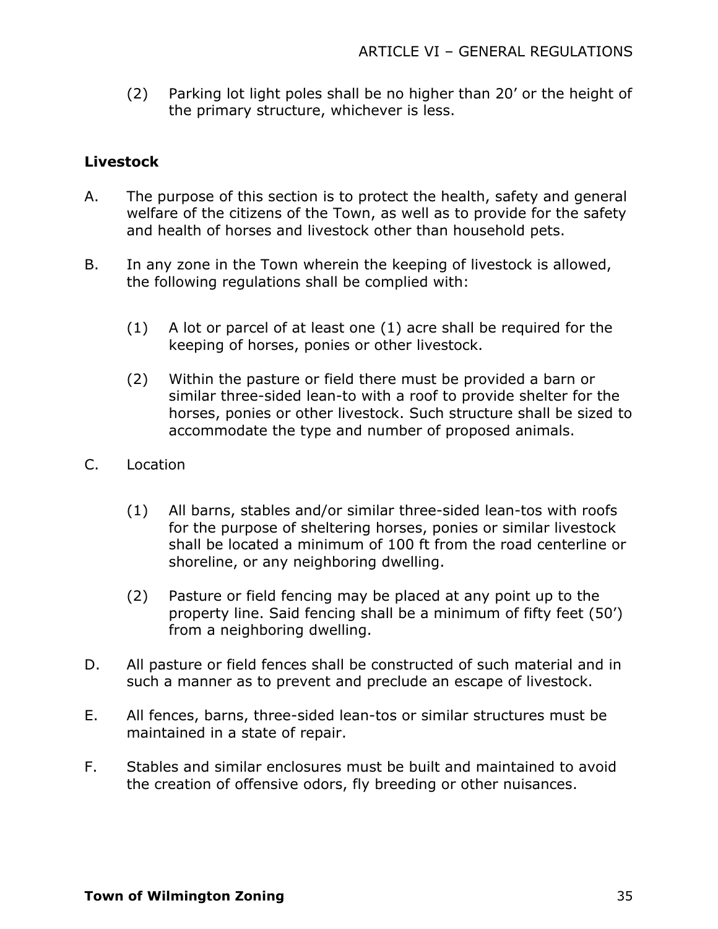(2) Parking lot light poles shall be no higher than 20' or the height of the primary structure, whichever is less.

# **Livestock**

- A. The purpose of this section is to protect the health, safety and general welfare of the citizens of the Town, as well as to provide for the safety and health of horses and livestock other than household pets.
- B. In any zone in the Town wherein the keeping of livestock is allowed, the following regulations shall be complied with:
	- (1) A lot or parcel of at least one (1) acre shall be required for the keeping of horses, ponies or other livestock.
	- (2) Within the pasture or field there must be provided a barn or similar three-sided lean-to with a roof to provide shelter for the horses, ponies or other livestock. Such structure shall be sized to accommodate the type and number of proposed animals.
- C. Location
	- (1) All barns, stables and/or similar three-sided lean-tos with roofs for the purpose of sheltering horses, ponies or similar livestock shall be located a minimum of 100 ft from the road centerline or shoreline, or any neighboring dwelling.
	- (2) Pasture or field fencing may be placed at any point up to the property line. Said fencing shall be a minimum of fifty feet (50') from a neighboring dwelling.
- D. All pasture or field fences shall be constructed of such material and in such a manner as to prevent and preclude an escape of livestock.
- E. All fences, barns, three-sided lean-tos or similar structures must be maintained in a state of repair.
- F. Stables and similar enclosures must be built and maintained to avoid the creation of offensive odors, fly breeding or other nuisances.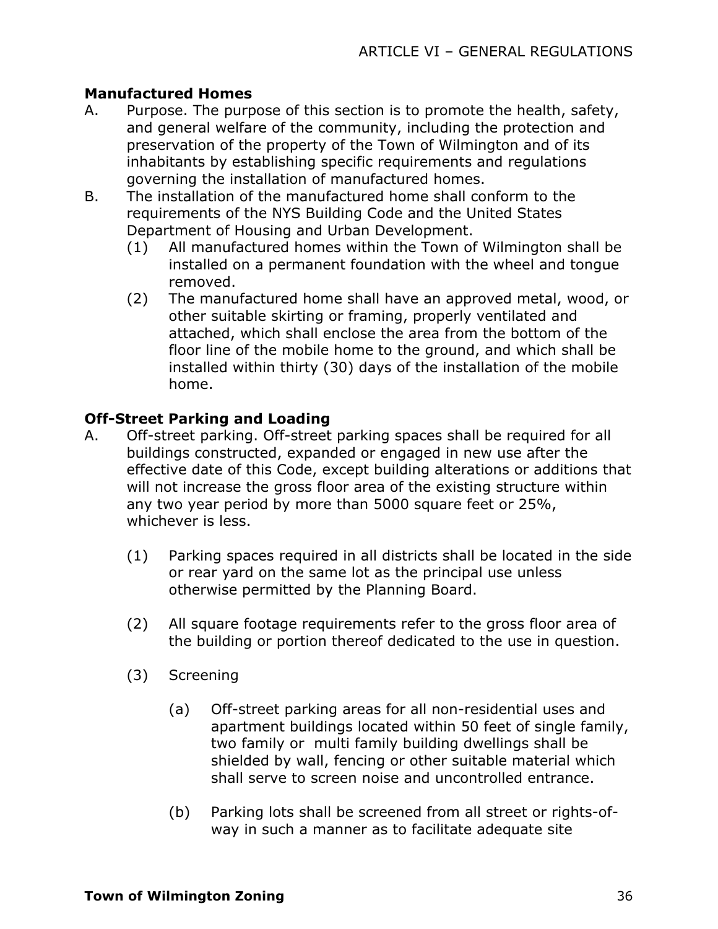# **Manufactured Homes**

- A. Purpose. The purpose of this section is to promote the health, safety, and general welfare of the community, including the protection and preservation of the property of the Town of Wilmington and of its inhabitants by establishing specific requirements and regulations governing the installation of manufactured homes.
- B. The installation of the manufactured home shall conform to the requirements of the NYS Building Code and the United States Department of Housing and Urban Development.
	- (1) All manufactured homes within the Town of Wilmington shall be installed on a permanent foundation with the wheel and tongue removed.
	- (2) The manufactured home shall have an approved metal, wood, or other suitable skirting or framing, properly ventilated and attached, which shall enclose the area from the bottom of the floor line of the mobile home to the ground, and which shall be installed within thirty (30) days of the installation of the mobile home.

# **Off-Street Parking and Loading**

- A. Off-street parking. Off-street parking spaces shall be required for all buildings constructed, expanded or engaged in new use after the effective date of this Code, except building alterations or additions that will not increase the gross floor area of the existing structure within any two year period by more than 5000 square feet or 25%, whichever is less.
	- (1) Parking spaces required in all districts shall be located in the side or rear yard on the same lot as the principal use unless otherwise permitted by the Planning Board.
	- (2) All square footage requirements refer to the gross floor area of the building or portion thereof dedicated to the use in question.
	- (3) Screening
		- (a) Off-street parking areas for all non-residential uses and apartment buildings located within 50 feet of single family, two family or multi family building dwellings shall be shielded by wall, fencing or other suitable material which shall serve to screen noise and uncontrolled entrance.
		- (b) Parking lots shall be screened from all street or rights-ofway in such a manner as to facilitate adequate site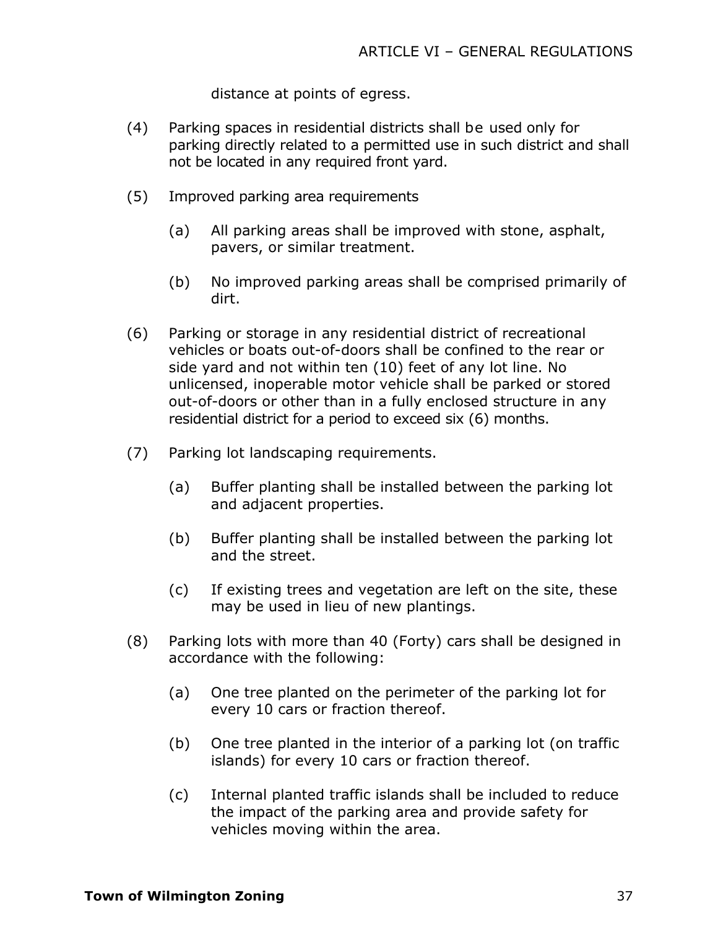distance at points of egress.

- (4) Parking spaces in residential districts shall be used only for parking directly related to a permitted use in such district and shall not be located in any required front yard.
- (5) Improved parking area requirements
	- (a) All parking areas shall be improved with stone, asphalt, pavers, or similar treatment.
	- (b) No improved parking areas shall be comprised primarily of dirt.
- (6) Parking or storage in any residential district of recreational vehicles or boats out-of-doors shall be confined to the rear or side yard and not within ten (10) feet of any lot line. No unlicensed, inoperable motor vehicle shall be parked or stored out-of-doors or other than in a fully enclosed structure in any residential district for a period to exceed six (6) months.
- (7) Parking lot landscaping requirements.
	- (a) Buffer planting shall be installed between the parking lot and adjacent properties.
	- (b) Buffer planting shall be installed between the parking lot and the street.
	- (c) If existing trees and vegetation are left on the site, these may be used in lieu of new plantings.
- (8) Parking lots with more than 40 (Forty) cars shall be designed in accordance with the following:
	- (a) One tree planted on the perimeter of the parking lot for every 10 cars or fraction thereof.
	- (b) One tree planted in the interior of a parking lot (on traffic islands) for every 10 cars or fraction thereof.
	- (c) Internal planted traffic islands shall be included to reduce the impact of the parking area and provide safety for vehicles moving within the area.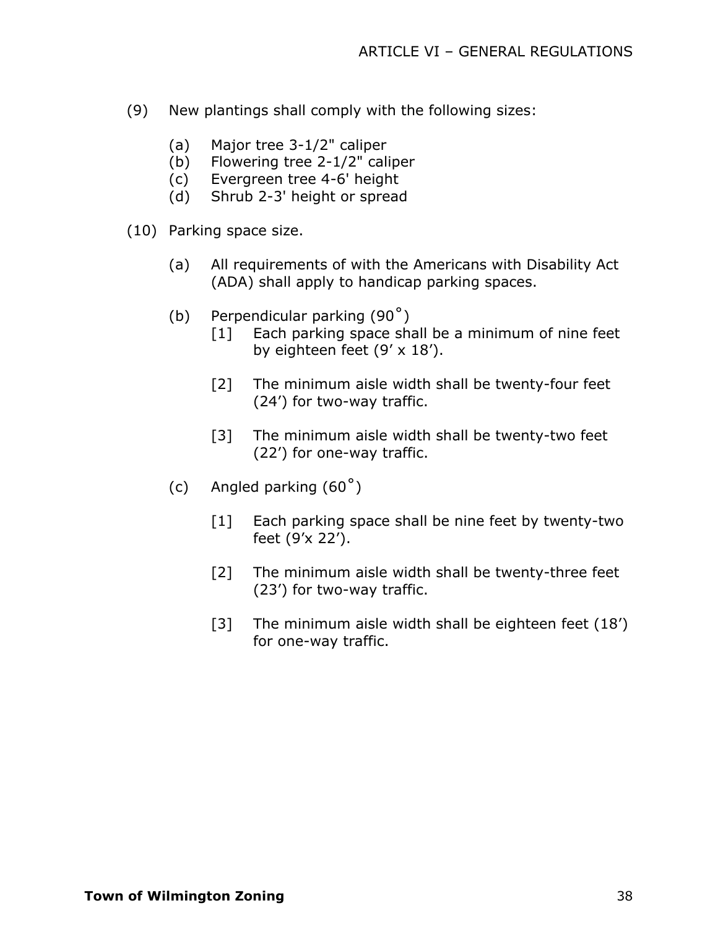- (9) New plantings shall comply with the following sizes:
	- (a) Major tree 3-1/2" caliper
	- (b) Flowering tree 2-1/2" caliper
	- (c) Evergreen tree 4-6' height
	- (d) Shrub 2-3' height or spread
- (10) Parking space size.
	- (a) All requirements of with the Americans with Disability Act (ADA) shall apply to handicap parking spaces.
	- (b) Perpendicular parking (90˚)
		- [1] Each parking space shall be a minimum of nine feet by eighteen feet (9' x 18').
		- [2] The minimum aisle width shall be twenty-four feet (24') for two-way traffic.
		- [3] The minimum aisle width shall be twenty-two feet (22') for one-way traffic.
	- (c) Angled parking  $(60^\circ)$ 
		- [1] Each parking space shall be nine feet by twenty-two feet (9'x 22').
		- [2] The minimum aisle width shall be twenty-three feet (23') for two-way traffic.
		- [3] The minimum aisle width shall be eighteen feet (18') for one-way traffic.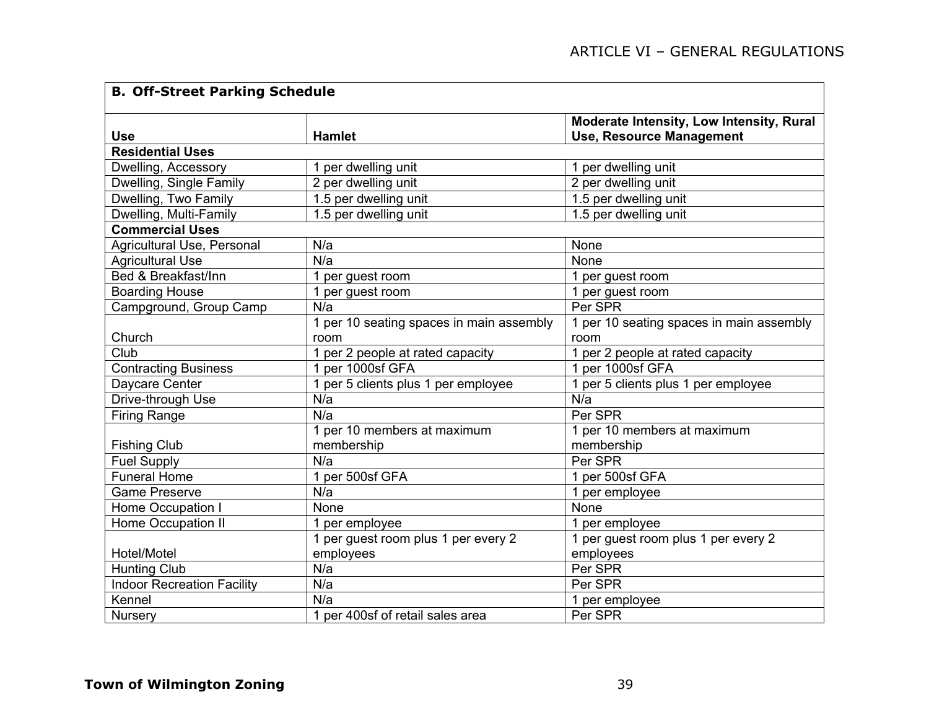| <b>B. Off-Street Parking Schedule</b> |                                          |                                          |  |  |
|---------------------------------------|------------------------------------------|------------------------------------------|--|--|
|                                       |                                          | Moderate Intensity, Low Intensity, Rural |  |  |
| <b>Use</b>                            | <b>Hamlet</b>                            | <b>Use, Resource Management</b>          |  |  |
| <b>Residential Uses</b>               |                                          |                                          |  |  |
| Dwelling, Accessory                   | 1 per dwelling unit                      | 1 per dwelling unit                      |  |  |
| Dwelling, Single Family               | 2 per dwelling unit                      | 2 per dwelling unit                      |  |  |
| Dwelling, Two Family                  | 1.5 per dwelling unit                    | 1.5 per dwelling unit                    |  |  |
| Dwelling, Multi-Family                | 1.5 per dwelling unit                    | 1.5 per dwelling unit                    |  |  |
| <b>Commercial Uses</b>                |                                          |                                          |  |  |
| Agricultural Use, Personal            | N/a                                      | None                                     |  |  |
| <b>Agricultural Use</b>               | N/a                                      | None                                     |  |  |
| Bed & Breakfast/Inn                   | 1 per guest room                         | 1 per guest room                         |  |  |
| <b>Boarding House</b>                 | 1 per guest room                         | 1 per guest room                         |  |  |
| Campground, Group Camp                | N/a                                      | Per SPR                                  |  |  |
|                                       | 1 per 10 seating spaces in main assembly | 1 per 10 seating spaces in main assembly |  |  |
| Church                                | room                                     | room                                     |  |  |
| Club                                  | 1 per 2 people at rated capacity         | 1 per 2 people at rated capacity         |  |  |
| <b>Contracting Business</b>           | 1 per 1000sf GFA                         | 1 per 1000sf GFA                         |  |  |
| Daycare Center                        | 1 per 5 clients plus 1 per employee      | 1 per 5 clients plus 1 per employee      |  |  |
| Drive-through Use                     | N/a                                      | N/a                                      |  |  |
| <b>Firing Range</b>                   | N/a                                      | Per SPR                                  |  |  |
|                                       | 1 per 10 members at maximum              | 1 per 10 members at maximum              |  |  |
| <b>Fishing Club</b>                   | membership                               | membership                               |  |  |
| <b>Fuel Supply</b>                    | N/a                                      | Per SPR                                  |  |  |
| <b>Funeral Home</b>                   | 1 per 500sf GFA                          | 1 per 500sf GFA                          |  |  |
| <b>Game Preserve</b>                  | N/a                                      | 1 per employee                           |  |  |
| Home Occupation I                     | None                                     | None                                     |  |  |
| <b>Home Occupation II</b>             | 1 per employee                           | 1 per employee                           |  |  |
|                                       | 1 per guest room plus 1 per every 2      | 1 per guest room plus 1 per every 2      |  |  |
| Hotel/Motel                           | employees                                | employees                                |  |  |
| <b>Hunting Club</b>                   | N/a                                      | Per SPR                                  |  |  |
| <b>Indoor Recreation Facility</b>     | N/a                                      | Per SPR                                  |  |  |
| Kennel                                | N/a                                      | 1 per employee                           |  |  |
| <b>Nursery</b>                        | 1 per 400sf of retail sales area         | Per SPR                                  |  |  |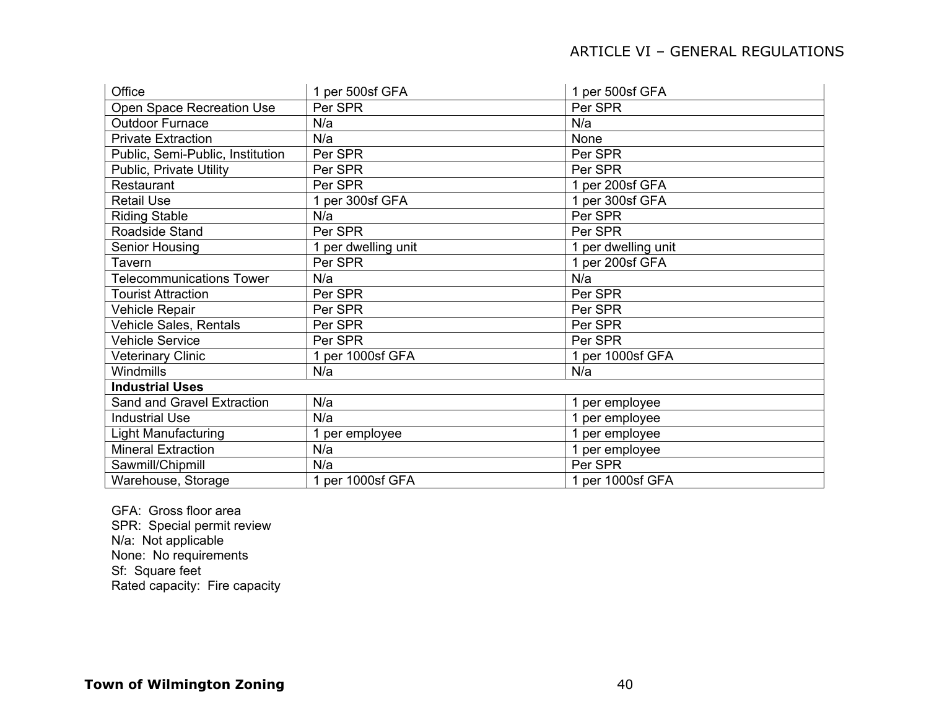| Office                           | 1 per 500sf GFA     | 1 per 500sf GFA     |  |  |
|----------------------------------|---------------------|---------------------|--|--|
| Open Space Recreation Use        | Per SPR             | Per SPR             |  |  |
| <b>Outdoor Furnace</b>           | N/a                 | N/a                 |  |  |
| <b>Private Extraction</b>        | N/a                 | None                |  |  |
| Public, Semi-Public, Institution | Per SPR             | Per SPR             |  |  |
| Public, Private Utility          | Per SPR             | Per SPR             |  |  |
| Restaurant                       | Per SPR             | 1 per 200sf GFA     |  |  |
| <b>Retail Use</b>                | 1 per 300sf GFA     | 1 per 300sf GFA     |  |  |
| <b>Riding Stable</b>             | N/a                 | Per SPR             |  |  |
| Roadside Stand                   | Per SPR             | Per SPR             |  |  |
| Senior Housing                   | 1 per dwelling unit | 1 per dwelling unit |  |  |
| Tavern                           | Per SPR             | 1 per 200sf GFA     |  |  |
| <b>Telecommunications Tower</b>  | N/a                 | N/a                 |  |  |
| <b>Tourist Attraction</b>        | Per SPR             | Per SPR             |  |  |
| Vehicle Repair                   | Per SPR             | Per SPR             |  |  |
| Vehicle Sales, Rentals           | Per SPR             | Per SPR             |  |  |
| <b>Vehicle Service</b>           | Per SPR             | Per SPR             |  |  |
| <b>Veterinary Clinic</b>         | 1 per 1000sf GFA    | 1 per 1000sf GFA    |  |  |
| Windmills                        | N/a                 | N/a                 |  |  |
| <b>Industrial Uses</b>           |                     |                     |  |  |
| Sand and Gravel Extraction       | N/a                 | 1 per employee      |  |  |
| <b>Industrial Use</b>            | N/a                 | 1 per employee      |  |  |
| <b>Light Manufacturing</b>       | 1 per employee      | 1 per employee      |  |  |
| <b>Mineral Extraction</b>        | N/a                 | 1 per employee      |  |  |
| Sawmill/Chipmill                 | N/a                 | Per SPR             |  |  |
| Warehouse, Storage               | 1 per 1000sf GFA    | 1 per 1000sf GFA    |  |  |

GFA: Gross floor area SPR: Special permit review N/a: Not applicable None: No requirements Sf: Square feet Rated capacity: Fire capacity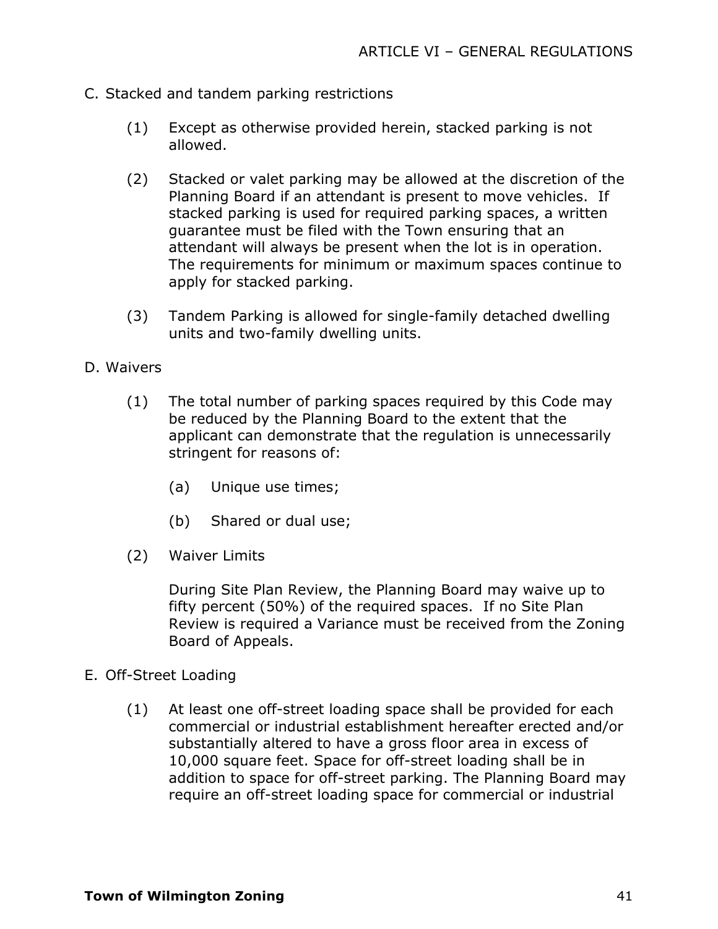- C. Stacked and tandem parking restrictions
	- (1) Except as otherwise provided herein, stacked parking is not allowed.
	- (2) Stacked or valet parking may be allowed at the discretion of the Planning Board if an attendant is present to move vehicles. If stacked parking is used for required parking spaces, a written guarantee must be filed with the Town ensuring that an attendant will always be present when the lot is in operation. The requirements for minimum or maximum spaces continue to apply for stacked parking.
	- (3) Tandem Parking is allowed for single-family detached dwelling units and two-family dwelling units.

#### D. Waivers

- (1) The total number of parking spaces required by this Code may be reduced by the Planning Board to the extent that the applicant can demonstrate that the regulation is unnecessarily stringent for reasons of:
	- (a) Unique use times;
	- (b) Shared or dual use;
- (2) Waiver Limits

During Site Plan Review, the Planning Board may waive up to fifty percent (50%) of the required spaces. If no Site Plan Review is required a Variance must be received from the Zoning Board of Appeals.

#### E. Off-Street Loading

(1) At least one off-street loading space shall be provided for each commercial or industrial establishment hereafter erected and/or substantially altered to have a gross floor area in excess of 10,000 square feet. Space for off-street loading shall be in addition to space for off-street parking. The Planning Board may require an off-street loading space for commercial or industrial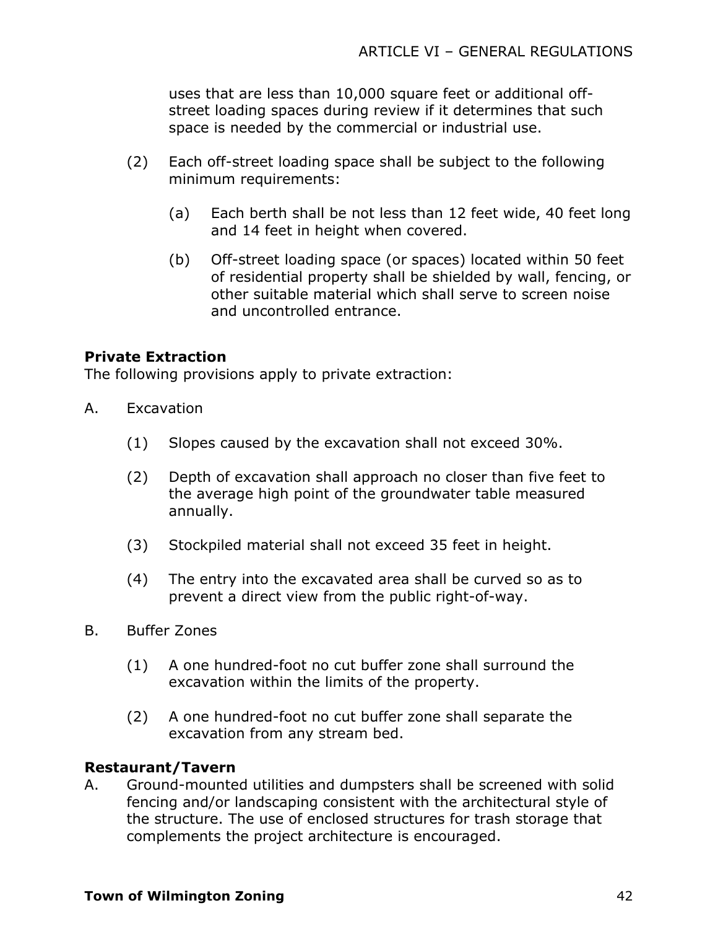uses that are less than 10,000 square feet or additional offstreet loading spaces during review if it determines that such space is needed by the commercial or industrial use.

- (2) Each off-street loading space shall be subject to the following minimum requirements:
	- (a) Each berth shall be not less than 12 feet wide, 40 feet long and 14 feet in height when covered.
	- (b) Off-street loading space (or spaces) located within 50 feet of residential property shall be shielded by wall, fencing, or other suitable material which shall serve to screen noise and uncontrolled entrance.

# **Private Extraction**

The following provisions apply to private extraction:

- A. Excavation
	- (1) Slopes caused by the excavation shall not exceed 30%.
	- (2) Depth of excavation shall approach no closer than five feet to the average high point of the groundwater table measured annually.
	- (3) Stockpiled material shall not exceed 35 feet in height.
	- (4) The entry into the excavated area shall be curved so as to prevent a direct view from the public right-of-way.
- B. Buffer Zones
	- (1) A one hundred-foot no cut buffer zone shall surround the excavation within the limits of the property.
	- (2) A one hundred-foot no cut buffer zone shall separate the excavation from any stream bed.

### **Restaurant/Tavern**

A. Ground-mounted utilities and dumpsters shall be screened with solid fencing and/or landscaping consistent with the architectural style of the structure. The use of enclosed structures for trash storage that complements the project architecture is encouraged.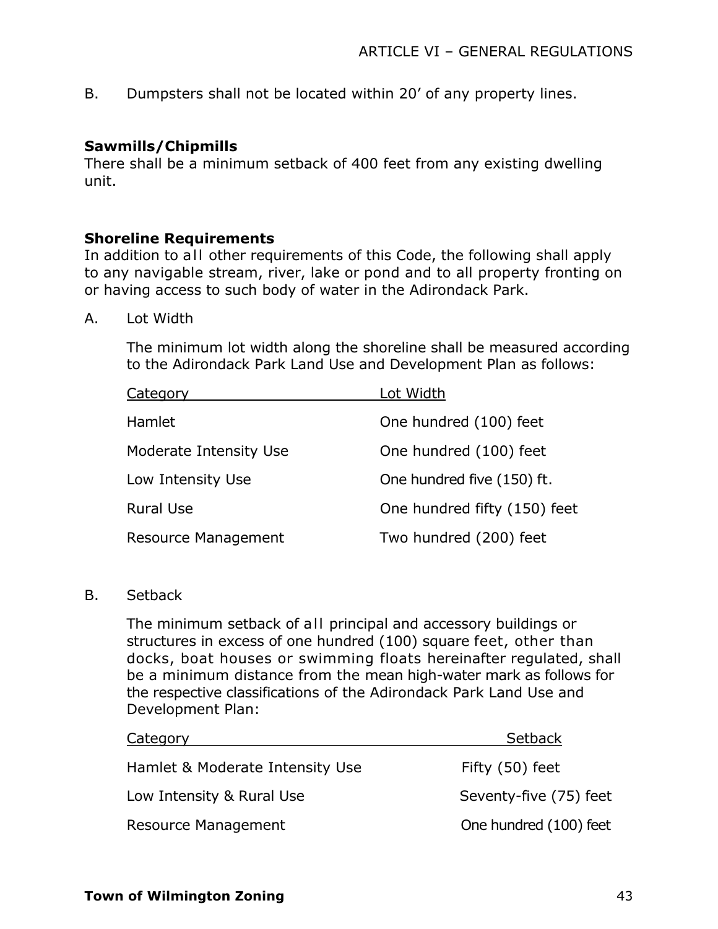B. Dumpsters shall not be located within 20' of any property lines.

## **Sawmills/Chipmills**

There shall be a minimum setback of 400 feet from any existing dwelling unit.

### **Shoreline Requirements**

In addition to all other requirements of this Code, the following shall apply to any navigable stream, river, lake or pond and to all property fronting on or having access to such body of water in the Adirondack Park.

A. Lot Width

The minimum lot width along the shoreline shall be measured according to the Adirondack Park Land Use and Development Plan as follows:

| Category                   | Lot Width                    |
|----------------------------|------------------------------|
| Hamlet                     | One hundred (100) feet       |
| Moderate Intensity Use     | One hundred (100) feet       |
| Low Intensity Use          | One hundred five (150) ft.   |
| <b>Rural Use</b>           | One hundred fifty (150) feet |
| <b>Resource Management</b> | Two hundred (200) feet       |

B. Setback

The minimum setback of all principal and accessory buildings or structures in excess of one hundred (100) square feet, other than docks, boat houses or swimming floats hereinafter regulated, shall be a minimum distance from the mean high-water mark as follows for the respective classifications of the Adirondack Park Land Use and Development Plan:

| Category                        | Setback                |
|---------------------------------|------------------------|
| Hamlet & Moderate Intensity Use | Fifty (50) feet        |
| Low Intensity & Rural Use       | Seventy-five (75) feet |
| Resource Management             | One hundred (100) feet |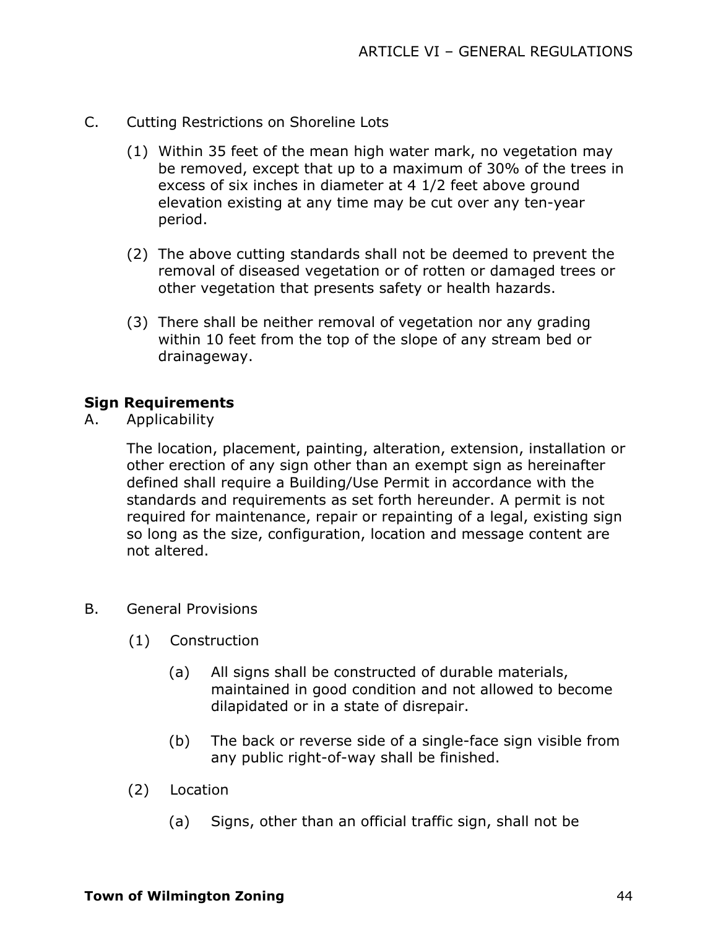- C. Cutting Restrictions on Shoreline Lots
	- (1) Within 35 feet of the mean high water mark, no vegetation may be removed, except that up to a maximum of 30% of the trees in excess of six inches in diameter at 4 1/2 feet above ground elevation existing at any time may be cut over any ten-year period.
	- (2) The above cutting standards shall not be deemed to prevent the removal of diseased vegetation or of rotten or damaged trees or other vegetation that presents safety or health hazards.
	- (3) There shall be neither removal of vegetation nor any grading within 10 feet from the top of the slope of any stream bed or drainageway.

### **Sign Requirements**

A. Applicability

The location, placement, painting, alteration, extension, installation or other erection of any sign other than an exempt sign as hereinafter defined shall require a Building/Use Permit in accordance with the standards and requirements as set forth hereunder. A permit is not required for maintenance, repair or repainting of a legal, existing sign so long as the size, configuration, location and message content are not altered.

- B. General Provisions
	- (1) Construction
		- (a) All signs shall be constructed of durable materials, maintained in good condition and not allowed to become dilapidated or in a state of disrepair.
		- (b) The back or reverse side of a single-face sign visible from any public right-of-way shall be finished.
	- (2) Location
		- (a) Signs, other than an official traffic sign, shall not be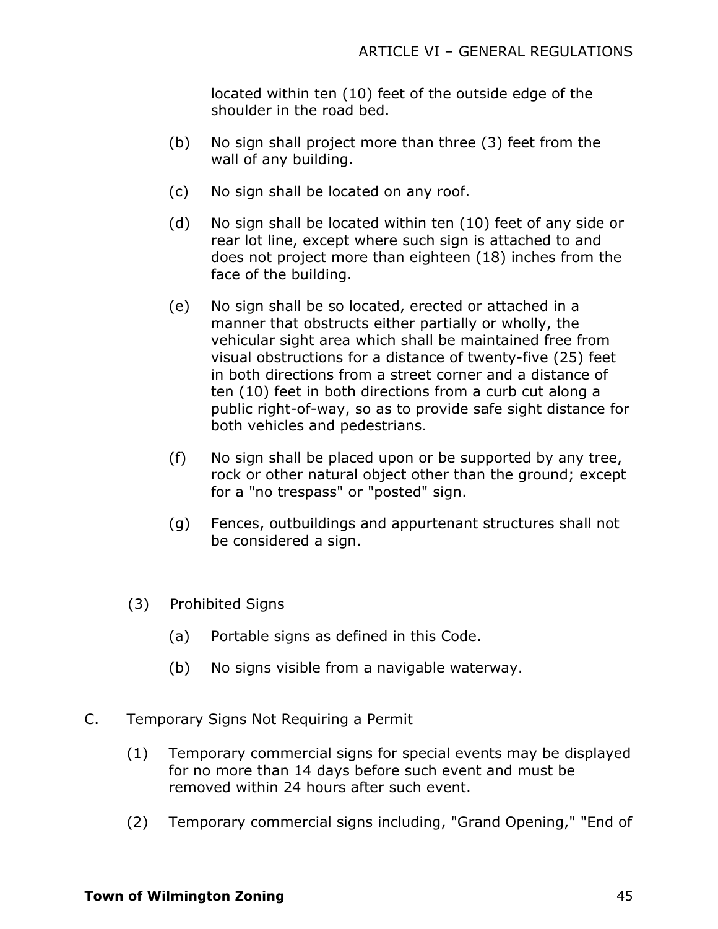located within ten (10) feet of the outside edge of the shoulder in the road bed.

- (b) No sign shall project more than three (3) feet from the wall of any building.
- (c) No sign shall be located on any roof.
- (d) No sign shall be located within ten (10) feet of any side or rear lot line, except where such sign is attached to and does not project more than eighteen (18) inches from the face of the building.
- (e) No sign shall be so located, erected or attached in a manner that obstructs either partially or wholly, the vehicular sight area which shall be maintained free from visual obstructions for a distance of twenty-five (25) feet in both directions from a street corner and a distance of ten (10) feet in both directions from a curb cut along a public right-of-way, so as to provide safe sight distance for both vehicles and pedestrians.
- (f) No sign shall be placed upon or be supported by any tree, rock or other natural object other than the ground; except for a "no trespass" or "posted" sign.
- (g) Fences, outbuildings and appurtenant structures shall not be considered a sign.
- (3) Prohibited Signs
	- (a) Portable signs as defined in this Code.
	- (b) No signs visible from a navigable waterway.
- C. Temporary Signs Not Requiring a Permit
	- (1) Temporary commercial signs for special events may be displayed for no more than 14 days before such event and must be removed within 24 hours after such event.
	- (2) Temporary commercial signs including, "Grand Opening," "End of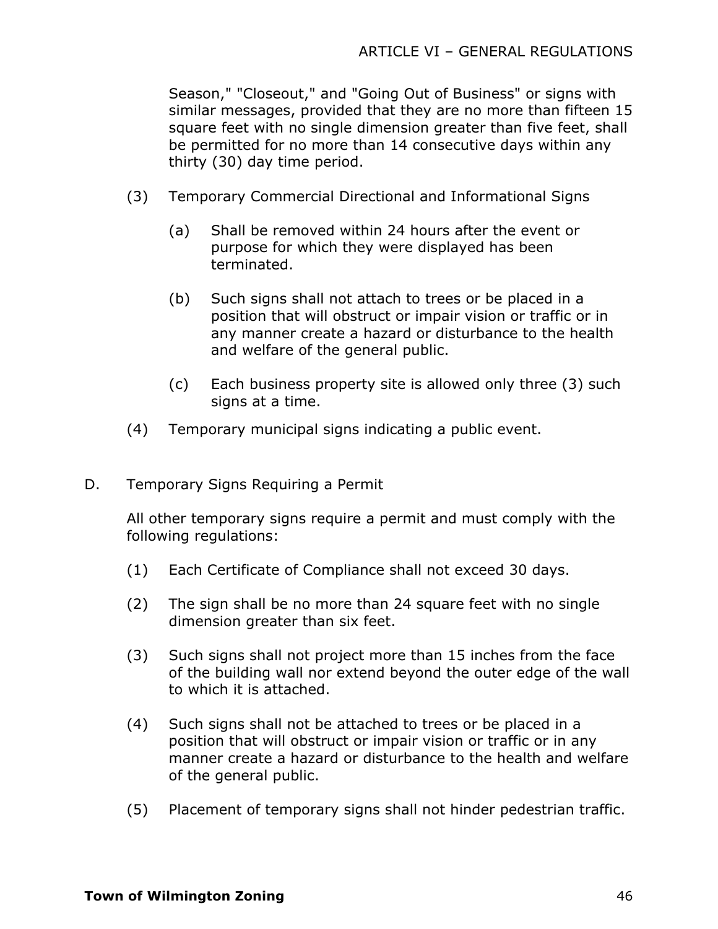Season," "Closeout," and "Going Out of Business" or signs with similar messages, provided that they are no more than fifteen 15 square feet with no single dimension greater than five feet, shall be permitted for no more than 14 consecutive days within any thirty (30) day time period.

- (3) Temporary Commercial Directional and Informational Signs
	- (a) Shall be removed within 24 hours after the event or purpose for which they were displayed has been terminated.
	- (b) Such signs shall not attach to trees or be placed in a position that will obstruct or impair vision or traffic or in any manner create a hazard or disturbance to the health and welfare of the general public.
	- (c) Each business property site is allowed only three (3) such signs at a time.
- (4) Temporary municipal signs indicating a public event.
- D. Temporary Signs Requiring a Permit

All other temporary signs require a permit and must comply with the following regulations:

- (1) Each Certificate of Compliance shall not exceed 30 days.
- (2) The sign shall be no more than 24 square feet with no single dimension greater than six feet.
- (3) Such signs shall not project more than 15 inches from the face of the building wall nor extend beyond the outer edge of the wall to which it is attached.
- (4) Such signs shall not be attached to trees or be placed in a position that will obstruct or impair vision or traffic or in any manner create a hazard or disturbance to the health and welfare of the general public.
- (5) Placement of temporary signs shall not hinder pedestrian traffic.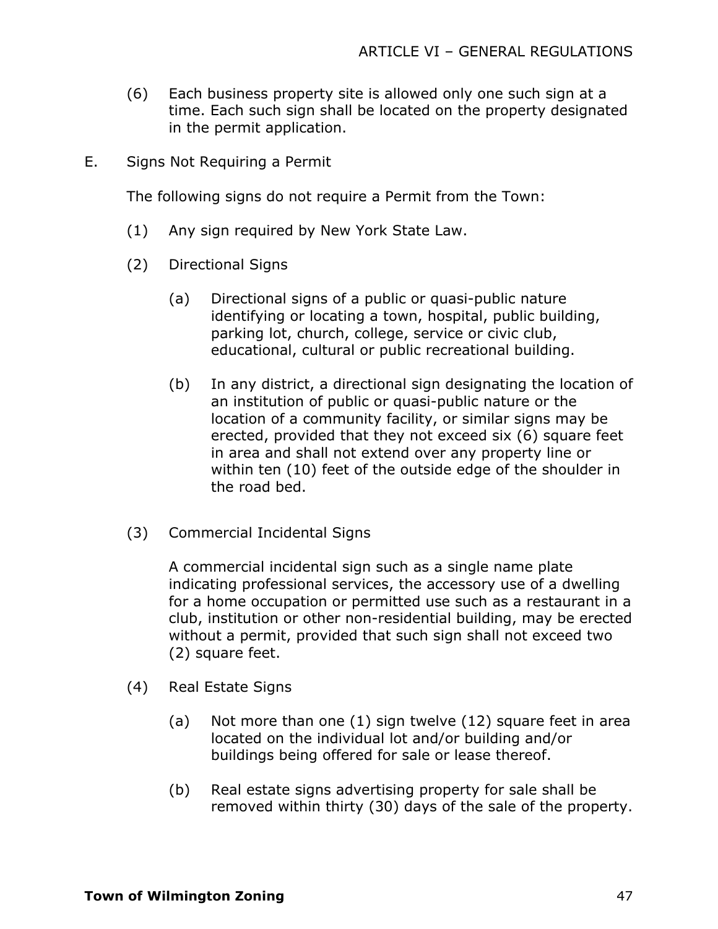- (6) Each business property site is allowed only one such sign at a time. Each such sign shall be located on the property designated in the permit application.
- E. Signs Not Requiring a Permit

The following signs do not require a Permit from the Town:

- (1) Any sign required by New York State Law.
- (2) Directional Signs
	- (a) Directional signs of a public or quasi-public nature identifying or locating a town, hospital, public building, parking lot, church, college, service or civic club, educational, cultural or public recreational building.
	- (b) In any district, a directional sign designating the location of an institution of public or quasi-public nature or the location of a community facility, or similar signs may be erected, provided that they not exceed six (6) square feet in area and shall not extend over any property line or within ten (10) feet of the outside edge of the shoulder in the road bed.
- (3) Commercial Incidental Signs

A commercial incidental sign such as a single name plate indicating professional services, the accessory use of a dwelling for a home occupation or permitted use such as a restaurant in a club, institution or other non-residential building, may be erected without a permit, provided that such sign shall not exceed two (2) square feet.

- (4) Real Estate Signs
	- (a) Not more than one (1) sign twelve (12) square feet in area located on the individual lot and/or building and/or buildings being offered for sale or lease thereof.
	- (b) Real estate signs advertising property for sale shall be removed within thirty (30) days of the sale of the property.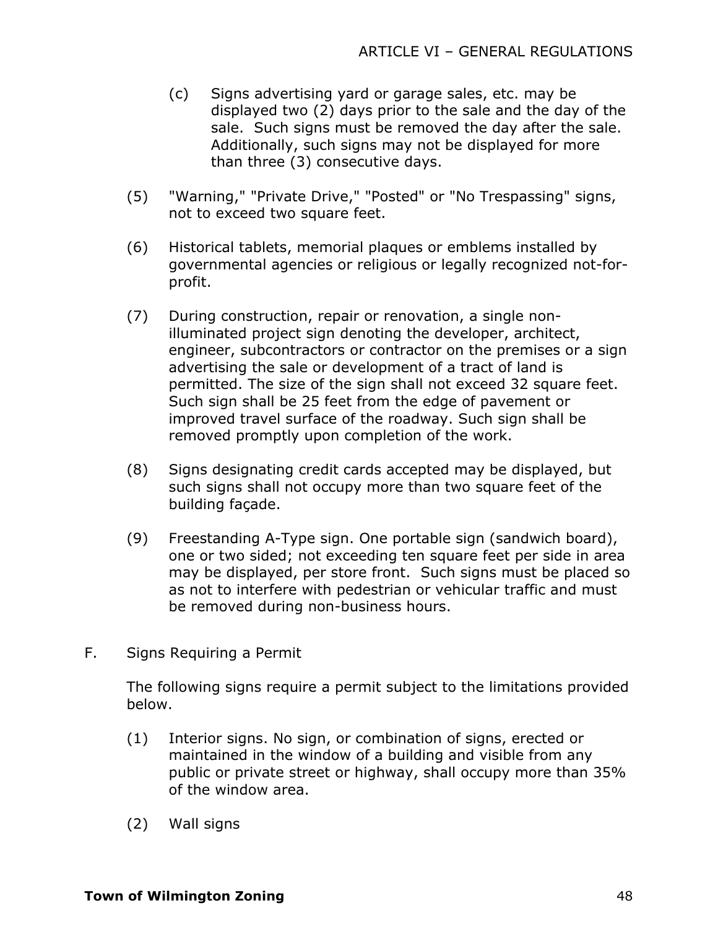- (c) Signs advertising yard or garage sales, etc. may be displayed two (2) days prior to the sale and the day of the sale. Such signs must be removed the day after the sale. Additionally, such signs may not be displayed for more than three (3) consecutive days.
- (5) "Warning," "Private Drive," "Posted" or "No Trespassing" signs, not to exceed two square feet.
- (6) Historical tablets, memorial plaques or emblems installed by governmental agencies or religious or legally recognized not-forprofit.
- (7) During construction, repair or renovation, a single nonilluminated project sign denoting the developer, architect, engineer, subcontractors or contractor on the premises or a sign advertising the sale or development of a tract of land is permitted. The size of the sign shall not exceed 32 square feet. Such sign shall be 25 feet from the edge of pavement or improved travel surface of the roadway. Such sign shall be removed promptly upon completion of the work.
- (8) Signs designating credit cards accepted may be displayed, but such signs shall not occupy more than two square feet of the building façade.
- (9) Freestanding A-Type sign. One portable sign (sandwich board), one or two sided; not exceeding ten square feet per side in area may be displayed, per store front. Such signs must be placed so as not to interfere with pedestrian or vehicular traffic and must be removed during non-business hours.
- F. Signs Requiring a Permit

The following signs require a permit subject to the limitations provided below.

- (1) Interior signs. No sign, or combination of signs, erected or maintained in the window of a building and visible from any public or private street or highway, shall occupy more than 35% of the window area.
- (2) Wall signs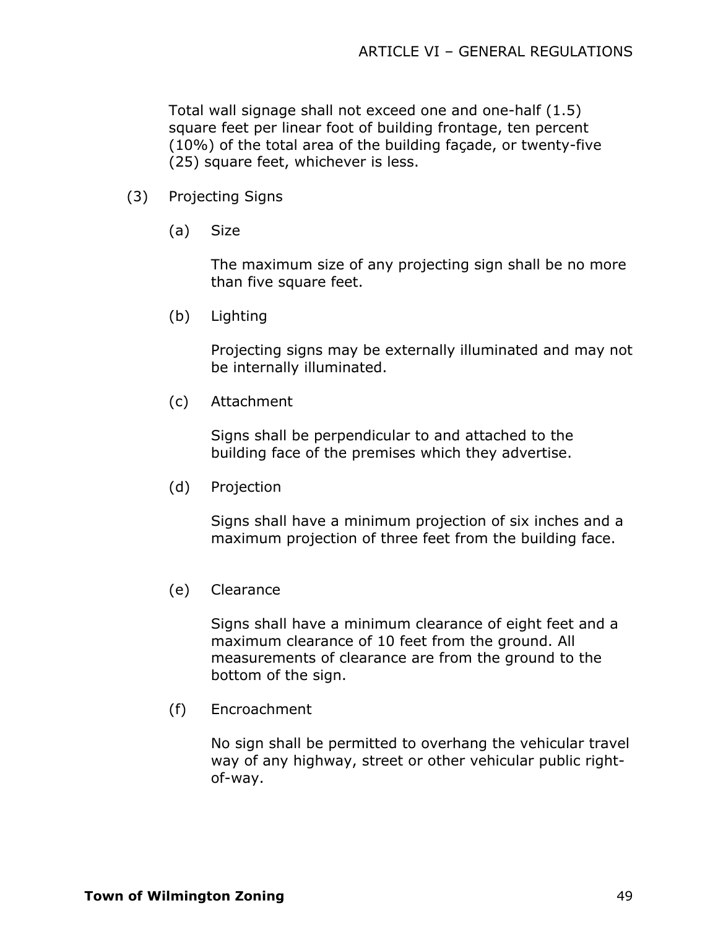Total wall signage shall not exceed one and one-half (1.5) square feet per linear foot of building frontage, ten percent (10%) of the total area of the building façade, or twenty-five (25) square feet, whichever is less.

- (3) Projecting Signs
	- (a) Size

The maximum size of any projecting sign shall be no more than five square feet.

(b) Lighting

Projecting signs may be externally illuminated and may not be internally illuminated.

(c) Attachment

Signs shall be perpendicular to and attached to the building face of the premises which they advertise.

(d) Projection

Signs shall have a minimum projection of six inches and a maximum projection of three feet from the building face.

(e) Clearance

Signs shall have a minimum clearance of eight feet and a maximum clearance of 10 feet from the ground. All measurements of clearance are from the ground to the bottom of the sign.

(f) Encroachment

No sign shall be permitted to overhang the vehicular travel way of any highway, street or other vehicular public rightof-way.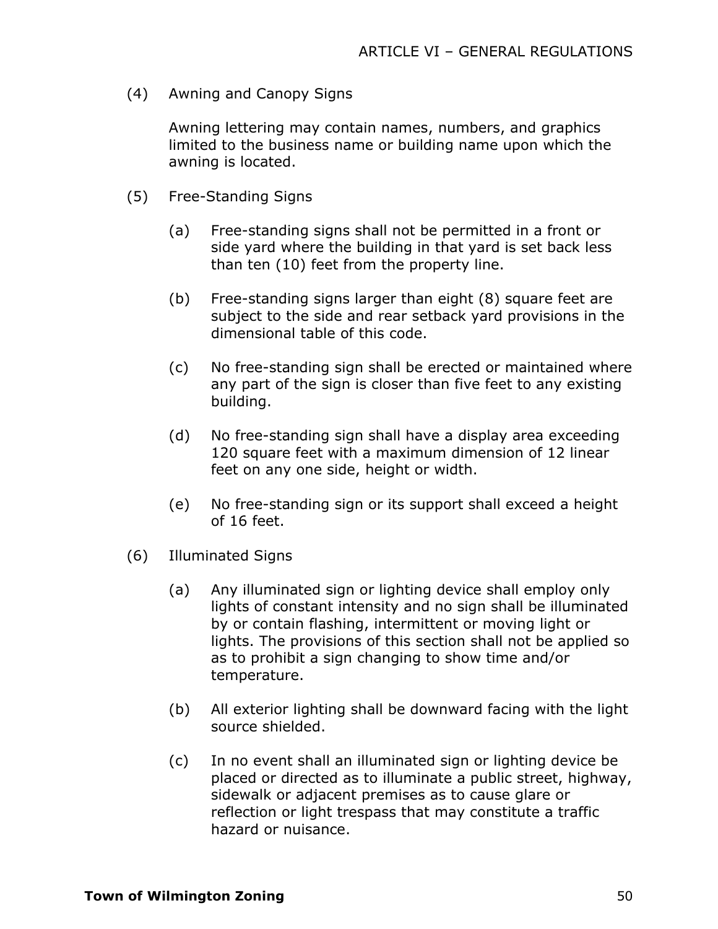(4) Awning and Canopy Signs

Awning lettering may contain names, numbers, and graphics limited to the business name or building name upon which the awning is located.

- (5) Free-Standing Signs
	- (a) Free-standing signs shall not be permitted in a front or side yard where the building in that yard is set back less than ten (10) feet from the property line.
	- (b) Free-standing signs larger than eight (8) square feet are subject to the side and rear setback yard provisions in the dimensional table of this code.
	- (c) No free-standing sign shall be erected or maintained where any part of the sign is closer than five feet to any existing building.
	- (d) No free-standing sign shall have a display area exceeding 120 square feet with a maximum dimension of 12 linear feet on any one side, height or width.
	- (e) No free-standing sign or its support shall exceed a height of 16 feet.
- (6) Illuminated Signs
	- (a) Any illuminated sign or lighting device shall employ only lights of constant intensity and no sign shall be illuminated by or contain flashing, intermittent or moving light or lights. The provisions of this section shall not be applied so as to prohibit a sign changing to show time and/or temperature.
	- (b) All exterior lighting shall be downward facing with the light source shielded.
	- (c) In no event shall an illuminated sign or lighting device be placed or directed as to illuminate a public street, highway, sidewalk or adjacent premises as to cause glare or reflection or light trespass that may constitute a traffic hazard or nuisance.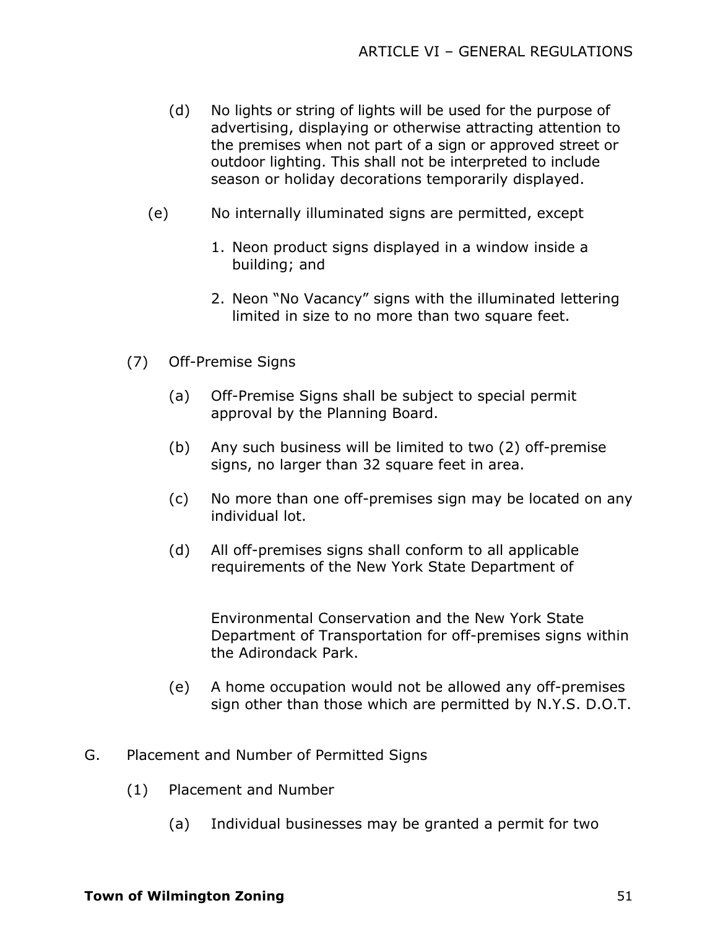- (d) No lights or string of lights will be used for the purpose of advertising, displaying or otherwise attracting attention to the premises when not part of a sign or approved street or outdoor lighting. This shall not be interpreted to include season or holiday decorations temporarily displayed.
- (e) No internally illuminated signs are permitted, except
	- 1. Neon product signs displayed in a window inside a building; and
	- 2. Neon "No Vacancy" signs with the illuminated lettering limited in size to no more than two square feet.
- (7) Off-Premise Signs
	- (a) Off-Premise Signs shall be subject to special permit approval by the Planning Board.
	- (b) Any such business will be limited to two (2) off-premise signs, no larger than 32 square feet in area.
	- (c) No more than one off-premises sign may be located on any individual lot.
	- (d) All off-premises signs shall conform to all applicable requirements of the New York State Department of

Environmental Conservation and the New York State Department of Transportation for off-premises signs within the Adirondack Park.

- (e) A home occupation would not be allowed any off-premises sign other than those which are permitted by N.Y.S. D.O.T.
- G. Placement and Number of Permitted Signs
	- (1) Placement and Number
		- (a) Individual businesses may be granted a permit for two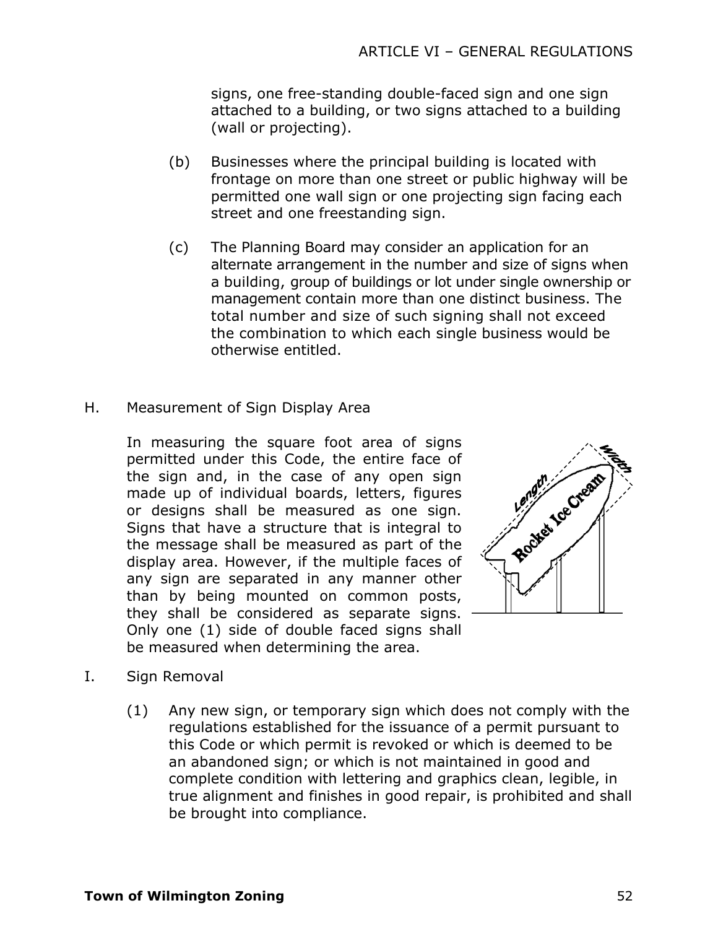signs, one free-standing double-faced sign and one sign attached to a building, or two signs attached to a building (wall or projecting).

- (b) Businesses where the principal building is located with frontage on more than one street or public highway will be permitted one wall sign or one projecting sign facing each street and one freestanding sign.
- (c) The Planning Board may consider an application for an alternate arrangement in the number and size of signs when a building, group of buildings or lot under single ownership or management contain more than one distinct business. The total number and size of such signing shall not exceed the combination to which each single business would be otherwise entitled.
- H. Measurement of Sign Display Area

In measuring the square foot area of signs permitted under this Code, the entire face of the sign and, in the case of any open sign made up of individual boards, letters, figures or designs shall be measured as one sign. Signs that have a structure that is integral to the message shall be measured as part of the display area. However, if the multiple faces of any sign are separated in any manner other than by being mounted on common posts, they shall be considered as separate signs. Only one (1) side of double faced signs shall be measured when determining the area.



- I. Sign Removal
	- (1) Any new sign, or temporary sign which does not comply with the regulations established for the issuance of a permit pursuant to this Code or which permit is revoked or which is deemed to be an abandoned sign; or which is not maintained in good and complete condition with lettering and graphics clean, legible, in true alignment and finishes in good repair, is prohibited and shall be brought into compliance.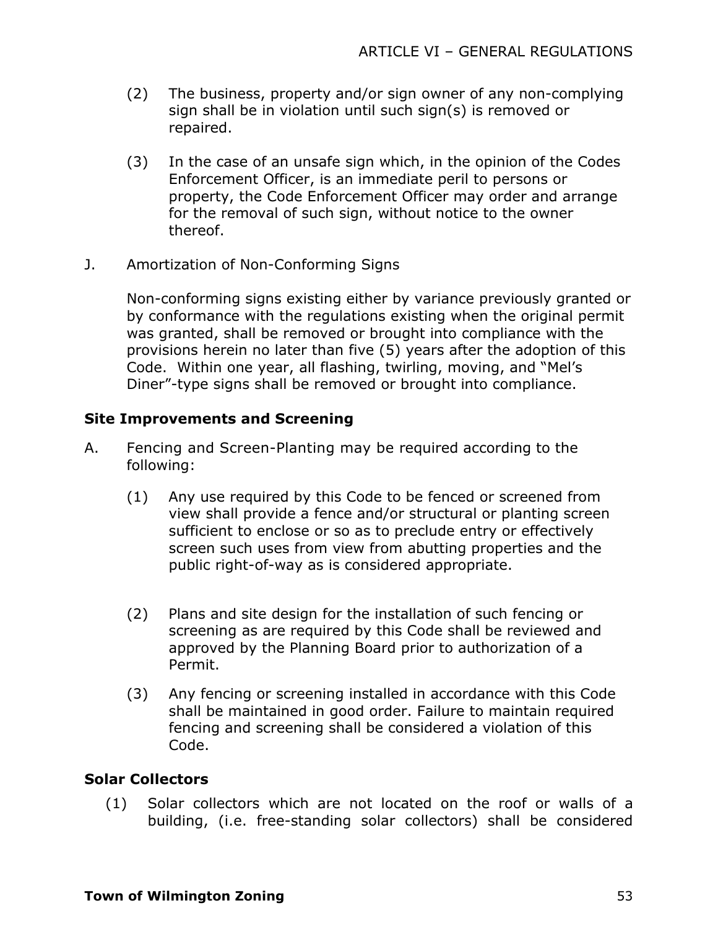- (2) The business, property and/or sign owner of any non-complying sign shall be in violation until such sign(s) is removed or repaired.
- (3) In the case of an unsafe sign which, in the opinion of the Codes Enforcement Officer, is an immediate peril to persons or property, the Code Enforcement Officer may order and arrange for the removal of such sign, without notice to the owner thereof.
- J. Amortization of Non-Conforming Signs

Non-conforming signs existing either by variance previously granted or by conformance with the regulations existing when the original permit was granted, shall be removed or brought into compliance with the provisions herein no later than five (5) years after the adoption of this Code. Within one year, all flashing, twirling, moving, and "Mel's Diner"-type signs shall be removed or brought into compliance.

## **Site Improvements and Screening**

- A. Fencing and Screen-Planting may be required according to the following:
	- (1) Any use required by this Code to be fenced or screened from view shall provide a fence and/or structural or planting screen sufficient to enclose or so as to preclude entry or effectively screen such uses from view from abutting properties and the public right-of-way as is considered appropriate.
	- (2) Plans and site design for the installation of such fencing or screening as are required by this Code shall be reviewed and approved by the Planning Board prior to authorization of a Permit.
	- (3) Any fencing or screening installed in accordance with this Code shall be maintained in good order. Failure to maintain required fencing and screening shall be considered a violation of this Code.

### **Solar Collectors**

(1) Solar collectors which are not located on the roof or walls of a building, (i.e. free-standing solar collectors) shall be considered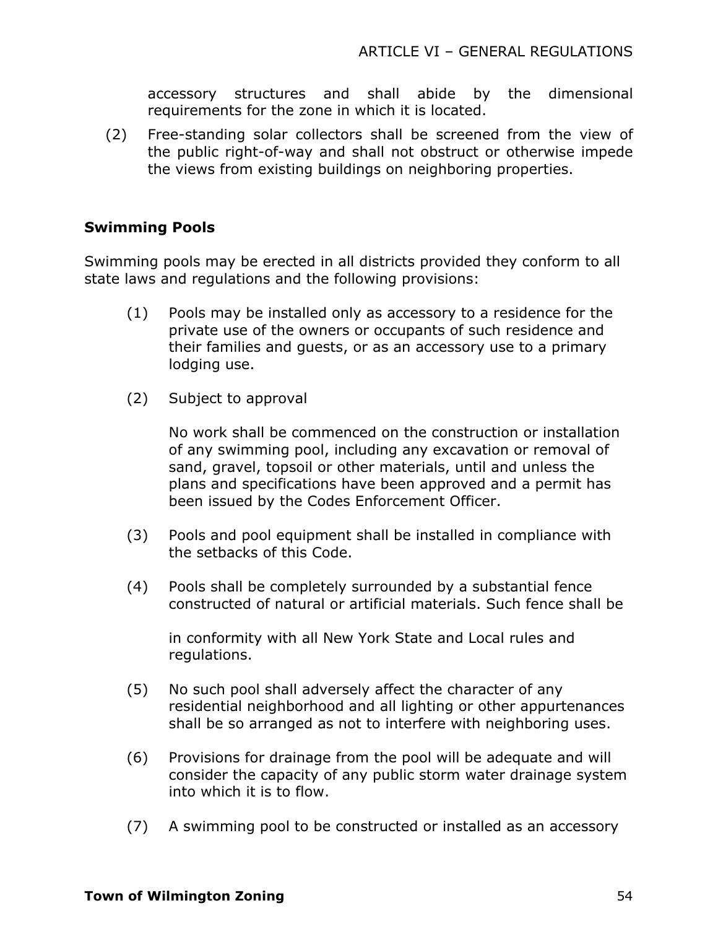accessory structures and shall abide by the dimensional requirements for the zone in which it is located.

(2) Free-standing solar collectors shall be screened from the view of the public right-of-way and shall not obstruct or otherwise impede the views from existing buildings on neighboring properties.

### **Swimming Pools**

Swimming pools may be erected in all districts provided they conform to all state laws and regulations and the following provisions:

- (1) Pools may be installed only as accessory to a residence for the private use of the owners or occupants of such residence and their families and guests, or as an accessory use to a primary lodging use.
- (2) Subject to approval

No work shall be commenced on the construction or installation of any swimming pool, including any excavation or removal of sand, gravel, topsoil or other materials, until and unless the plans and specifications have been approved and a permit has been issued by the Codes Enforcement Officer.

- (3) Pools and pool equipment shall be installed in compliance with the setbacks of this Code.
- (4) Pools shall be completely surrounded by a substantial fence constructed of natural or artificial materials. Such fence shall be

in conformity with all New York State and Local rules and regulations.

- (5) No such pool shall adversely affect the character of any residential neighborhood and all lighting or other appurtenances shall be so arranged as not to interfere with neighboring uses.
- (6) Provisions for drainage from the pool will be adequate and will consider the capacity of any public storm water drainage system into which it is to flow.
- (7) A swimming pool to be constructed or installed as an accessory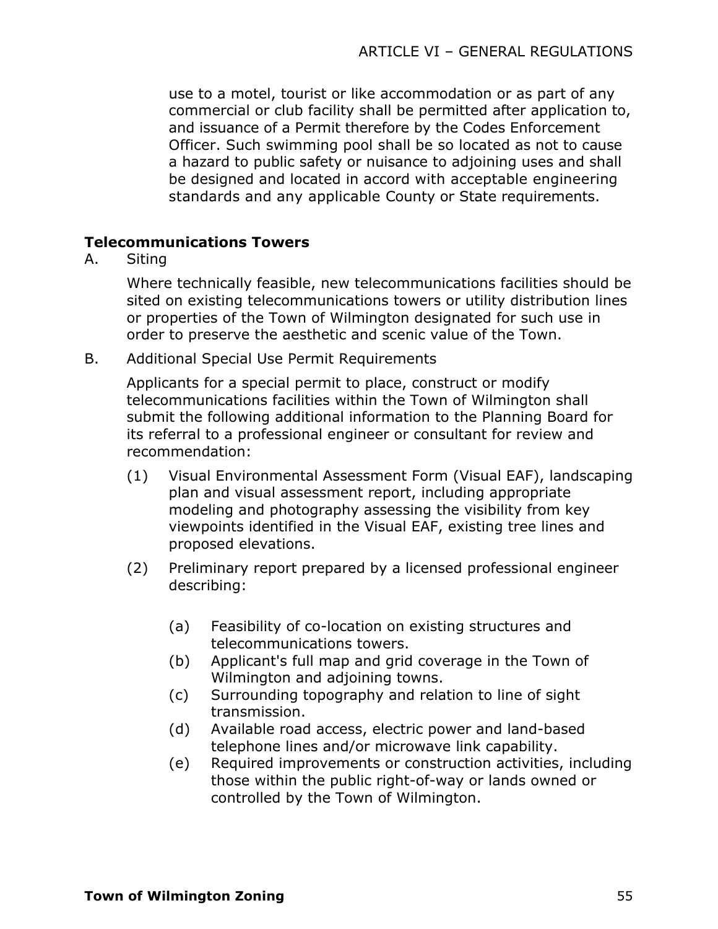use to a motel, tourist or like accommodation or as part of any commercial or club facility shall be permitted after application to, and issuance of a Permit therefore by the Codes Enforcement Officer. Such swimming pool shall be so located as not to cause a hazard to public safety or nuisance to adjoining uses and shall be designed and located in accord with acceptable engineering standards and any applicable County or State requirements.

### **Telecommunications Towers**

A. Siting

Where technically feasible, new telecommunications facilities should be sited on existing telecommunications towers or utility distribution lines or properties of the Town of Wilmington designated for such use in order to preserve the aesthetic and scenic value of the Town.

B. Additional Special Use Permit Requirements

Applicants for a special permit to place, construct or modify telecommunications facilities within the Town of Wilmington shall submit the following additional information to the Planning Board for its referral to a professional engineer or consultant for review and recommendation:

- (1) Visual Environmental Assessment Form (Visual EAF), landscaping plan and visual assessment report, including appropriate modeling and photography assessing the visibility from key viewpoints identified in the Visual EAF, existing tree lines and proposed elevations.
- (2) Preliminary report prepared by a licensed professional engineer describing:
	- (a) Feasibility of co-location on existing structures and telecommunications towers.
	- (b) Applicant's full map and grid coverage in the Town of Wilmington and adjoining towns.
	- (c) Surrounding topography and relation to line of sight transmission.
	- (d) Available road access, electric power and land-based telephone lines and/or microwave link capability.
	- (e) Required improvements or construction activities, including those within the public right-of-way or lands owned or controlled by the Town of Wilmington.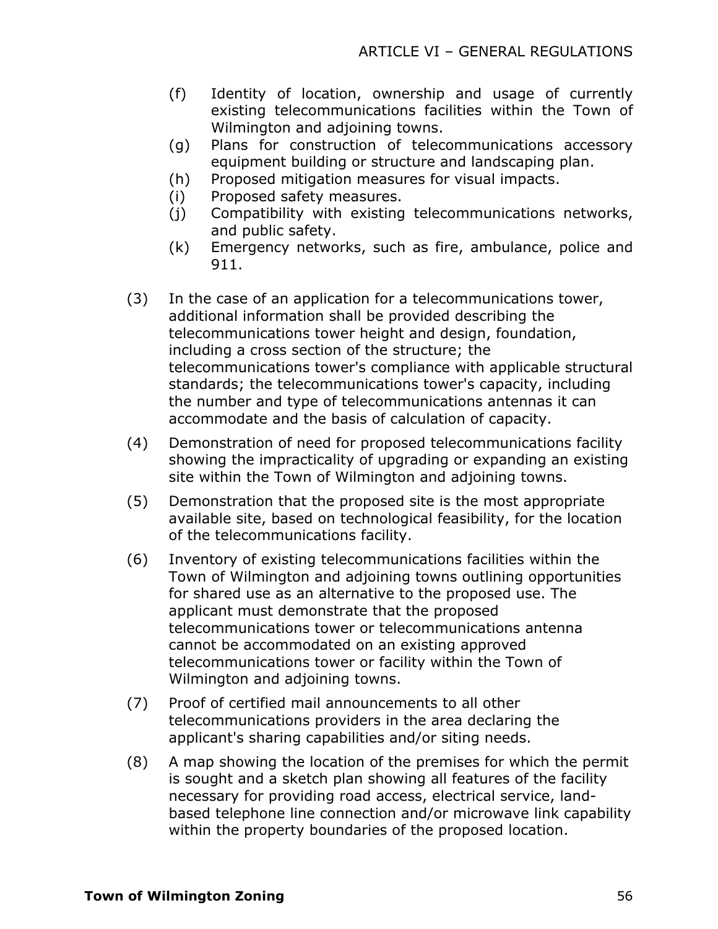- (f) Identity of location, ownership and usage of currently existing telecommunications facilities within the Town of Wilmington and adjoining towns.
- (g) Plans for construction of telecommunications accessory equipment building or structure and landscaping plan.
- (h) Proposed mitigation measures for visual impacts.
- (i) Proposed safety measures.
- (j) Compatibility with existing telecommunications networks, and public safety.
- (k) Emergency networks, such as fire, ambulance, police and 911.
- (3) In the case of an application for a telecommunications tower, additional information shall be provided describing the telecommunications tower height and design, foundation, including a cross section of the structure; the telecommunications tower's compliance with applicable structural standards; the telecommunications tower's capacity, including the number and type of telecommunications antennas it can accommodate and the basis of calculation of capacity.
- (4) Demonstration of need for proposed telecommunications facility showing the impracticality of upgrading or expanding an existing site within the Town of Wilmington and adjoining towns.
- (5) Demonstration that the proposed site is the most appropriate available site, based on technological feasibility, for the location of the telecommunications facility.
- (6) Inventory of existing telecommunications facilities within the Town of Wilmington and adjoining towns outlining opportunities for shared use as an alternative to the proposed use. The applicant must demonstrate that the proposed telecommunications tower or telecommunications antenna cannot be accommodated on an existing approved telecommunications tower or facility within the Town of Wilmington and adjoining towns.
- (7) Proof of certified mail announcements to all other telecommunications providers in the area declaring the applicant's sharing capabilities and/or siting needs.
- (8) A map showing the location of the premises for which the permit is sought and a sketch plan showing all features of the facility necessary for providing road access, electrical service, landbased telephone line connection and/or microwave link capability within the property boundaries of the proposed location.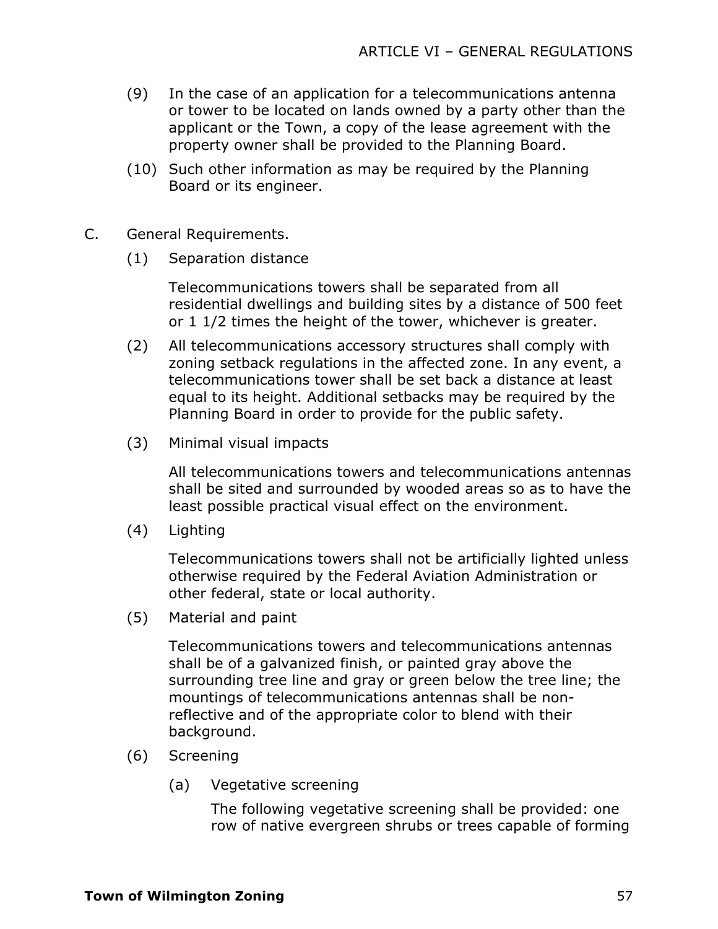- (9) In the case of an application for a telecommunications antenna or tower to be located on lands owned by a party other than the applicant or the Town, a copy of the lease agreement with the property owner shall be provided to the Planning Board.
- (10) Such other information as may be required by the Planning Board or its engineer.
- C. General Requirements.
	- (1) Separation distance

Telecommunications towers shall be separated from all residential dwellings and building sites by a distance of 500 feet or 1 1/2 times the height of the tower, whichever is greater.

- (2) All telecommunications accessory structures shall comply with zoning setback regulations in the affected zone. In any event, a telecommunications tower shall be set back a distance at least equal to its height. Additional setbacks may be required by the Planning Board in order to provide for the public safety.
- (3) Minimal visual impacts

All telecommunications towers and telecommunications antennas shall be sited and surrounded by wooded areas so as to have the least possible practical visual effect on the environment.

(4) Lighting

Telecommunications towers shall not be artificially lighted unless otherwise required by the Federal Aviation Administration or other federal, state or local authority.

(5) Material and paint

Telecommunications towers and telecommunications antennas shall be of a galvanized finish, or painted gray above the surrounding tree line and gray or green below the tree line; the mountings of telecommunications antennas shall be nonreflective and of the appropriate color to blend with their background.

- (6) Screening
	- (a) Vegetative screening

The following vegetative screening shall be provided: one row of native evergreen shrubs or trees capable of forming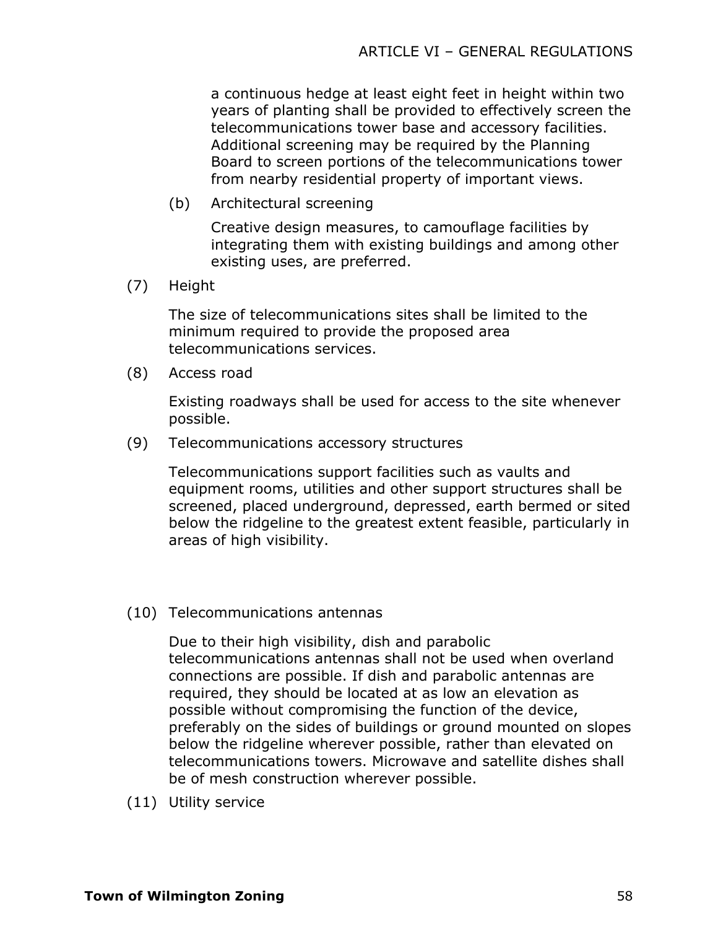a continuous hedge at least eight feet in height within two years of planting shall be provided to effectively screen the telecommunications tower base and accessory facilities. Additional screening may be required by the Planning Board to screen portions of the telecommunications tower from nearby residential property of important views.

(b) Architectural screening

Creative design measures, to camouflage facilities by integrating them with existing buildings and among other existing uses, are preferred.

(7) Height

The size of telecommunications sites shall be limited to the minimum required to provide the proposed area telecommunications services.

(8) Access road

Existing roadways shall be used for access to the site whenever possible.

(9) Telecommunications accessory structures

Telecommunications support facilities such as vaults and equipment rooms, utilities and other support structures shall be screened, placed underground, depressed, earth bermed or sited below the ridgeline to the greatest extent feasible, particularly in areas of high visibility.

(10) Telecommunications antennas

Due to their high visibility, dish and parabolic telecommunications antennas shall not be used when overland connections are possible. If dish and parabolic antennas are required, they should be located at as low an elevation as possible without compromising the function of the device, preferably on the sides of buildings or ground mounted on slopes below the ridgeline wherever possible, rather than elevated on telecommunications towers. Microwave and satellite dishes shall be of mesh construction wherever possible.

(11) Utility service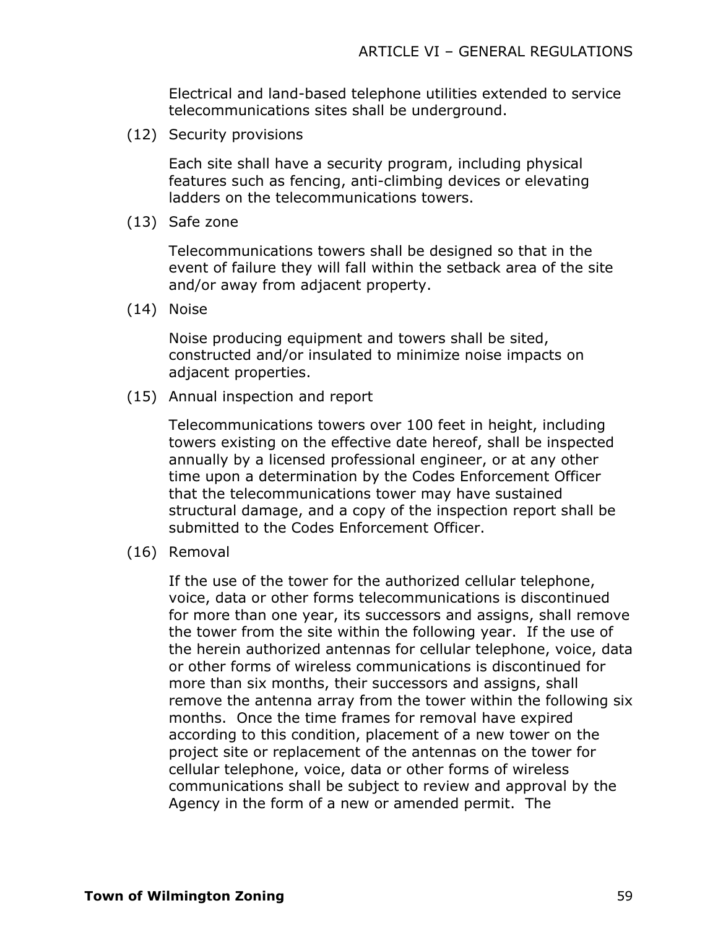Electrical and land-based telephone utilities extended to service telecommunications sites shall be underground.

(12) Security provisions

Each site shall have a security program, including physical features such as fencing, anti-climbing devices or elevating ladders on the telecommunications towers.

(13) Safe zone

Telecommunications towers shall be designed so that in the event of failure they will fall within the setback area of the site and/or away from adjacent property.

(14) Noise

Noise producing equipment and towers shall be sited, constructed and/or insulated to minimize noise impacts on adjacent properties.

(15) Annual inspection and report

Telecommunications towers over 100 feet in height, including towers existing on the effective date hereof, shall be inspected annually by a licensed professional engineer, or at any other time upon a determination by the Codes Enforcement Officer that the telecommunications tower may have sustained structural damage, and a copy of the inspection report shall be submitted to the Codes Enforcement Officer.

(16) Removal

If the use of the tower for the authorized cellular telephone, voice, data or other forms telecommunications is discontinued for more than one year, its successors and assigns, shall remove the tower from the site within the following year. If the use of the herein authorized antennas for cellular telephone, voice, data or other forms of wireless communications is discontinued for more than six months, their successors and assigns, shall remove the antenna array from the tower within the following six months. Once the time frames for removal have expired according to this condition, placement of a new tower on the project site or replacement of the antennas on the tower for cellular telephone, voice, data or other forms of wireless communications shall be subject to review and approval by the Agency in the form of a new or amended permit. The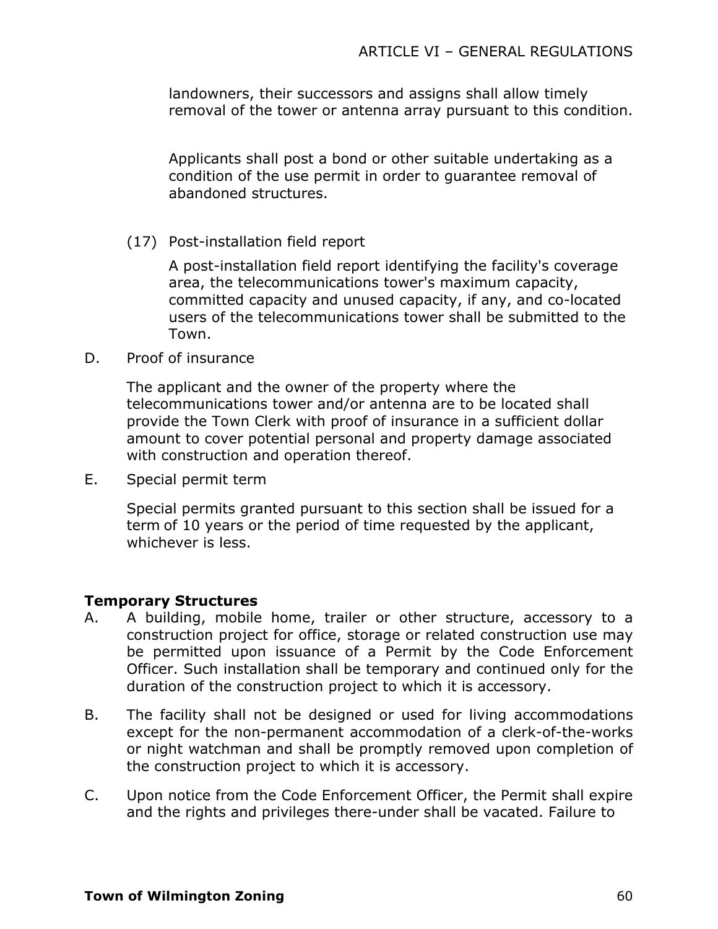landowners, their successors and assigns shall allow timely removal of the tower or antenna array pursuant to this condition.

Applicants shall post a bond or other suitable undertaking as a condition of the use permit in order to guarantee removal of abandoned structures.

(17) Post-installation field report

A post-installation field report identifying the facility's coverage area, the telecommunications tower's maximum capacity, committed capacity and unused capacity, if any, and co-located users of the telecommunications tower shall be submitted to the Town.

D. Proof of insurance

The applicant and the owner of the property where the telecommunications tower and/or antenna are to be located shall provide the Town Clerk with proof of insurance in a sufficient dollar amount to cover potential personal and property damage associated with construction and operation thereof.

E. Special permit term

Special permits granted pursuant to this section shall be issued for a term of 10 years or the period of time requested by the applicant, whichever is less.

### **Temporary Structures**

- A. A building, mobile home, trailer or other structure, accessory to a construction project for office, storage or related construction use may be permitted upon issuance of a Permit by the Code Enforcement Officer. Such installation shall be temporary and continued only for the duration of the construction project to which it is accessory.
- B. The facility shall not be designed or used for living accommodations except for the non-permanent accommodation of a clerk-of-the-works or night watchman and shall be promptly removed upon completion of the construction project to which it is accessory.
- C. Upon notice from the Code Enforcement Officer, the Permit shall expire and the rights and privileges there-under shall be vacated. Failure to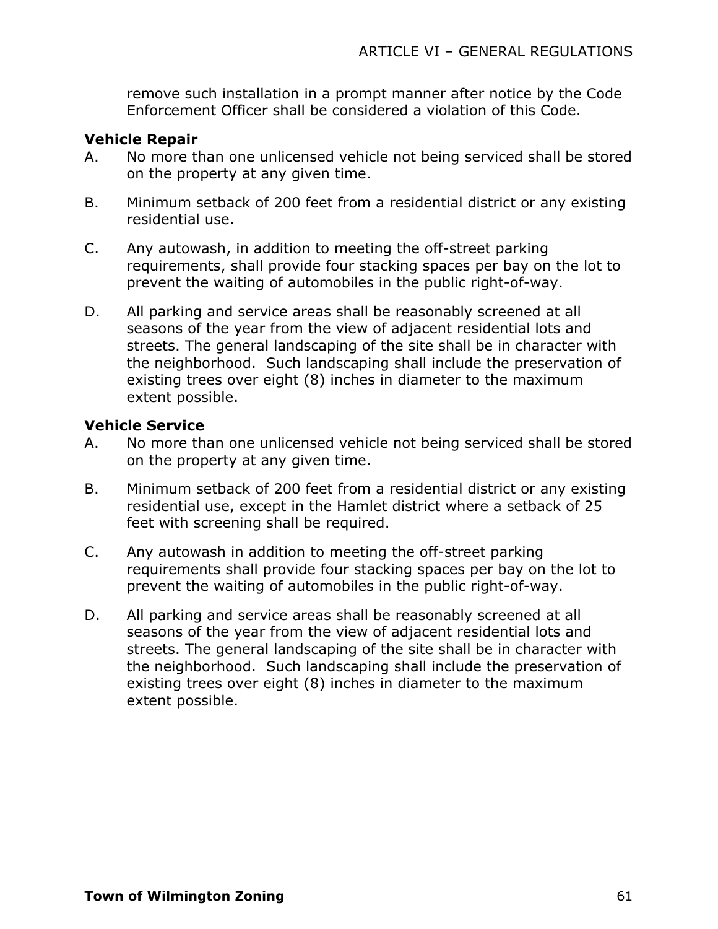remove such installation in a prompt manner after notice by the Code Enforcement Officer shall be considered a violation of this Code.

### **Vehicle Repair**

- A. No more than one unlicensed vehicle not being serviced shall be stored on the property at any given time.
- B. Minimum setback of 200 feet from a residential district or any existing residential use.
- C. Any autowash, in addition to meeting the off-street parking requirements, shall provide four stacking spaces per bay on the lot to prevent the waiting of automobiles in the public right-of-way.
- D. All parking and service areas shall be reasonably screened at all seasons of the year from the view of adjacent residential lots and streets. The general landscaping of the site shall be in character with the neighborhood. Such landscaping shall include the preservation of existing trees over eight (8) inches in diameter to the maximum extent possible.

### **Vehicle Service**

- A. No more than one unlicensed vehicle not being serviced shall be stored on the property at any given time.
- B. Minimum setback of 200 feet from a residential district or any existing residential use, except in the Hamlet district where a setback of 25 feet with screening shall be required.
- C. Any autowash in addition to meeting the off-street parking requirements shall provide four stacking spaces per bay on the lot to prevent the waiting of automobiles in the public right-of-way.
- D. All parking and service areas shall be reasonably screened at all seasons of the year from the view of adjacent residential lots and streets. The general landscaping of the site shall be in character with the neighborhood. Such landscaping shall include the preservation of existing trees over eight (8) inches in diameter to the maximum extent possible.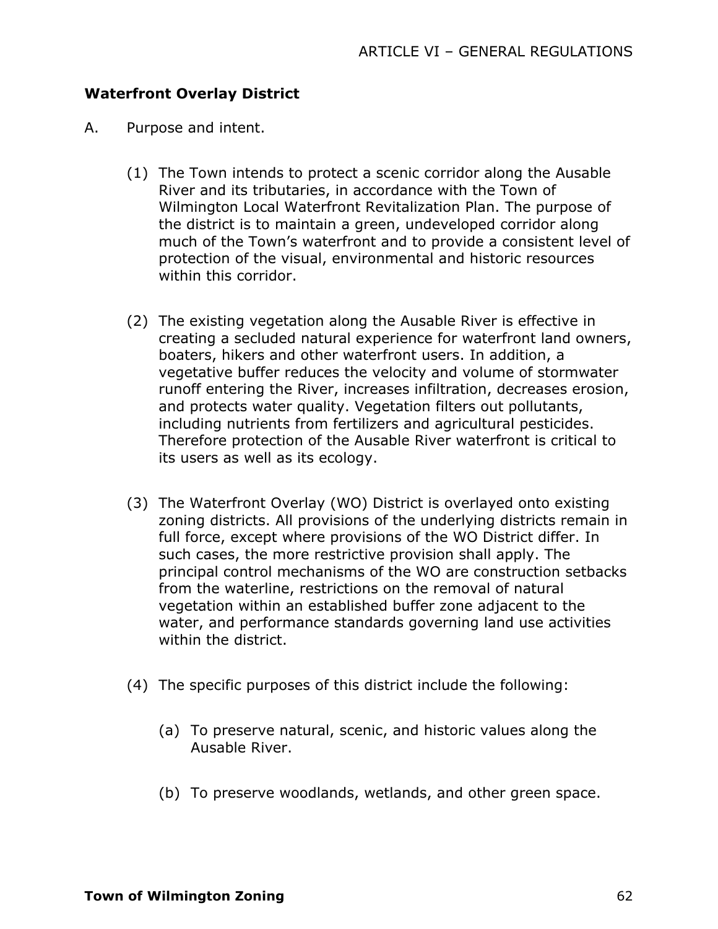### **Waterfront Overlay District**

- A. Purpose and intent.
	- (1) The Town intends to protect a scenic corridor along the Ausable River and its tributaries, in accordance with the Town of Wilmington Local Waterfront Revitalization Plan. The purpose of the district is to maintain a green, undeveloped corridor along much of the Town's waterfront and to provide a consistent level of protection of the visual, environmental and historic resources within this corridor.
	- (2) The existing vegetation along the Ausable River is effective in creating a secluded natural experience for waterfront land owners, boaters, hikers and other waterfront users. In addition, a vegetative buffer reduces the velocity and volume of stormwater runoff entering the River, increases infiltration, decreases erosion, and protects water quality. Vegetation filters out pollutants, including nutrients from fertilizers and agricultural pesticides. Therefore protection of the Ausable River waterfront is critical to its users as well as its ecology.
	- (3) The Waterfront Overlay (WO) District is overlayed onto existing zoning districts. All provisions of the underlying districts remain in full force, except where provisions of the WO District differ. In such cases, the more restrictive provision shall apply. The principal control mechanisms of the WO are construction setbacks from the waterline, restrictions on the removal of natural vegetation within an established buffer zone adjacent to the water, and performance standards governing land use activities within the district.
	- (4) The specific purposes of this district include the following:
		- (a) To preserve natural, scenic, and historic values along the Ausable River.
		- (b) To preserve woodlands, wetlands, and other green space.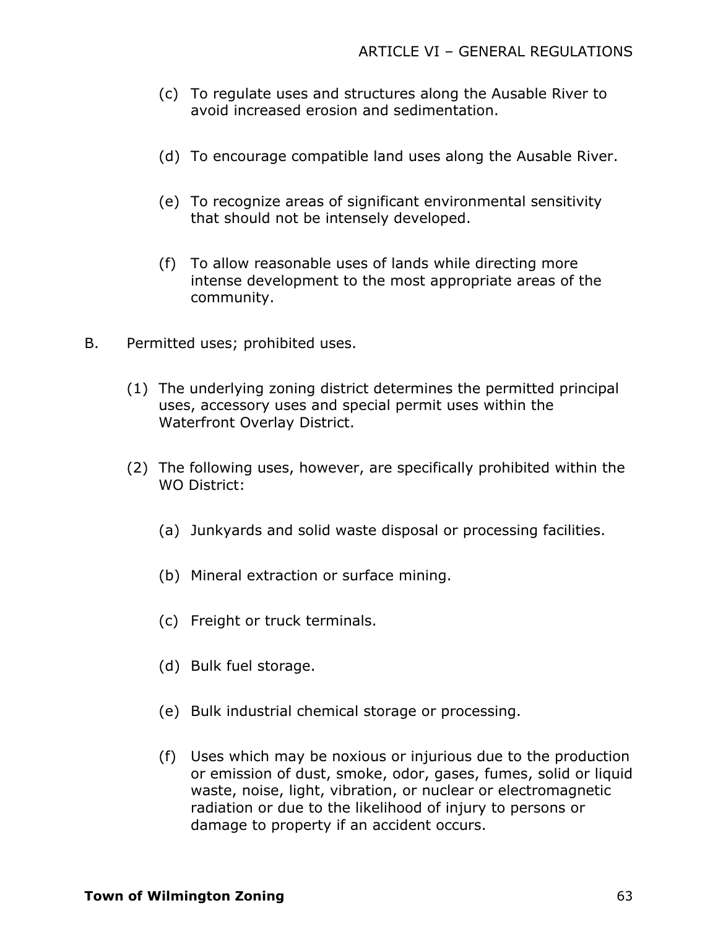- (c) To regulate uses and structures along the Ausable River to avoid increased erosion and sedimentation.
- (d) To encourage compatible land uses along the Ausable River.
- (e) To recognize areas of significant environmental sensitivity that should not be intensely developed.
- (f) To allow reasonable uses of lands while directing more intense development to the most appropriate areas of the community.
- B. Permitted uses; prohibited uses.
	- (1) The underlying zoning district determines the permitted principal uses, accessory uses and special permit uses within the Waterfront Overlay District.
	- (2) The following uses, however, are specifically prohibited within the WO District:
		- (a) Junkyards and solid waste disposal or processing facilities.
		- (b) Mineral extraction or surface mining.
		- (c) Freight or truck terminals.
		- (d) Bulk fuel storage.
		- (e) Bulk industrial chemical storage or processing.
		- (f) Uses which may be noxious or injurious due to the production or emission of dust, smoke, odor, gases, fumes, solid or liquid waste, noise, light, vibration, or nuclear or electromagnetic radiation or due to the likelihood of injury to persons or damage to property if an accident occurs.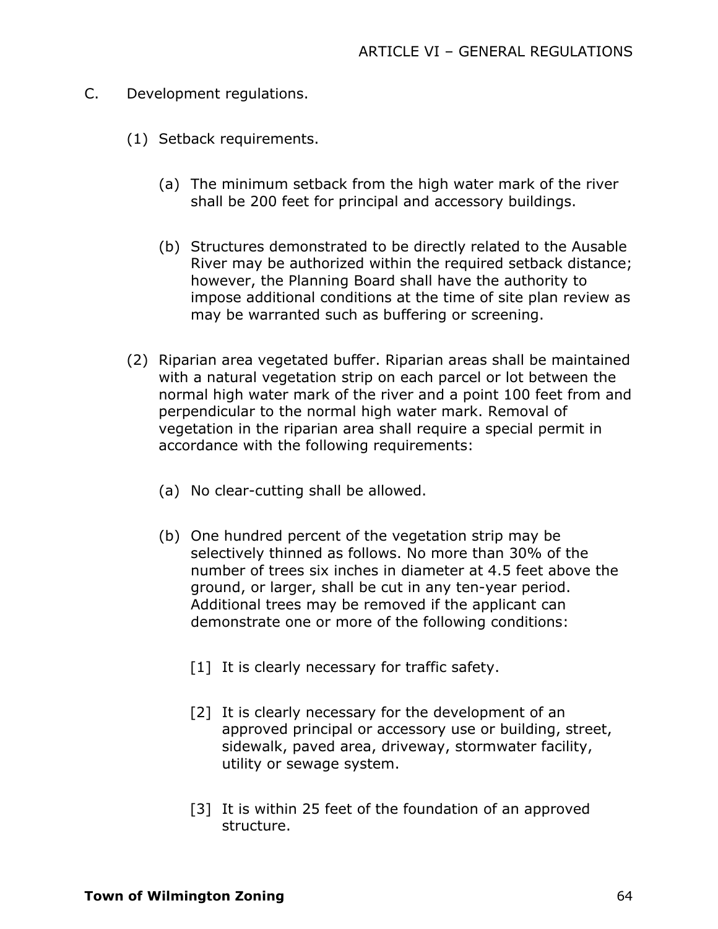- C. Development regulations.
	- (1) Setback requirements.
		- (a) The minimum setback from the high water mark of the river shall be 200 feet for principal and accessory buildings.
		- (b) Structures demonstrated to be directly related to the Ausable River may be authorized within the required setback distance; however, the Planning Board shall have the authority to impose additional conditions at the time of site plan review as may be warranted such as buffering or screening.
	- (2) Riparian area vegetated buffer. Riparian areas shall be maintained with a natural vegetation strip on each parcel or lot between the normal high water mark of the river and a point 100 feet from and perpendicular to the normal high water mark. Removal of vegetation in the riparian area shall require a special permit in accordance with the following requirements:
		- (a) No clear-cutting shall be allowed.
		- (b) One hundred percent of the vegetation strip may be selectively thinned as follows. No more than 30% of the number of trees six inches in diameter at 4.5 feet above the ground, or larger, shall be cut in any ten-year period. Additional trees may be removed if the applicant can demonstrate one or more of the following conditions:
			- [1] It is clearly necessary for traffic safety.
			- [2] It is clearly necessary for the development of an approved principal or accessory use or building, street, sidewalk, paved area, driveway, stormwater facility, utility or sewage system.
			- [3] It is within 25 feet of the foundation of an approved structure.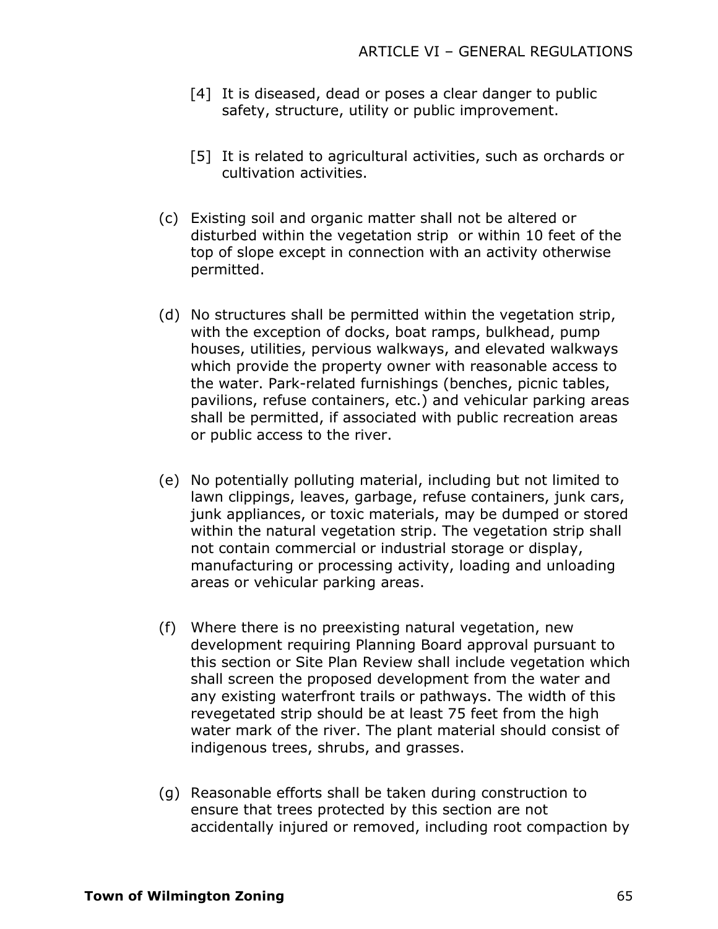- [4] It is diseased, dead or poses a clear danger to public safety, structure, utility or public improvement.
- [5] It is related to agricultural activities, such as orchards or cultivation activities.
- (c) Existing soil and organic matter shall not be altered or disturbed within the vegetation strip or within 10 feet of the top of slope except in connection with an activity otherwise permitted.
- (d) No structures shall be permitted within the vegetation strip, with the exception of docks, boat ramps, bulkhead, pump houses, utilities, pervious walkways, and elevated walkways which provide the property owner with reasonable access to the water. Park-related furnishings (benches, picnic tables, pavilions, refuse containers, etc.) and vehicular parking areas shall be permitted, if associated with public recreation areas or public access to the river.
- (e) No potentially polluting material, including but not limited to lawn clippings, leaves, garbage, refuse containers, junk cars, junk appliances, or toxic materials, may be dumped or stored within the natural vegetation strip. The vegetation strip shall not contain commercial or industrial storage or display, manufacturing or processing activity, loading and unloading areas or vehicular parking areas.
- (f) Where there is no preexisting natural vegetation, new development requiring Planning Board approval pursuant to this section or Site Plan Review shall include vegetation which shall screen the proposed development from the water and any existing waterfront trails or pathways. The width of this revegetated strip should be at least 75 feet from the high water mark of the river. The plant material should consist of indigenous trees, shrubs, and grasses.
- (g) Reasonable efforts shall be taken during construction to ensure that trees protected by this section are not accidentally injured or removed, including root compaction by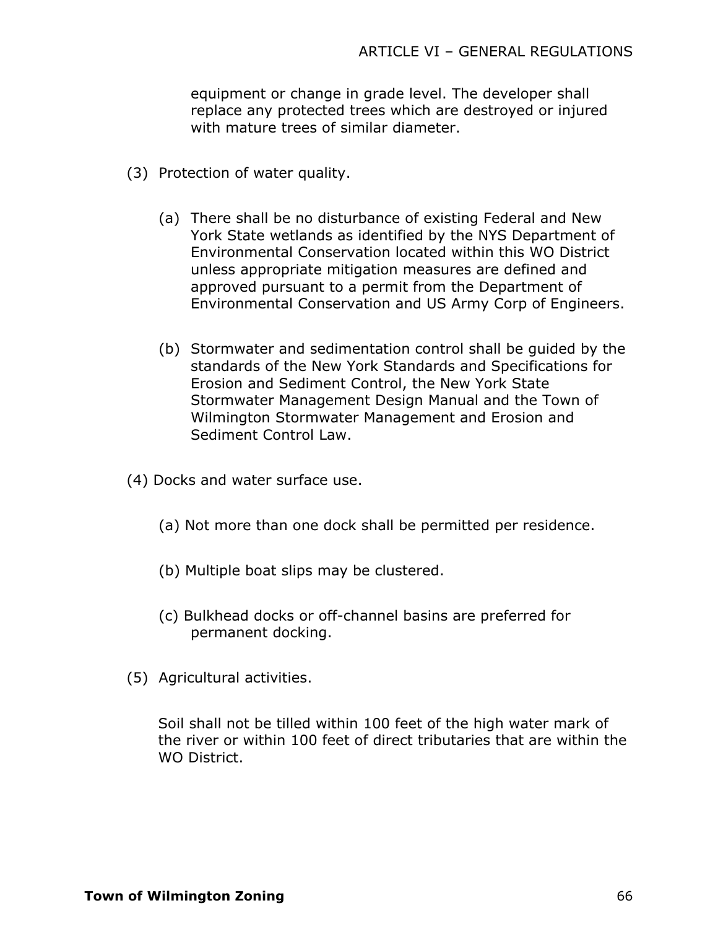equipment or change in grade level. The developer shall replace any protected trees which are destroyed or injured with mature trees of similar diameter.

- (3) Protection of water quality.
	- (a) There shall be no disturbance of existing Federal and New York State wetlands as identified by the NYS Department of Environmental Conservation located within this WO District unless appropriate mitigation measures are defined and approved pursuant to a permit from the Department of Environmental Conservation and US Army Corp of Engineers.
	- (b) Stormwater and sedimentation control shall be guided by the standards of the New York Standards and Specifications for Erosion and Sediment Control, the New York State Stormwater Management Design Manual and the Town of Wilmington Stormwater Management and Erosion and Sediment Control Law.
- (4) Docks and water surface use.
	- (a) Not more than one dock shall be permitted per residence.
	- (b) Multiple boat slips may be clustered.
	- (c) Bulkhead docks or off-channel basins are preferred for permanent docking.
- (5) Agricultural activities.

Soil shall not be tilled within 100 feet of the high water mark of the river or within 100 feet of direct tributaries that are within the WO District.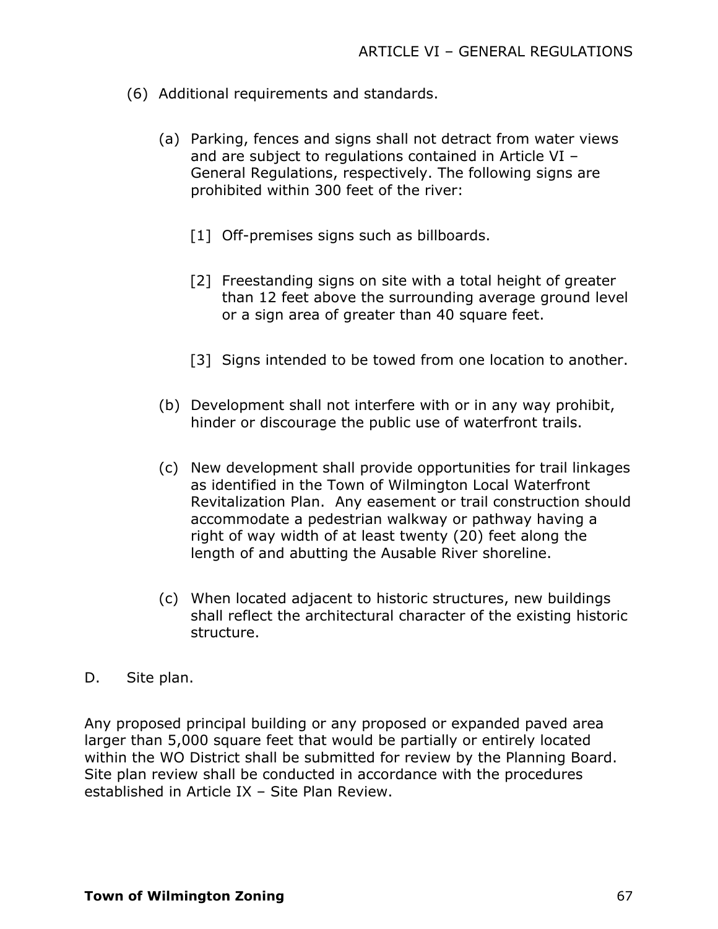- (6) Additional requirements and standards.
	- (a) Parking, fences and signs shall not detract from water views and are subject to regulations contained in Article VI – General Regulations, respectively. The following signs are prohibited within 300 feet of the river:
		- [1] Off-premises signs such as billboards.
		- [2] Freestanding signs on site with a total height of greater than 12 feet above the surrounding average ground level or a sign area of greater than 40 square feet.
		- [3] Signs intended to be towed from one location to another.
	- (b) Development shall not interfere with or in any way prohibit, hinder or discourage the public use of waterfront trails.
	- (c) New development shall provide opportunities for trail linkages as identified in the Town of Wilmington Local Waterfront Revitalization Plan. Any easement or trail construction should accommodate a pedestrian walkway or pathway having a right of way width of at least twenty (20) feet along the length of and abutting the Ausable River shoreline.
	- (c) When located adjacent to historic structures, new buildings shall reflect the architectural character of the existing historic structure.
- D. Site plan.

Any proposed principal building or any proposed or expanded paved area larger than 5,000 square feet that would be partially or entirely located within the WO District shall be submitted for review by the Planning Board. Site plan review shall be conducted in accordance with the procedures established in Article IX – Site Plan Review.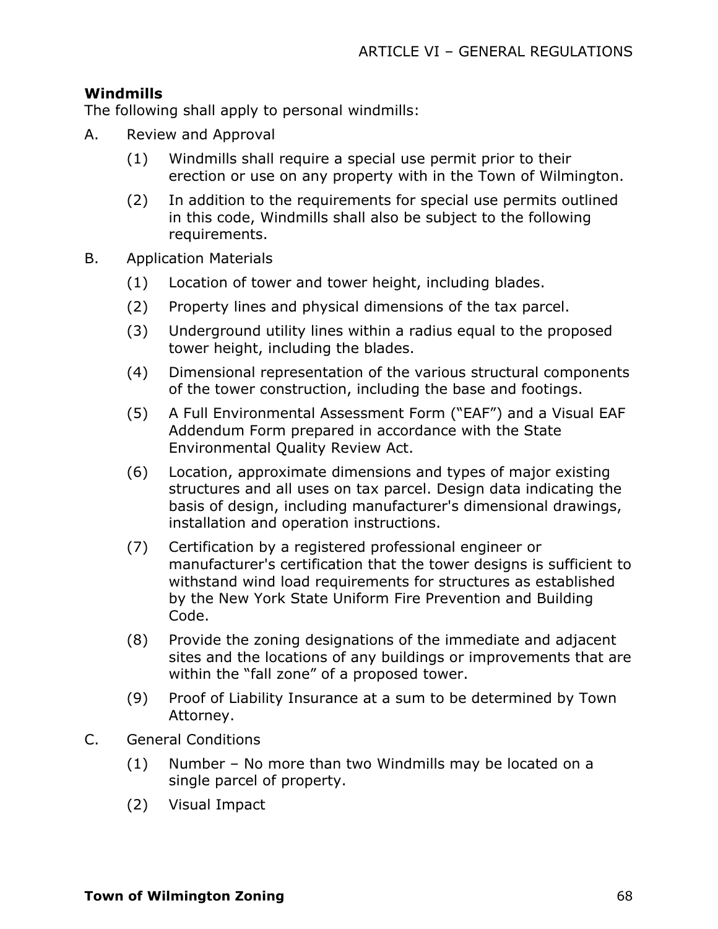## **Windmills**

The following shall apply to personal windmills:

- A. Review and Approval
	- (1) Windmills shall require a special use permit prior to their erection or use on any property with in the Town of Wilmington.
	- (2) In addition to the requirements for special use permits outlined in this code, Windmills shall also be subject to the following requirements.
- B. Application Materials
	- (1) Location of tower and tower height, including blades.
	- (2) Property lines and physical dimensions of the tax parcel.
	- (3) Underground utility lines within a radius equal to the proposed tower height, including the blades.
	- (4) Dimensional representation of the various structural components of the tower construction, including the base and footings.
	- (5) A Full Environmental Assessment Form ("EAF") and a Visual EAF Addendum Form prepared in accordance with the State Environmental Quality Review Act.
	- (6) Location, approximate dimensions and types of major existing structures and all uses on tax parcel. Design data indicating the basis of design, including manufacturer's dimensional drawings, installation and operation instructions.
	- (7) Certification by a registered professional engineer or manufacturer's certification that the tower designs is sufficient to withstand wind load requirements for structures as established by the New York State Uniform Fire Prevention and Building Code.
	- (8) Provide the zoning designations of the immediate and adjacent sites and the locations of any buildings or improvements that are within the "fall zone" of a proposed tower.
	- (9) Proof of Liability Insurance at a sum to be determined by Town Attorney.
- C. General Conditions
	- (1) Number No more than two Windmills may be located on a single parcel of property.
	- (2) Visual Impact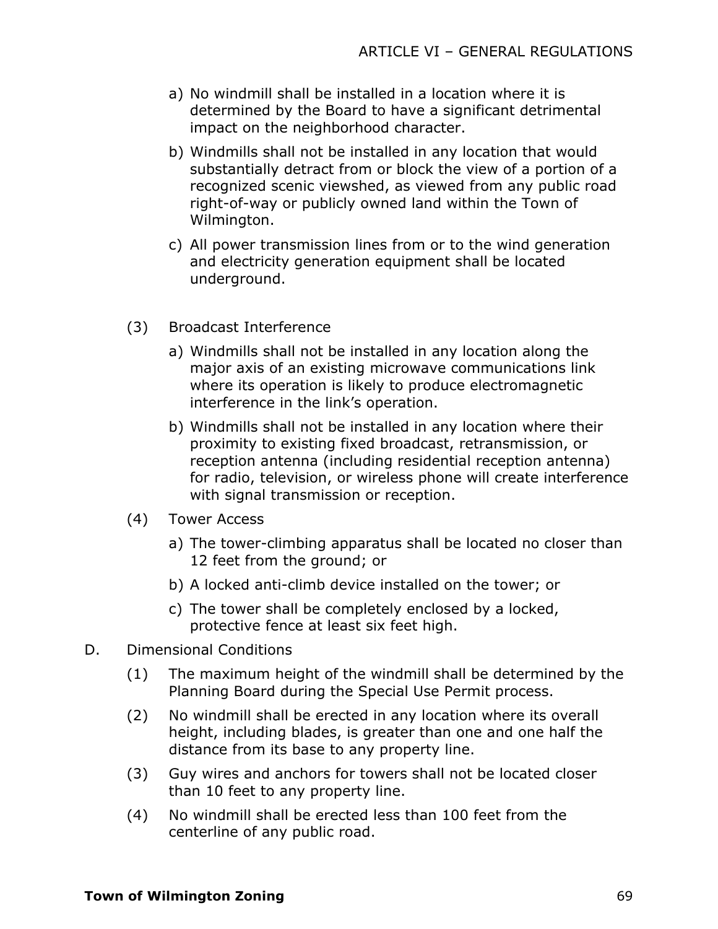- a) No windmill shall be installed in a location where it is determined by the Board to have a significant detrimental impact on the neighborhood character.
- b) Windmills shall not be installed in any location that would substantially detract from or block the view of a portion of a recognized scenic viewshed, as viewed from any public road right-of-way or publicly owned land within the Town of Wilmington.
- c) All power transmission lines from or to the wind generation and electricity generation equipment shall be located underground.
- (3) Broadcast Interference
	- a) Windmills shall not be installed in any location along the major axis of an existing microwave communications link where its operation is likely to produce electromagnetic interference in the link's operation.
	- b) Windmills shall not be installed in any location where their proximity to existing fixed broadcast, retransmission, or reception antenna (including residential reception antenna) for radio, television, or wireless phone will create interference with signal transmission or reception.
- (4) Tower Access
	- a) The tower-climbing apparatus shall be located no closer than 12 feet from the ground; or
	- b) A locked anti-climb device installed on the tower; or
	- c) The tower shall be completely enclosed by a locked, protective fence at least six feet high.
- D. Dimensional Conditions
	- (1) The maximum height of the windmill shall be determined by the Planning Board during the Special Use Permit process.
	- (2) No windmill shall be erected in any location where its overall height, including blades, is greater than one and one half the distance from its base to any property line.
	- (3) Guy wires and anchors for towers shall not be located closer than 10 feet to any property line.
	- (4) No windmill shall be erected less than 100 feet from the centerline of any public road.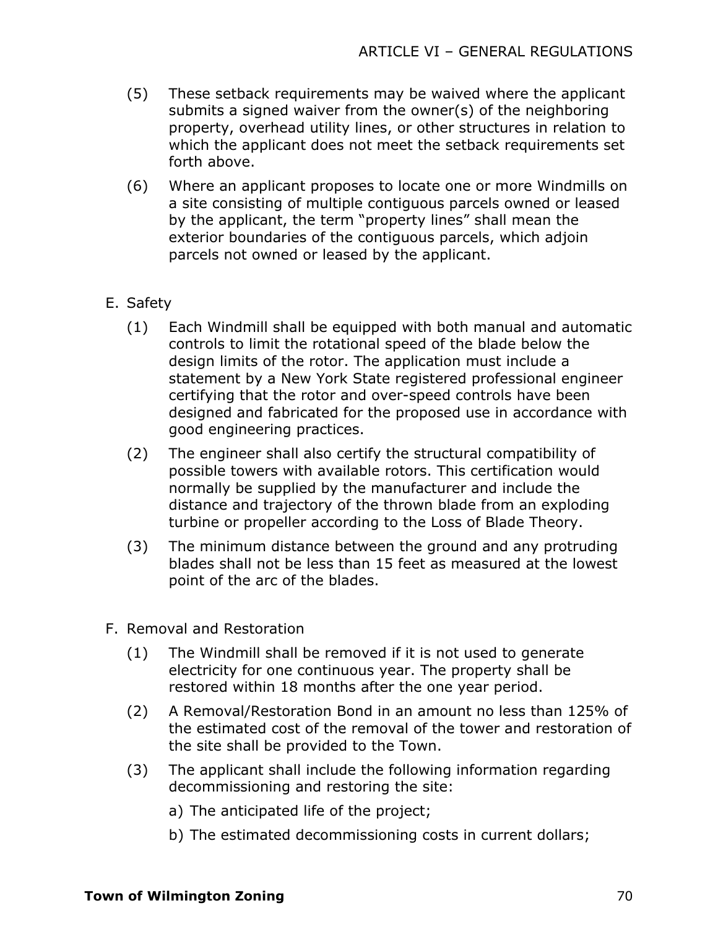- (5) These setback requirements may be waived where the applicant submits a signed waiver from the owner(s) of the neighboring property, overhead utility lines, or other structures in relation to which the applicant does not meet the setback requirements set forth above.
- (6) Where an applicant proposes to locate one or more Windmills on a site consisting of multiple contiguous parcels owned or leased by the applicant, the term "property lines" shall mean the exterior boundaries of the contiguous parcels, which adjoin parcels not owned or leased by the applicant.

# E. Safety

- (1) Each Windmill shall be equipped with both manual and automatic controls to limit the rotational speed of the blade below the design limits of the rotor. The application must include a statement by a New York State registered professional engineer certifying that the rotor and over-speed controls have been designed and fabricated for the proposed use in accordance with good engineering practices.
- (2) The engineer shall also certify the structural compatibility of possible towers with available rotors. This certification would normally be supplied by the manufacturer and include the distance and trajectory of the thrown blade from an exploding turbine or propeller according to the Loss of Blade Theory.
- (3) The minimum distance between the ground and any protruding blades shall not be less than 15 feet as measured at the lowest point of the arc of the blades.
- F. Removal and Restoration
	- (1) The Windmill shall be removed if it is not used to generate electricity for one continuous year. The property shall be restored within 18 months after the one year period.
	- (2) A Removal/Restoration Bond in an amount no less than 125% of the estimated cost of the removal of the tower and restoration of the site shall be provided to the Town.
	- (3) The applicant shall include the following information regarding decommissioning and restoring the site:
		- a) The anticipated life of the project;
		- b) The estimated decommissioning costs in current dollars;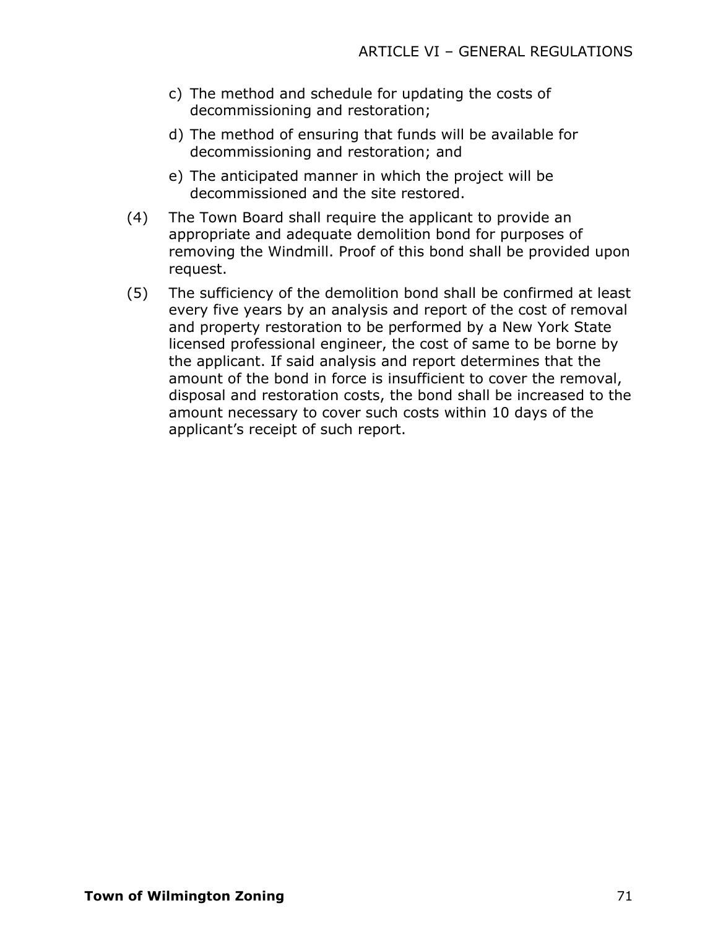- c) The method and schedule for updating the costs of decommissioning and restoration;
- d) The method of ensuring that funds will be available for decommissioning and restoration; and
- e) The anticipated manner in which the project will be decommissioned and the site restored.
- (4) The Town Board shall require the applicant to provide an appropriate and adequate demolition bond for purposes of removing the Windmill. Proof of this bond shall be provided upon request.
- (5) The sufficiency of the demolition bond shall be confirmed at least every five years by an analysis and report of the cost of removal and property restoration to be performed by a New York State licensed professional engineer, the cost of same to be borne by the applicant. If said analysis and report determines that the amount of the bond in force is insufficient to cover the removal, disposal and restoration costs, the bond shall be increased to the amount necessary to cover such costs within 10 days of the applicant's receipt of such report.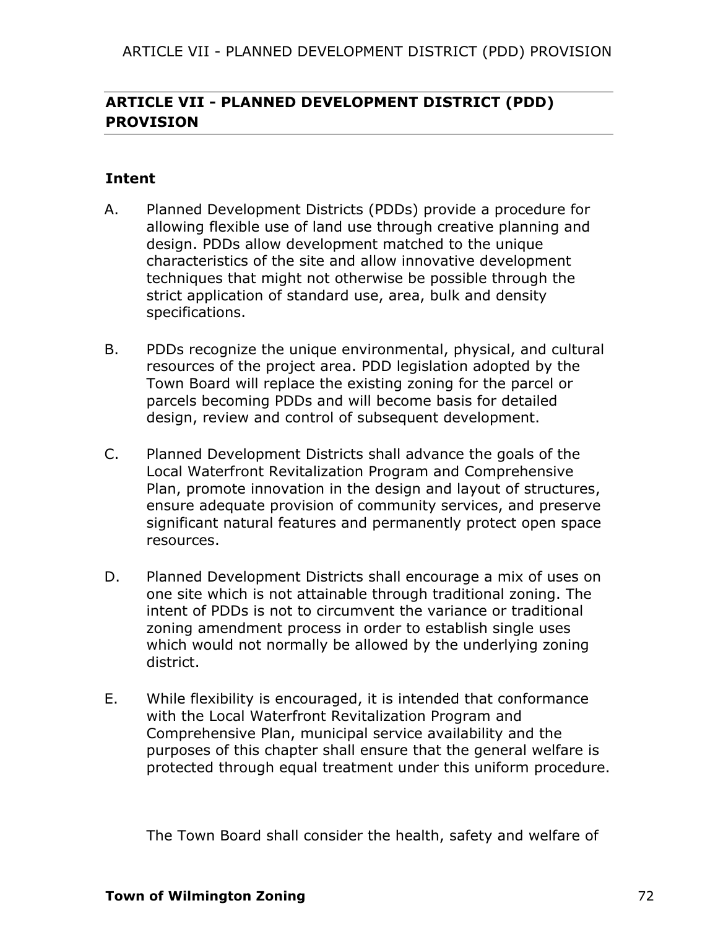# **ARTICLE VII - PLANNED DEVELOPMENT DISTRICT (PDD) PROVISION**

# **Intent**

- A. Planned Development Districts (PDDs) provide a procedure for allowing flexible use of land use through creative planning and design. PDDs allow development matched to the unique characteristics of the site and allow innovative development techniques that might not otherwise be possible through the strict application of standard use, area, bulk and density specifications.
- B. PDDs recognize the unique environmental, physical, and cultural resources of the project area. PDD legislation adopted by the Town Board will replace the existing zoning for the parcel or parcels becoming PDDs and will become basis for detailed design, review and control of subsequent development.
- C. Planned Development Districts shall advance the goals of the Local Waterfront Revitalization Program and Comprehensive Plan, promote innovation in the design and layout of structures, ensure adequate provision of community services, and preserve significant natural features and permanently protect open space resources.
- D. Planned Development Districts shall encourage a mix of uses on one site which is not attainable through traditional zoning. The intent of PDDs is not to circumvent the variance or traditional zoning amendment process in order to establish single uses which would not normally be allowed by the underlying zoning district.
- E. While flexibility is encouraged, it is intended that conformance with the Local Waterfront Revitalization Program and Comprehensive Plan, municipal service availability and the purposes of this chapter shall ensure that the general welfare is protected through equal treatment under this uniform procedure.

The Town Board shall consider the health, safety and welfare of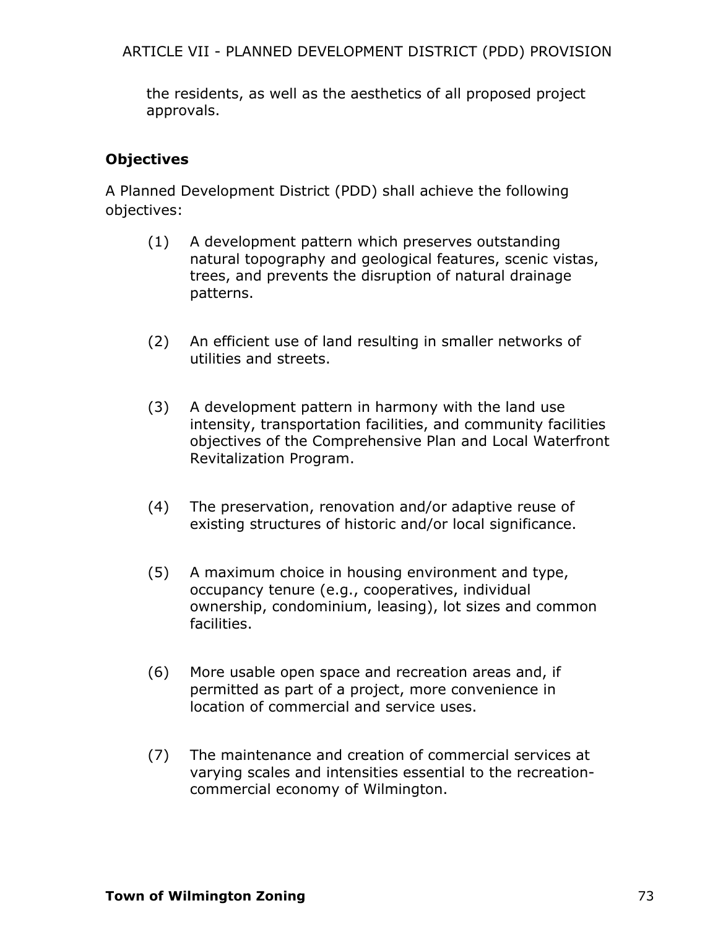ARTICLE VII - PLANNED DEVELOPMENT DISTRICT (PDD) PROVISION

the residents, as well as the aesthetics of all proposed project approvals.

# **Objectives**

A Planned Development District (PDD) shall achieve the following objectives:

- (1) A development pattern which preserves outstanding natural topography and geological features, scenic vistas, trees, and prevents the disruption of natural drainage patterns.
- (2) An efficient use of land resulting in smaller networks of utilities and streets.
- (3) A development pattern in harmony with the land use intensity, transportation facilities, and community facilities objectives of the Comprehensive Plan and Local Waterfront Revitalization Program.
- (4) The preservation, renovation and/or adaptive reuse of existing structures of historic and/or local significance.
- (5) A maximum choice in housing environment and type, occupancy tenure (e.g., cooperatives, individual ownership, condominium, leasing), lot sizes and common facilities.
- (6) More usable open space and recreation areas and, if permitted as part of a project, more convenience in location of commercial and service uses.
- (7) The maintenance and creation of commercial services at varying scales and intensities essential to the recreationcommercial economy of Wilmington.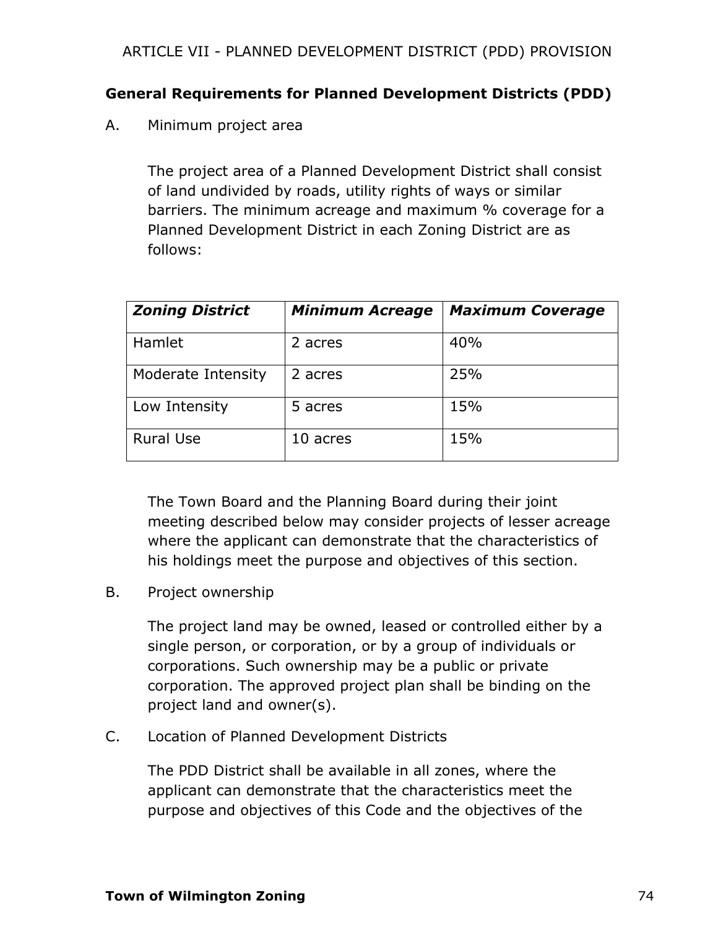# **General Requirements for Planned Development Districts (PDD)**

A. Minimum project area

The project area of a Planned Development District shall consist of land undivided by roads, utility rights of ways or similar barriers. The minimum acreage and maximum % coverage for a Planned Development District in each Zoning District are as follows:

| <b>Zoning District</b> | <b>Minimum Acreage</b> | <b>Maximum Coverage</b> |
|------------------------|------------------------|-------------------------|
| Hamlet                 | 2 acres                | 40%                     |
| Moderate Intensity     | 2 acres                | 25%                     |
| Low Intensity          | 5 acres                | 15%                     |
| <b>Rural Use</b>       | 10 acres               | 15%                     |

The Town Board and the Planning Board during their joint meeting described below may consider projects of lesser acreage where the applicant can demonstrate that the characteristics of his holdings meet the purpose and objectives of this section.

B. Project ownership

The project land may be owned, leased or controlled either by a single person, or corporation, or by a group of individuals or corporations. Such ownership may be a public or private corporation. The approved project plan shall be binding on the project land and owner(s).

C. Location of Planned Development Districts

The PDD District shall be available in all zones, where the applicant can demonstrate that the characteristics meet the purpose and objectives of this Code and the objectives of the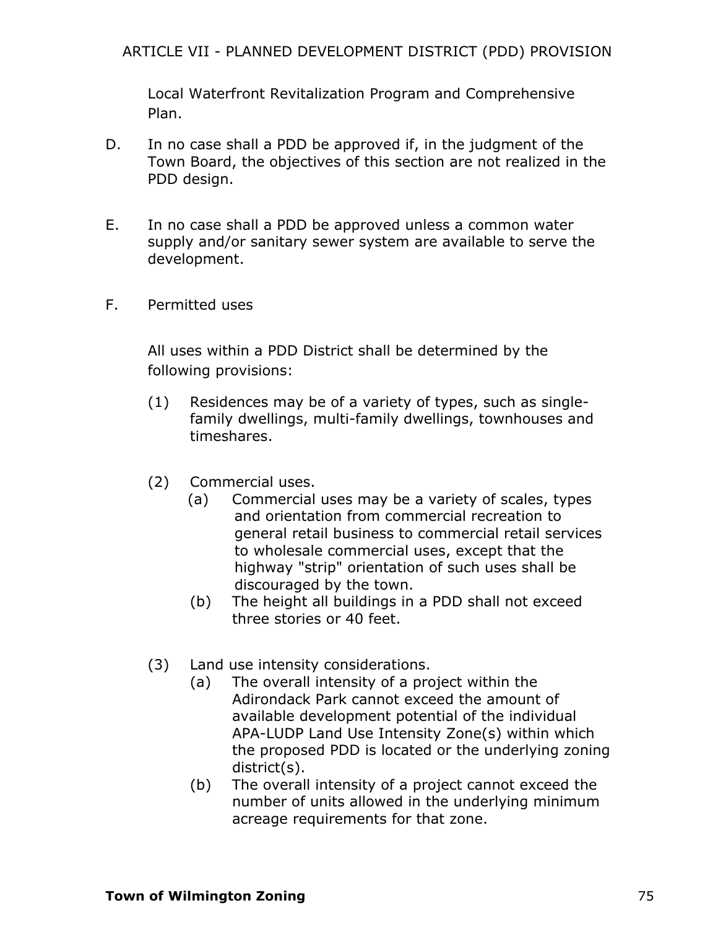Local Waterfront Revitalization Program and Comprehensive Plan.

- D. In no case shall a PDD be approved if, in the judgment of the Town Board, the objectives of this section are not realized in the PDD design.
- E. In no case shall a PDD be approved unless a common water supply and/or sanitary sewer system are available to serve the development.
- F. Permitted uses

All uses within a PDD District shall be determined by the following provisions:

- (1) Residences may be of a variety of types, such as singlefamily dwellings, multi-family dwellings, townhouses and timeshares.
- (2) Commercial uses.
	- (a) Commercial uses may be a variety of scales, types and orientation from commercial recreation to general retail business to commercial retail services to wholesale commercial uses, except that the highway "strip" orientation of such uses shall be discouraged by the town.
	- (b) The height all buildings in a PDD shall not exceed three stories or 40 feet.
- (3) Land use intensity considerations.
	- (a) The overall intensity of a project within the Adirondack Park cannot exceed the amount of available development potential of the individual APA-LUDP Land Use Intensity Zone(s) within which the proposed PDD is located or the underlying zoning district(s).
	- (b) The overall intensity of a project cannot exceed the number of units allowed in the underlying minimum acreage requirements for that zone.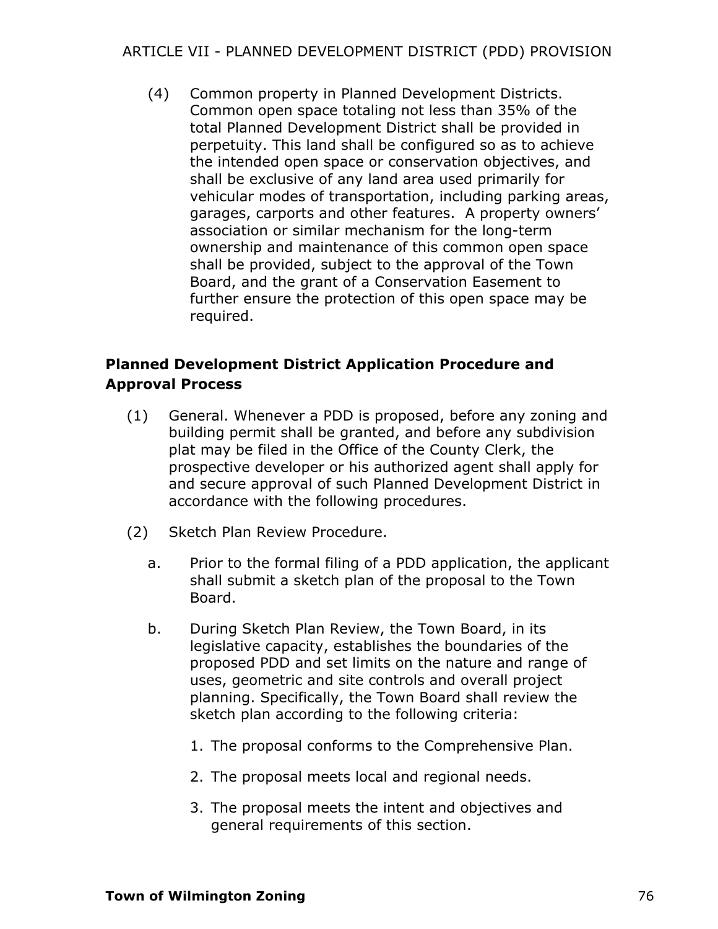# ARTICLE VII - PLANNED DEVELOPMENT DISTRICT (PDD) PROVISION

(4) Common property in Planned Development Districts. Common open space totaling not less than 35% of the total Planned Development District shall be provided in perpetuity. This land shall be configured so as to achieve the intended open space or conservation objectives, and shall be exclusive of any land area used primarily for vehicular modes of transportation, including parking areas, garages, carports and other features. A property owners' association or similar mechanism for the long-term ownership and maintenance of this common open space shall be provided, subject to the approval of the Town Board, and the grant of a Conservation Easement to further ensure the protection of this open space may be required.

# **Planned Development District Application Procedure and Approval Process**

- (1) General. Whenever a PDD is proposed, before any zoning and building permit shall be granted, and before any subdivision plat may be filed in the Office of the County Clerk, the prospective developer or his authorized agent shall apply for and secure approval of such Planned Development District in accordance with the following procedures.
- (2) Sketch Plan Review Procedure.
	- a. Prior to the formal filing of a PDD application, the applicant shall submit a sketch plan of the proposal to the Town Board.
	- b. During Sketch Plan Review, the Town Board, in its legislative capacity, establishes the boundaries of the proposed PDD and set limits on the nature and range of uses, geometric and site controls and overall project planning. Specifically, the Town Board shall review the sketch plan according to the following criteria:
		- 1. The proposal conforms to the Comprehensive Plan.
		- 2. The proposal meets local and regional needs.
		- 3. The proposal meets the intent and objectives and general requirements of this section.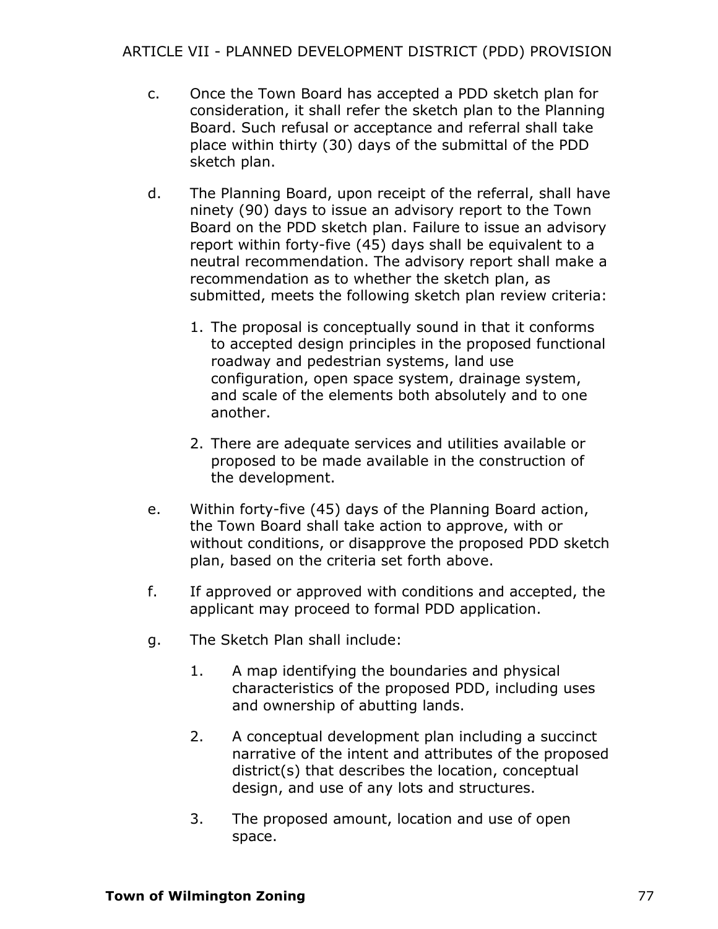- c. Once the Town Board has accepted a PDD sketch plan for consideration, it shall refer the sketch plan to the Planning Board. Such refusal or acceptance and referral shall take place within thirty (30) days of the submittal of the PDD sketch plan.
- d. The Planning Board, upon receipt of the referral, shall have ninety (90) days to issue an advisory report to the Town Board on the PDD sketch plan. Failure to issue an advisory report within forty-five (45) days shall be equivalent to a neutral recommendation. The advisory report shall make a recommendation as to whether the sketch plan, as submitted, meets the following sketch plan review criteria:
	- 1. The proposal is conceptually sound in that it conforms to accepted design principles in the proposed functional roadway and pedestrian systems, land use configuration, open space system, drainage system, and scale of the elements both absolutely and to one another.
	- 2. There are adequate services and utilities available or proposed to be made available in the construction of the development.
- e. Within forty-five (45) days of the Planning Board action, the Town Board shall take action to approve, with or without conditions, or disapprove the proposed PDD sketch plan, based on the criteria set forth above.
- f. If approved or approved with conditions and accepted, the applicant may proceed to formal PDD application.
- g. The Sketch Plan shall include:
	- 1. A map identifying the boundaries and physical characteristics of the proposed PDD, including uses and ownership of abutting lands.
	- 2. A conceptual development plan including a succinct narrative of the intent and attributes of the proposed district(s) that describes the location, conceptual design, and use of any lots and structures.
	- 3. The proposed amount, location and use of open space.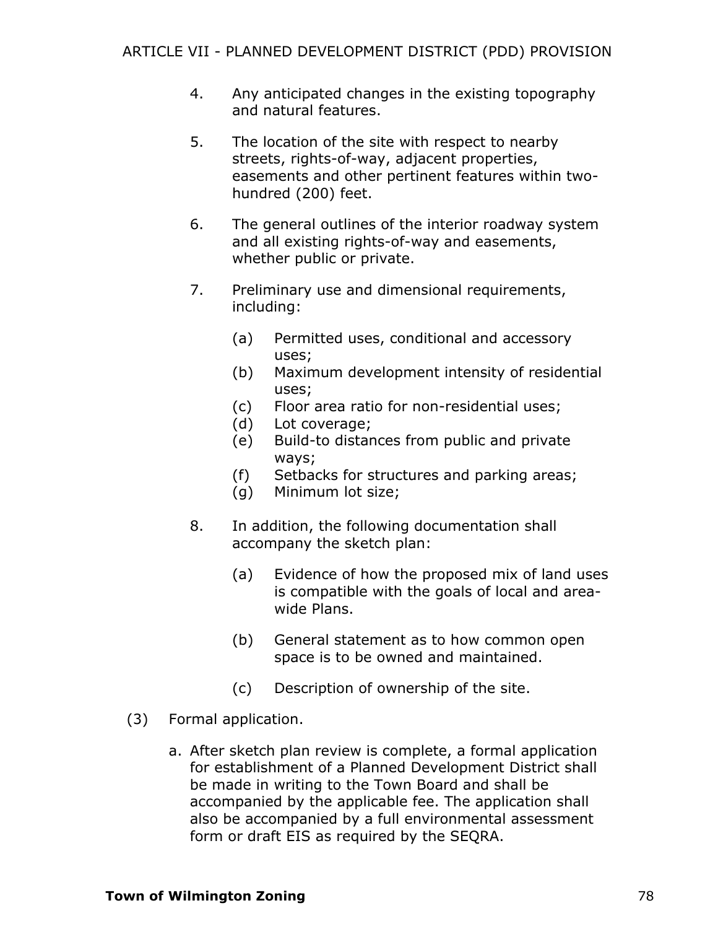- 4. Any anticipated changes in the existing topography and natural features.
- 5. The location of the site with respect to nearby streets, rights-of-way, adjacent properties, easements and other pertinent features within twohundred (200) feet.
- 6. The general outlines of the interior roadway system and all existing rights-of-way and easements, whether public or private.
- 7. Preliminary use and dimensional requirements, including:
	- (a) Permitted uses, conditional and accessory uses;
	- (b) Maximum development intensity of residential uses;
	- (c) Floor area ratio for non-residential uses;
	- (d) Lot coverage;
	- (e) Build-to distances from public and private ways;
	- (f) Setbacks for structures and parking areas;
	- (g) Minimum lot size;
- 8. In addition, the following documentation shall accompany the sketch plan:
	- (a) Evidence of how the proposed mix of land uses is compatible with the goals of local and areawide Plans.
	- (b) General statement as to how common open space is to be owned and maintained.
	- (c) Description of ownership of the site.
- (3) Formal application.
	- a. After sketch plan review is complete, a formal application for establishment of a Planned Development District shall be made in writing to the Town Board and shall be accompanied by the applicable fee. The application shall also be accompanied by a full environmental assessment form or draft EIS as required by the SEQRA.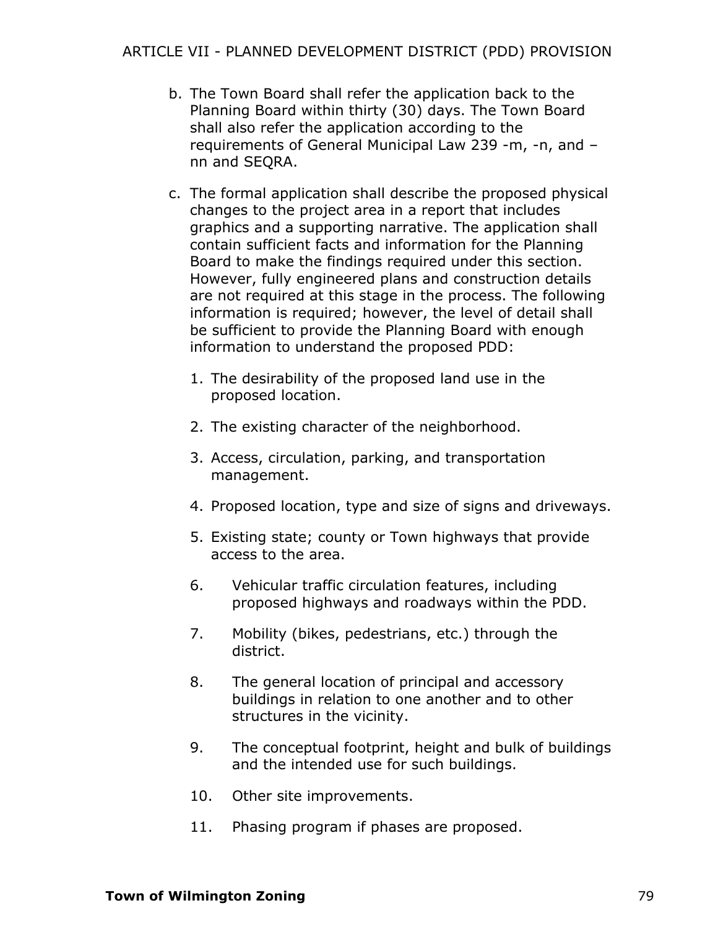- b. The Town Board shall refer the application back to the Planning Board within thirty (30) days. The Town Board shall also refer the application according to the requirements of General Municipal Law 239 -m, -n, and – nn and SEQRA.
- c. The formal application shall describe the proposed physical changes to the project area in a report that includes graphics and a supporting narrative. The application shall contain sufficient facts and information for the Planning Board to make the findings required under this section. However, fully engineered plans and construction details are not required at this stage in the process. The following information is required; however, the level of detail shall be sufficient to provide the Planning Board with enough information to understand the proposed PDD:
	- 1. The desirability of the proposed land use in the proposed location.
	- 2. The existing character of the neighborhood.
	- 3. Access, circulation, parking, and transportation management.
	- 4. Proposed location, type and size of signs and driveways.
	- 5. Existing state; county or Town highways that provide access to the area.
	- 6. Vehicular traffic circulation features, including proposed highways and roadways within the PDD.
	- 7. Mobility (bikes, pedestrians, etc.) through the district.
	- 8. The general location of principal and accessory buildings in relation to one another and to other structures in the vicinity.
	- 9. The conceptual footprint, height and bulk of buildings and the intended use for such buildings.
	- 10. Other site improvements.
	- 11. Phasing program if phases are proposed.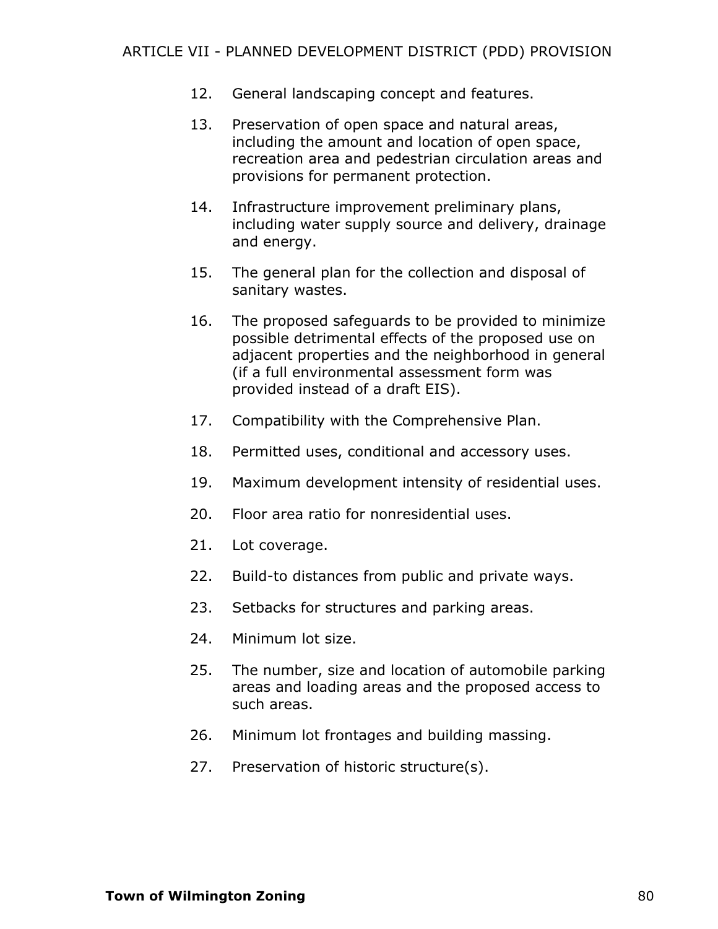- 12. General landscaping concept and features.
- 13. Preservation of open space and natural areas, including the amount and location of open space, recreation area and pedestrian circulation areas and provisions for permanent protection.
- 14. Infrastructure improvement preliminary plans, including water supply source and delivery, drainage and energy.
- 15. The general plan for the collection and disposal of sanitary wastes.
- 16. The proposed safeguards to be provided to minimize possible detrimental effects of the proposed use on adjacent properties and the neighborhood in general (if a full environmental assessment form was provided instead of a draft EIS).
- 17. Compatibility with the Comprehensive Plan.
- 18. Permitted uses, conditional and accessory uses.
- 19. Maximum development intensity of residential uses.
- 20. Floor area ratio for nonresidential uses.
- 21. Lot coverage.
- 22. Build-to distances from public and private ways.
- 23. Setbacks for structures and parking areas.
- 24. Minimum lot size.
- 25. The number, size and location of automobile parking areas and loading areas and the proposed access to such areas.
- 26. Minimum lot frontages and building massing.
- 27. Preservation of historic structure(s).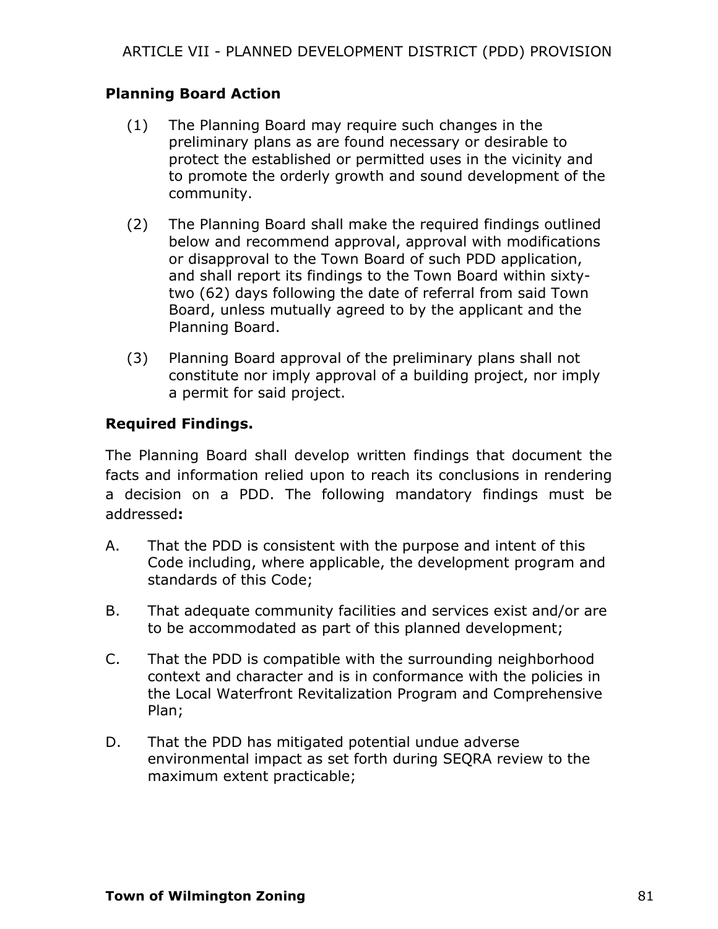#### **Planning Board Action**

- (1) The Planning Board may require such changes in the preliminary plans as are found necessary or desirable to protect the established or permitted uses in the vicinity and to promote the orderly growth and sound development of the community.
- (2) The Planning Board shall make the required findings outlined below and recommend approval, approval with modifications or disapproval to the Town Board of such PDD application, and shall report its findings to the Town Board within sixtytwo (62) days following the date of referral from said Town Board, unless mutually agreed to by the applicant and the Planning Board.
- (3) Planning Board approval of the preliminary plans shall not constitute nor imply approval of a building project, nor imply a permit for said project.

# **Required Findings.**

The Planning Board shall develop written findings that document the facts and information relied upon to reach its conclusions in rendering a decision on a PDD. The following mandatory findings must be addressed**:**

- A. That the PDD is consistent with the purpose and intent of this Code including, where applicable, the development program and standards of this Code;
- B. That adequate community facilities and services exist and/or are to be accommodated as part of this planned development;
- C. That the PDD is compatible with the surrounding neighborhood context and character and is in conformance with the policies in the Local Waterfront Revitalization Program and Comprehensive Plan;
- D. That the PDD has mitigated potential undue adverse environmental impact as set forth during SEQRA review to the maximum extent practicable;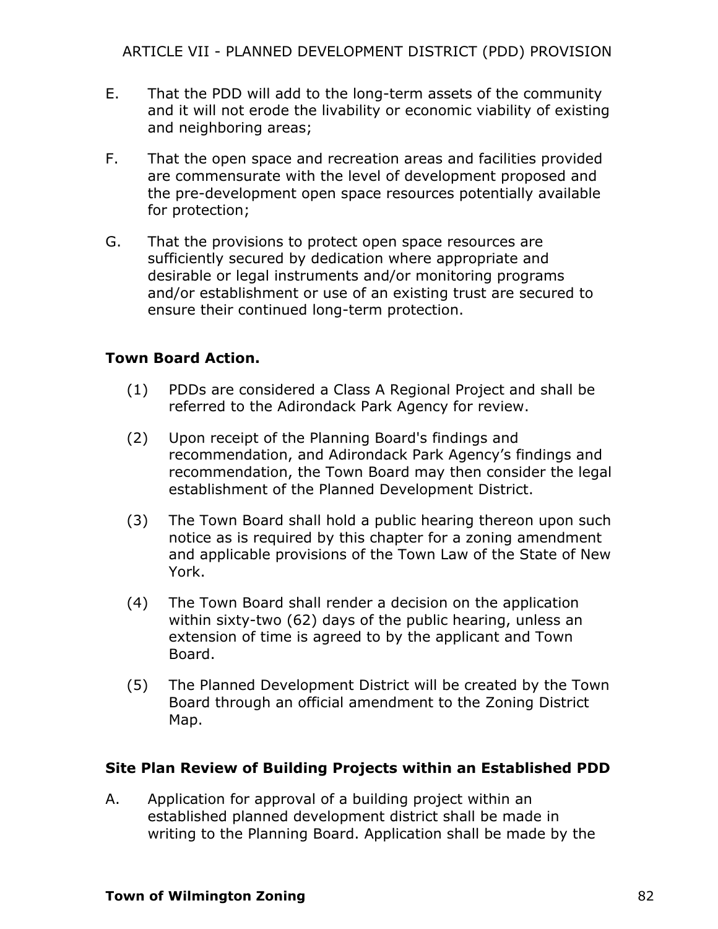- E. That the PDD will add to the long-term assets of the community and it will not erode the livability or economic viability of existing and neighboring areas;
- F. That the open space and recreation areas and facilities provided are commensurate with the level of development proposed and the pre-development open space resources potentially available for protection;
- G. That the provisions to protect open space resources are sufficiently secured by dedication where appropriate and desirable or legal instruments and/or monitoring programs and/or establishment or use of an existing trust are secured to ensure their continued long-term protection.

#### **Town Board Action.**

- (1) PDDs are considered a Class A Regional Project and shall be referred to the Adirondack Park Agency for review.
- (2) Upon receipt of the Planning Board's findings and recommendation, and Adirondack Park Agency's findings and recommendation, the Town Board may then consider the legal establishment of the Planned Development District.
- (3) The Town Board shall hold a public hearing thereon upon such notice as is required by this chapter for a zoning amendment and applicable provisions of the Town Law of the State of New York.
- (4) The Town Board shall render a decision on the application within sixty-two (62) days of the public hearing, unless an extension of time is agreed to by the applicant and Town Board.
- (5) The Planned Development District will be created by the Town Board through an official amendment to the Zoning District Map.

# **Site Plan Review of Building Projects within an Established PDD**

A. Application for approval of a building project within an established planned development district shall be made in writing to the Planning Board. Application shall be made by the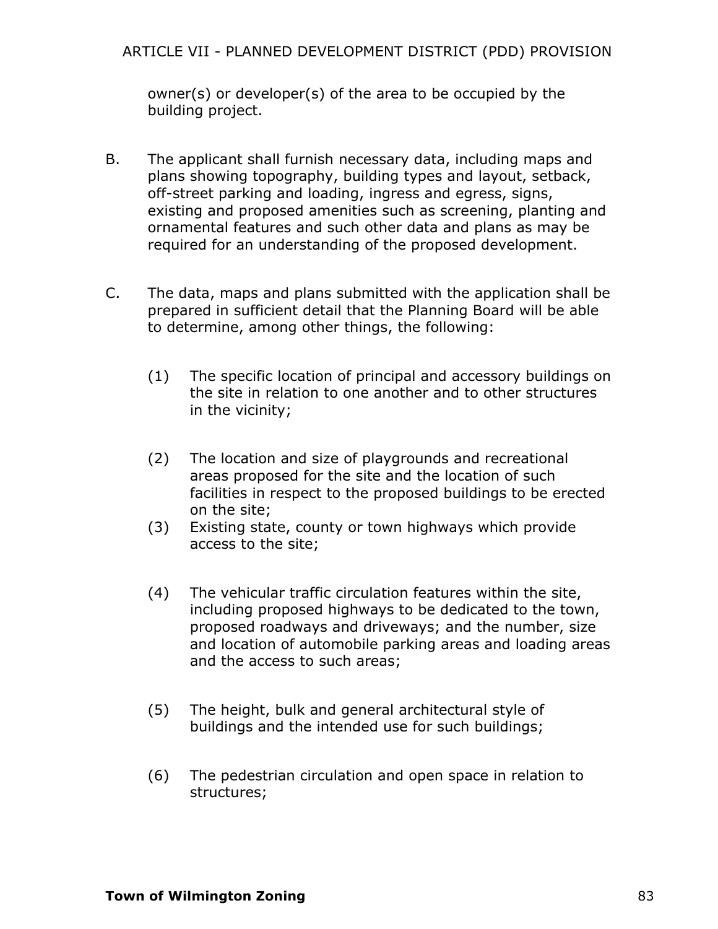owner(s) or developer(s) of the area to be occupied by the building project.

- B. The applicant shall furnish necessary data, including maps and plans showing topography, building types and layout, setback, off-street parking and loading, ingress and egress, signs, existing and proposed amenities such as screening, planting and ornamental features and such other data and plans as may be required for an understanding of the proposed development.
- C. The data, maps and plans submitted with the application shall be prepared in sufficient detail that the Planning Board will be able to determine, among other things, the following:
	- (1) The specific location of principal and accessory buildings on the site in relation to one another and to other structures in the vicinity;
	- (2) The location and size of playgrounds and recreational areas proposed for the site and the location of such facilities in respect to the proposed buildings to be erected on the site;
	- (3) Existing state, county or town highways which provide access to the site;
	- (4) The vehicular traffic circulation features within the site, including proposed highways to be dedicated to the town, proposed roadways and driveways; and the number, size and location of automobile parking areas and loading areas and the access to such areas;
	- (5) The height, bulk and general architectural style of buildings and the intended use for such buildings;
	- (6) The pedestrian circulation and open space in relation to structures;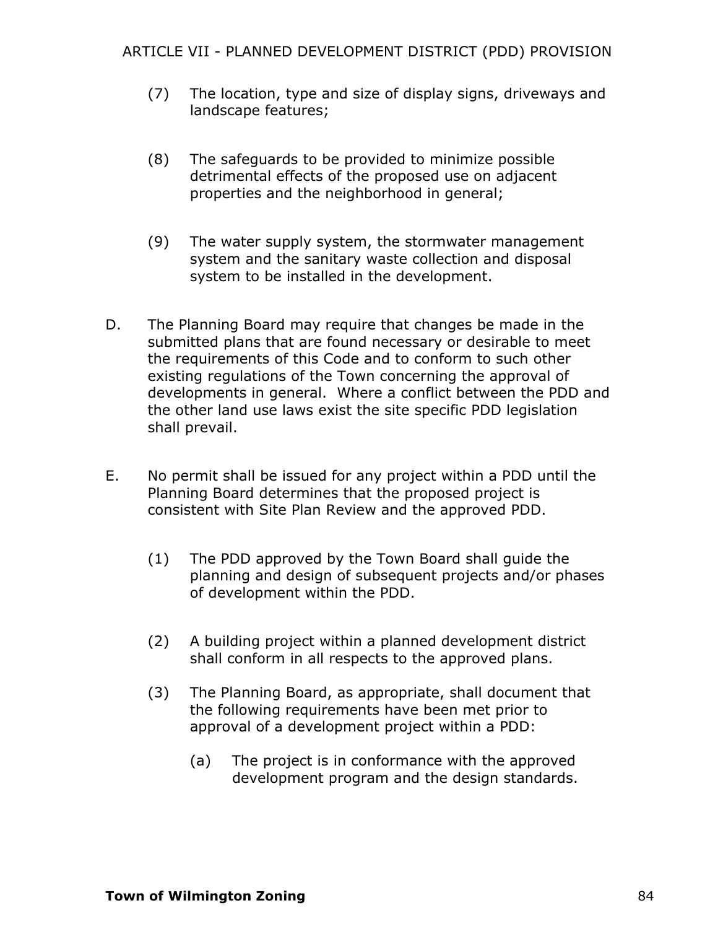- (7) The location, type and size of display signs, driveways and landscape features;
- (8) The safeguards to be provided to minimize possible detrimental effects of the proposed use on adjacent properties and the neighborhood in general;
- (9) The water supply system, the stormwater management system and the sanitary waste collection and disposal system to be installed in the development.
- D. The Planning Board may require that changes be made in the submitted plans that are found necessary or desirable to meet the requirements of this Code and to conform to such other existing regulations of the Town concerning the approval of developments in general. Where a conflict between the PDD and the other land use laws exist the site specific PDD legislation shall prevail.
- E. No permit shall be issued for any project within a PDD until the Planning Board determines that the proposed project is consistent with Site Plan Review and the approved PDD.
	- (1) The PDD approved by the Town Board shall guide the planning and design of subsequent projects and/or phases of development within the PDD.
	- (2) A building project within a planned development district shall conform in all respects to the approved plans.
	- (3) The Planning Board, as appropriate, shall document that the following requirements have been met prior to approval of a development project within a PDD:
		- (a) The project is in conformance with the approved development program and the design standards.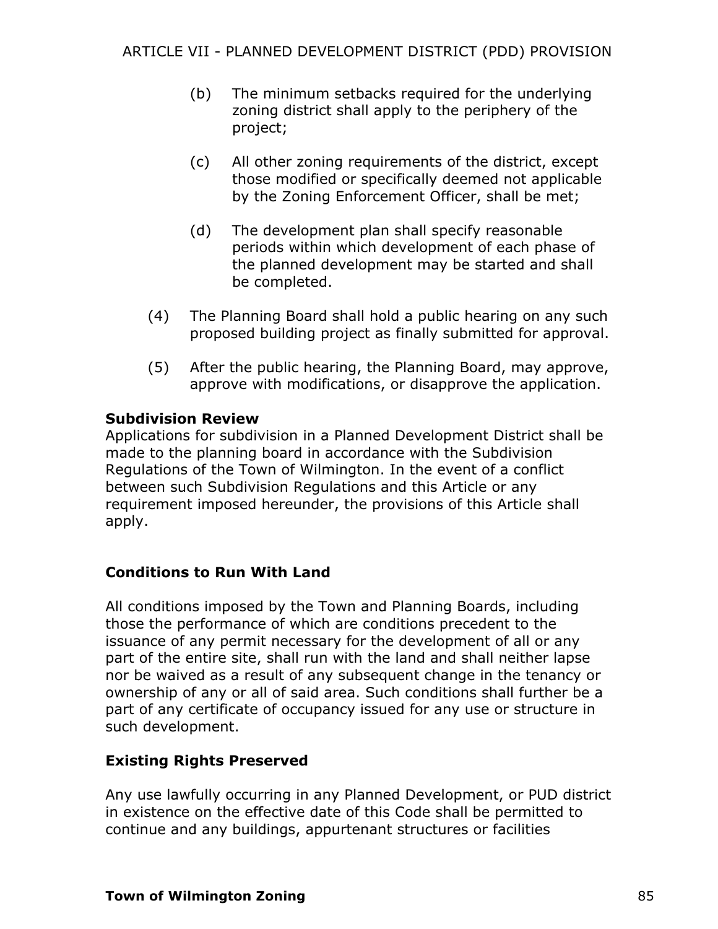- (b) The minimum setbacks required for the underlying zoning district shall apply to the periphery of the project;
- (c) All other zoning requirements of the district, except those modified or specifically deemed not applicable by the Zoning Enforcement Officer, shall be met;
- (d) The development plan shall specify reasonable periods within which development of each phase of the planned development may be started and shall be completed.
- (4) The Planning Board shall hold a public hearing on any such proposed building project as finally submitted for approval.
- (5) After the public hearing, the Planning Board, may approve, approve with modifications, or disapprove the application.

# **Subdivision Review**

Applications for subdivision in a Planned Development District shall be made to the planning board in accordance with the Subdivision Regulations of the Town of Wilmington. In the event of a conflict between such Subdivision Regulations and this Article or any requirement imposed hereunder, the provisions of this Article shall apply.

# **Conditions to Run With Land**

All conditions imposed by the Town and Planning Boards, including those the performance of which are conditions precedent to the issuance of any permit necessary for the development of all or any part of the entire site, shall run with the land and shall neither lapse nor be waived as a result of any subsequent change in the tenancy or ownership of any or all of said area. Such conditions shall further be a part of any certificate of occupancy issued for any use or structure in such development.

# **Existing Rights Preserved**

Any use lawfully occurring in any Planned Development, or PUD district in existence on the effective date of this Code shall be permitted to continue and any buildings, appurtenant structures or facilities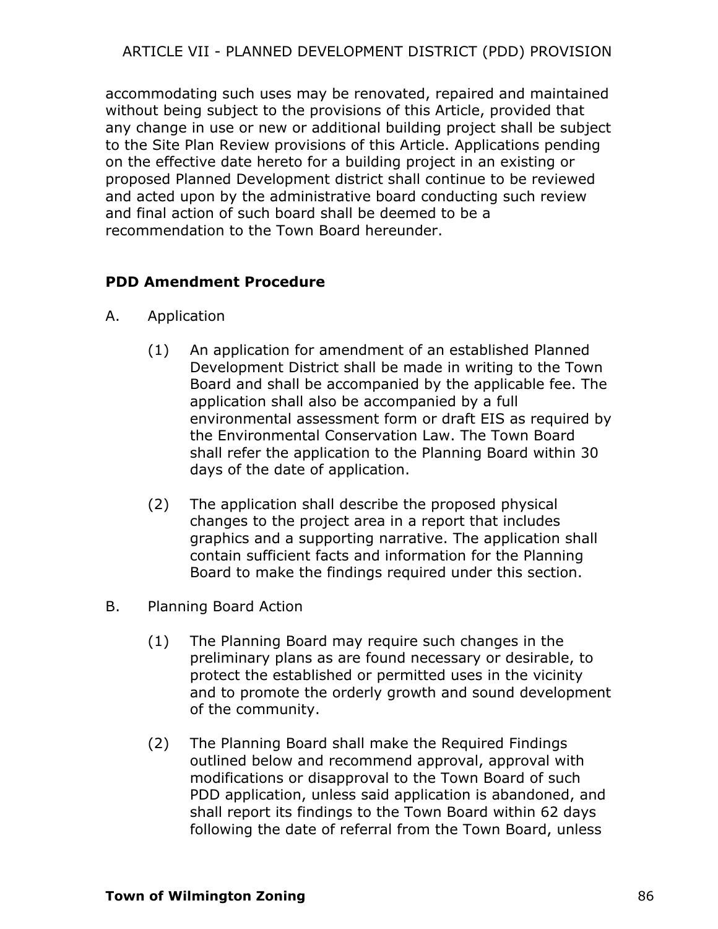accommodating such uses may be renovated, repaired and maintained without being subject to the provisions of this Article, provided that any change in use or new or additional building project shall be subject to the Site Plan Review provisions of this Article. Applications pending on the effective date hereto for a building project in an existing or proposed Planned Development district shall continue to be reviewed and acted upon by the administrative board conducting such review and final action of such board shall be deemed to be a recommendation to the Town Board hereunder.

# **PDD Amendment Procedure**

- A. Application
	- (1) An application for amendment of an established Planned Development District shall be made in writing to the Town Board and shall be accompanied by the applicable fee. The application shall also be accompanied by a full environmental assessment form or draft EIS as required by the Environmental Conservation Law. The Town Board shall refer the application to the Planning Board within 30 days of the date of application.
	- (2) The application shall describe the proposed physical changes to the project area in a report that includes graphics and a supporting narrative. The application shall contain sufficient facts and information for the Planning Board to make the findings required under this section.
- B. Planning Board Action
	- (1) The Planning Board may require such changes in the preliminary plans as are found necessary or desirable, to protect the established or permitted uses in the vicinity and to promote the orderly growth and sound development of the community.
	- (2) The Planning Board shall make the Required Findings outlined below and recommend approval, approval with modifications or disapproval to the Town Board of such PDD application, unless said application is abandoned, and shall report its findings to the Town Board within 62 days following the date of referral from the Town Board, unless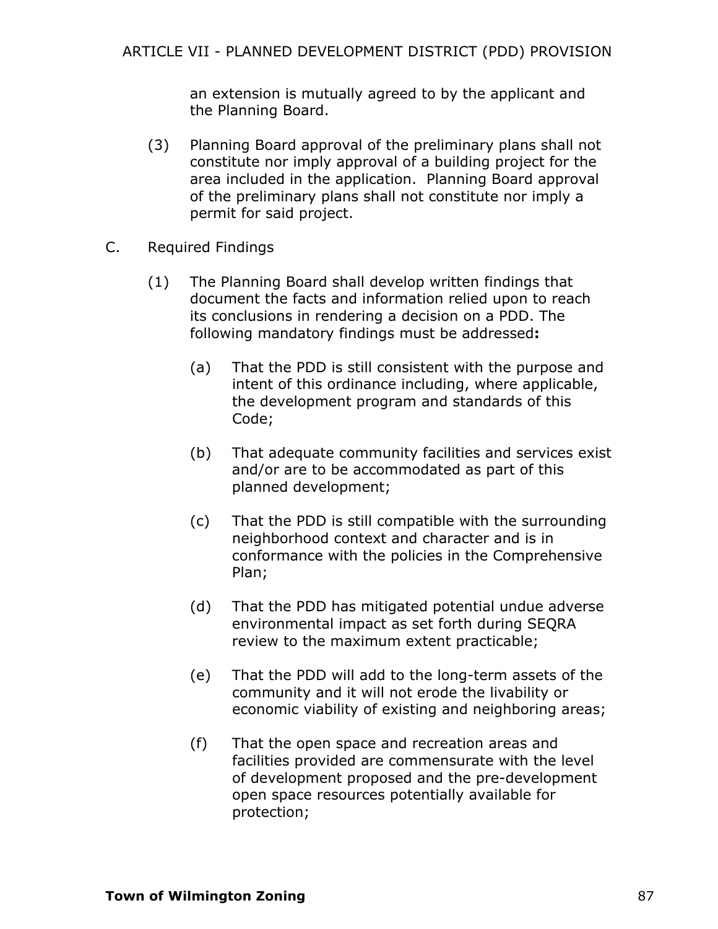an extension is mutually agreed to by the applicant and the Planning Board.

- (3) Planning Board approval of the preliminary plans shall not constitute nor imply approval of a building project for the area included in the application. Planning Board approval of the preliminary plans shall not constitute nor imply a permit for said project.
- C. Required Findings
	- (1) The Planning Board shall develop written findings that document the facts and information relied upon to reach its conclusions in rendering a decision on a PDD. The following mandatory findings must be addressed**:**
		- (a) That the PDD is still consistent with the purpose and intent of this ordinance including, where applicable, the development program and standards of this Code;
		- (b) That adequate community facilities and services exist and/or are to be accommodated as part of this planned development;
		- (c) That the PDD is still compatible with the surrounding neighborhood context and character and is in conformance with the policies in the Comprehensive Plan;
		- (d) That the PDD has mitigated potential undue adverse environmental impact as set forth during SEQRA review to the maximum extent practicable;
		- (e) That the PDD will add to the long-term assets of the community and it will not erode the livability or economic viability of existing and neighboring areas;
		- (f) That the open space and recreation areas and facilities provided are commensurate with the level of development proposed and the pre-development open space resources potentially available for protection;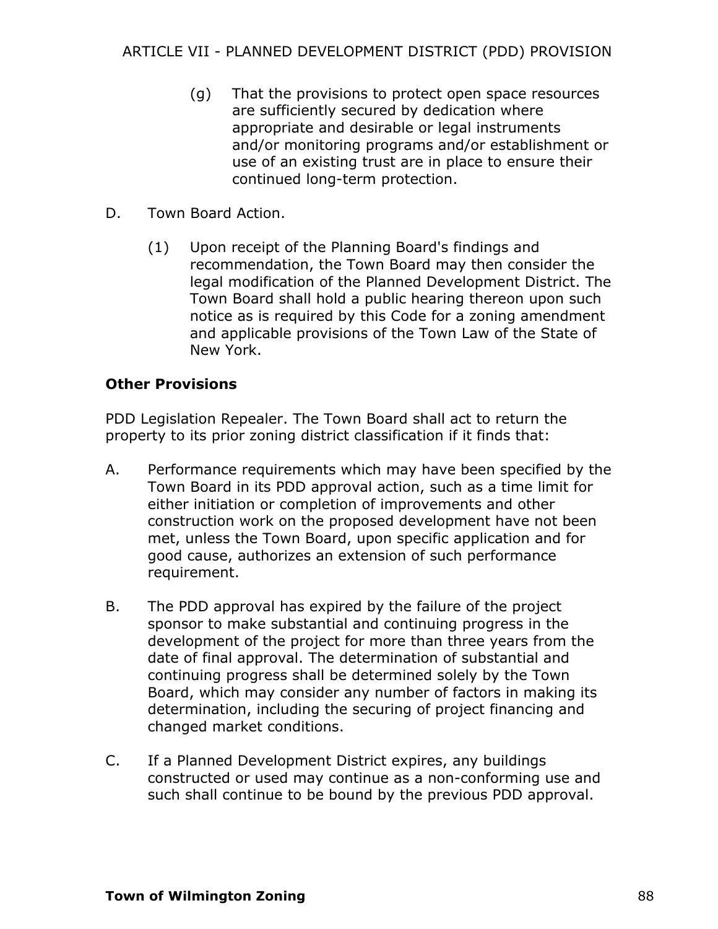- (g) That the provisions to protect open space resources are sufficiently secured by dedication where appropriate and desirable or legal instruments and/or monitoring programs and/or establishment or use of an existing trust are in place to ensure their continued long-term protection.
- D. Town Board Action.
	- (1) Upon receipt of the Planning Board's findings and recommendation, the Town Board may then consider the legal modification of the Planned Development District. The Town Board shall hold a public hearing thereon upon such notice as is required by this Code for a zoning amendment and applicable provisions of the Town Law of the State of New York.

#### **Other Provisions**

PDD Legislation Repealer. The Town Board shall act to return the property to its prior zoning district classification if it finds that:

- A. Performance requirements which may have been specified by the Town Board in its PDD approval action, such as a time limit for either initiation or completion of improvements and other construction work on the proposed development have not been met, unless the Town Board, upon specific application and for good cause, authorizes an extension of such performance requirement.
- B. The PDD approval has expired by the failure of the project sponsor to make substantial and continuing progress in the development of the project for more than three years from the date of final approval. The determination of substantial and continuing progress shall be determined solely by the Town Board, which may consider any number of factors in making its determination, including the securing of project financing and changed market conditions.
- C. If a Planned Development District expires, any buildings constructed or used may continue as a non-conforming use and such shall continue to be bound by the previous PDD approval.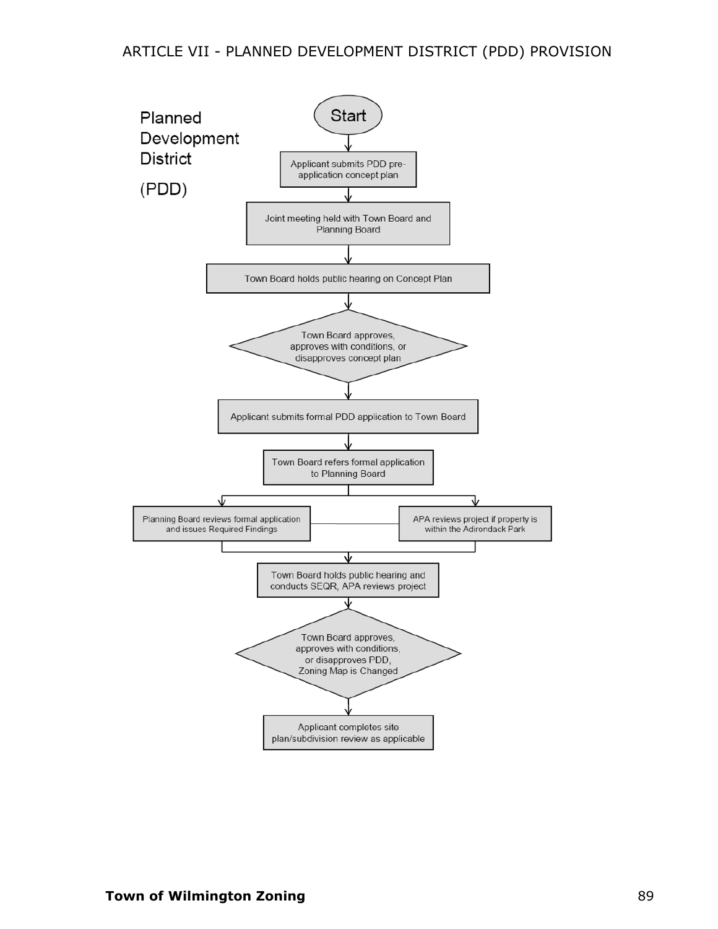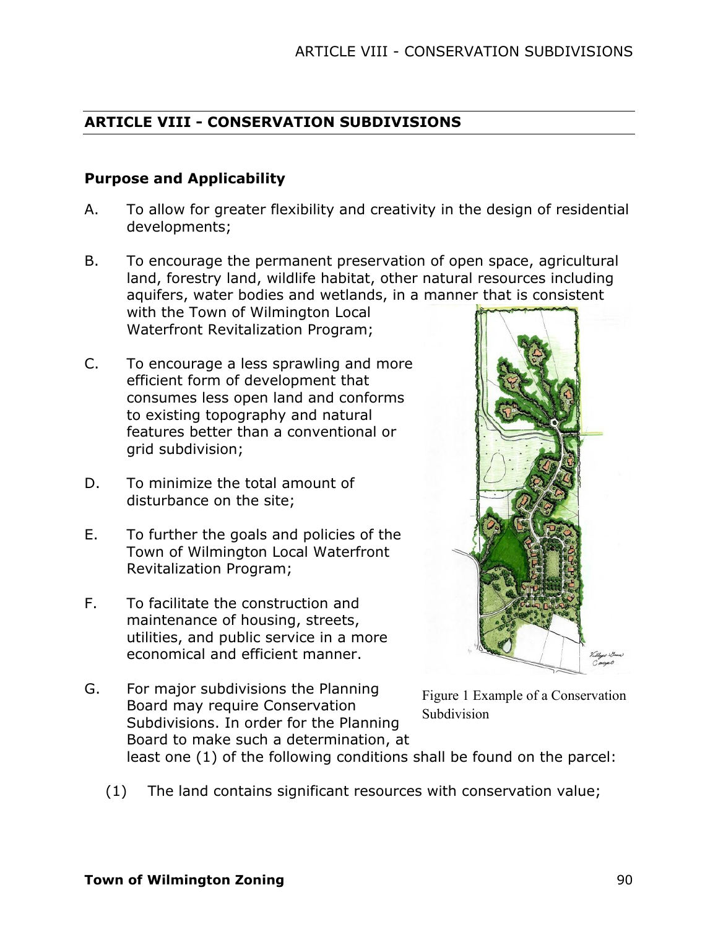# **ARTICLE VIII - CONSERVATION SUBDIVISIONS**

#### **Purpose and Applicability**

- A. To allow for greater flexibility and creativity in the design of residential developments;
- B. To encourage the permanent preservation of open space, agricultural land, forestry land, wildlife habitat, other natural resources including aquifers, water bodies and wetlands, in a manner that is consistent with the Town of Wilmington Local

Waterfront Revitalization Program;

- C. To encourage a less sprawling and more efficient form of development that consumes less open land and conforms to existing topography and natural features better than a conventional or grid subdivision;
- D. To minimize the total amount of disturbance on the site;
- E. To further the goals and policies of the Town of Wilmington Local Waterfront Revitalization Program;
- F. To facilitate the construction and maintenance of housing, streets, utilities, and public service in a more economical and efficient manner.
- G. For major subdivisions the Planning Board may require Conservation Subdivisions. In order for the Planning Board to make such a determination, at least one (1) of the following conditions shall be found on the parcel: Figure 1 Example of a Conservation **Subdivision** 
	- (1) The land contains significant resources with conservation value;

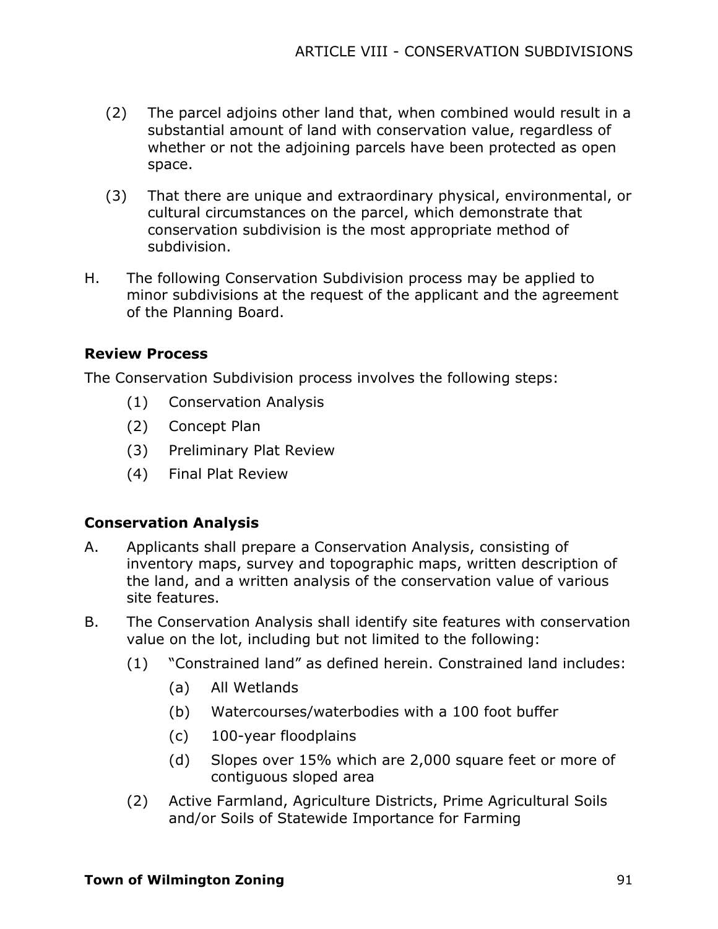- (2) The parcel adjoins other land that, when combined would result in a substantial amount of land with conservation value, regardless of whether or not the adjoining parcels have been protected as open space.
- (3) That there are unique and extraordinary physical, environmental, or cultural circumstances on the parcel, which demonstrate that conservation subdivision is the most appropriate method of subdivision.
- H. The following Conservation Subdivision process may be applied to minor subdivisions at the request of the applicant and the agreement of the Planning Board.

#### **Review Process**

The Conservation Subdivision process involves the following steps:

- (1) Conservation Analysis
- (2) Concept Plan
- (3) Preliminary Plat Review
- (4) Final Plat Review

# **Conservation Analysis**

- A. Applicants shall prepare a Conservation Analysis, consisting of inventory maps, survey and topographic maps, written description of the land, and a written analysis of the conservation value of various site features.
- B. The Conservation Analysis shall identify site features with conservation value on the lot, including but not limited to the following:
	- (1) "Constrained land" as defined herein. Constrained land includes:
		- (a) All Wetlands
		- (b) Watercourses/waterbodies with a 100 foot buffer
		- (c) 100-year floodplains
		- (d) Slopes over 15% which are 2,000 square feet or more of contiguous sloped area
	- (2) Active Farmland, Agriculture Districts, Prime Agricultural Soils and/or Soils of Statewide Importance for Farming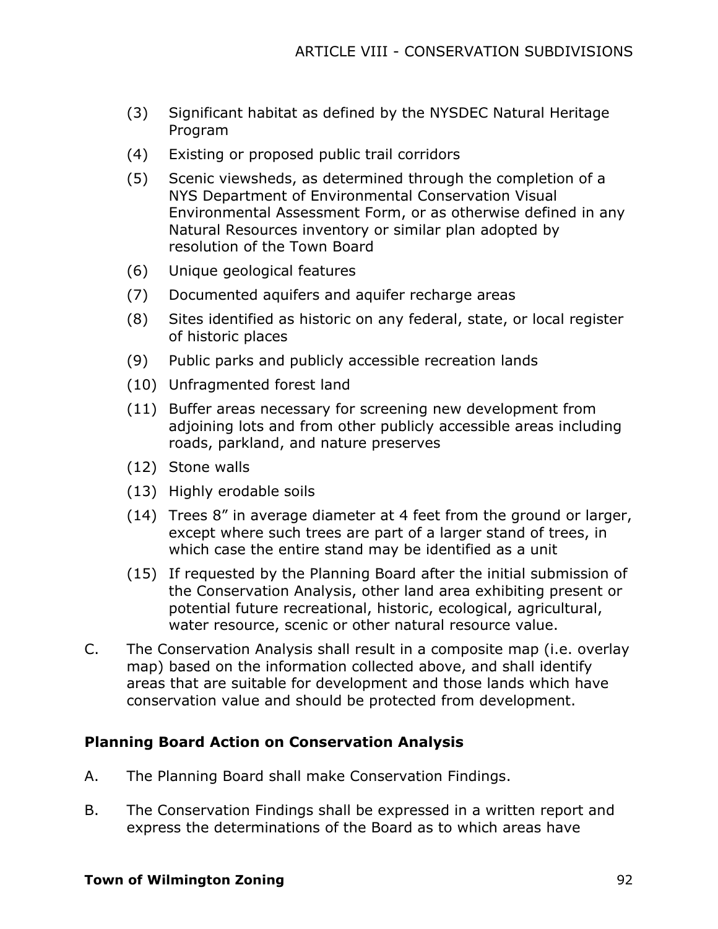- (3) Significant habitat as defined by the NYSDEC Natural Heritage Program
- (4) Existing or proposed public trail corridors
- (5) Scenic viewsheds, as determined through the completion of a NYS Department of Environmental Conservation Visual Environmental Assessment Form, or as otherwise defined in any Natural Resources inventory or similar plan adopted by resolution of the Town Board
- (6) Unique geological features
- (7) Documented aquifers and aquifer recharge areas
- (8) Sites identified as historic on any federal, state, or local register of historic places
- (9) Public parks and publicly accessible recreation lands
- (10) Unfragmented forest land
- (11) Buffer areas necessary for screening new development from adjoining lots and from other publicly accessible areas including roads, parkland, and nature preserves
- (12) Stone walls
- (13) Highly erodable soils
- (14) Trees 8" in average diameter at 4 feet from the ground or larger, except where such trees are part of a larger stand of trees, in which case the entire stand may be identified as a unit
- (15) If requested by the Planning Board after the initial submission of the Conservation Analysis, other land area exhibiting present or potential future recreational, historic, ecological, agricultural, water resource, scenic or other natural resource value.
- C. The Conservation Analysis shall result in a composite map (i.e. overlay map) based on the information collected above, and shall identify areas that are suitable for development and those lands which have conservation value and should be protected from development.

#### **Planning Board Action on Conservation Analysis**

- A. The Planning Board shall make Conservation Findings.
- B. The Conservation Findings shall be expressed in a written report and express the determinations of the Board as to which areas have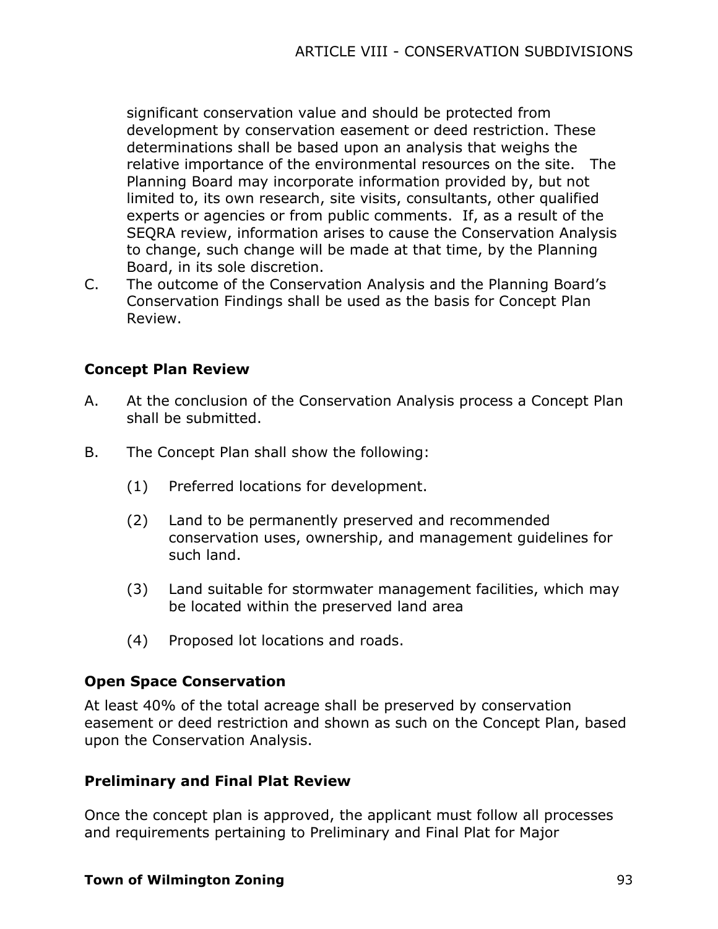significant conservation value and should be protected from development by conservation easement or deed restriction. These determinations shall be based upon an analysis that weighs the relative importance of the environmental resources on the site. The Planning Board may incorporate information provided by, but not limited to, its own research, site visits, consultants, other qualified experts or agencies or from public comments. If, as a result of the SEQRA review, information arises to cause the Conservation Analysis to change, such change will be made at that time, by the Planning Board, in its sole discretion.

C. The outcome of the Conservation Analysis and the Planning Board's Conservation Findings shall be used as the basis for Concept Plan Review.

# **Concept Plan Review**

- A. At the conclusion of the Conservation Analysis process a Concept Plan shall be submitted.
- B. The Concept Plan shall show the following:
	- (1) Preferred locations for development.
	- (2) Land to be permanently preserved and recommended conservation uses, ownership, and management guidelines for such land.
	- (3) Land suitable for stormwater management facilities, which may be located within the preserved land area
	- (4) Proposed lot locations and roads.

# **Open Space Conservation**

At least 40% of the total acreage shall be preserved by conservation easement or deed restriction and shown as such on the Concept Plan, based upon the Conservation Analysis.

# **Preliminary and Final Plat Review**

Once the concept plan is approved, the applicant must follow all processes and requirements pertaining to Preliminary and Final Plat for Major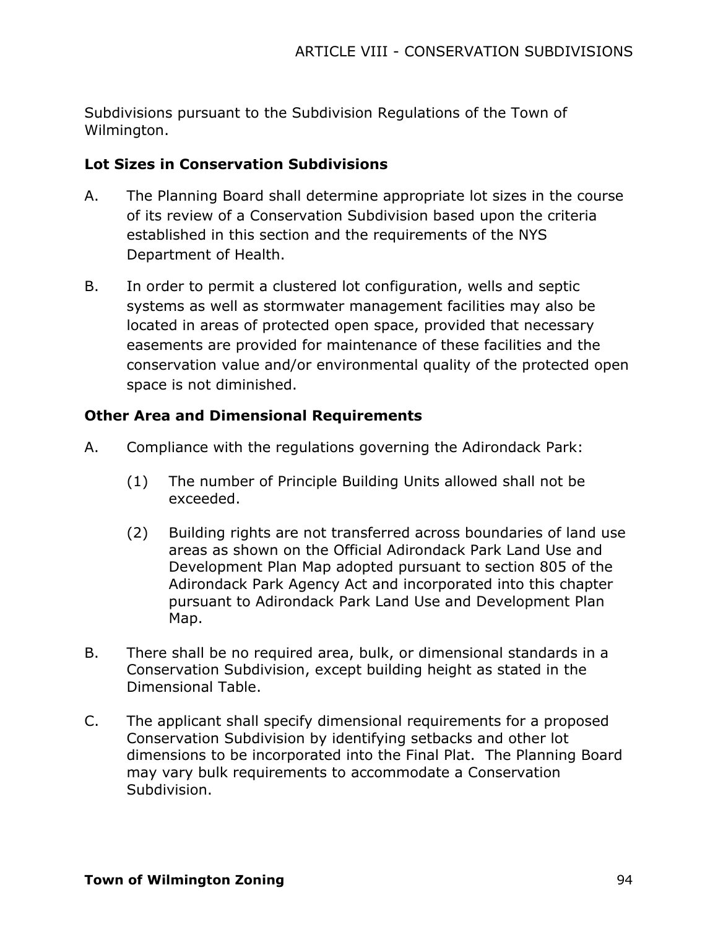Subdivisions pursuant to the Subdivision Regulations of the Town of Wilmington.

# **Lot Sizes in Conservation Subdivisions**

- A. The Planning Board shall determine appropriate lot sizes in the course of its review of a Conservation Subdivision based upon the criteria established in this section and the requirements of the NYS Department of Health.
- B. In order to permit a clustered lot configuration, wells and septic systems as well as stormwater management facilities may also be located in areas of protected open space, provided that necessary easements are provided for maintenance of these facilities and the conservation value and/or environmental quality of the protected open space is not diminished.

# **Other Area and Dimensional Requirements**

- A. Compliance with the regulations governing the Adirondack Park:
	- (1) The number of Principle Building Units allowed shall not be exceeded.
	- (2) Building rights are not transferred across boundaries of land use areas as shown on the Official Adirondack Park Land Use and Development Plan Map adopted pursuant to section 805 of the Adirondack Park Agency Act and incorporated into this chapter pursuant to Adirondack Park Land Use and Development Plan Map.
- B. There shall be no required area, bulk, or dimensional standards in a Conservation Subdivision, except building height as stated in the Dimensional Table.
- C. The applicant shall specify dimensional requirements for a proposed Conservation Subdivision by identifying setbacks and other lot dimensions to be incorporated into the Final Plat. The Planning Board may vary bulk requirements to accommodate a Conservation Subdivision.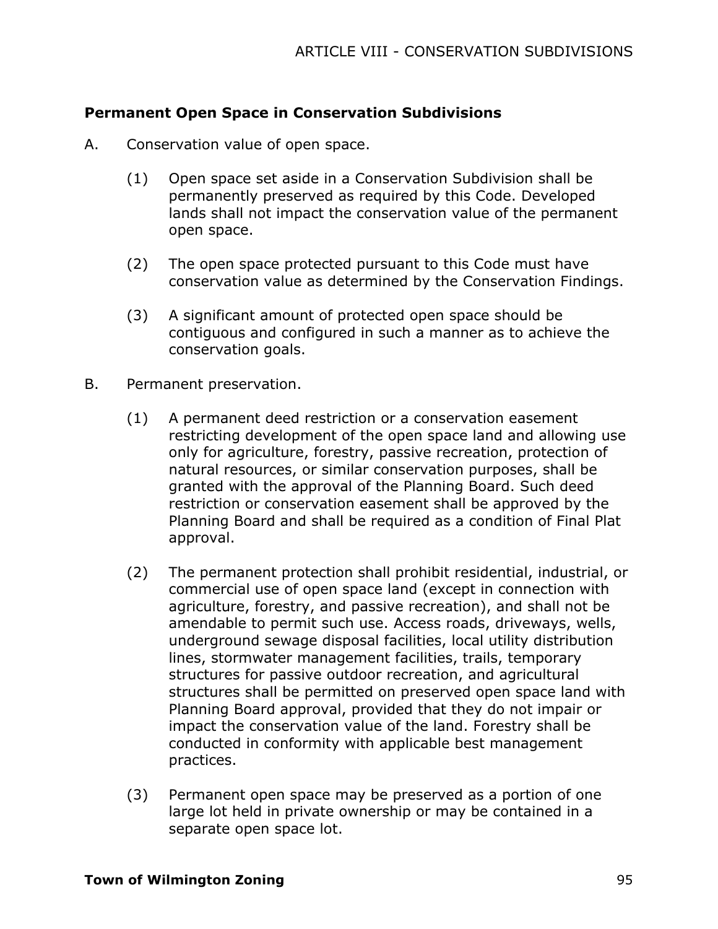# **Permanent Open Space in Conservation Subdivisions**

- A. Conservation value of open space.
	- (1) Open space set aside in a Conservation Subdivision shall be permanently preserved as required by this Code. Developed lands shall not impact the conservation value of the permanent open space.
	- (2) The open space protected pursuant to this Code must have conservation value as determined by the Conservation Findings.
	- (3) A significant amount of protected open space should be contiguous and configured in such a manner as to achieve the conservation goals.
- B. Permanent preservation.
	- (1) A permanent deed restriction or a conservation easement restricting development of the open space land and allowing use only for agriculture, forestry, passive recreation, protection of natural resources, or similar conservation purposes, shall be granted with the approval of the Planning Board. Such deed restriction or conservation easement shall be approved by the Planning Board and shall be required as a condition of Final Plat approval.
	- (2) The permanent protection shall prohibit residential, industrial, or commercial use of open space land (except in connection with agriculture, forestry, and passive recreation), and shall not be amendable to permit such use. Access roads, driveways, wells, underground sewage disposal facilities, local utility distribution lines, stormwater management facilities, trails, temporary structures for passive outdoor recreation, and agricultural structures shall be permitted on preserved open space land with Planning Board approval, provided that they do not impair or impact the conservation value of the land. Forestry shall be conducted in conformity with applicable best management practices.
	- (3) Permanent open space may be preserved as a portion of one large lot held in private ownership or may be contained in a separate open space lot.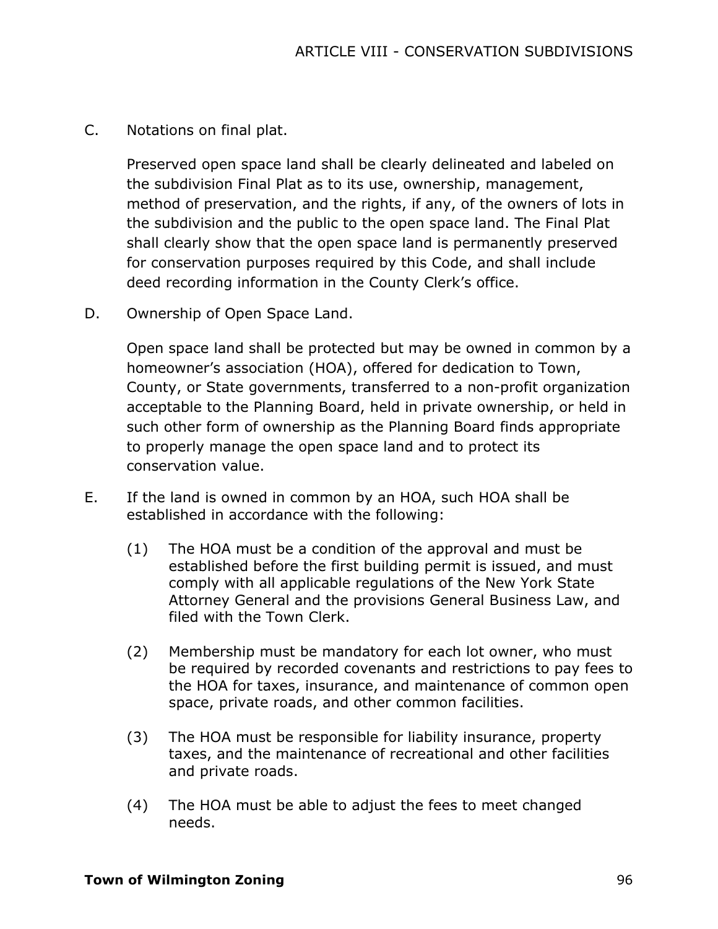C. Notations on final plat.

Preserved open space land shall be clearly delineated and labeled on the subdivision Final Plat as to its use, ownership, management, method of preservation, and the rights, if any, of the owners of lots in the subdivision and the public to the open space land. The Final Plat shall clearly show that the open space land is permanently preserved for conservation purposes required by this Code, and shall include deed recording information in the County Clerk's office.

D. Ownership of Open Space Land.

Open space land shall be protected but may be owned in common by a homeowner's association (HOA), offered for dedication to Town, County, or State governments, transferred to a non-profit organization acceptable to the Planning Board, held in private ownership, or held in such other form of ownership as the Planning Board finds appropriate to properly manage the open space land and to protect its conservation value.

- E. If the land is owned in common by an HOA, such HOA shall be established in accordance with the following:
	- (1) The HOA must be a condition of the approval and must be established before the first building permit is issued, and must comply with all applicable regulations of the New York State Attorney General and the provisions General Business Law, and filed with the Town Clerk.
	- (2) Membership must be mandatory for each lot owner, who must be required by recorded covenants and restrictions to pay fees to the HOA for taxes, insurance, and maintenance of common open space, private roads, and other common facilities.
	- (3) The HOA must be responsible for liability insurance, property taxes, and the maintenance of recreational and other facilities and private roads.
	- (4) The HOA must be able to adjust the fees to meet changed needs.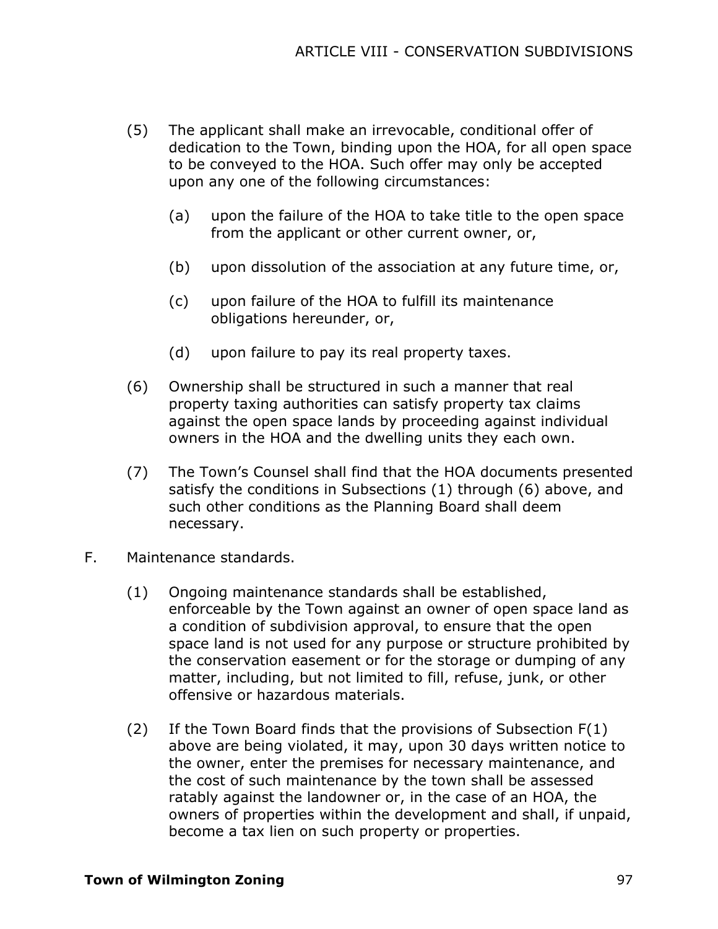- (5) The applicant shall make an irrevocable, conditional offer of dedication to the Town, binding upon the HOA, for all open space to be conveyed to the HOA. Such offer may only be accepted upon any one of the following circumstances:
	- (a) upon the failure of the HOA to take title to the open space from the applicant or other current owner, or,
	- (b) upon dissolution of the association at any future time, or,
	- (c) upon failure of the HOA to fulfill its maintenance obligations hereunder, or,
	- (d) upon failure to pay its real property taxes.
- (6) Ownership shall be structured in such a manner that real property taxing authorities can satisfy property tax claims against the open space lands by proceeding against individual owners in the HOA and the dwelling units they each own.
- (7) The Town's Counsel shall find that the HOA documents presented satisfy the conditions in Subsections (1) through (6) above, and such other conditions as the Planning Board shall deem necessary.
- F. Maintenance standards.
	- (1) Ongoing maintenance standards shall be established, enforceable by the Town against an owner of open space land as a condition of subdivision approval, to ensure that the open space land is not used for any purpose or structure prohibited by the conservation easement or for the storage or dumping of any matter, including, but not limited to fill, refuse, junk, or other offensive or hazardous materials.
	- (2) If the Town Board finds that the provisions of Subsection F(1) above are being violated, it may, upon 30 days written notice to the owner, enter the premises for necessary maintenance, and the cost of such maintenance by the town shall be assessed ratably against the landowner or, in the case of an HOA, the owners of properties within the development and shall, if unpaid, become a tax lien on such property or properties.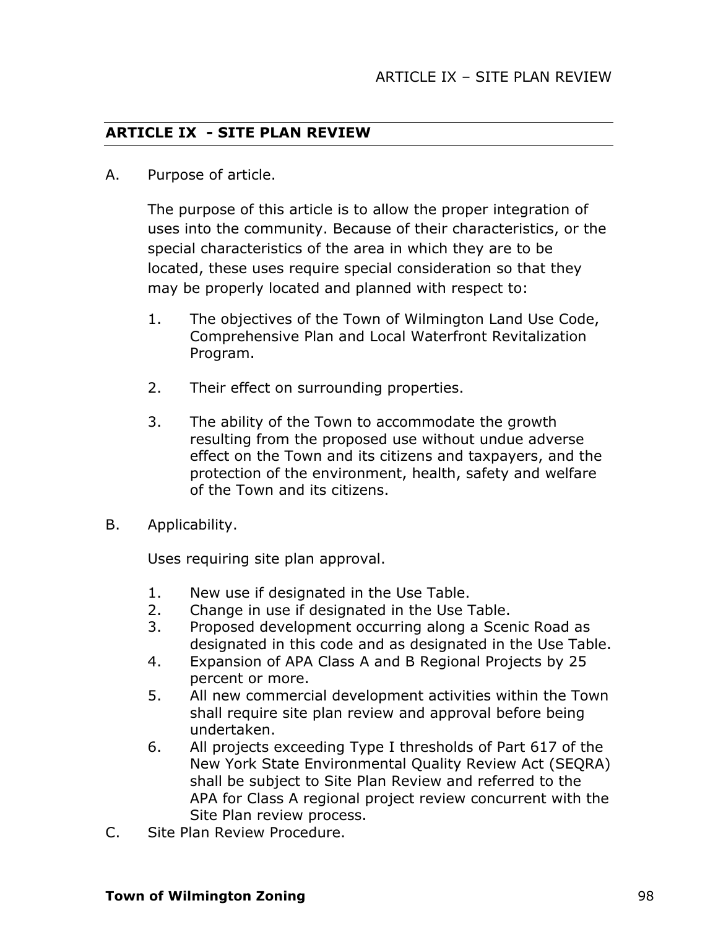#### **ARTICLE IX - SITE PLAN REVIEW**

A. Purpose of article.

The purpose of this article is to allow the proper integration of uses into the community. Because of their characteristics, or the special characteristics of the area in which they are to be located, these uses require special consideration so that they may be properly located and planned with respect to:

- 1. The objectives of the Town of Wilmington Land Use Code, Comprehensive Plan and Local Waterfront Revitalization Program.
- 2. Their effect on surrounding properties.
- 3. The ability of the Town to accommodate the growth resulting from the proposed use without undue adverse effect on the Town and its citizens and taxpayers, and the protection of the environment, health, safety and welfare of the Town and its citizens.
- B. Applicability.

Uses requiring site plan approval.

- 1. New use if designated in the Use Table.
- 2. Change in use if designated in the Use Table.
- 3. Proposed development occurring along a Scenic Road as designated in this code and as designated in the Use Table.
- 4. Expansion of APA Class A and B Regional Projects by 25 percent or more.
- 5. All new commercial development activities within the Town shall require site plan review and approval before being undertaken.
- 6. All projects exceeding Type I thresholds of Part 617 of the New York State Environmental Quality Review Act (SEQRA) shall be subject to Site Plan Review and referred to the APA for Class A regional project review concurrent with the Site Plan review process.
- C. Site Plan Review Procedure.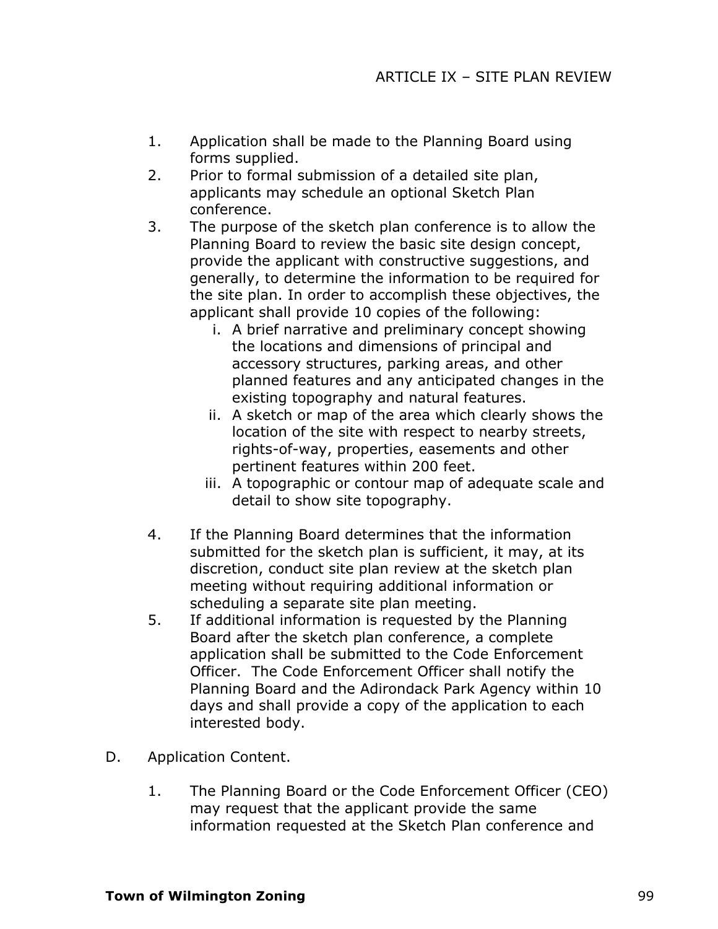- 1. Application shall be made to the Planning Board using forms supplied.
- 2. Prior to formal submission of a detailed site plan, applicants may schedule an optional Sketch Plan conference.
- 3. The purpose of the sketch plan conference is to allow the Planning Board to review the basic site design concept, provide the applicant with constructive suggestions, and generally, to determine the information to be required for the site plan. In order to accomplish these objectives, the applicant shall provide 10 copies of the following:
	- i. A brief narrative and preliminary concept showing the locations and dimensions of principal and accessory structures, parking areas, and other planned features and any anticipated changes in the existing topography and natural features.
	- ii. A sketch or map of the area which clearly shows the location of the site with respect to nearby streets, rights-of-way, properties, easements and other pertinent features within 200 feet.
	- iii. A topographic or contour map of adequate scale and detail to show site topography.
- 4. If the Planning Board determines that the information submitted for the sketch plan is sufficient, it may, at its discretion, conduct site plan review at the sketch plan meeting without requiring additional information or scheduling a separate site plan meeting.
- 5. If additional information is requested by the Planning Board after the sketch plan conference, a complete application shall be submitted to the Code Enforcement Officer. The Code Enforcement Officer shall notify the Planning Board and the Adirondack Park Agency within 10 days and shall provide a copy of the application to each interested body.
- D. Application Content.
	- 1. The Planning Board or the Code Enforcement Officer (CEO) may request that the applicant provide the same information requested at the Sketch Plan conference and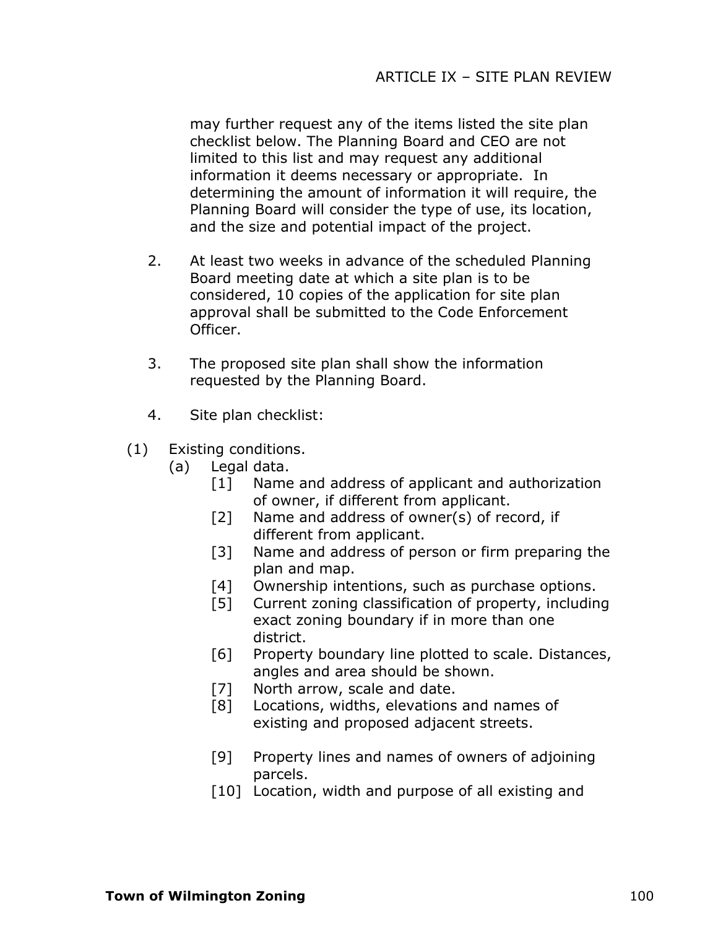may further request any of the items listed the site plan checklist below. The Planning Board and CEO are not limited to this list and may request any additional information it deems necessary or appropriate. In determining the amount of information it will require, the Planning Board will consider the type of use, its location, and the size and potential impact of the project.

- 2. At least two weeks in advance of the scheduled Planning Board meeting date at which a site plan is to be considered, 10 copies of the application for site plan approval shall be submitted to the Code Enforcement Officer.
- 3. The proposed site plan shall show the information requested by the Planning Board.
- 4. Site plan checklist:
- (1) Existing conditions.
	- (a) Legal data.
		- [1] Name and address of applicant and authorization of owner, if different from applicant.
		- [2] Name and address of owner(s) of record, if different from applicant.
		- [3] Name and address of person or firm preparing the plan and map.
		- [4] Ownership intentions, such as purchase options.
		- [5] Current zoning classification of property, including exact zoning boundary if in more than one district.
		- [6] Property boundary line plotted to scale. Distances, angles and area should be shown.
		- [7] North arrow, scale and date.
		- [8] Locations, widths, elevations and names of existing and proposed adjacent streets.
		- [9] Property lines and names of owners of adjoining parcels.
		- [10] Location, width and purpose of all existing and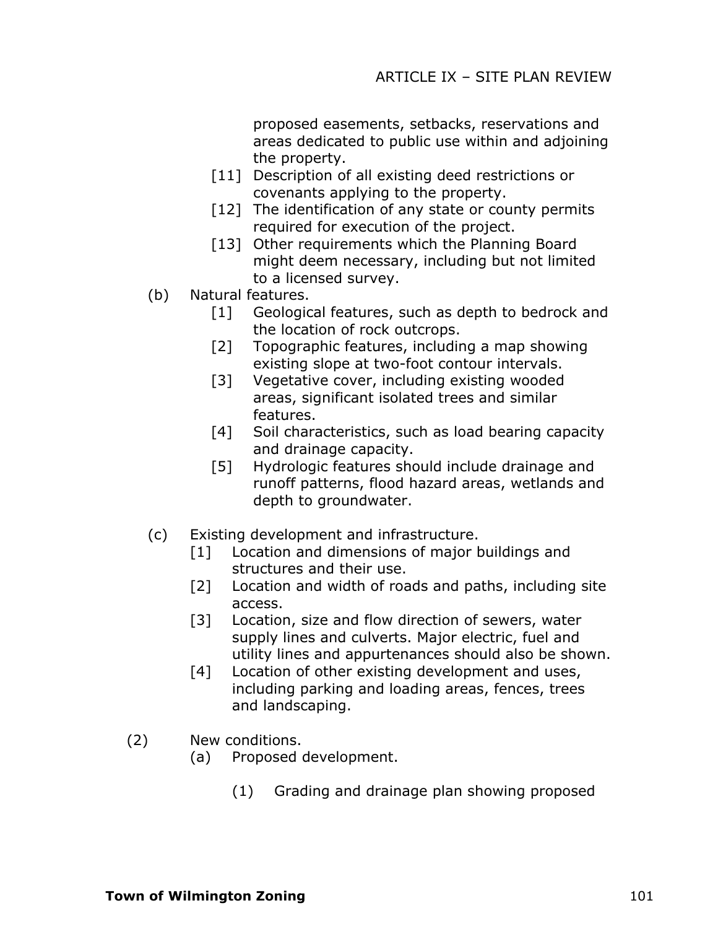proposed easements, setbacks, reservations and areas dedicated to public use within and adjoining the property.

- [11] Description of all existing deed restrictions or covenants applying to the property.
- [12] The identification of any state or county permits required for execution of the project.
- [13] Other requirements which the Planning Board might deem necessary, including but not limited to a licensed survey.
- (b) Natural features.
	- [1] Geological features, such as depth to bedrock and the location of rock outcrops.
	- [2] Topographic features, including a map showing existing slope at two-foot contour intervals.
	- [3] Vegetative cover, including existing wooded areas, significant isolated trees and similar features.
	- [4] Soil characteristics, such as load bearing capacity and drainage capacity.
	- [5] Hydrologic features should include drainage and runoff patterns, flood hazard areas, wetlands and depth to groundwater.
- (c) Existing development and infrastructure.
	- [1] Location and dimensions of major buildings and structures and their use.
	- [2] Location and width of roads and paths, including site access.
	- [3] Location, size and flow direction of sewers, water supply lines and culverts. Major electric, fuel and utility lines and appurtenances should also be shown.
	- [4] Location of other existing development and uses, including parking and loading areas, fences, trees and landscaping.
- (2) New conditions.
	- (a) Proposed development.
		- (1) Grading and drainage plan showing proposed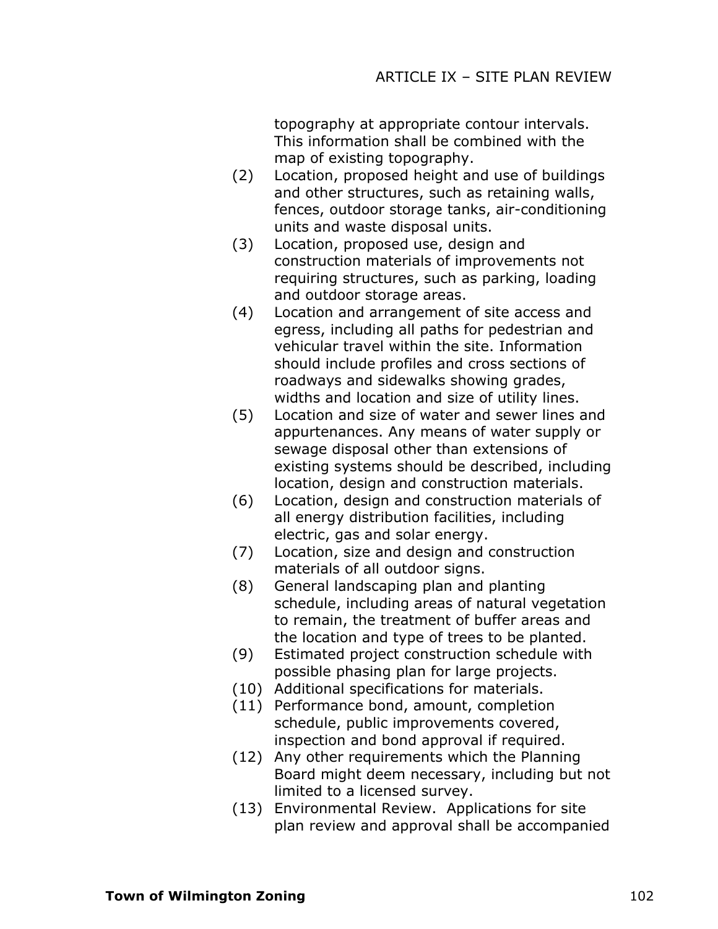topography at appropriate contour intervals. This information shall be combined with the map of existing topography.

- (2) Location, proposed height and use of buildings and other structures, such as retaining walls, fences, outdoor storage tanks, air-conditioning units and waste disposal units.
- (3) Location, proposed use, design and construction materials of improvements not requiring structures, such as parking, loading and outdoor storage areas.
- (4) Location and arrangement of site access and egress, including all paths for pedestrian and vehicular travel within the site. Information should include profiles and cross sections of roadways and sidewalks showing grades, widths and location and size of utility lines.
- (5) Location and size of water and sewer lines and appurtenances. Any means of water supply or sewage disposal other than extensions of existing systems should be described, including location, design and construction materials.
- (6) Location, design and construction materials of all energy distribution facilities, including electric, gas and solar energy.
- (7) Location, size and design and construction materials of all outdoor signs.
- (8) General landscaping plan and planting schedule, including areas of natural vegetation to remain, the treatment of buffer areas and the location and type of trees to be planted.
- (9) Estimated project construction schedule with possible phasing plan for large projects.
- (10) Additional specifications for materials.
- (11) Performance bond, amount, completion schedule, public improvements covered, inspection and bond approval if required.
- (12) Any other requirements which the Planning Board might deem necessary, including but not limited to a licensed survey.
- (13) Environmental Review. Applications for site plan review and approval shall be accompanied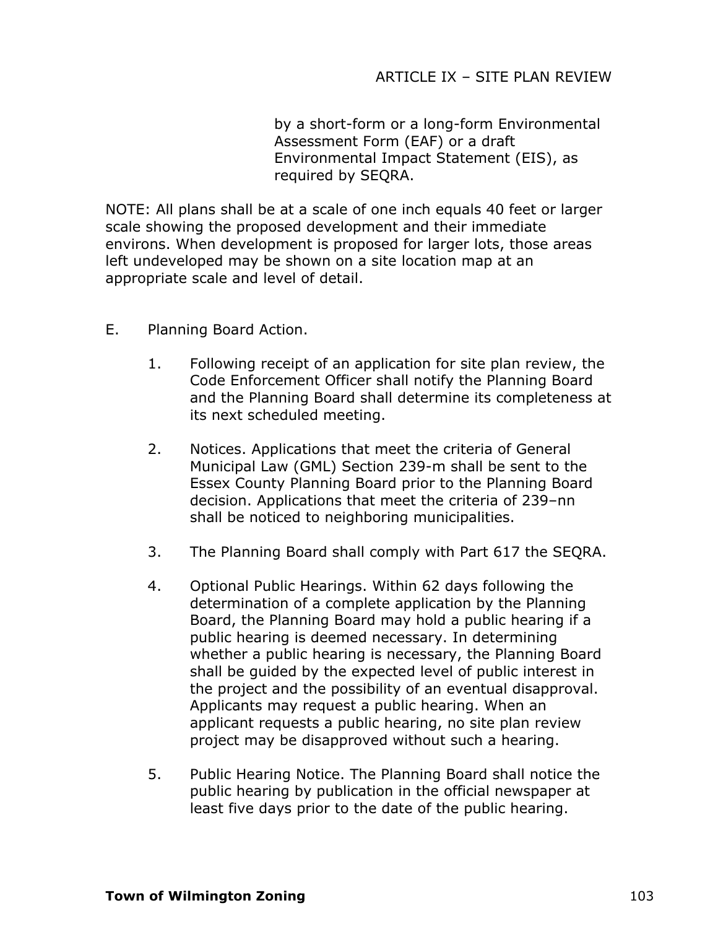by a short-form or a long-form Environmental Assessment Form (EAF) or a draft Environmental Impact Statement (EIS), as required by SEQRA.

NOTE: All plans shall be at a scale of one inch equals 40 feet or larger scale showing the proposed development and their immediate environs. When development is proposed for larger lots, those areas left undeveloped may be shown on a site location map at an appropriate scale and level of detail.

- E. Planning Board Action.
	- 1. Following receipt of an application for site plan review, the Code Enforcement Officer shall notify the Planning Board and the Planning Board shall determine its completeness at its next scheduled meeting.
	- 2. Notices. Applications that meet the criteria of General Municipal Law (GML) Section 239-m shall be sent to the Essex County Planning Board prior to the Planning Board decision. Applications that meet the criteria of 239–nn shall be noticed to neighboring municipalities.
	- 3. The Planning Board shall comply with Part 617 the SEQRA.
	- 4. Optional Public Hearings. Within 62 days following the determination of a complete application by the Planning Board, the Planning Board may hold a public hearing if a public hearing is deemed necessary. In determining whether a public hearing is necessary, the Planning Board shall be guided by the expected level of public interest in the project and the possibility of an eventual disapproval. Applicants may request a public hearing. When an applicant requests a public hearing, no site plan review project may be disapproved without such a hearing.
	- 5. Public Hearing Notice. The Planning Board shall notice the public hearing by publication in the official newspaper at least five days prior to the date of the public hearing.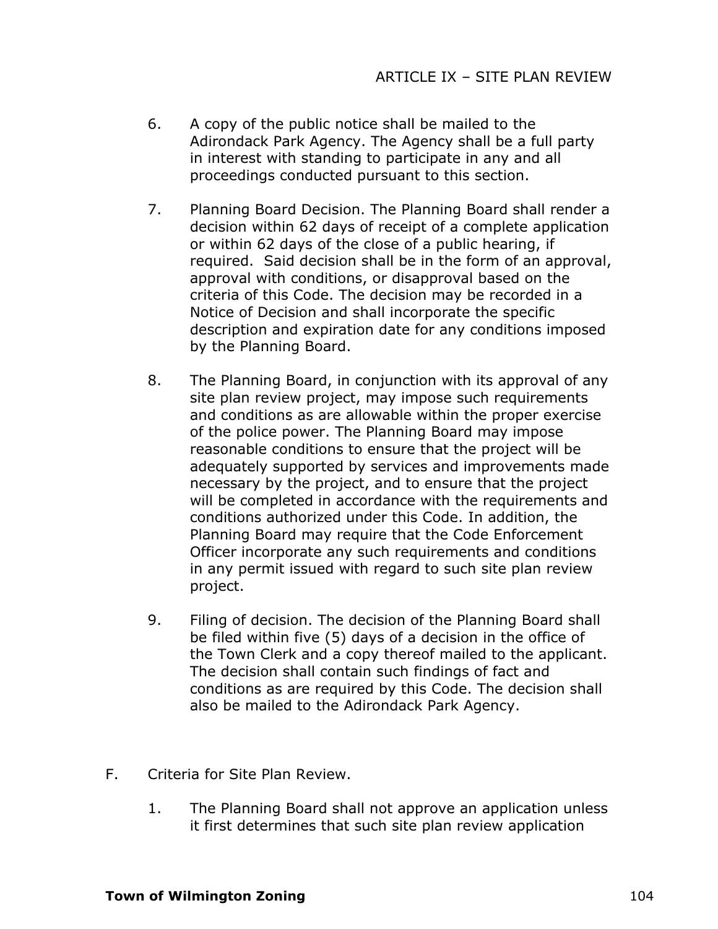- 6. A copy of the public notice shall be mailed to the Adirondack Park Agency. The Agency shall be a full party in interest with standing to participate in any and all proceedings conducted pursuant to this section.
- 7. Planning Board Decision. The Planning Board shall render a decision within 62 days of receipt of a complete application or within 62 days of the close of a public hearing, if required. Said decision shall be in the form of an approval, approval with conditions, or disapproval based on the criteria of this Code. The decision may be recorded in a Notice of Decision and shall incorporate the specific description and expiration date for any conditions imposed by the Planning Board.
- 8. The Planning Board, in conjunction with its approval of any site plan review project, may impose such requirements and conditions as are allowable within the proper exercise of the police power. The Planning Board may impose reasonable conditions to ensure that the project will be adequately supported by services and improvements made necessary by the project, and to ensure that the project will be completed in accordance with the requirements and conditions authorized under this Code. In addition, the Planning Board may require that the Code Enforcement Officer incorporate any such requirements and conditions in any permit issued with regard to such site plan review project.
- 9. Filing of decision. The decision of the Planning Board shall be filed within five (5) days of a decision in the office of the Town Clerk and a copy thereof mailed to the applicant. The decision shall contain such findings of fact and conditions as are required by this Code. The decision shall also be mailed to the Adirondack Park Agency.
- F. Criteria for Site Plan Review.
	- 1. The Planning Board shall not approve an application unless it first determines that such site plan review application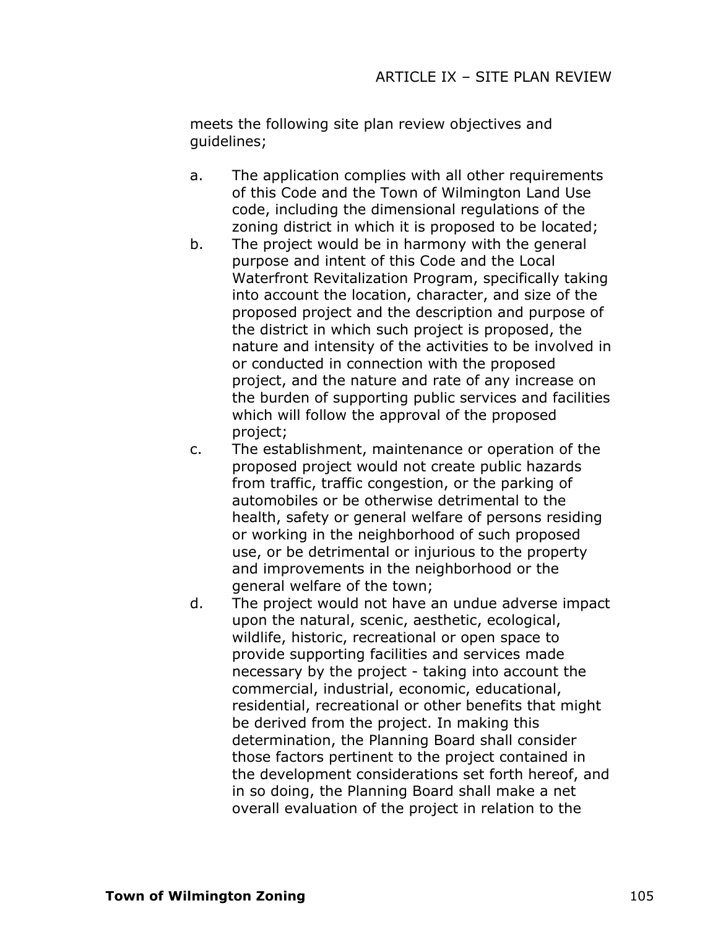meets the following site plan review objectives and guidelines;

- a. The application complies with all other requirements of this Code and the Town of Wilmington Land Use code, including the dimensional regulations of the zoning district in which it is proposed to be located;
- b. The project would be in harmony with the general purpose and intent of this Code and the Local Waterfront Revitalization Program, specifically taking into account the location, character, and size of the proposed project and the description and purpose of the district in which such project is proposed, the nature and intensity of the activities to be involved in or conducted in connection with the proposed project, and the nature and rate of any increase on the burden of supporting public services and facilities which will follow the approval of the proposed project;
- c. The establishment, maintenance or operation of the proposed project would not create public hazards from traffic, traffic congestion, or the parking of automobiles or be otherwise detrimental to the health, safety or general welfare of persons residing or working in the neighborhood of such proposed use, or be detrimental or injurious to the property and improvements in the neighborhood or the general welfare of the town;
- d. The project would not have an undue adverse impact upon the natural, scenic, aesthetic, ecological, wildlife, historic, recreational or open space to provide supporting facilities and services made necessary by the project - taking into account the commercial, industrial, economic, educational, residential, recreational or other benefits that might be derived from the project. In making this determination, the Planning Board shall consider those factors pertinent to the project contained in the development considerations set forth hereof, and in so doing, the Planning Board shall make a net overall evaluation of the project in relation to the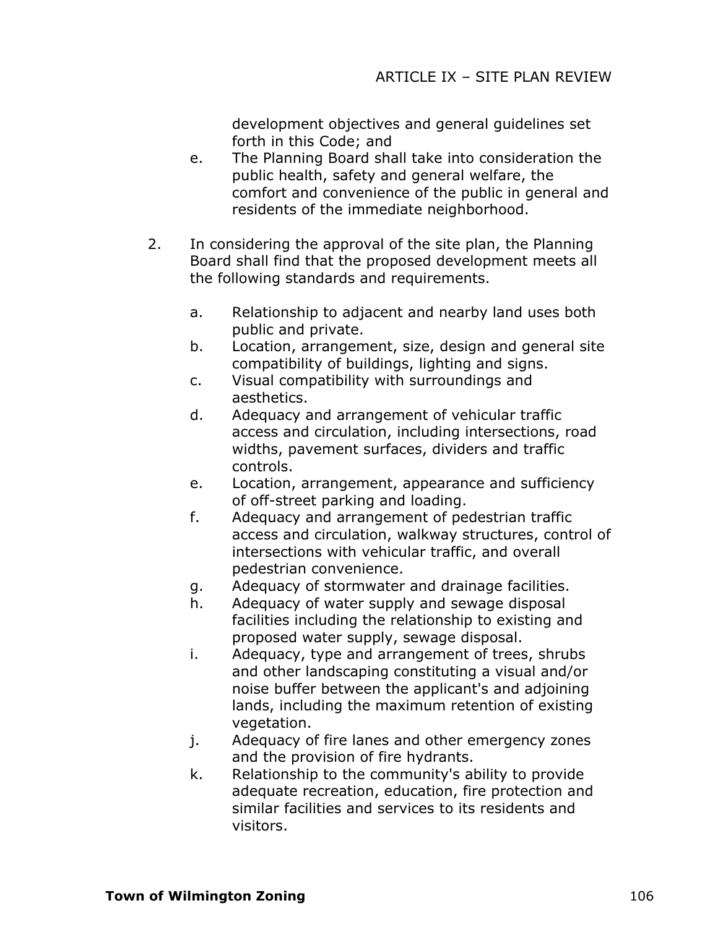development objectives and general guidelines set forth in this Code; and

- e. The Planning Board shall take into consideration the public health, safety and general welfare, the comfort and convenience of the public in general and residents of the immediate neighborhood.
- 2. In considering the approval of the site plan, the Planning Board shall find that the proposed development meets all the following standards and requirements.
	- a. Relationship to adjacent and nearby land uses both public and private.
	- b. Location, arrangement, size, design and general site compatibility of buildings, lighting and signs.
	- c. Visual compatibility with surroundings and aesthetics.
	- d. Adequacy and arrangement of vehicular traffic access and circulation, including intersections, road widths, pavement surfaces, dividers and traffic controls.
	- e. Location, arrangement, appearance and sufficiency of off-street parking and loading.
	- f. Adequacy and arrangement of pedestrian traffic access and circulation, walkway structures, control of intersections with vehicular traffic, and overall pedestrian convenience.
	- g. Adequacy of stormwater and drainage facilities.
	- h. Adequacy of water supply and sewage disposal facilities including the relationship to existing and proposed water supply, sewage disposal.
	- i. Adequacy, type and arrangement of trees, shrubs and other landscaping constituting a visual and/or noise buffer between the applicant's and adjoining lands, including the maximum retention of existing vegetation.
	- j. Adequacy of fire lanes and other emergency zones and the provision of fire hydrants.
	- k. Relationship to the community's ability to provide adequate recreation, education, fire protection and similar facilities and services to its residents and visitors.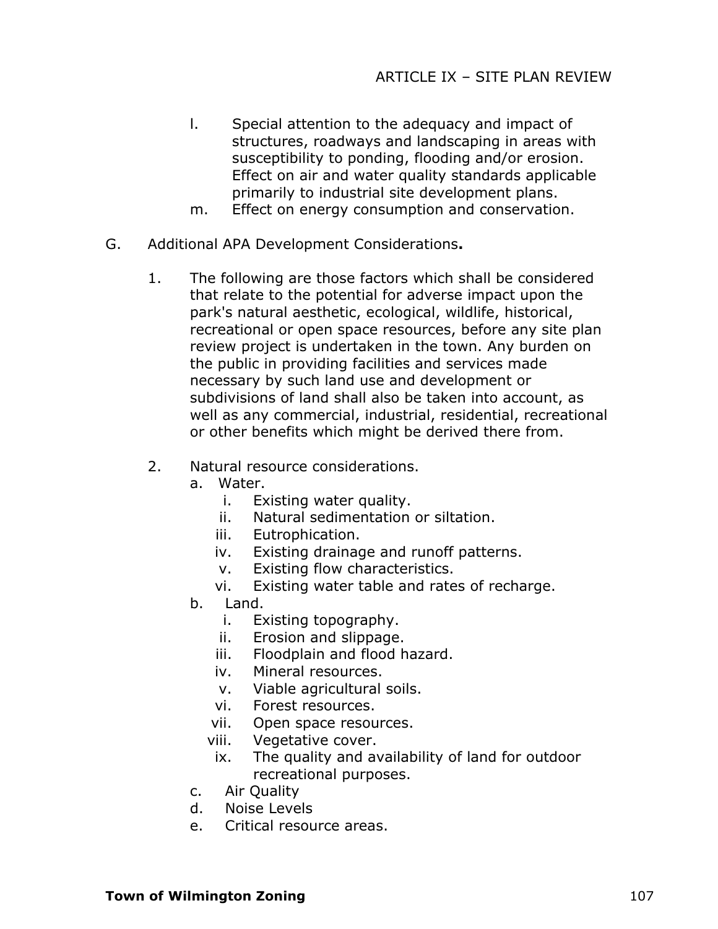- l. Special attention to the adequacy and impact of structures, roadways and landscaping in areas with susceptibility to ponding, flooding and/or erosion. Effect on air and water quality standards applicable primarily to industrial site development plans.
- m. Effect on energy consumption and conservation.
- G. Additional APA Development Considerations**.**
	- 1. The following are those factors which shall be considered that relate to the potential for adverse impact upon the park's natural aesthetic, ecological, wildlife, historical, recreational or open space resources, before any site plan review project is undertaken in the town. Any burden on the public in providing facilities and services made necessary by such land use and development or subdivisions of land shall also be taken into account, as well as any commercial, industrial, residential, recreational or other benefits which might be derived there from.
	- 2. Natural resource considerations.
		- a. Water.
			- i. Existing water quality.
			- ii. Natural sedimentation or siltation.
			- iii. Eutrophication.
			- iv. Existing drainage and runoff patterns.
			- v. Existing flow characteristics.
			- vi. Existing water table and rates of recharge.
		- b. Land.
			- i. Existing topography.
			- ii. Erosion and slippage.
			- iii. Floodplain and flood hazard.
			- iv. Mineral resources.
			- v. Viable agricultural soils.
			- vi. Forest resources.
			- vii. Open space resources.
			- viii. Vegetative cover.
			- ix. The quality and availability of land for outdoor recreational purposes.
		- c. Air Quality
		- d. Noise Levels
		- e. Critical resource areas.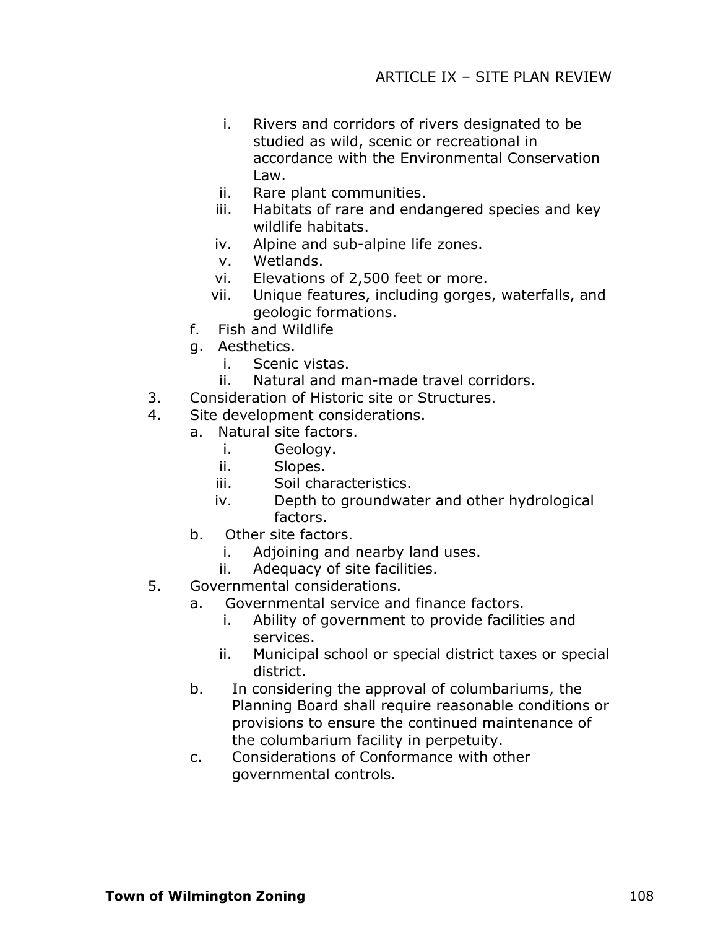- i. Rivers and corridors of rivers designated to be studied as wild, scenic or recreational in accordance with the Environmental Conservation Law.
- ii. Rare plant communities.
- iii. Habitats of rare and endangered species and key wildlife habitats.
- iv. Alpine and sub-alpine life zones.
- v. Wetlands.
- vi. Elevations of 2,500 feet or more.
- vii. Unique features, including gorges, waterfalls, and geologic formations.
- f. Fish and Wildlife
- g. Aesthetics.
	- i. Scenic vistas.
	- ii. Natural and man-made travel corridors.
- 3. Consideration of Historic site or Structures.
- 4. Site development considerations.
	- a. Natural site factors.
		- i. Geology.
		- ii. Slopes.
		- iii. Soil characteristics.
		- iv. Depth to groundwater and other hydrological factors.
	- b. Other site factors.
		- i. Adjoining and nearby land uses.
		- ii. Adequacy of site facilities.
- 5. Governmental considerations.
	- a. Governmental service and finance factors.
		- i. Ability of government to provide facilities and services.
		- ii. Municipal school or special district taxes or special district.
	- b. In considering the approval of columbariums, the Planning Board shall require reasonable conditions or provisions to ensure the continued maintenance of the columbarium facility in perpetuity.
	- c. Considerations of Conformance with other governmental controls.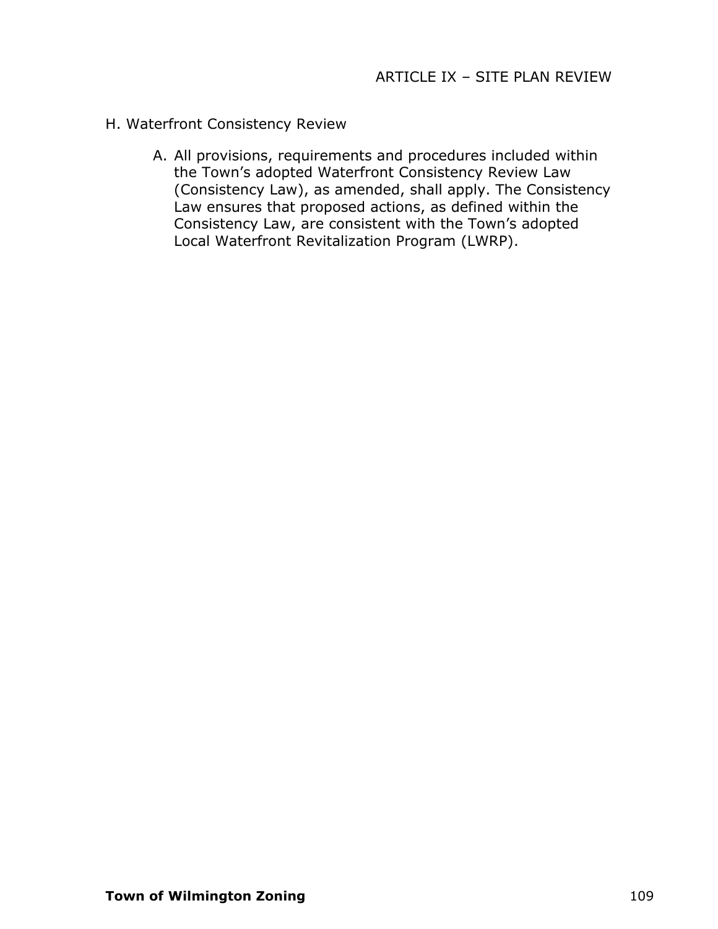### H. Waterfront Consistency Review

A. All provisions, requirements and procedures included within the Town's adopted Waterfront Consistency Review Law (Consistency Law), as amended, shall apply. The Consistency Law ensures that proposed actions, as defined within the Consistency Law, are consistent with the Town's adopted Local Waterfront Revitalization Program (LWRP).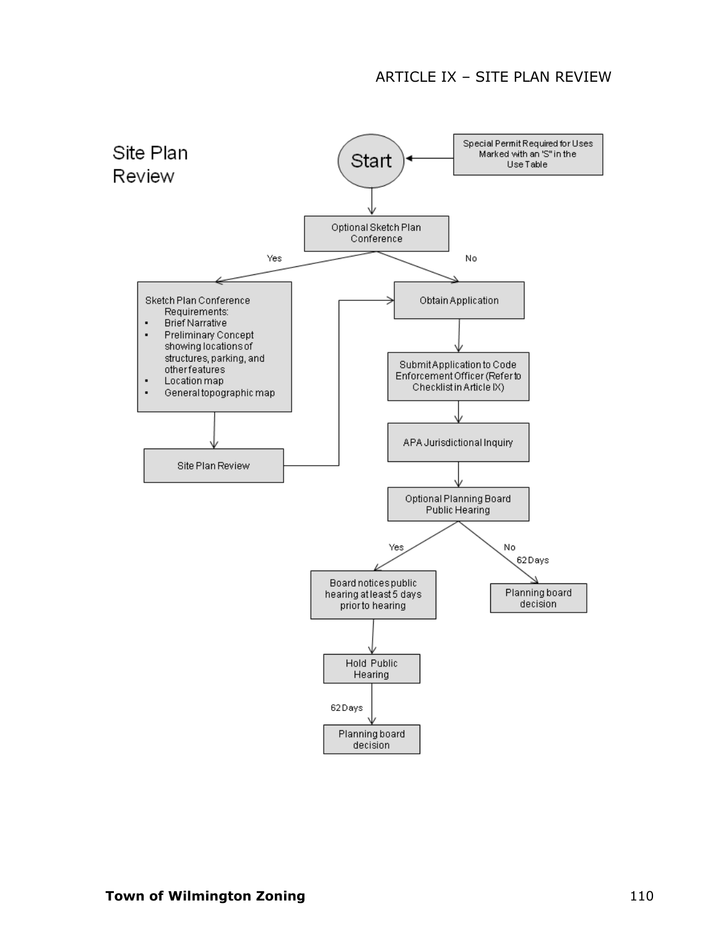#### ARTICLE IX – SITE PLAN REVIEW

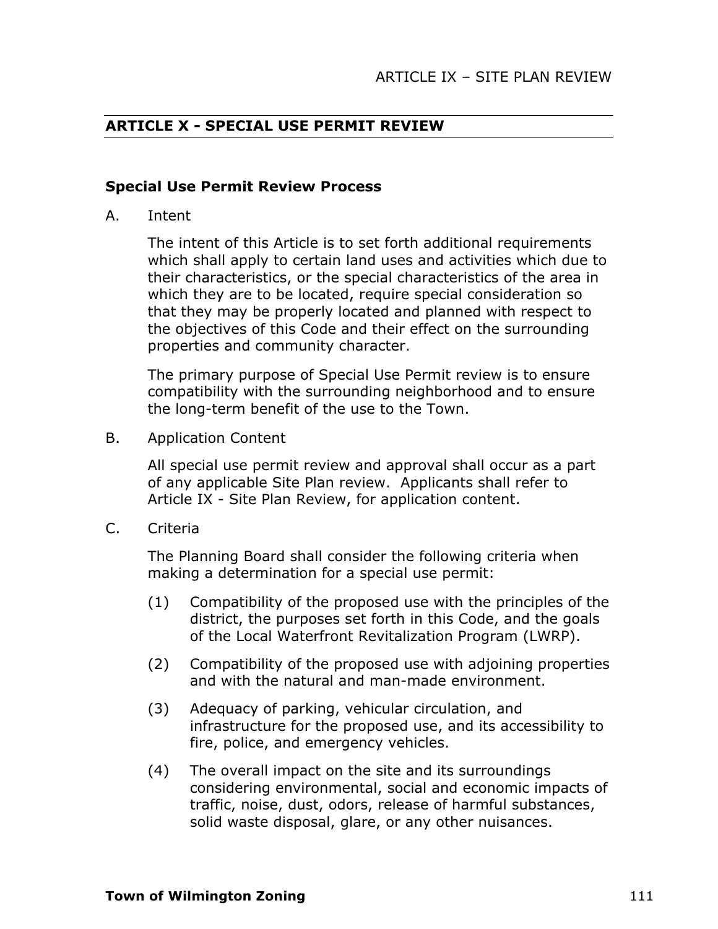### **ARTICLE X - SPECIAL USE PERMIT REVIEW**

#### **Special Use Permit Review Process**

A. Intent

The intent of this Article is to set forth additional requirements which shall apply to certain land uses and activities which due to their characteristics, or the special characteristics of the area in which they are to be located, require special consideration so that they may be properly located and planned with respect to the objectives of this Code and their effect on the surrounding properties and community character.

The primary purpose of Special Use Permit review is to ensure compatibility with the surrounding neighborhood and to ensure the long-term benefit of the use to the Town.

B. Application Content

All special use permit review and approval shall occur as a part of any applicable Site Plan review. Applicants shall refer to Article IX - Site Plan Review, for application content.

C. Criteria

The Planning Board shall consider the following criteria when making a determination for a special use permit:

- (1) Compatibility of the proposed use with the principles of the district, the purposes set forth in this Code, and the goals of the Local Waterfront Revitalization Program (LWRP).
- (2) Compatibility of the proposed use with adjoining properties and with the natural and man-made environment.
- (3) Adequacy of parking, vehicular circulation, and infrastructure for the proposed use, and its accessibility to fire, police, and emergency vehicles.
- (4) The overall impact on the site and its surroundings considering environmental, social and economic impacts of traffic, noise, dust, odors, release of harmful substances, solid waste disposal, glare, or any other nuisances.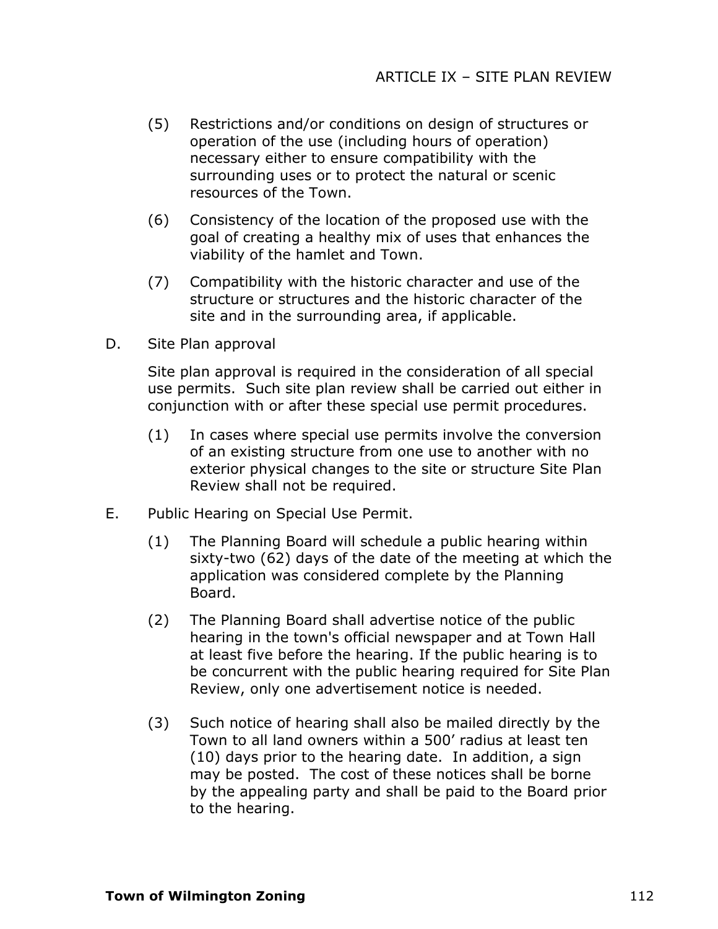- (5) Restrictions and/or conditions on design of structures or operation of the use (including hours of operation) necessary either to ensure compatibility with the surrounding uses or to protect the natural or scenic resources of the Town.
- (6) Consistency of the location of the proposed use with the goal of creating a healthy mix of uses that enhances the viability of the hamlet and Town.
- (7) Compatibility with the historic character and use of the structure or structures and the historic character of the site and in the surrounding area, if applicable.
- D. Site Plan approval

Site plan approval is required in the consideration of all special use permits. Such site plan review shall be carried out either in conjunction with or after these special use permit procedures.

- (1) In cases where special use permits involve the conversion of an existing structure from one use to another with no exterior physical changes to the site or structure Site Plan Review shall not be required.
- E. Public Hearing on Special Use Permit.
	- (1) The Planning Board will schedule a public hearing within sixty-two (62) days of the date of the meeting at which the application was considered complete by the Planning Board.
	- (2) The Planning Board shall advertise notice of the public hearing in the town's official newspaper and at Town Hall at least five before the hearing. If the public hearing is to be concurrent with the public hearing required for Site Plan Review, only one advertisement notice is needed.
	- (3) Such notice of hearing shall also be mailed directly by the Town to all land owners within a 500' radius at least ten (10) days prior to the hearing date. In addition, a sign may be posted. The cost of these notices shall be borne by the appealing party and shall be paid to the Board prior to the hearing.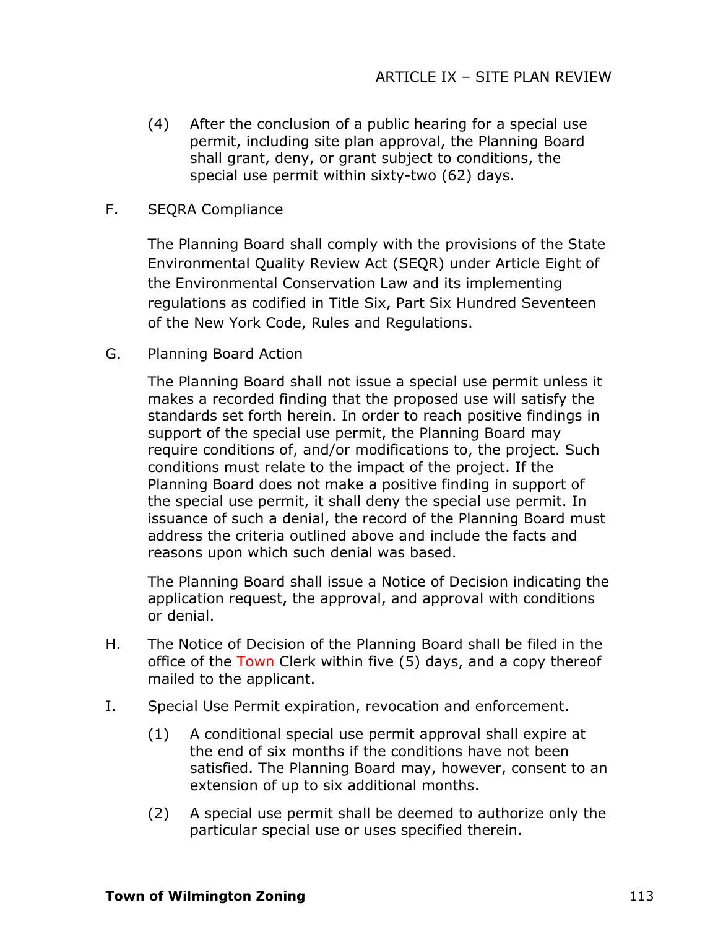- (4) After the conclusion of a public hearing for a special use permit, including site plan approval, the Planning Board shall grant, deny, or grant subject to conditions, the special use permit within sixty-two (62) days.
- F. SEQRA Compliance

The Planning Board shall comply with the provisions of the State Environmental Quality Review Act (SEQR) under Article Eight of the Environmental Conservation Law and its implementing regulations as codified in Title Six, Part Six Hundred Seventeen of the New York Code, Rules and Regulations.

G. Planning Board Action

The Planning Board shall not issue a special use permit unless it makes a recorded finding that the proposed use will satisfy the standards set forth herein. In order to reach positive findings in support of the special use permit, the Planning Board may require conditions of, and/or modifications to, the project. Such conditions must relate to the impact of the project. If the Planning Board does not make a positive finding in support of the special use permit, it shall deny the special use permit. In issuance of such a denial, the record of the Planning Board must address the criteria outlined above and include the facts and reasons upon which such denial was based.

The Planning Board shall issue a Notice of Decision indicating the application request, the approval, and approval with conditions or denial.

- H. The Notice of Decision of the Planning Board shall be filed in the office of the Town Clerk within five (5) days, and a copy thereof mailed to the applicant.
- I. Special Use Permit expiration, revocation and enforcement.
	- (1) A conditional special use permit approval shall expire at the end of six months if the conditions have not been satisfied. The Planning Board may, however, consent to an extension of up to six additional months.
	- (2) A special use permit shall be deemed to authorize only the particular special use or uses specified therein.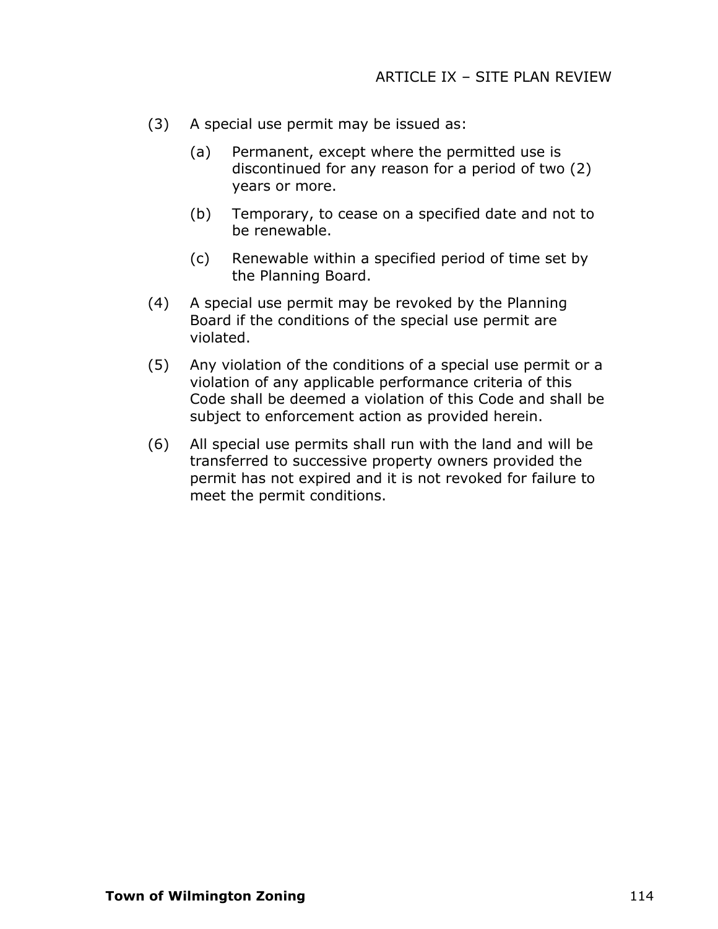- (3) A special use permit may be issued as:
	- (a) Permanent, except where the permitted use is discontinued for any reason for a period of two (2) years or more.
	- (b) Temporary, to cease on a specified date and not to be renewable.
	- (c) Renewable within a specified period of time set by the Planning Board.
- (4) A special use permit may be revoked by the Planning Board if the conditions of the special use permit are violated.
- (5) Any violation of the conditions of a special use permit or a violation of any applicable performance criteria of this Code shall be deemed a violation of this Code and shall be subject to enforcement action as provided herein.
- (6) All special use permits shall run with the land and will be transferred to successive property owners provided the permit has not expired and it is not revoked for failure to meet the permit conditions.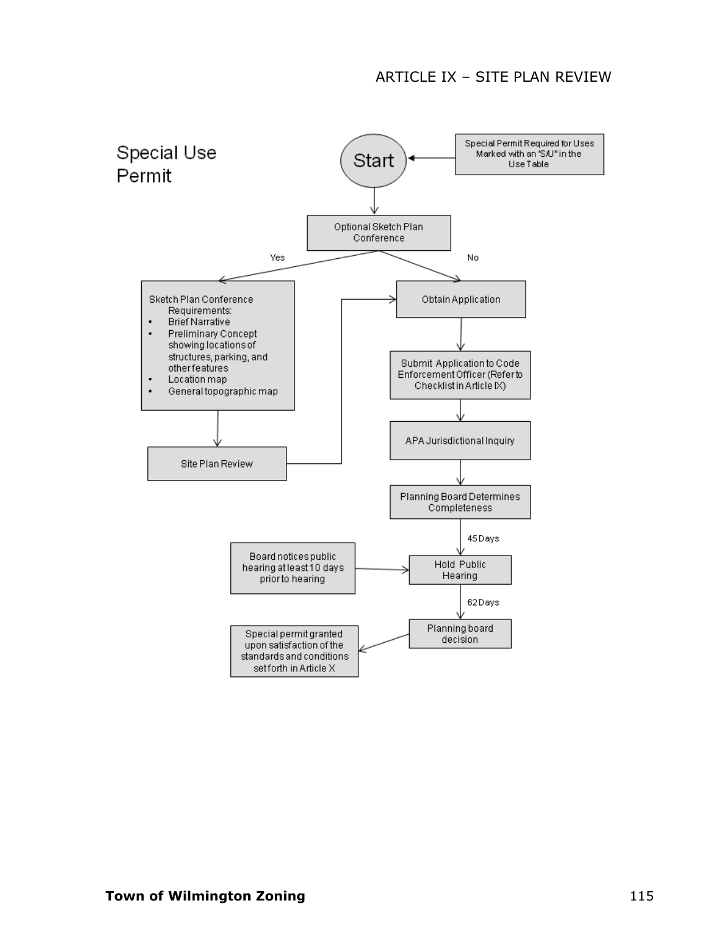#### ARTICLE IX – SITE PLAN REVIEW

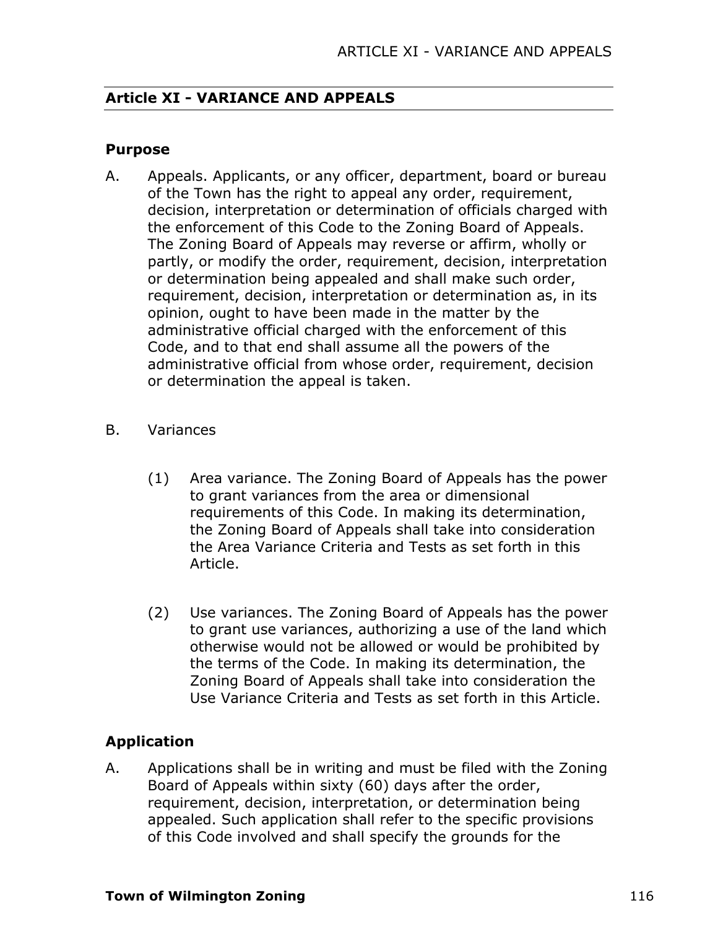### **Article XI - VARIANCE AND APPEALS**

#### **Purpose**

- A. Appeals. Applicants, or any officer, department, board or bureau of the Town has the right to appeal any order, requirement, decision, interpretation or determination of officials charged with the enforcement of this Code to the Zoning Board of Appeals. The Zoning Board of Appeals may reverse or affirm, wholly or partly, or modify the order, requirement, decision, interpretation or determination being appealed and shall make such order, requirement, decision, interpretation or determination as, in its opinion, ought to have been made in the matter by the administrative official charged with the enforcement of this Code, and to that end shall assume all the powers of the administrative official from whose order, requirement, decision or determination the appeal is taken.
- B. Variances
	- (1) Area variance. The Zoning Board of Appeals has the power to grant variances from the area or dimensional requirements of this Code. In making its determination, the Zoning Board of Appeals shall take into consideration the Area Variance Criteria and Tests as set forth in this Article.
	- (2) Use variances. The Zoning Board of Appeals has the power to grant use variances, authorizing a use of the land which otherwise would not be allowed or would be prohibited by the terms of the Code. In making its determination, the Zoning Board of Appeals shall take into consideration the Use Variance Criteria and Tests as set forth in this Article.

### **Application**

A. Applications shall be in writing and must be filed with the Zoning Board of Appeals within sixty (60) days after the order, requirement, decision, interpretation, or determination being appealed. Such application shall refer to the specific provisions of this Code involved and shall specify the grounds for the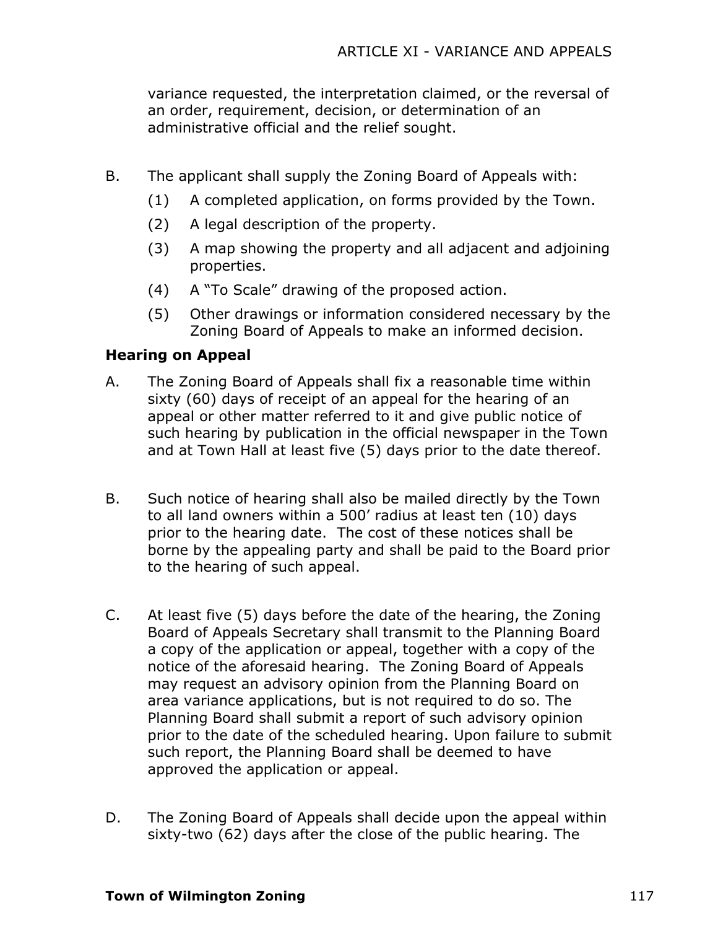variance requested, the interpretation claimed, or the reversal of an order, requirement, decision, or determination of an administrative official and the relief sought.

- B. The applicant shall supply the Zoning Board of Appeals with:
	- (1) A completed application, on forms provided by the Town.
	- (2) A legal description of the property.
	- (3) A map showing the property and all adjacent and adjoining properties.
	- (4) A "To Scale" drawing of the proposed action.
	- (5) Other drawings or information considered necessary by the Zoning Board of Appeals to make an informed decision.

### **Hearing on Appeal**

- A. The Zoning Board of Appeals shall fix a reasonable time within sixty (60) days of receipt of an appeal for the hearing of an appeal or other matter referred to it and give public notice of such hearing by publication in the official newspaper in the Town and at Town Hall at least five (5) days prior to the date thereof.
- B. Such notice of hearing shall also be mailed directly by the Town to all land owners within a 500' radius at least ten (10) days prior to the hearing date. The cost of these notices shall be borne by the appealing party and shall be paid to the Board prior to the hearing of such appeal.
- C. At least five (5) days before the date of the hearing, the Zoning Board of Appeals Secretary shall transmit to the Planning Board a copy of the application or appeal, together with a copy of the notice of the aforesaid hearing. The Zoning Board of Appeals may request an advisory opinion from the Planning Board on area variance applications, but is not required to do so. The Planning Board shall submit a report of such advisory opinion prior to the date of the scheduled hearing. Upon failure to submit such report, the Planning Board shall be deemed to have approved the application or appeal.
- D. The Zoning Board of Appeals shall decide upon the appeal within sixty-two (62) days after the close of the public hearing. The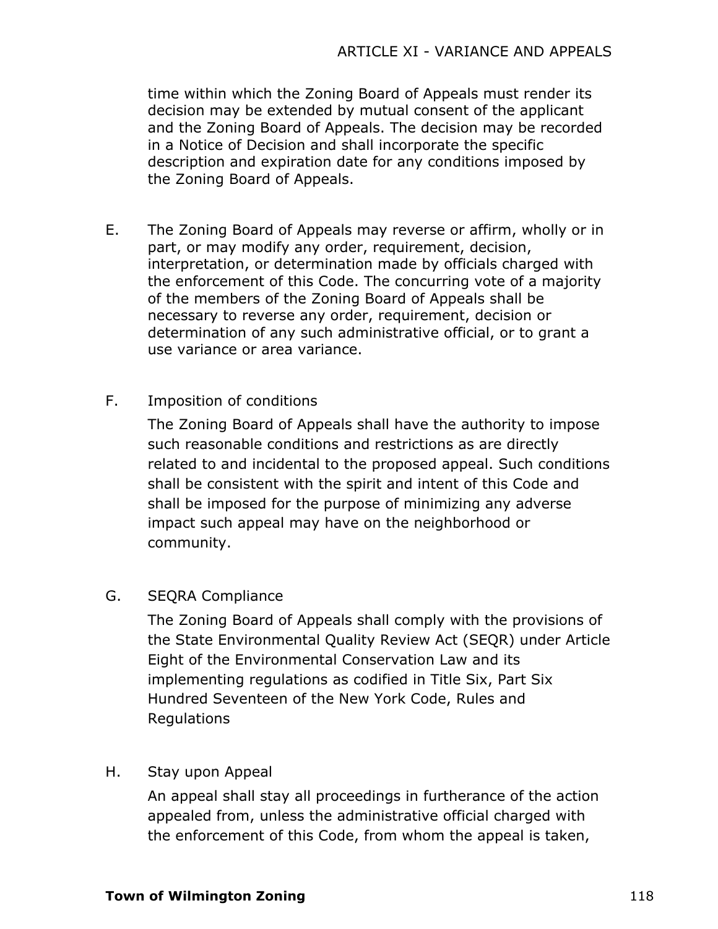time within which the Zoning Board of Appeals must render its decision may be extended by mutual consent of the applicant and the Zoning Board of Appeals. The decision may be recorded in a Notice of Decision and shall incorporate the specific description and expiration date for any conditions imposed by the Zoning Board of Appeals.

- E. The Zoning Board of Appeals may reverse or affirm, wholly or in part, or may modify any order, requirement, decision, interpretation, or determination made by officials charged with the enforcement of this Code. The concurring vote of a majority of the members of the Zoning Board of Appeals shall be necessary to reverse any order, requirement, decision or determination of any such administrative official, or to grant a use variance or area variance.
- F. Imposition of conditions

The Zoning Board of Appeals shall have the authority to impose such reasonable conditions and restrictions as are directly related to and incidental to the proposed appeal. Such conditions shall be consistent with the spirit and intent of this Code and shall be imposed for the purpose of minimizing any adverse impact such appeal may have on the neighborhood or community.

## G. SEQRA Compliance

The Zoning Board of Appeals shall comply with the provisions of the State Environmental Quality Review Act (SEQR) under Article Eight of the Environmental Conservation Law and its implementing regulations as codified in Title Six, Part Six Hundred Seventeen of the New York Code, Rules and Regulations

## H. Stay upon Appeal

An appeal shall stay all proceedings in furtherance of the action appealed from, unless the administrative official charged with the enforcement of this Code, from whom the appeal is taken,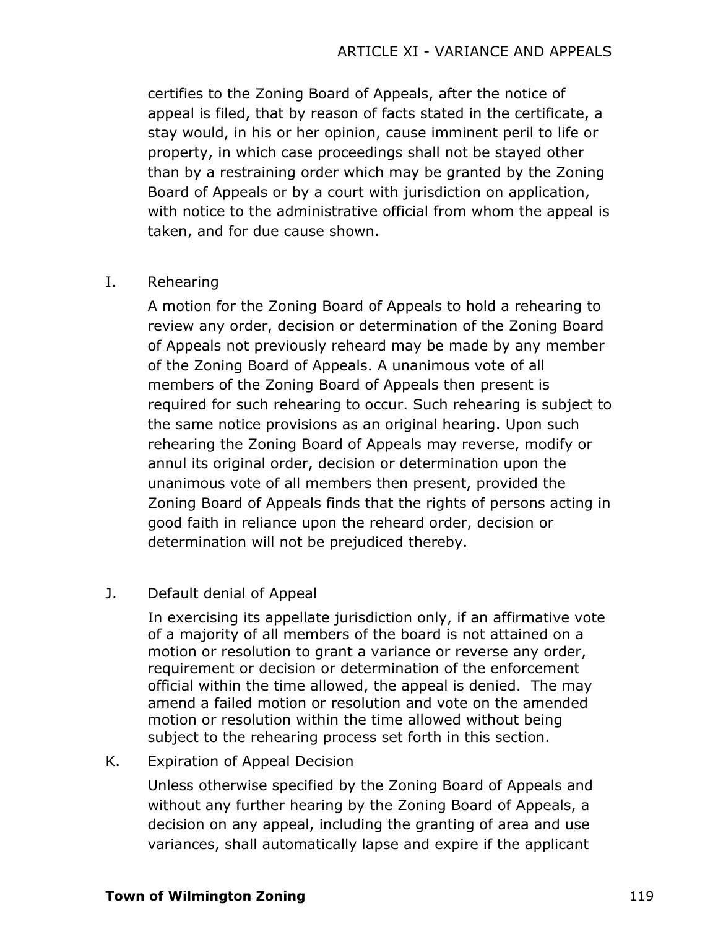certifies to the Zoning Board of Appeals, after the notice of appeal is filed, that by reason of facts stated in the certificate, a stay would, in his or her opinion, cause imminent peril to life or property, in which case proceedings shall not be stayed other than by a restraining order which may be granted by the Zoning Board of Appeals or by a court with jurisdiction on application, with notice to the administrative official from whom the appeal is taken, and for due cause shown.

### I. Rehearing

A motion for the Zoning Board of Appeals to hold a rehearing to review any order, decision or determination of the Zoning Board of Appeals not previously reheard may be made by any member of the Zoning Board of Appeals. A unanimous vote of all members of the Zoning Board of Appeals then present is required for such rehearing to occur. Such rehearing is subject to the same notice provisions as an original hearing. Upon such rehearing the Zoning Board of Appeals may reverse, modify or annul its original order, decision or determination upon the unanimous vote of all members then present, provided the Zoning Board of Appeals finds that the rights of persons acting in good faith in reliance upon the reheard order, decision or determination will not be prejudiced thereby.

### J. Default denial of Appeal

In exercising its appellate jurisdiction only, if an affirmative vote of a majority of all members of the board is not attained on a motion or resolution to grant a variance or reverse any order, requirement or decision or determination of the enforcement official within the time allowed, the appeal is denied. The may amend a failed motion or resolution and vote on the amended motion or resolution within the time allowed without being subject to the rehearing process set forth in this section.

### K. Expiration of Appeal Decision

Unless otherwise specified by the Zoning Board of Appeals and without any further hearing by the Zoning Board of Appeals, a decision on any appeal, including the granting of area and use variances, shall automatically lapse and expire if the applicant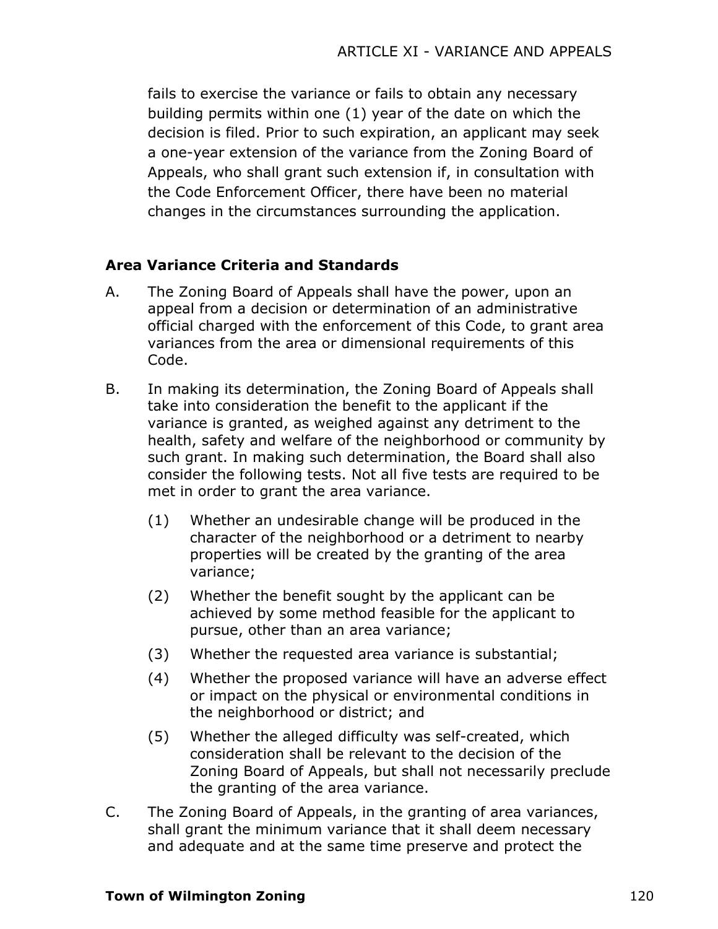fails to exercise the variance or fails to obtain any necessary building permits within one (1) year of the date on which the decision is filed. Prior to such expiration, an applicant may seek a one-year extension of the variance from the Zoning Board of Appeals, who shall grant such extension if, in consultation with the Code Enforcement Officer, there have been no material changes in the circumstances surrounding the application.

### **Area Variance Criteria and Standards**

- A. The Zoning Board of Appeals shall have the power, upon an appeal from a decision or determination of an administrative official charged with the enforcement of this Code, to grant area variances from the area or dimensional requirements of this Code.
- B. In making its determination, the Zoning Board of Appeals shall take into consideration the benefit to the applicant if the variance is granted, as weighed against any detriment to the health, safety and welfare of the neighborhood or community by such grant. In making such determination, the Board shall also consider the following tests. Not all five tests are required to be met in order to grant the area variance.
	- (1) Whether an undesirable change will be produced in the character of the neighborhood or a detriment to nearby properties will be created by the granting of the area variance;
	- (2) Whether the benefit sought by the applicant can be achieved by some method feasible for the applicant to pursue, other than an area variance;
	- (3) Whether the requested area variance is substantial;
	- (4) Whether the proposed variance will have an adverse effect or impact on the physical or environmental conditions in the neighborhood or district; and
	- (5) Whether the alleged difficulty was self-created, which consideration shall be relevant to the decision of the Zoning Board of Appeals, but shall not necessarily preclude the granting of the area variance.
- C. The Zoning Board of Appeals, in the granting of area variances, shall grant the minimum variance that it shall deem necessary and adequate and at the same time preserve and protect the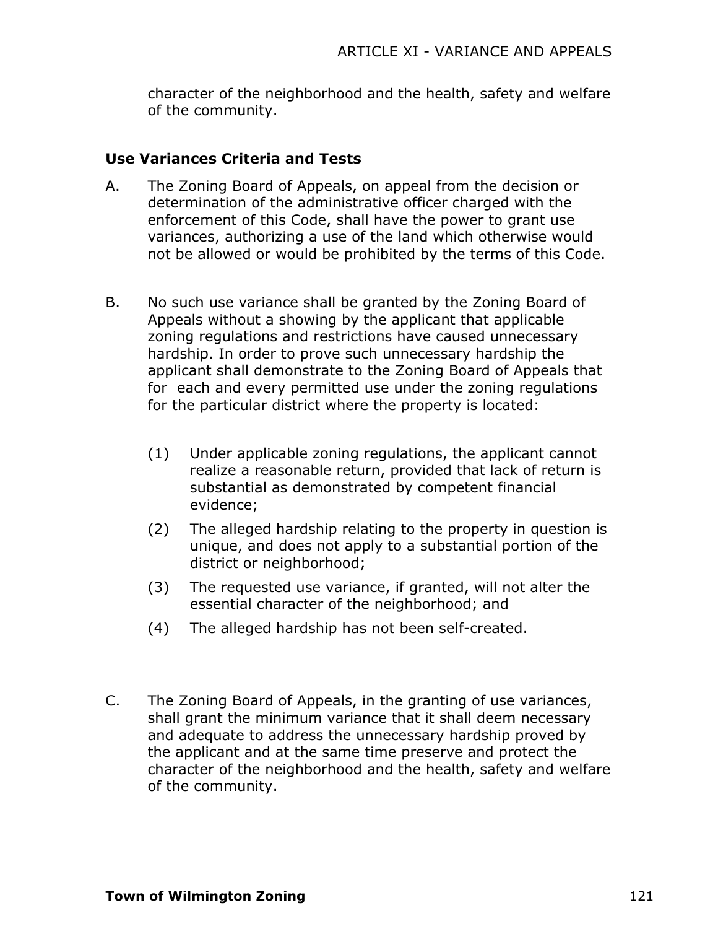character of the neighborhood and the health, safety and welfare of the community.

### **Use Variances Criteria and Tests**

- A. The Zoning Board of Appeals, on appeal from the decision or determination of the administrative officer charged with the enforcement of this Code, shall have the power to grant use variances, authorizing a use of the land which otherwise would not be allowed or would be prohibited by the terms of this Code.
- B. No such use variance shall be granted by the Zoning Board of Appeals without a showing by the applicant that applicable zoning regulations and restrictions have caused unnecessary hardship. In order to prove such unnecessary hardship the applicant shall demonstrate to the Zoning Board of Appeals that for each and every permitted use under the zoning regulations for the particular district where the property is located:
	- (1) Under applicable zoning regulations, the applicant cannot realize a reasonable return, provided that lack of return is substantial as demonstrated by competent financial evidence;
	- (2) The alleged hardship relating to the property in question is unique, and does not apply to a substantial portion of the district or neighborhood;
	- (3) The requested use variance, if granted, will not alter the essential character of the neighborhood; and
	- (4) The alleged hardship has not been self-created.
- C. The Zoning Board of Appeals, in the granting of use variances, shall grant the minimum variance that it shall deem necessary and adequate to address the unnecessary hardship proved by the applicant and at the same time preserve and protect the character of the neighborhood and the health, safety and welfare of the community.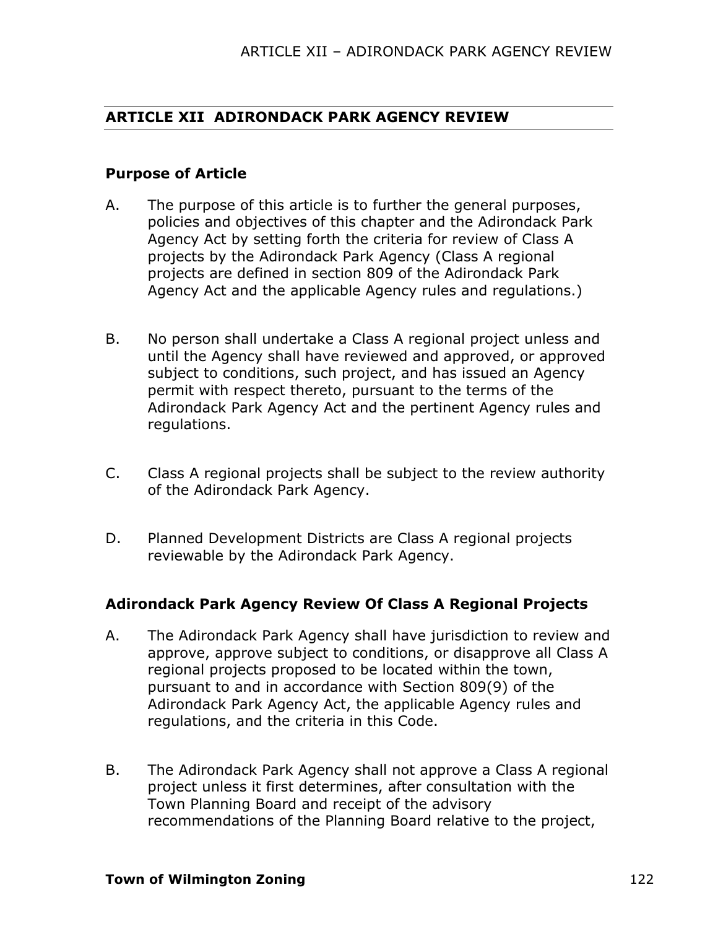### **ARTICLE XII ADIRONDACK PARK AGENCY REVIEW**

#### **Purpose of Article**

- A. The purpose of this article is to further the general purposes, policies and objectives of this chapter and the Adirondack Park Agency Act by setting forth the criteria for review of Class A projects by the Adirondack Park Agency (Class A regional projects are defined in section 809 of the Adirondack Park Agency Act and the applicable Agency rules and regulations.)
- B. No person shall undertake a Class A regional project unless and until the Agency shall have reviewed and approved, or approved subject to conditions, such project, and has issued an Agency permit with respect thereto, pursuant to the terms of the Adirondack Park Agency Act and the pertinent Agency rules and regulations.
- C. Class A regional projects shall be subject to the review authority of the Adirondack Park Agency.
- D. Planned Development Districts are Class A regional projects reviewable by the Adirondack Park Agency.

### **Adirondack Park Agency Review Of Class A Regional Projects**

- A. The Adirondack Park Agency shall have jurisdiction to review and approve, approve subject to conditions, or disapprove all Class A regional projects proposed to be located within the town, pursuant to and in accordance with Section 809(9) of the Adirondack Park Agency Act, the applicable Agency rules and regulations, and the criteria in this Code.
- B. The Adirondack Park Agency shall not approve a Class A regional project unless it first determines, after consultation with the Town Planning Board and receipt of the advisory recommendations of the Planning Board relative to the project,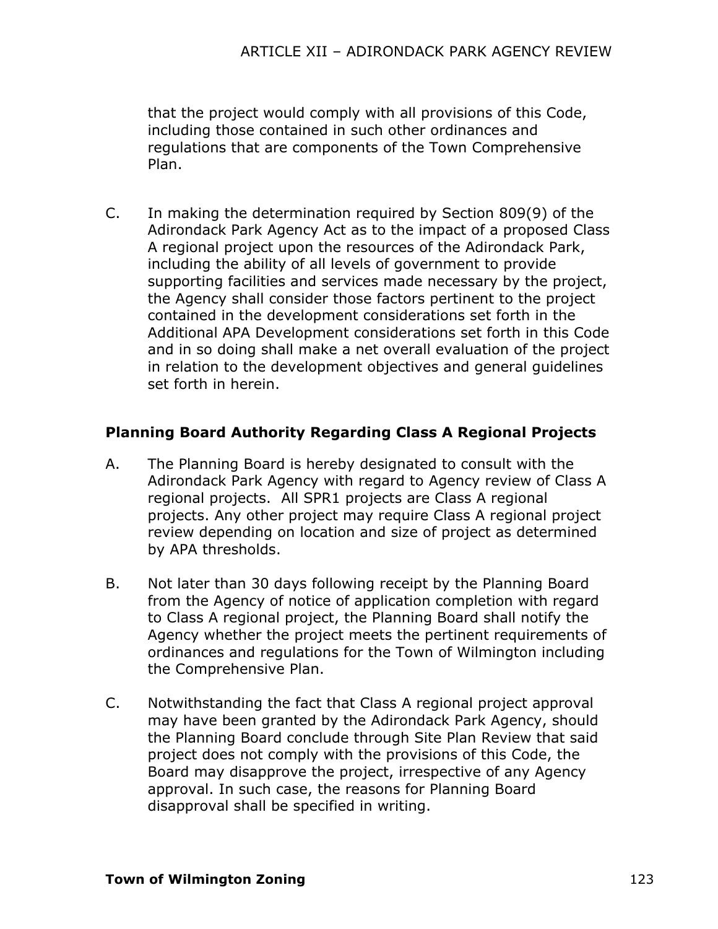that the project would comply with all provisions of this Code, including those contained in such other ordinances and regulations that are components of the Town Comprehensive Plan.

C. In making the determination required by Section 809(9) of the Adirondack Park Agency Act as to the impact of a proposed Class A regional project upon the resources of the Adirondack Park, including the ability of all levels of government to provide supporting facilities and services made necessary by the project, the Agency shall consider those factors pertinent to the project contained in the development considerations set forth in the Additional APA Development considerations set forth in this Code and in so doing shall make a net overall evaluation of the project in relation to the development objectives and general guidelines set forth in herein.

### **Planning Board Authority Regarding Class A Regional Projects**

- A. The Planning Board is hereby designated to consult with the Adirondack Park Agency with regard to Agency review of Class A regional projects. All SPR1 projects are Class A regional projects. Any other project may require Class A regional project review depending on location and size of project as determined by APA thresholds.
- B. Not later than 30 days following receipt by the Planning Board from the Agency of notice of application completion with regard to Class A regional project, the Planning Board shall notify the Agency whether the project meets the pertinent requirements of ordinances and regulations for the Town of Wilmington including the Comprehensive Plan.
- C. Notwithstanding the fact that Class A regional project approval may have been granted by the Adirondack Park Agency, should the Planning Board conclude through Site Plan Review that said project does not comply with the provisions of this Code, the Board may disapprove the project, irrespective of any Agency approval. In such case, the reasons for Planning Board disapproval shall be specified in writing.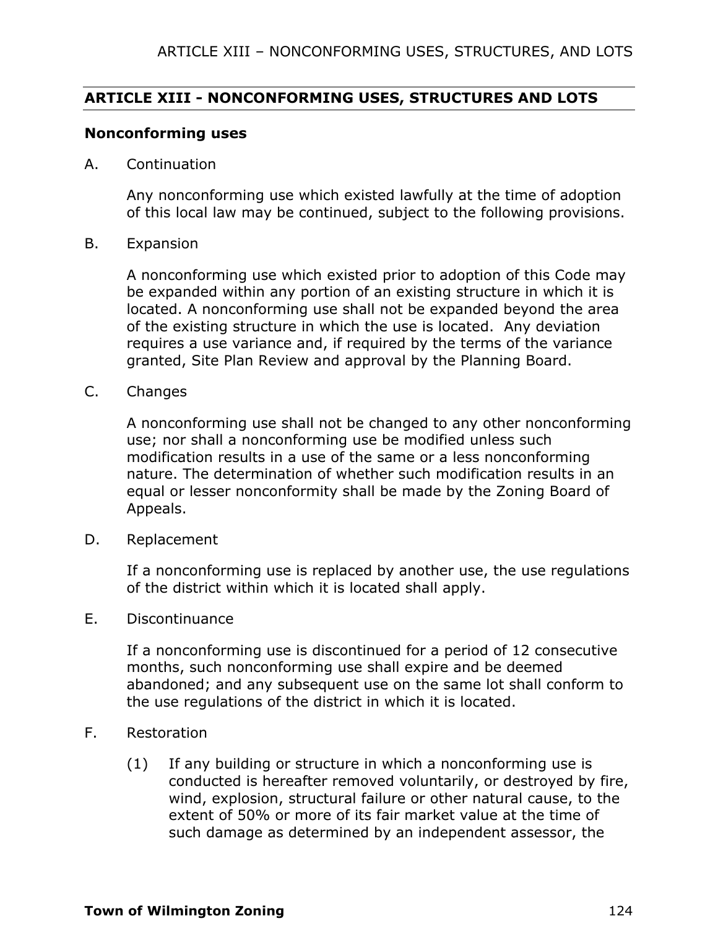### **ARTICLE XIII - NONCONFORMING USES, STRUCTURES AND LOTS**

#### **Nonconforming uses**

A. Continuation

Any nonconforming use which existed lawfully at the time of adoption of this local law may be continued, subject to the following provisions.

B. Expansion

A nonconforming use which existed prior to adoption of this Code may be expanded within any portion of an existing structure in which it is located. A nonconforming use shall not be expanded beyond the area of the existing structure in which the use is located. Any deviation requires a use variance and, if required by the terms of the variance granted, Site Plan Review and approval by the Planning Board.

C. Changes

A nonconforming use shall not be changed to any other nonconforming use; nor shall a nonconforming use be modified unless such modification results in a use of the same or a less nonconforming nature. The determination of whether such modification results in an equal or lesser nonconformity shall be made by the Zoning Board of Appeals.

D. Replacement

If a nonconforming use is replaced by another use, the use regulations of the district within which it is located shall apply.

E. Discontinuance

If a nonconforming use is discontinued for a period of 12 consecutive months, such nonconforming use shall expire and be deemed abandoned; and any subsequent use on the same lot shall conform to the use regulations of the district in which it is located.

- F. Restoration
	- (1) If any building or structure in which a nonconforming use is conducted is hereafter removed voluntarily, or destroyed by fire, wind, explosion, structural failure or other natural cause, to the extent of 50% or more of its fair market value at the time of such damage as determined by an independent assessor, the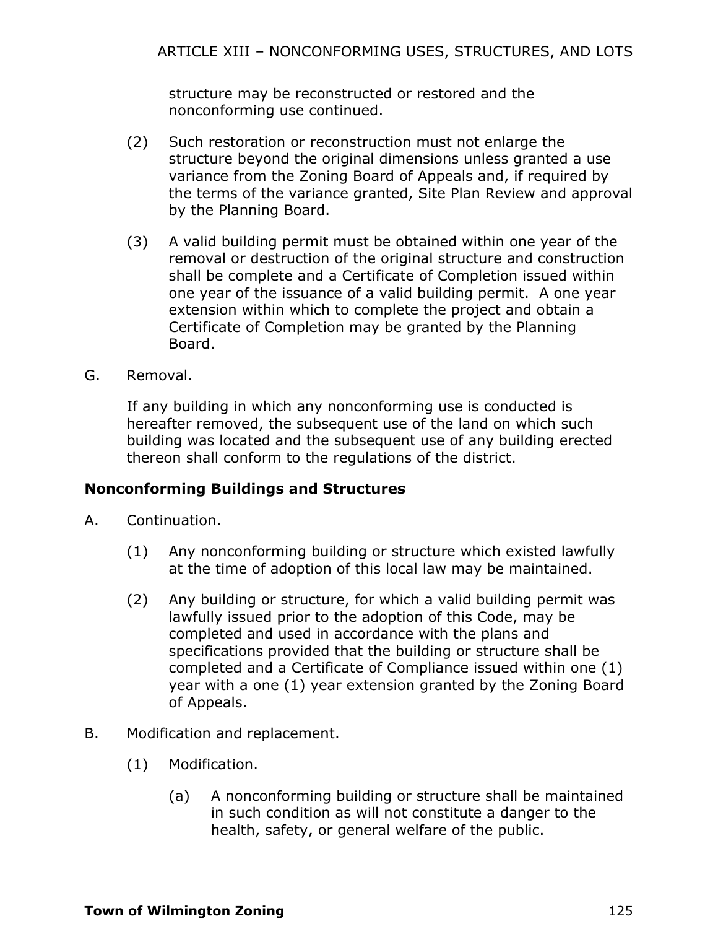structure may be reconstructed or restored and the nonconforming use continued.

- (2) Such restoration or reconstruction must not enlarge the structure beyond the original dimensions unless granted a use variance from the Zoning Board of Appeals and, if required by the terms of the variance granted, Site Plan Review and approval by the Planning Board.
- (3) A valid building permit must be obtained within one year of the removal or destruction of the original structure and construction shall be complete and a Certificate of Completion issued within one year of the issuance of a valid building permit. A one year extension within which to complete the project and obtain a Certificate of Completion may be granted by the Planning Board.
- G. Removal.

If any building in which any nonconforming use is conducted is hereafter removed, the subsequent use of the land on which such building was located and the subsequent use of any building erected thereon shall conform to the regulations of the district.

### **Nonconforming Buildings and Structures**

- A. Continuation.
	- (1) Any nonconforming building or structure which existed lawfully at the time of adoption of this local law may be maintained.
	- (2) Any building or structure, for which a valid building permit was lawfully issued prior to the adoption of this Code, may be completed and used in accordance with the plans and specifications provided that the building or structure shall be completed and a Certificate of Compliance issued within one (1) year with a one (1) year extension granted by the Zoning Board of Appeals.
- B. Modification and replacement.
	- (1) Modification.
		- (a) A nonconforming building or structure shall be maintained in such condition as will not constitute a danger to the health, safety, or general welfare of the public.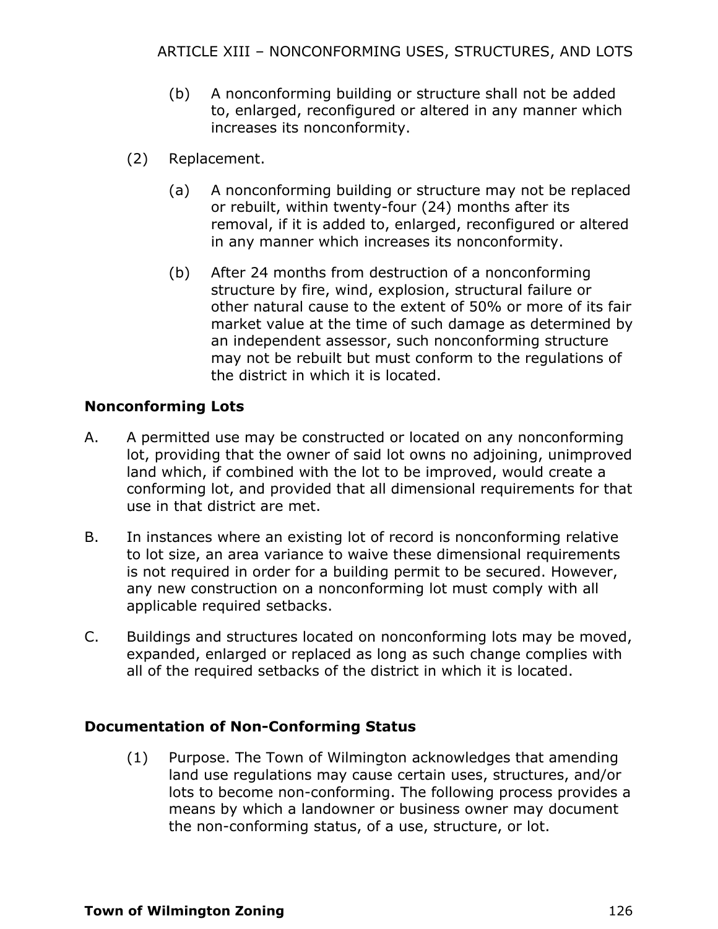- (b) A nonconforming building or structure shall not be added to, enlarged, reconfigured or altered in any manner which increases its nonconformity.
- (2) Replacement.
	- (a) A nonconforming building or structure may not be replaced or rebuilt, within twenty-four (24) months after its removal, if it is added to, enlarged, reconfigured or altered in any manner which increases its nonconformity.
	- (b) After 24 months from destruction of a nonconforming structure by fire, wind, explosion, structural failure or other natural cause to the extent of 50% or more of its fair market value at the time of such damage as determined by an independent assessor, such nonconforming structure may not be rebuilt but must conform to the regulations of the district in which it is located.

## **Nonconforming Lots**

- A. A permitted use may be constructed or located on any nonconforming lot, providing that the owner of said lot owns no adjoining, unimproved land which, if combined with the lot to be improved, would create a conforming lot, and provided that all dimensional requirements for that use in that district are met.
- B. In instances where an existing lot of record is nonconforming relative to lot size, an area variance to waive these dimensional requirements is not required in order for a building permit to be secured. However, any new construction on a nonconforming lot must comply with all applicable required setbacks.
- C. Buildings and structures located on nonconforming lots may be moved, expanded, enlarged or replaced as long as such change complies with all of the required setbacks of the district in which it is located.

## **Documentation of Non-Conforming Status**

(1) Purpose. The Town of Wilmington acknowledges that amending land use regulations may cause certain uses, structures, and/or lots to become non-conforming. The following process provides a means by which a landowner or business owner may document the non-conforming status, of a use, structure, or lot.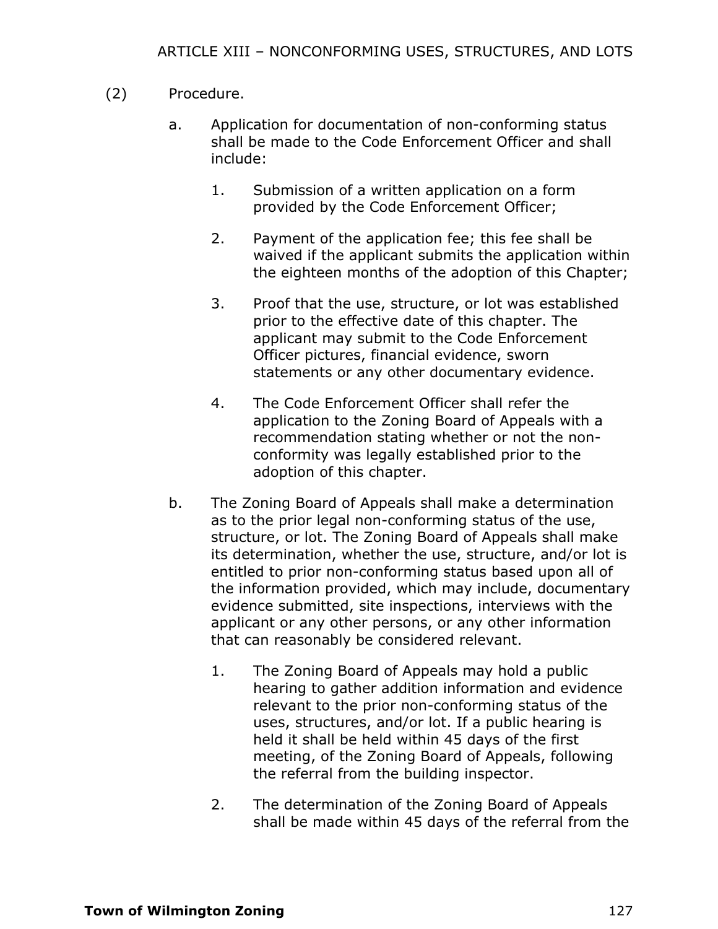### (2) Procedure.

- a. Application for documentation of non-conforming status shall be made to the Code Enforcement Officer and shall include:
	- 1. Submission of a written application on a form provided by the Code Enforcement Officer;
	- 2. Payment of the application fee; this fee shall be waived if the applicant submits the application within the eighteen months of the adoption of this Chapter;
	- 3. Proof that the use, structure, or lot was established prior to the effective date of this chapter. The applicant may submit to the Code Enforcement Officer pictures, financial evidence, sworn statements or any other documentary evidence.
	- 4. The Code Enforcement Officer shall refer the application to the Zoning Board of Appeals with a recommendation stating whether or not the nonconformity was legally established prior to the adoption of this chapter.
- b. The Zoning Board of Appeals shall make a determination as to the prior legal non-conforming status of the use, structure, or lot. The Zoning Board of Appeals shall make its determination, whether the use, structure, and/or lot is entitled to prior non-conforming status based upon all of the information provided, which may include, documentary evidence submitted, site inspections, interviews with the applicant or any other persons, or any other information that can reasonably be considered relevant.
	- 1. The Zoning Board of Appeals may hold a public hearing to gather addition information and evidence relevant to the prior non-conforming status of the uses, structures, and/or lot. If a public hearing is held it shall be held within 45 days of the first meeting, of the Zoning Board of Appeals, following the referral from the building inspector.
	- 2. The determination of the Zoning Board of Appeals shall be made within 45 days of the referral from the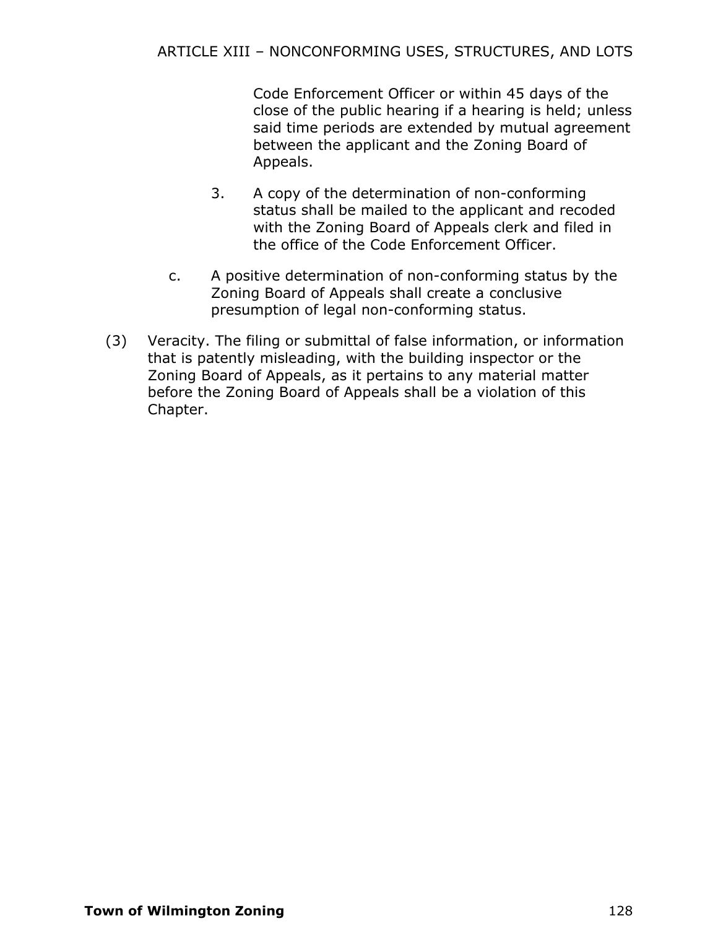Code Enforcement Officer or within 45 days of the close of the public hearing if a hearing is held; unless said time periods are extended by mutual agreement between the applicant and the Zoning Board of Appeals.

- 3. A copy of the determination of non-conforming status shall be mailed to the applicant and recoded with the Zoning Board of Appeals clerk and filed in the office of the Code Enforcement Officer.
- c. A positive determination of non-conforming status by the Zoning Board of Appeals shall create a conclusive presumption of legal non-conforming status.
- (3) Veracity. The filing or submittal of false information, or information that is patently misleading, with the building inspector or the Zoning Board of Appeals, as it pertains to any material matter before the Zoning Board of Appeals shall be a violation of this Chapter.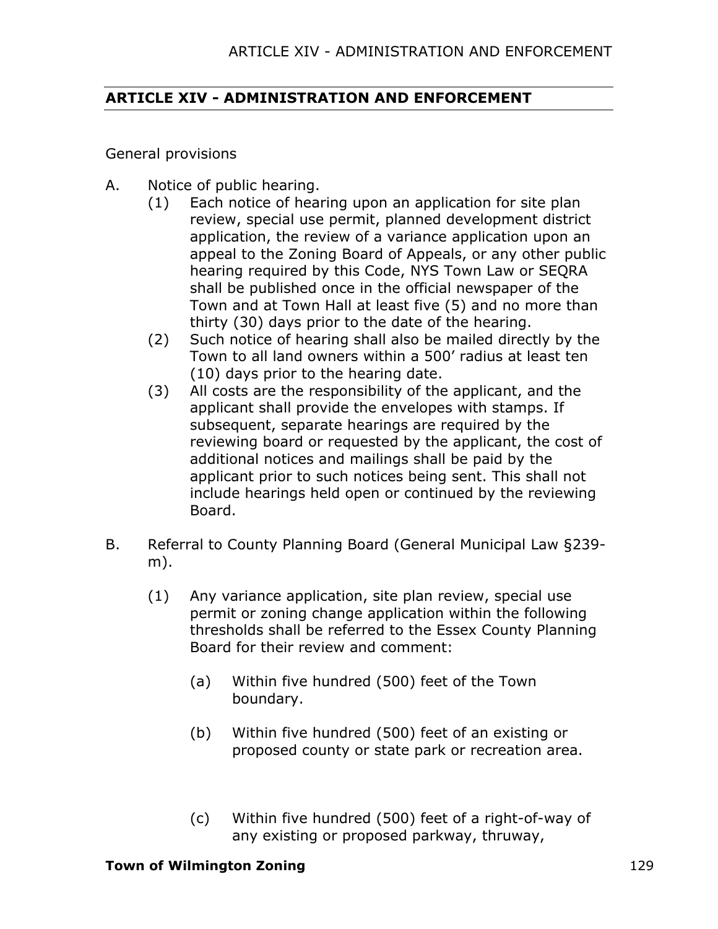## **ARTICLE XIV - ADMINISTRATION AND ENFORCEMENT**

General provisions

- A. Notice of public hearing.
	- (1) Each notice of hearing upon an application for site plan review, special use permit, planned development district application, the review of a variance application upon an appeal to the Zoning Board of Appeals, or any other public hearing required by this Code, NYS Town Law or SEQRA shall be published once in the official newspaper of the Town and at Town Hall at least five (5) and no more than thirty (30) days prior to the date of the hearing.
		- (2) Such notice of hearing shall also be mailed directly by the Town to all land owners within a 500' radius at least ten (10) days prior to the hearing date.
		- (3) All costs are the responsibility of the applicant, and the applicant shall provide the envelopes with stamps. If subsequent, separate hearings are required by the reviewing board or requested by the applicant, the cost of additional notices and mailings shall be paid by the applicant prior to such notices being sent. This shall not include hearings held open or continued by the reviewing Board.
- B. Referral to County Planning Board (General Municipal Law §239 m).
	- (1) Any variance application, site plan review, special use permit or zoning change application within the following thresholds shall be referred to the Essex County Planning Board for their review and comment:
		- (a) Within five hundred (500) feet of the Town boundary.
		- (b) Within five hundred (500) feet of an existing or proposed county or state park or recreation area.
		- (c) Within five hundred (500) feet of a right-of-way of any existing or proposed parkway, thruway,

#### **Town of Wilmington Zoning** 129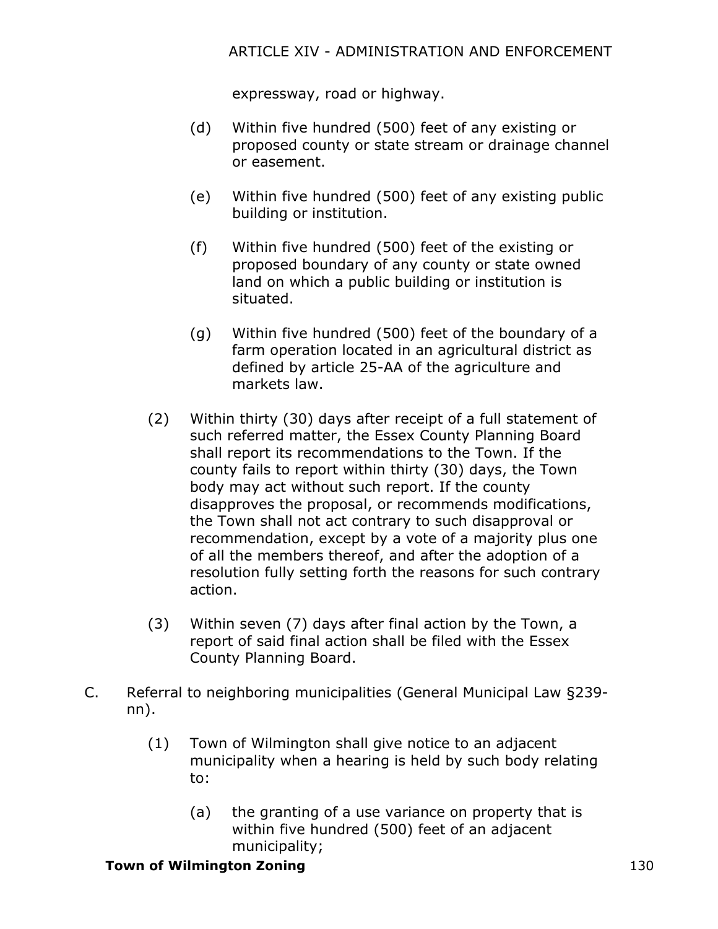## ARTICLE XIV - ADMINISTRATION AND ENFORCEMENT

expressway, road or highway.

- (d) Within five hundred (500) feet of any existing or proposed county or state stream or drainage channel or easement.
- (e) Within five hundred (500) feet of any existing public building or institution.
- (f) Within five hundred (500) feet of the existing or proposed boundary of any county or state owned land on which a public building or institution is situated.
- (g) Within five hundred (500) feet of the boundary of a farm operation located in an agricultural district as defined by article 25-AA of the agriculture and markets law.
- (2) Within thirty (30) days after receipt of a full statement of such referred matter, the Essex County Planning Board shall report its recommendations to the Town. If the county fails to report within thirty (30) days, the Town body may act without such report. If the county disapproves the proposal, or recommends modifications, the Town shall not act contrary to such disapproval or recommendation, except by a vote of a majority plus one of all the members thereof, and after the adoption of a resolution fully setting forth the reasons for such contrary action.
- (3) Within seven (7) days after final action by the Town, a report of said final action shall be filed with the Essex County Planning Board.
- C. Referral to neighboring municipalities (General Municipal Law §239 nn).
	- (1) Town of Wilmington shall give notice to an adjacent municipality when a hearing is held by such body relating to:
		- (a) the granting of a use variance on property that is within five hundred (500) feet of an adjacent municipality;

### **Town of Wilmington Zoning** 130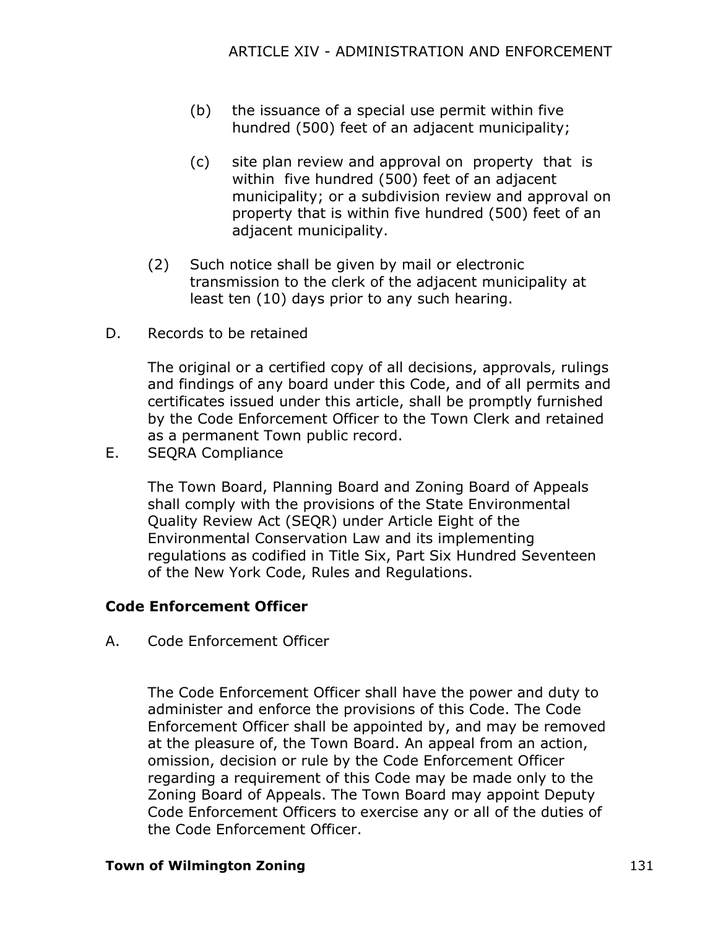- (b) the issuance of a special use permit within five hundred (500) feet of an adjacent municipality;
- (c) site plan review and approval on property that is within five hundred (500) feet of an adjacent municipality; or a subdivision review and approval on property that is within five hundred (500) feet of an adjacent municipality.
- (2) Such notice shall be given by mail or electronic transmission to the clerk of the adjacent municipality at least ten (10) days prior to any such hearing.
- D. Records to be retained

The original or a certified copy of all decisions, approvals, rulings and findings of any board under this Code, and of all permits and certificates issued under this article, shall be promptly furnished by the Code Enforcement Officer to the Town Clerk and retained as a permanent Town public record.

E. SEQRA Compliance

The Town Board, Planning Board and Zoning Board of Appeals shall comply with the provisions of the State Environmental Quality Review Act (SEQR) under Article Eight of the Environmental Conservation Law and its implementing regulations as codified in Title Six, Part Six Hundred Seventeen of the New York Code, Rules and Regulations.

## **Code Enforcement Officer**

A. Code Enforcement Officer

The Code Enforcement Officer shall have the power and duty to administer and enforce the provisions of this Code. The Code Enforcement Officer shall be appointed by, and may be removed at the pleasure of, the Town Board. An appeal from an action, omission, decision or rule by the Code Enforcement Officer regarding a requirement of this Code may be made only to the Zoning Board of Appeals. The Town Board may appoint Deputy Code Enforcement Officers to exercise any or all of the duties of the Code Enforcement Officer.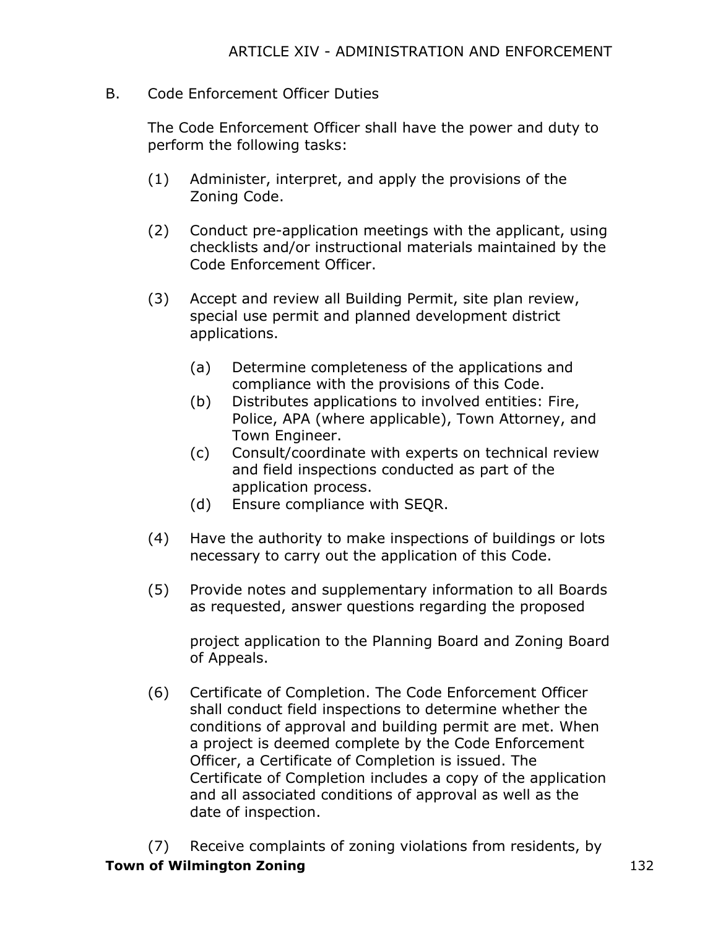B. Code Enforcement Officer Duties

The Code Enforcement Officer shall have the power and duty to perform the following tasks:

- (1) Administer, interpret, and apply the provisions of the Zoning Code.
- (2) Conduct pre-application meetings with the applicant, using checklists and/or instructional materials maintained by the Code Enforcement Officer.
- (3) Accept and review all Building Permit, site plan review, special use permit and planned development district applications.
	- (a) Determine completeness of the applications and compliance with the provisions of this Code.
	- (b) Distributes applications to involved entities: Fire, Police, APA (where applicable), Town Attorney, and Town Engineer.
	- (c) Consult/coordinate with experts on technical review and field inspections conducted as part of the application process.
	- (d) Ensure compliance with SEQR.
- (4) Have the authority to make inspections of buildings or lots necessary to carry out the application of this Code.
- (5) Provide notes and supplementary information to all Boards as requested, answer questions regarding the proposed

project application to the Planning Board and Zoning Board of Appeals.

(6) Certificate of Completion. The Code Enforcement Officer shall conduct field inspections to determine whether the conditions of approval and building permit are met. When a project is deemed complete by the Code Enforcement Officer, a Certificate of Completion is issued. The Certificate of Completion includes a copy of the application and all associated conditions of approval as well as the date of inspection.

**Town of Wilmington Zoning** 132 (7) Receive complaints of zoning violations from residents, by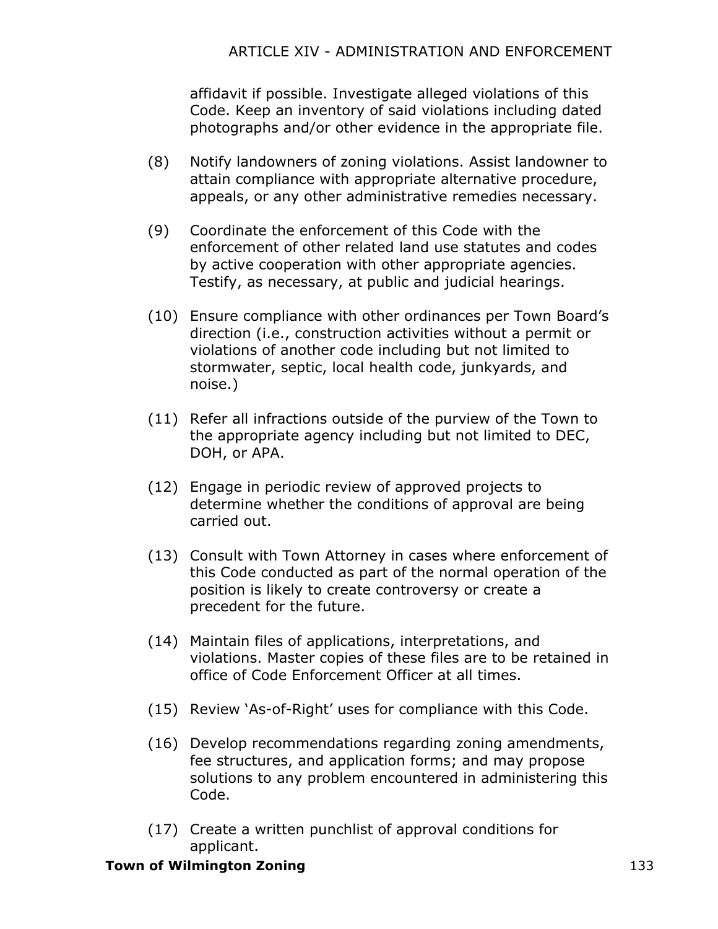affidavit if possible. Investigate alleged violations of this Code. Keep an inventory of said violations including dated photographs and/or other evidence in the appropriate file.

- (8) Notify landowners of zoning violations. Assist landowner to attain compliance with appropriate alternative procedure, appeals, or any other administrative remedies necessary.
- (9) Coordinate the enforcement of this Code with the enforcement of other related land use statutes and codes by active cooperation with other appropriate agencies. Testify, as necessary, at public and judicial hearings.
- (10) Ensure compliance with other ordinances per Town Board's direction (i.e., construction activities without a permit or violations of another code including but not limited to stormwater, septic, local health code, junkyards, and noise.)
- (11) Refer all infractions outside of the purview of the Town to the appropriate agency including but not limited to DEC, DOH, or APA.
- (12) Engage in periodic review of approved projects to determine whether the conditions of approval are being carried out.
- (13) Consult with Town Attorney in cases where enforcement of this Code conducted as part of the normal operation of the position is likely to create controversy or create a precedent for the future.
- (14) Maintain files of applications, interpretations, and violations. Master copies of these files are to be retained in office of Code Enforcement Officer at all times.
- (15) Review 'As-of-Right' uses for compliance with this Code.
- (16) Develop recommendations regarding zoning amendments, fee structures, and application forms; and may propose solutions to any problem encountered in administering this Code.
- (17) Create a written punchlist of approval conditions for applicant.

### **Town of Wilmington Zoning 133**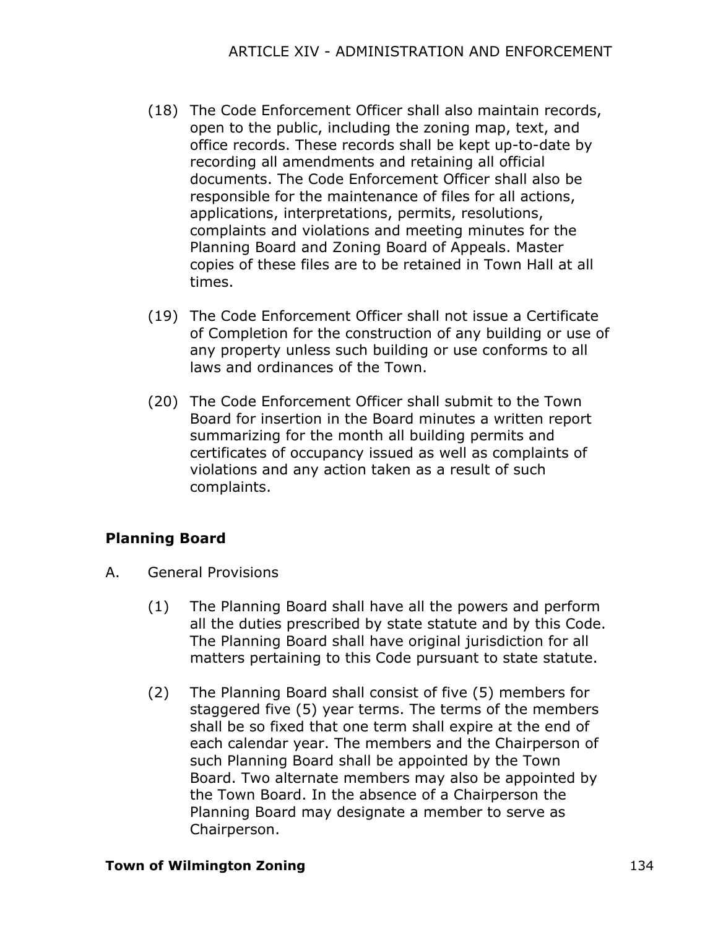- (18) The Code Enforcement Officer shall also maintain records, open to the public, including the zoning map, text, and office records. These records shall be kept up-to-date by recording all amendments and retaining all official documents. The Code Enforcement Officer shall also be responsible for the maintenance of files for all actions, applications, interpretations, permits, resolutions, complaints and violations and meeting minutes for the Planning Board and Zoning Board of Appeals. Master copies of these files are to be retained in Town Hall at all times.
- (19) The Code Enforcement Officer shall not issue a Certificate of Completion for the construction of any building or use of any property unless such building or use conforms to all laws and ordinances of the Town.
- (20) The Code Enforcement Officer shall submit to the Town Board for insertion in the Board minutes a written report summarizing for the month all building permits and certificates of occupancy issued as well as complaints of violations and any action taken as a result of such complaints.

# **Planning Board**

- A. General Provisions
	- (1) The Planning Board shall have all the powers and perform all the duties prescribed by state statute and by this Code. The Planning Board shall have original jurisdiction for all matters pertaining to this Code pursuant to state statute.
	- (2) The Planning Board shall consist of five (5) members for staggered five (5) year terms. The terms of the members shall be so fixed that one term shall expire at the end of each calendar year. The members and the Chairperson of such Planning Board shall be appointed by the Town Board. Two alternate members may also be appointed by the Town Board. In the absence of a Chairperson the Planning Board may designate a member to serve as Chairperson.

### **Town of Wilmington Zoning** 134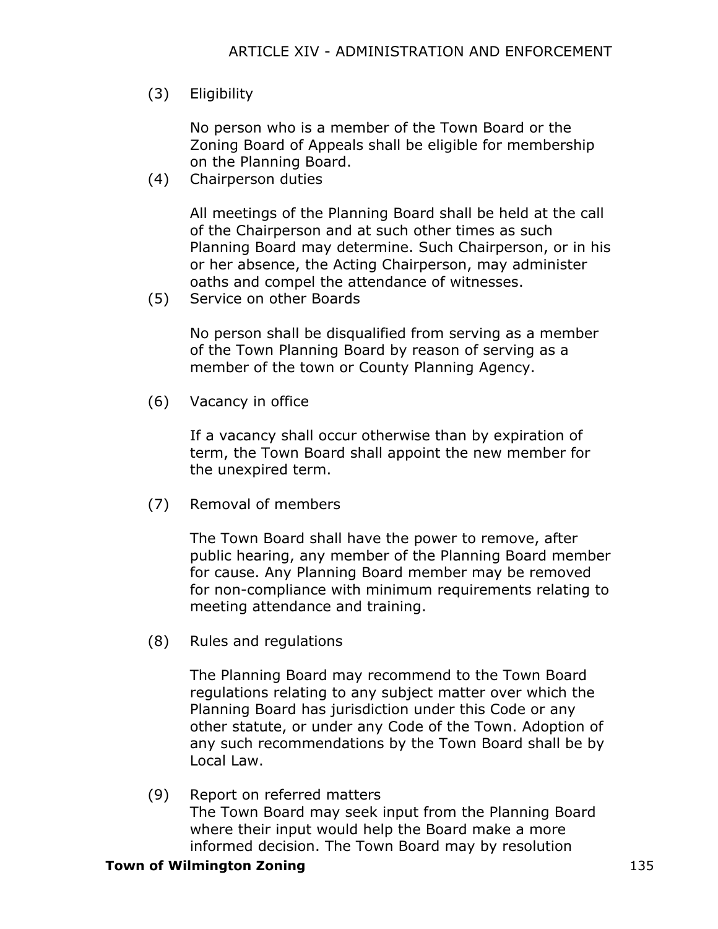(3) Eligibility

No person who is a member of the Town Board or the Zoning Board of Appeals shall be eligible for membership on the Planning Board.

(4) Chairperson duties

All meetings of the Planning Board shall be held at the call of the Chairperson and at such other times as such Planning Board may determine. Such Chairperson, or in his or her absence, the Acting Chairperson, may administer oaths and compel the attendance of witnesses.

(5) Service on other Boards

No person shall be disqualified from serving as a member of the Town Planning Board by reason of serving as a member of the town or County Planning Agency.

(6) Vacancy in office

If a vacancy shall occur otherwise than by expiration of term, the Town Board shall appoint the new member for the unexpired term.

(7) Removal of members

The Town Board shall have the power to remove, after public hearing, any member of the Planning Board member for cause. Any Planning Board member may be removed for non-compliance with minimum requirements relating to meeting attendance and training.

(8) Rules and regulations

The Planning Board may recommend to the Town Board regulations relating to any subject matter over which the Planning Board has jurisdiction under this Code or any other statute, or under any Code of the Town. Adoption of any such recommendations by the Town Board shall be by Local Law.

(9) Report on referred matters The Town Board may seek input from the Planning Board where their input would help the Board make a more informed decision. The Town Board may by resolution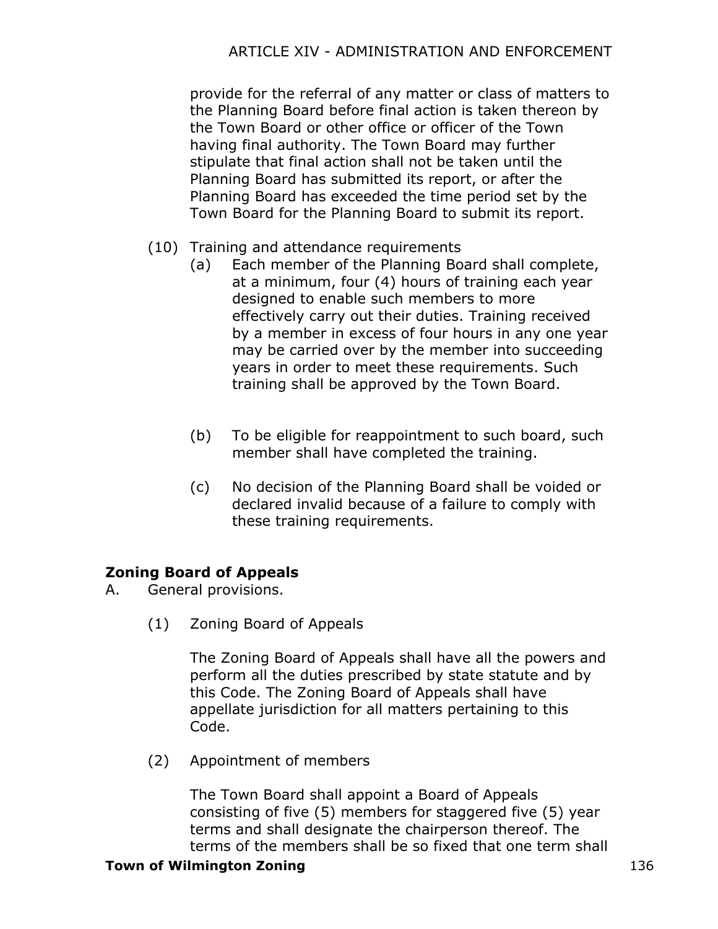provide for the referral of any matter or class of matters to the Planning Board before final action is taken thereon by the Town Board or other office or officer of the Town having final authority. The Town Board may further stipulate that final action shall not be taken until the Planning Board has submitted its report, or after the Planning Board has exceeded the time period set by the Town Board for the Planning Board to submit its report.

- (10) Training and attendance requirements
	- (a) Each member of the Planning Board shall complete, at a minimum, four (4) hours of training each year designed to enable such members to more effectively carry out their duties. Training received by a member in excess of four hours in any one year may be carried over by the member into succeeding years in order to meet these requirements. Such training shall be approved by the Town Board.
	- (b) To be eligible for reappointment to such board, such member shall have completed the training.
	- (c) No decision of the Planning Board shall be voided or declared invalid because of a failure to comply with these training requirements.

# **Zoning Board of Appeals**

A. General provisions.

(1) Zoning Board of Appeals

The Zoning Board of Appeals shall have all the powers and perform all the duties prescribed by state statute and by this Code. The Zoning Board of Appeals shall have appellate jurisdiction for all matters pertaining to this Code.

(2) Appointment of members

The Town Board shall appoint a Board of Appeals consisting of five (5) members for staggered five (5) year terms and shall designate the chairperson thereof. The terms of the members shall be so fixed that one term shall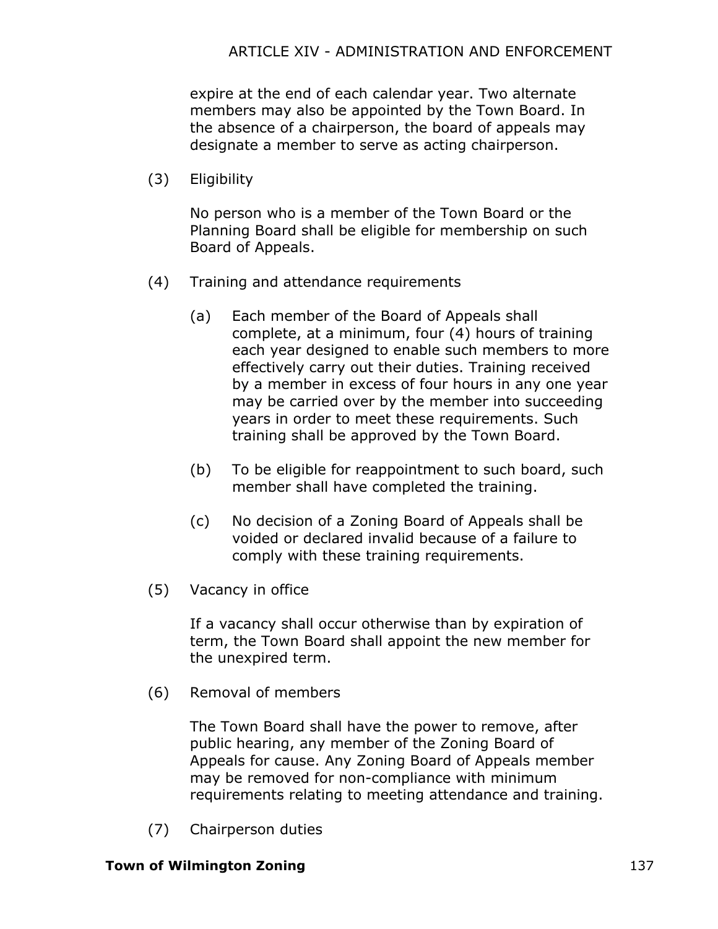expire at the end of each calendar year. Two alternate members may also be appointed by the Town Board. In the absence of a chairperson, the board of appeals may designate a member to serve as acting chairperson.

(3) Eligibility

No person who is a member of the Town Board or the Planning Board shall be eligible for membership on such Board of Appeals.

- (4) Training and attendance requirements
	- (a) Each member of the Board of Appeals shall complete, at a minimum, four (4) hours of training each year designed to enable such members to more effectively carry out their duties. Training received by a member in excess of four hours in any one year may be carried over by the member into succeeding years in order to meet these requirements. Such training shall be approved by the Town Board.
	- (b) To be eligible for reappointment to such board, such member shall have completed the training.
	- (c) No decision of a Zoning Board of Appeals shall be voided or declared invalid because of a failure to comply with these training requirements.
- (5) Vacancy in office

If a vacancy shall occur otherwise than by expiration of term, the Town Board shall appoint the new member for the unexpired term.

(6) Removal of members

The Town Board shall have the power to remove, after public hearing, any member of the Zoning Board of Appeals for cause. Any Zoning Board of Appeals member may be removed for non-compliance with minimum requirements relating to meeting attendance and training.

(7) Chairperson duties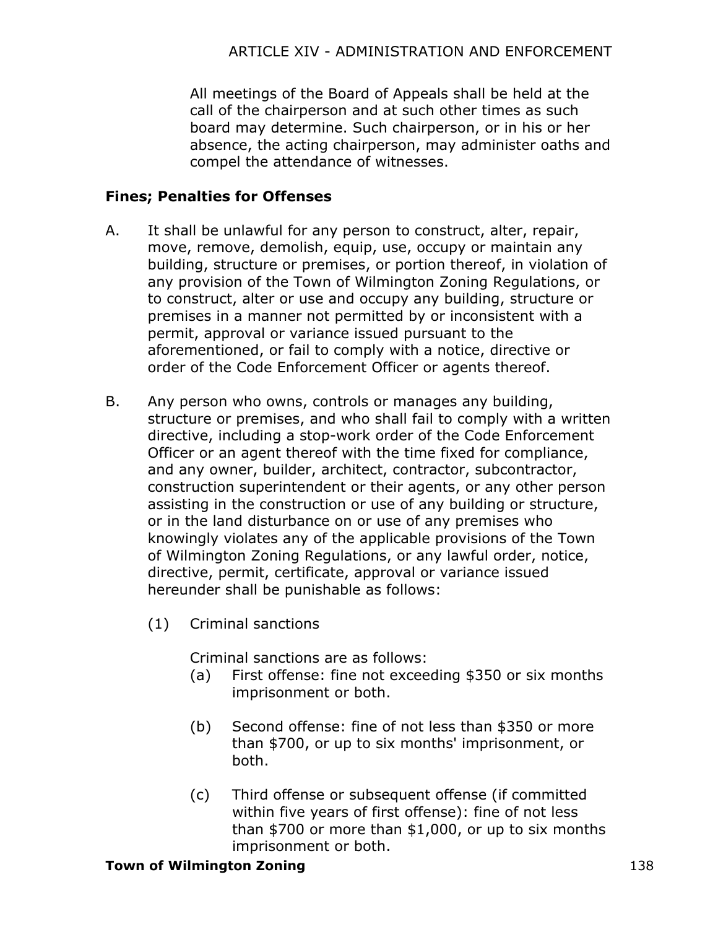All meetings of the Board of Appeals shall be held at the call of the chairperson and at such other times as such board may determine. Such chairperson, or in his or her absence, the acting chairperson, may administer oaths and compel the attendance of witnesses.

## **Fines; Penalties for Offenses**

- A. It shall be unlawful for any person to construct, alter, repair, move, remove, demolish, equip, use, occupy or maintain any building, structure or premises, or portion thereof, in violation of any provision of the Town of Wilmington Zoning Regulations, or to construct, alter or use and occupy any building, structure or premises in a manner not permitted by or inconsistent with a permit, approval or variance issued pursuant to the aforementioned, or fail to comply with a notice, directive or order of the Code Enforcement Officer or agents thereof.
- B. Any person who owns, controls or manages any building, structure or premises, and who shall fail to comply with a written directive, including a stop-work order of the Code Enforcement Officer or an agent thereof with the time fixed for compliance, and any owner, builder, architect, contractor, subcontractor, construction superintendent or their agents, or any other person assisting in the construction or use of any building or structure, or in the land disturbance on or use of any premises who knowingly violates any of the applicable provisions of the Town of Wilmington Zoning Regulations, or any lawful order, notice, directive, permit, certificate, approval or variance issued hereunder shall be punishable as follows:
	- (1) Criminal sanctions

Criminal sanctions are as follows:

- (a) First offense: fine not exceeding \$350 or six months imprisonment or both.
- (b) Second offense: fine of not less than \$350 or more than \$700, or up to six months' imprisonment, or both.
- (c) Third offense or subsequent offense (if committed within five years of first offense): fine of not less than \$700 or more than \$1,000, or up to six months imprisonment or both.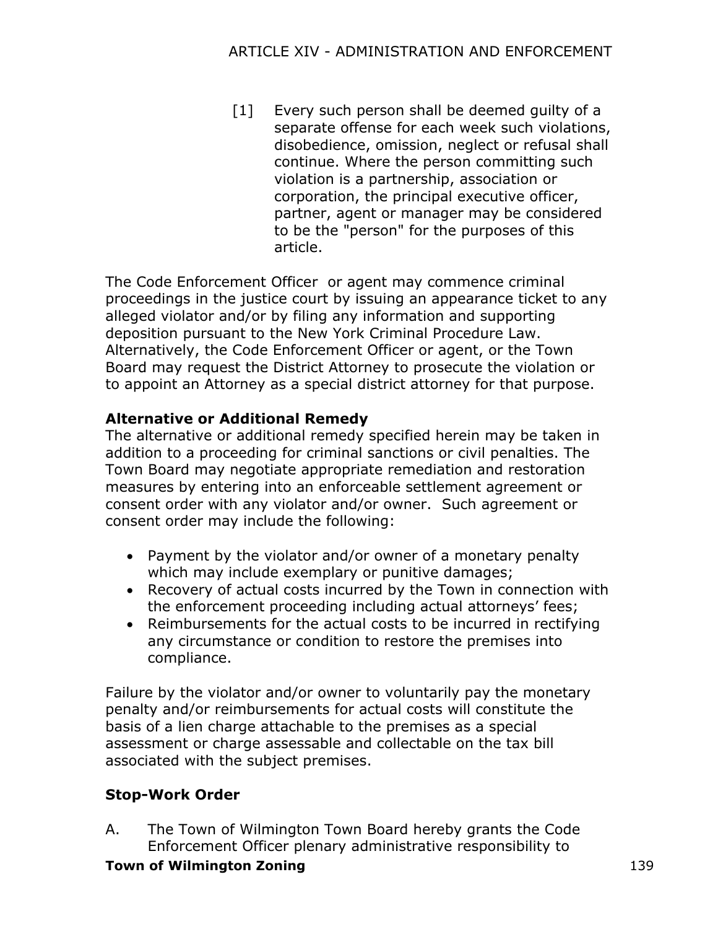[1] Every such person shall be deemed quilty of a separate offense for each week such violations, disobedience, omission, neglect or refusal shall continue. Where the person committing such violation is a partnership, association or corporation, the principal executive officer, partner, agent or manager may be considered to be the "person" for the purposes of this article.

The Code Enforcement Officer or agent may commence criminal proceedings in the justice court by issuing an appearance ticket to any alleged violator and/or by filing any information and supporting deposition pursuant to the New York Criminal Procedure Law. Alternatively, the Code Enforcement Officer or agent, or the Town Board may request the District Attorney to prosecute the violation or to appoint an Attorney as a special district attorney for that purpose.

# **Alternative or Additional Remedy**

The alternative or additional remedy specified herein may be taken in addition to a proceeding for criminal sanctions or civil penalties. The Town Board may negotiate appropriate remediation and restoration measures by entering into an enforceable settlement agreement or consent order with any violator and/or owner. Such agreement or consent order may include the following:

- · Payment by the violator and/or owner of a monetary penalty which may include exemplary or punitive damages;
- · Recovery of actual costs incurred by the Town in connection with the enforcement proceeding including actual attorneys' fees;
- · Reimbursements for the actual costs to be incurred in rectifying any circumstance or condition to restore the premises into compliance.

Failure by the violator and/or owner to voluntarily pay the monetary penalty and/or reimbursements for actual costs will constitute the basis of a lien charge attachable to the premises as a special assessment or charge assessable and collectable on the tax bill associated with the subject premises.

# **Stop-Work Order**

A. The Town of Wilmington Town Board hereby grants the Code Enforcement Officer plenary administrative responsibility to

## **Town of Wilmington Zoning** 139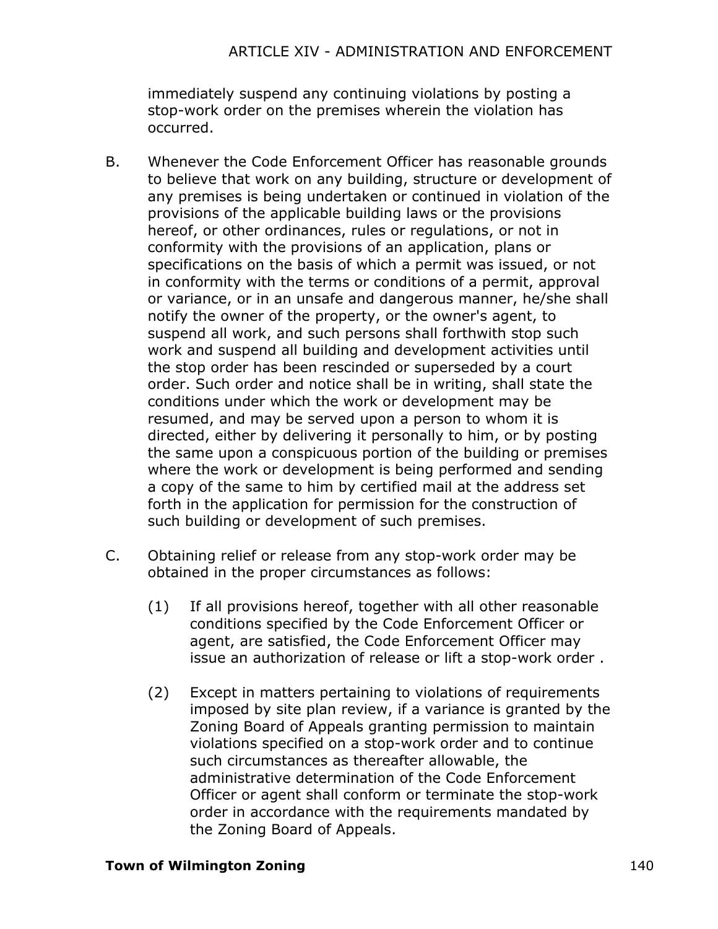### ARTICLE XIV - ADMINISTRATION AND ENFORCEMENT

immediately suspend any continuing violations by posting a stop-work order on the premises wherein the violation has occurred.

- B. Whenever the Code Enforcement Officer has reasonable grounds to believe that work on any building, structure or development of any premises is being undertaken or continued in violation of the provisions of the applicable building laws or the provisions hereof, or other ordinances, rules or regulations, or not in conformity with the provisions of an application, plans or specifications on the basis of which a permit was issued, or not in conformity with the terms or conditions of a permit, approval or variance, or in an unsafe and dangerous manner, he/she shall notify the owner of the property, or the owner's agent, to suspend all work, and such persons shall forthwith stop such work and suspend all building and development activities until the stop order has been rescinded or superseded by a court order. Such order and notice shall be in writing, shall state the conditions under which the work or development may be resumed, and may be served upon a person to whom it is directed, either by delivering it personally to him, or by posting the same upon a conspicuous portion of the building or premises where the work or development is being performed and sending a copy of the same to him by certified mail at the address set forth in the application for permission for the construction of such building or development of such premises.
- C. Obtaining relief or release from any stop-work order may be obtained in the proper circumstances as follows:
	- (1) If all provisions hereof, together with all other reasonable conditions specified by the Code Enforcement Officer or agent, are satisfied, the Code Enforcement Officer may issue an authorization of release or lift a stop-work order .
	- (2) Except in matters pertaining to violations of requirements imposed by site plan review, if a variance is granted by the Zoning Board of Appeals granting permission to maintain violations specified on a stop-work order and to continue such circumstances as thereafter allowable, the administrative determination of the Code Enforcement Officer or agent shall conform or terminate the stop-work order in accordance with the requirements mandated by the Zoning Board of Appeals.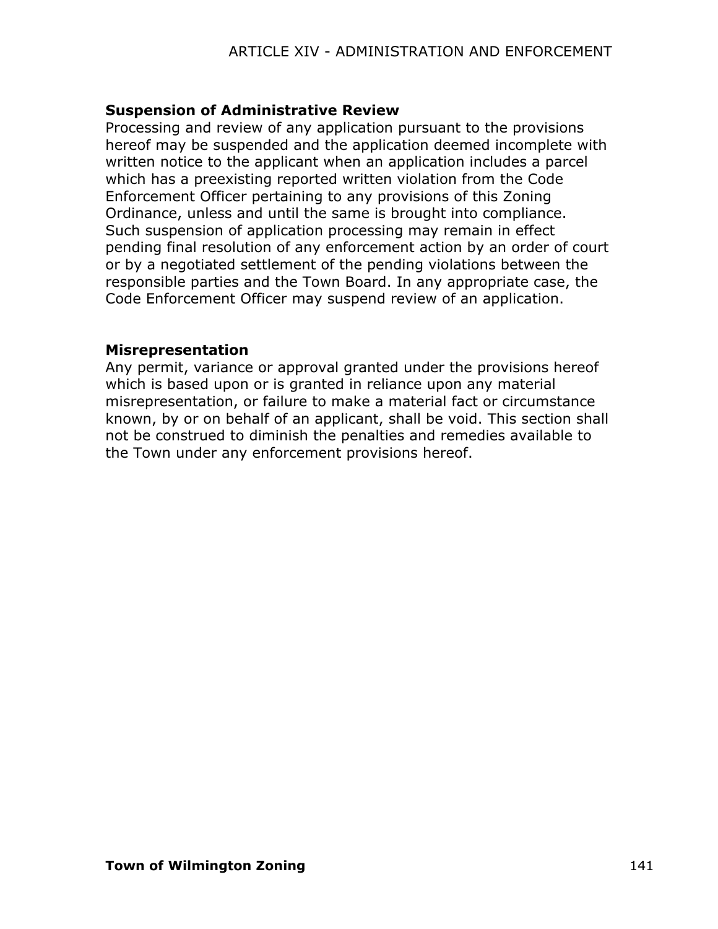### **Suspension of Administrative Review**

Processing and review of any application pursuant to the provisions hereof may be suspended and the application deemed incomplete with written notice to the applicant when an application includes a parcel which has a preexisting reported written violation from the Code Enforcement Officer pertaining to any provisions of this Zoning Ordinance, unless and until the same is brought into compliance. Such suspension of application processing may remain in effect pending final resolution of any enforcement action by an order of court or by a negotiated settlement of the pending violations between the responsible parties and the Town Board. In any appropriate case, the Code Enforcement Officer may suspend review of an application.

#### **Misrepresentation**

Any permit, variance or approval granted under the provisions hereof which is based upon or is granted in reliance upon any material misrepresentation, or failure to make a material fact or circumstance known, by or on behalf of an applicant, shall be void. This section shall not be construed to diminish the penalties and remedies available to the Town under any enforcement provisions hereof.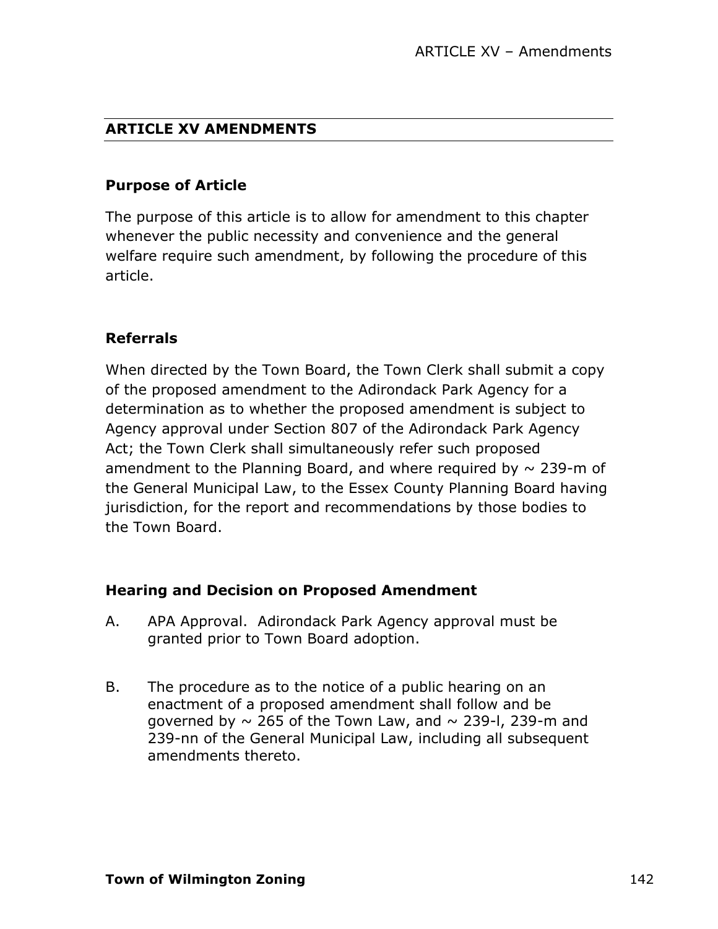### **ARTICLE XV AMENDMENTS**

#### **Purpose of Article**

The purpose of this article is to allow for amendment to this chapter whenever the public necessity and convenience and the general welfare require such amendment, by following the procedure of this article.

### **Referrals**

When directed by the Town Board, the Town Clerk shall submit a copy of the proposed amendment to the Adirondack Park Agency for a determination as to whether the proposed amendment is subject to Agency approval under Section 807 of the Adirondack Park Agency Act; the Town Clerk shall simultaneously refer such proposed amendment to the Planning Board, and where required by  $\sim$  239-m of the General Municipal Law, to the Essex County Planning Board having jurisdiction, for the report and recommendations by those bodies to the Town Board.

### **Hearing and Decision on Proposed Amendment**

- A. APA Approval. Adirondack Park Agency approval must be granted prior to Town Board adoption.
- B. The procedure as to the notice of a public hearing on an enactment of a proposed amendment shall follow and be governed by  $\sim$  265 of the Town Law, and  $\sim$  239-I, 239-m and 239-nn of the General Municipal Law, including all subsequent amendments thereto.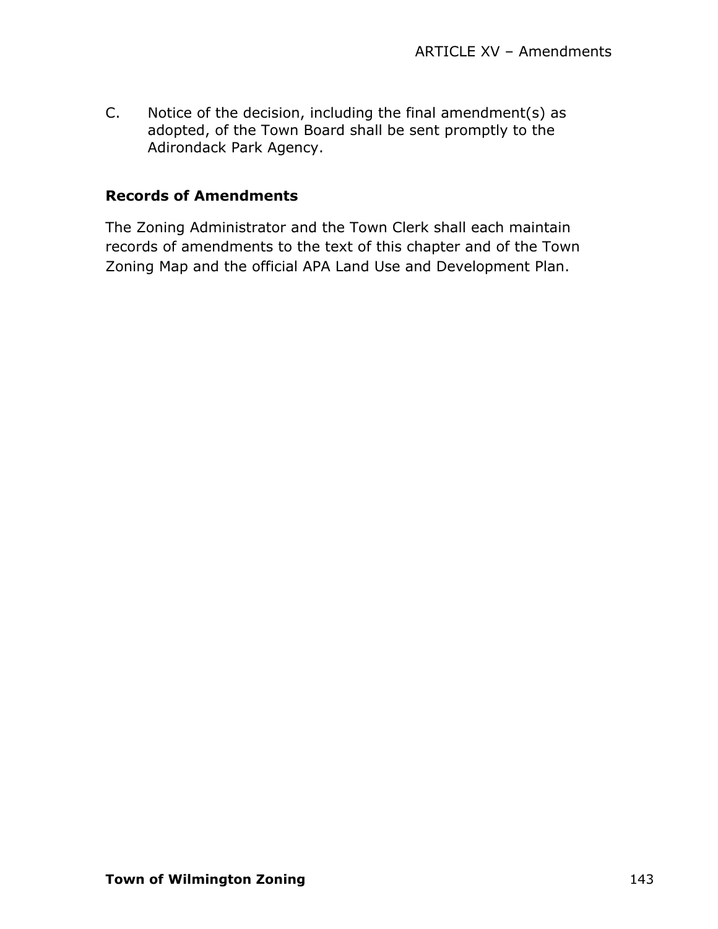C. Notice of the decision, including the final amendment(s) as adopted, of the Town Board shall be sent promptly to the Adirondack Park Agency.

### **Records of Amendments**

The Zoning Administrator and the Town Clerk shall each maintain records of amendments to the text of this chapter and of the Town Zoning Map and the official APA Land Use and Development Plan.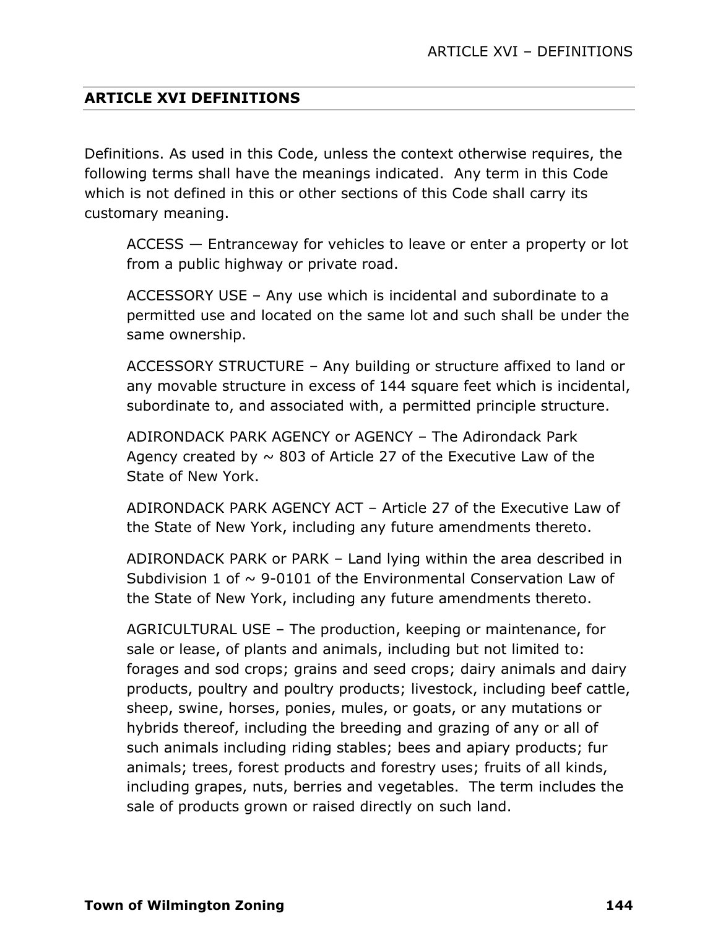### **ARTICLE XVI DEFINITIONS**

Definitions. As used in this Code, unless the context otherwise requires, the following terms shall have the meanings indicated. Any term in this Code which is not defined in this or other sections of this Code shall carry its customary meaning.

ACCESS — Entranceway for vehicles to leave or enter a property or lot from a public highway or private road.

ACCESSORY USE – Any use which is incidental and subordinate to a permitted use and located on the same lot and such shall be under the same ownership.

ACCESSORY STRUCTURE – Any building or structure affixed to land or any movable structure in excess of 144 square feet which is incidental, subordinate to, and associated with, a permitted principle structure.

ADIRONDACK PARK AGENCY or AGENCY – The Adirondack Park Agency created by  $\sim$  803 of Article 27 of the Executive Law of the State of New York.

ADIRONDACK PARK AGENCY ACT – Article 27 of the Executive Law of the State of New York, including any future amendments thereto.

ADIRONDACK PARK or PARK – Land lying within the area described in Subdivision 1 of  $\sim$  9-0101 of the Environmental Conservation Law of the State of New York, including any future amendments thereto.

AGRICULTURAL USE – The production, keeping or maintenance, for sale or lease, of plants and animals, including but not limited to: forages and sod crops; grains and seed crops; dairy animals and dairy products, poultry and poultry products; livestock, including beef cattle, sheep, swine, horses, ponies, mules, or goats, or any mutations or hybrids thereof, including the breeding and grazing of any or all of such animals including riding stables; bees and apiary products; fur animals; trees, forest products and forestry uses; fruits of all kinds, including grapes, nuts, berries and vegetables. The term includes the sale of products grown or raised directly on such land.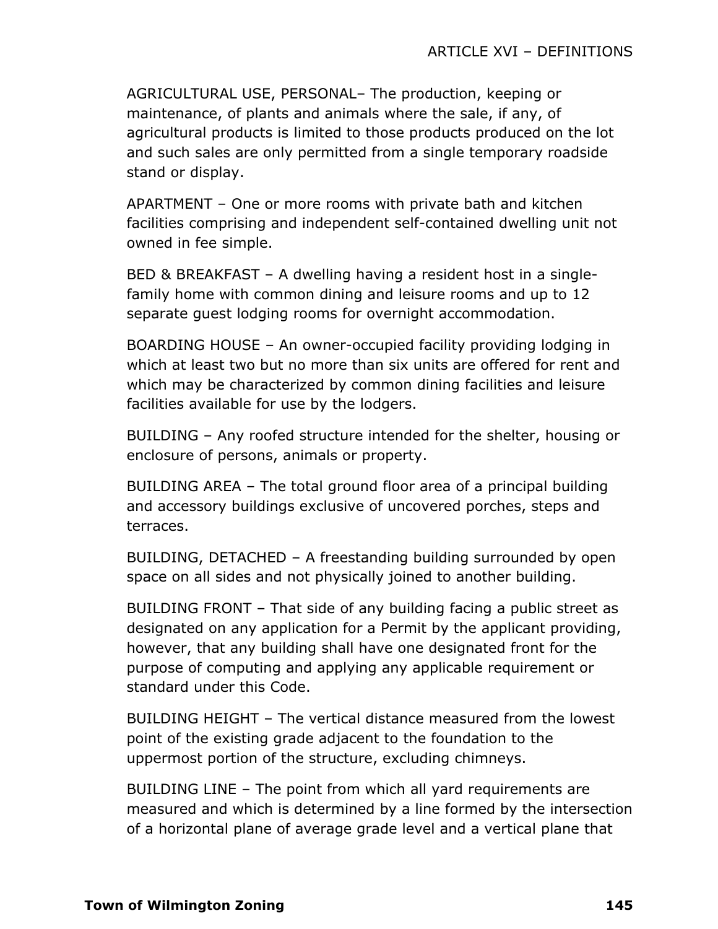AGRICULTURAL USE, PERSONAL– The production, keeping or maintenance, of plants and animals where the sale, if any, of agricultural products is limited to those products produced on the lot and such sales are only permitted from a single temporary roadside stand or display.

APARTMENT – One or more rooms with private bath and kitchen facilities comprising and independent self-contained dwelling unit not owned in fee simple.

BED & BREAKFAST – A dwelling having a resident host in a singlefamily home with common dining and leisure rooms and up to 12 separate guest lodging rooms for overnight accommodation.

BOARDING HOUSE – An owner-occupied facility providing lodging in which at least two but no more than six units are offered for rent and which may be characterized by common dining facilities and leisure facilities available for use by the lodgers.

BUILDING – Any roofed structure intended for the shelter, housing or enclosure of persons, animals or property.

BUILDING AREA – The total ground floor area of a principal building and accessory buildings exclusive of uncovered porches, steps and terraces.

BUILDING, DETACHED – A freestanding building surrounded by open space on all sides and not physically joined to another building.

BUILDING FRONT – That side of any building facing a public street as designated on any application for a Permit by the applicant providing, however, that any building shall have one designated front for the purpose of computing and applying any applicable requirement or standard under this Code.

BUILDING HEIGHT – The vertical distance measured from the lowest point of the existing grade adjacent to the foundation to the uppermost portion of the structure, excluding chimneys.

BUILDING LINE – The point from which all yard requirements are measured and which is determined by a line formed by the intersection of a horizontal plane of average grade level and a vertical plane that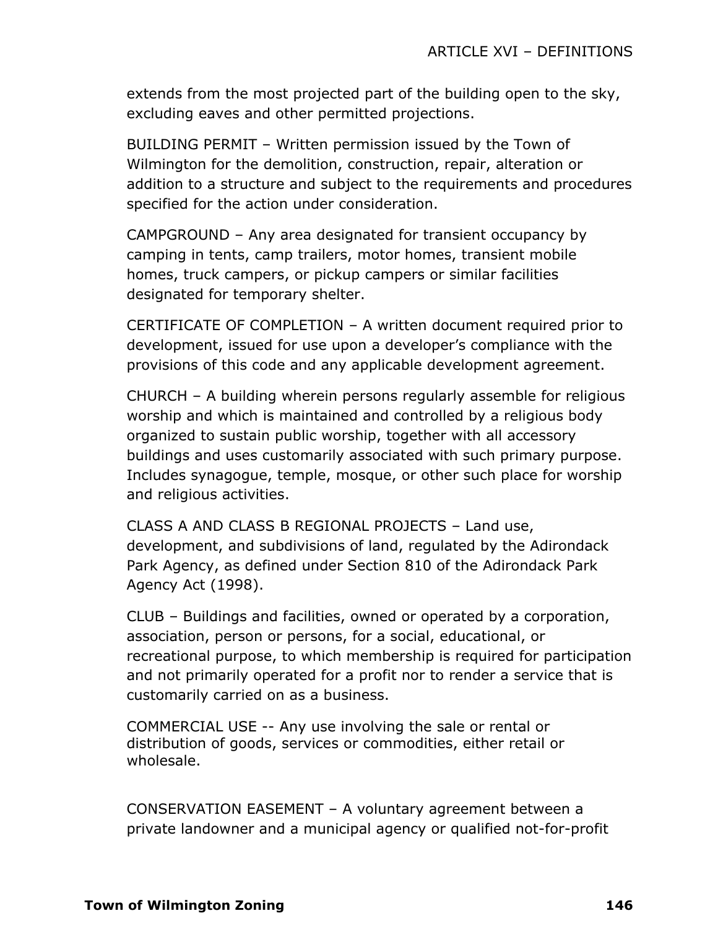extends from the most projected part of the building open to the sky, excluding eaves and other permitted projections.

BUILDING PERMIT – Written permission issued by the Town of Wilmington for the demolition, construction, repair, alteration or addition to a structure and subject to the requirements and procedures specified for the action under consideration.

CAMPGROUND – Any area designated for transient occupancy by camping in tents, camp trailers, motor homes, transient mobile homes, truck campers, or pickup campers or similar facilities designated for temporary shelter.

CERTIFICATE OF COMPLETION – A written document required prior to development, issued for use upon a developer's compliance with the provisions of this code and any applicable development agreement.

CHURCH – A building wherein persons regularly assemble for religious worship and which is maintained and controlled by a religious body organized to sustain public worship, together with all accessory buildings and uses customarily associated with such primary purpose. Includes synagogue, temple, mosque, or other such place for worship and religious activities.

CLASS A AND CLASS B REGIONAL PROJECTS – Land use, development, and subdivisions of land, regulated by the Adirondack Park Agency, as defined under Section 810 of the Adirondack Park Agency Act (1998).

CLUB – Buildings and facilities, owned or operated by a corporation, association, person or persons, for a social, educational, or recreational purpose, to which membership is required for participation and not primarily operated for a profit nor to render a service that is customarily carried on as a business.

COMMERCIAL USE -- Any use involving the sale or rental or distribution of goods, services or commodities, either retail or wholesale.

CONSERVATION EASEMENT – A voluntary agreement between a private landowner and a municipal agency or qualified not-for-profit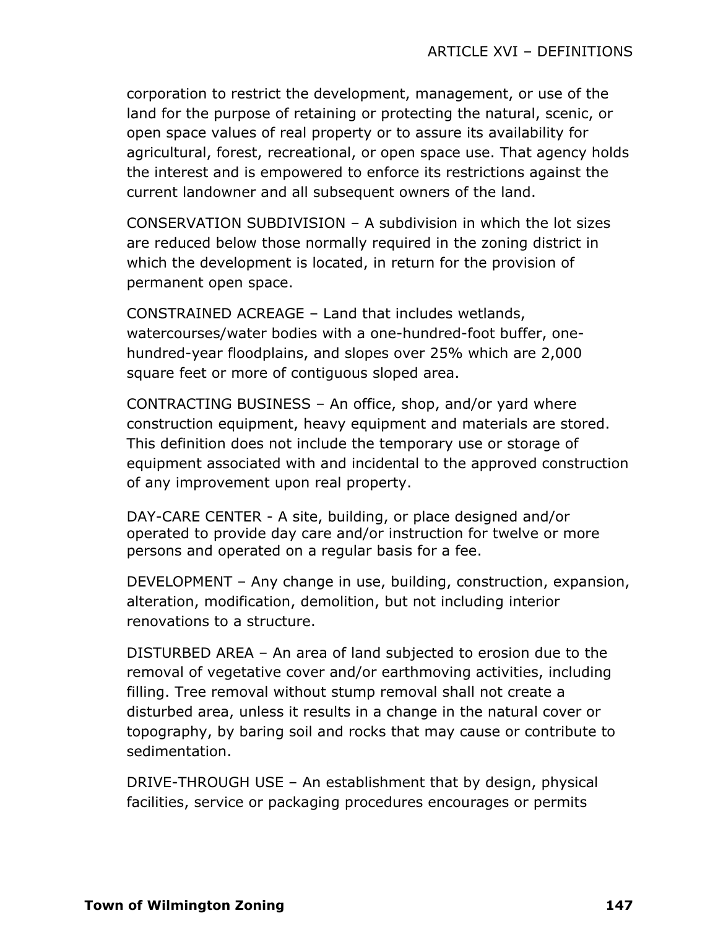corporation to restrict the development, management, or use of the land for the purpose of retaining or protecting the natural, scenic, or open space values of real property or to assure its availability for agricultural, forest, recreational, or open space use. That agency holds the interest and is empowered to enforce its restrictions against the current landowner and all subsequent owners of the land.

CONSERVATION SUBDIVISION – A subdivision in which the lot sizes are reduced below those normally required in the zoning district in which the development is located, in return for the provision of permanent open space.

CONSTRAINED ACREAGE – Land that includes wetlands, watercourses/water bodies with a one-hundred-foot buffer, onehundred-year floodplains, and slopes over 25% which are 2,000 square feet or more of contiguous sloped area.

CONTRACTING BUSINESS – An office, shop, and/or yard where construction equipment, heavy equipment and materials are stored. This definition does not include the temporary use or storage of equipment associated with and incidental to the approved construction of any improvement upon real property.

DAY-CARE CENTER - A site, building, or place designed and/or operated to provide day care and/or instruction for twelve or more persons and operated on a regular basis for a fee.

DEVELOPMENT – Any change in use, building, construction, expansion, alteration, modification, demolition, but not including interior renovations to a structure.

DISTURBED AREA – An area of land subjected to erosion due to the removal of vegetative cover and/or earthmoving activities, including filling. Tree removal without stump removal shall not create a disturbed area, unless it results in a change in the natural cover or topography, by baring soil and rocks that may cause or contribute to sedimentation.

DRIVE-THROUGH USE – An establishment that by design, physical facilities, service or packaging procedures encourages or permits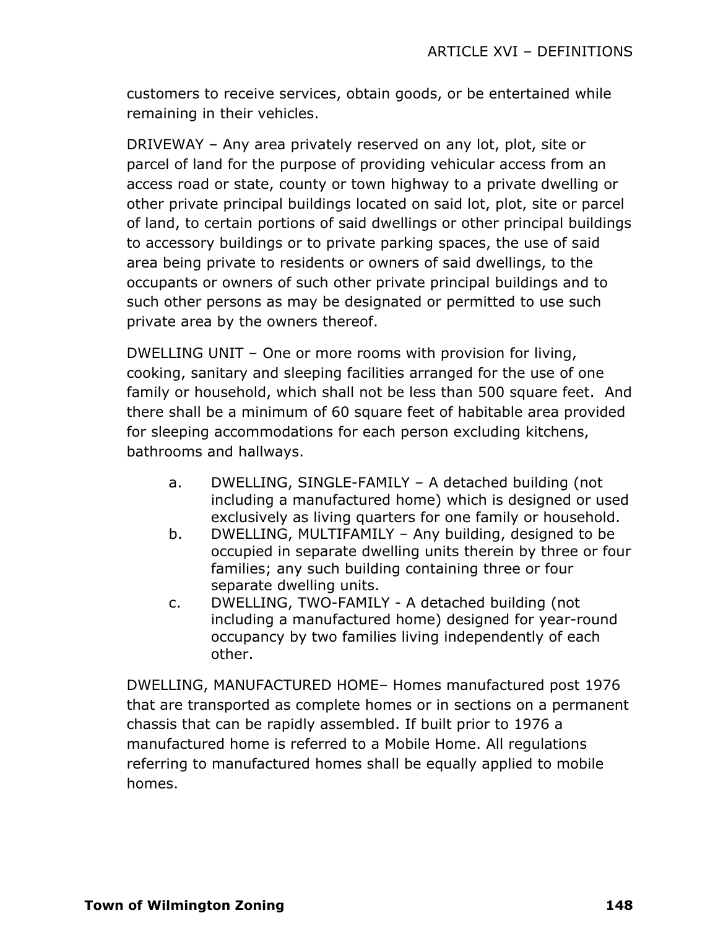customers to receive services, obtain goods, or be entertained while remaining in their vehicles.

DRIVEWAY – Any area privately reserved on any lot, plot, site or parcel of land for the purpose of providing vehicular access from an access road or state, county or town highway to a private dwelling or other private principal buildings located on said lot, plot, site or parcel of land, to certain portions of said dwellings or other principal buildings to accessory buildings or to private parking spaces, the use of said area being private to residents or owners of said dwellings, to the occupants or owners of such other private principal buildings and to such other persons as may be designated or permitted to use such private area by the owners thereof.

DWELLING UNIT – One or more rooms with provision for living, cooking, sanitary and sleeping facilities arranged for the use of one family or household, which shall not be less than 500 square feet. And there shall be a minimum of 60 square feet of habitable area provided for sleeping accommodations for each person excluding kitchens, bathrooms and hallways.

- a. DWELLING, SINGLE-FAMILY A detached building (not including a manufactured home) which is designed or used exclusively as living quarters for one family or household.
- b. DWELLING, MULTIFAMILY Any building, designed to be occupied in separate dwelling units therein by three or four families; any such building containing three or four separate dwelling units.
- c. DWELLING, TWO-FAMILY A detached building (not including a manufactured home) designed for year-round occupancy by two families living independently of each other.

DWELLING, MANUFACTURED HOME– Homes manufactured post 1976 that are transported as complete homes or in sections on a permanent chassis that can be rapidly assembled. If built prior to 1976 a manufactured home is referred to a Mobile Home. All regulations referring to manufactured homes shall be equally applied to mobile homes.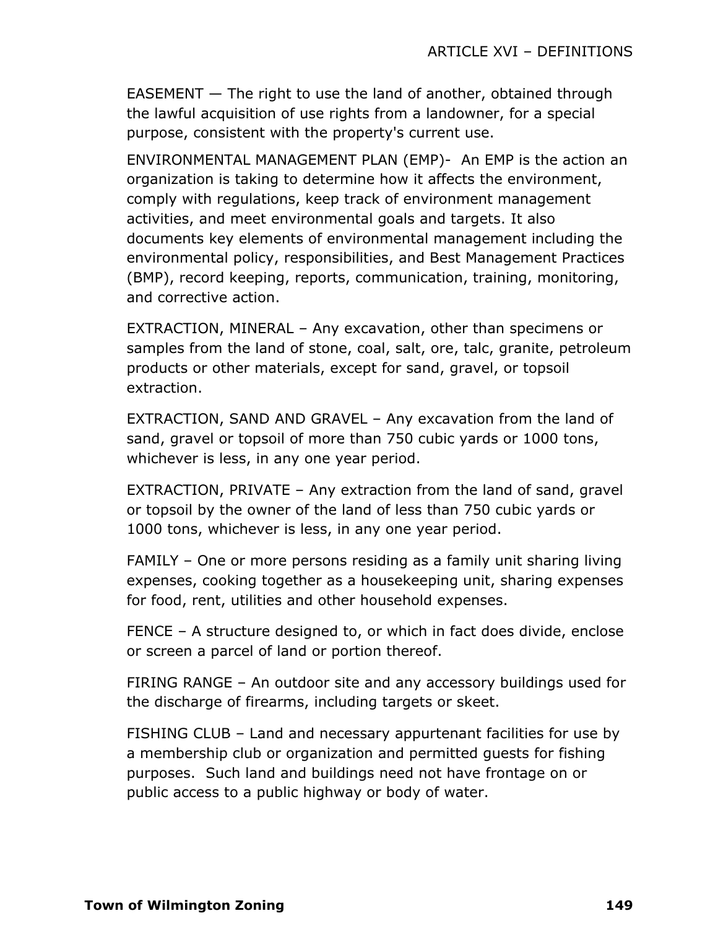EASEMENT — The right to use the land of another, obtained through the lawful acquisition of use rights from a landowner, for a special purpose, consistent with the property's current use.

ENVIRONMENTAL MANAGEMENT PLAN (EMP)- An EMP is the action an organization is taking to determine how it affects the environment, comply with regulations, keep track of environment management activities, and meet environmental goals and targets. It also documents key elements of environmental management including the environmental policy, responsibilities, and Best Management Practices (BMP), record keeping, reports, communication, training, monitoring, and corrective action.

EXTRACTION, MINERAL – Any excavation, other than specimens or samples from the land of stone, coal, salt, ore, talc, granite, petroleum products or other materials, except for sand, gravel, or topsoil extraction.

EXTRACTION, SAND AND GRAVEL – Any excavation from the land of sand, gravel or topsoil of more than 750 cubic yards or 1000 tons, whichever is less, in any one year period.

EXTRACTION, PRIVATE – Any extraction from the land of sand, gravel or topsoil by the owner of the land of less than 750 cubic yards or 1000 tons, whichever is less, in any one year period.

FAMILY – One or more persons residing as a family unit sharing living expenses, cooking together as a housekeeping unit, sharing expenses for food, rent, utilities and other household expenses.

FENCE – A structure designed to, or which in fact does divide, enclose or screen a parcel of land or portion thereof.

FIRING RANGE – An outdoor site and any accessory buildings used for the discharge of firearms, including targets or skeet.

FISHING CLUB – Land and necessary appurtenant facilities for use by a membership club or organization and permitted guests for fishing purposes. Such land and buildings need not have frontage on or public access to a public highway or body of water.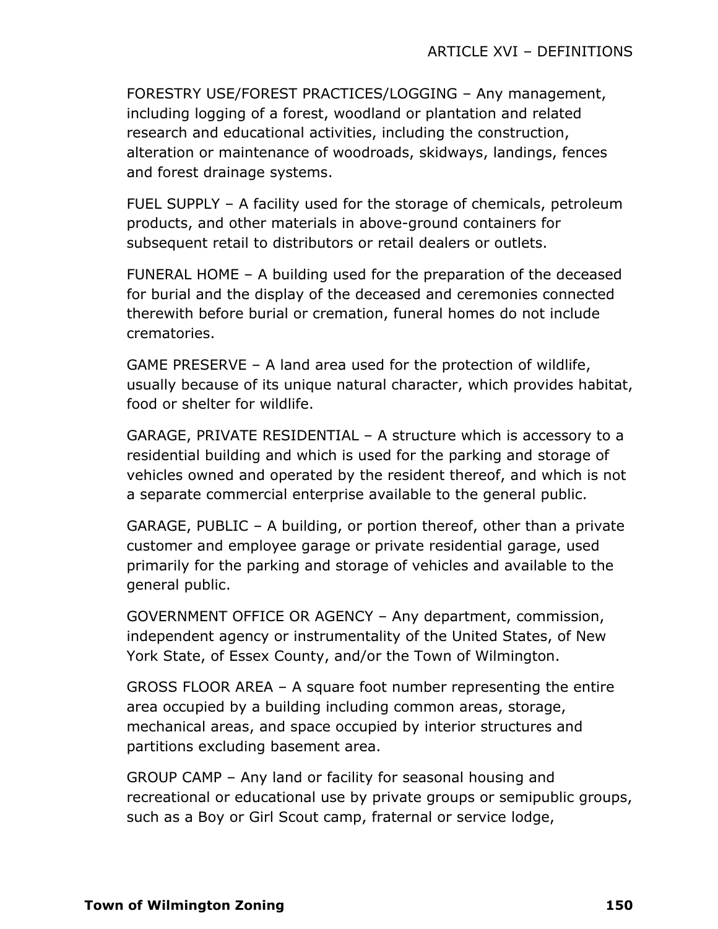FORESTRY USE/FOREST PRACTICES/LOGGING – Any management, including logging of a forest, woodland or plantation and related research and educational activities, including the construction, alteration or maintenance of woodroads, skidways, landings, fences and forest drainage systems.

FUEL SUPPLY – A facility used for the storage of chemicals, petroleum products, and other materials in above-ground containers for subsequent retail to distributors or retail dealers or outlets.

FUNERAL HOME – A building used for the preparation of the deceased for burial and the display of the deceased and ceremonies connected therewith before burial or cremation, funeral homes do not include crematories.

GAME PRESERVE – A land area used for the protection of wildlife, usually because of its unique natural character, which provides habitat, food or shelter for wildlife.

GARAGE, PRIVATE RESIDENTIAL – A structure which is accessory to a residential building and which is used for the parking and storage of vehicles owned and operated by the resident thereof, and which is not a separate commercial enterprise available to the general public.

GARAGE, PUBLIC – A building, or portion thereof, other than a private customer and employee garage or private residential garage, used primarily for the parking and storage of vehicles and available to the general public.

GOVERNMENT OFFICE OR AGENCY – Any department, commission, independent agency or instrumentality of the United States, of New York State, of Essex County, and/or the Town of Wilmington.

GROSS FLOOR AREA – A square foot number representing the entire area occupied by a building including common areas, storage, mechanical areas, and space occupied by interior structures and partitions excluding basement area.

GROUP CAMP – Any land or facility for seasonal housing and recreational or educational use by private groups or semipublic groups, such as a Boy or Girl Scout camp, fraternal or service lodge,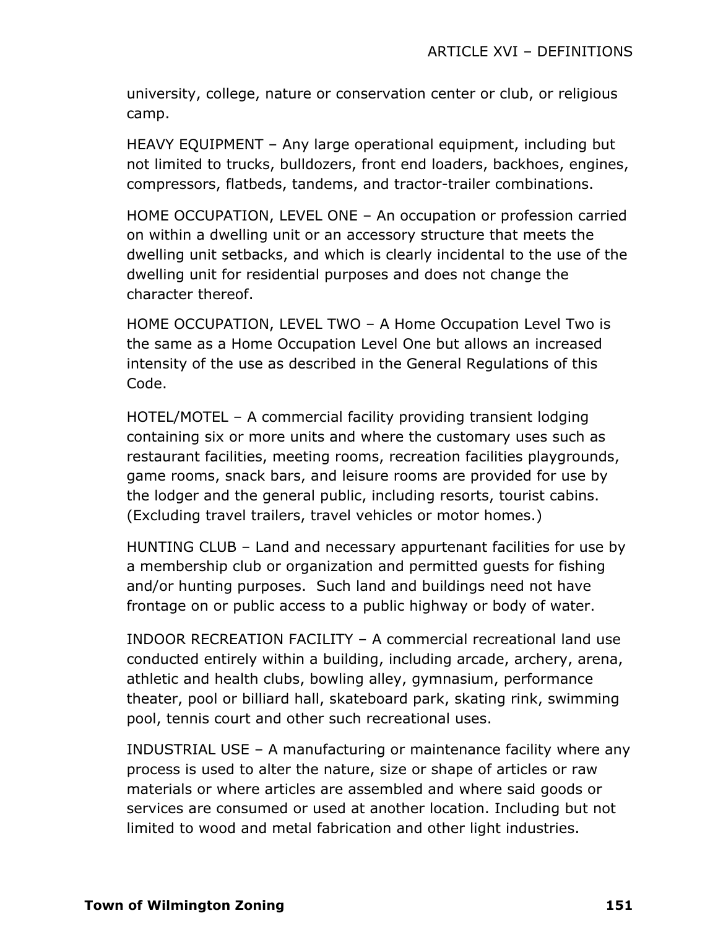university, college, nature or conservation center or club, or religious camp.

HEAVY EQUIPMENT – Any large operational equipment, including but not limited to trucks, bulldozers, front end loaders, backhoes, engines, compressors, flatbeds, tandems, and tractor-trailer combinations.

HOME OCCUPATION, LEVEL ONE – An occupation or profession carried on within a dwelling unit or an accessory structure that meets the dwelling unit setbacks, and which is clearly incidental to the use of the dwelling unit for residential purposes and does not change the character thereof.

HOME OCCUPATION, LEVEL TWO – A Home Occupation Level Two is the same as a Home Occupation Level One but allows an increased intensity of the use as described in the General Regulations of this Code.

HOTEL/MOTEL – A commercial facility providing transient lodging containing six or more units and where the customary uses such as restaurant facilities, meeting rooms, recreation facilities playgrounds, game rooms, snack bars, and leisure rooms are provided for use by the lodger and the general public, including resorts, tourist cabins. (Excluding travel trailers, travel vehicles or motor homes.)

HUNTING CLUB – Land and necessary appurtenant facilities for use by a membership club or organization and permitted guests for fishing and/or hunting purposes. Such land and buildings need not have frontage on or public access to a public highway or body of water.

INDOOR RECREATION FACILITY – A commercial recreational land use conducted entirely within a building, including arcade, archery, arena, athletic and health clubs, bowling alley, gymnasium, performance theater, pool or billiard hall, skateboard park, skating rink, swimming pool, tennis court and other such recreational uses.

INDUSTRIAL USE – A manufacturing or maintenance facility where any process is used to alter the nature, size or shape of articles or raw materials or where articles are assembled and where said goods or services are consumed or used at another location. Including but not limited to wood and metal fabrication and other light industries.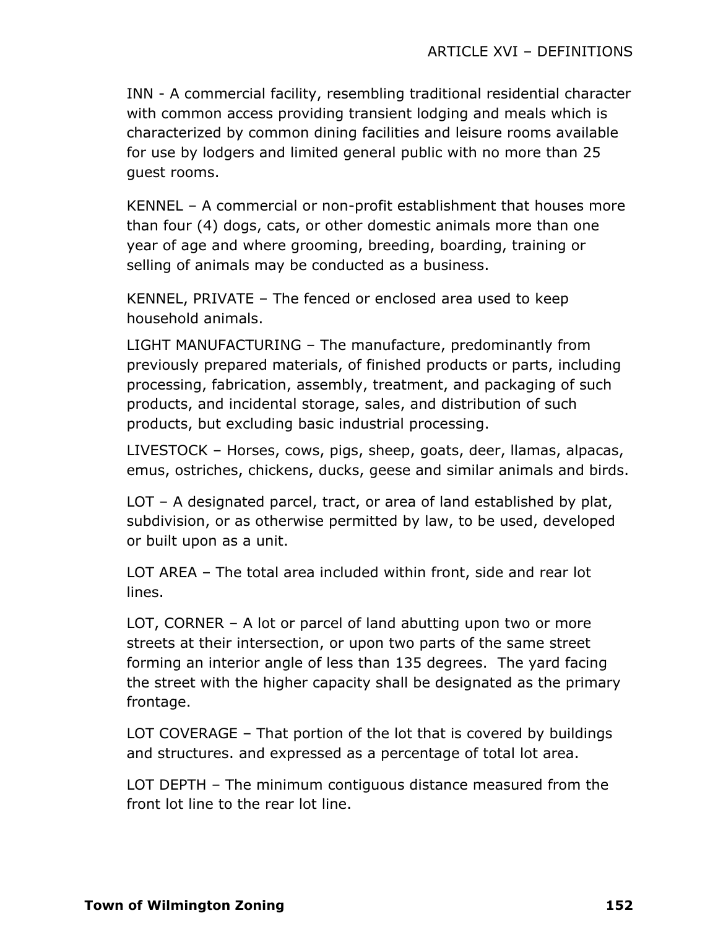INN - A commercial facility, resembling traditional residential character with common access providing transient lodging and meals which is characterized by common dining facilities and leisure rooms available for use by lodgers and limited general public with no more than 25 guest rooms.

KENNEL – A commercial or non-profit establishment that houses more than four (4) dogs, cats, or other domestic animals more than one year of age and where grooming, breeding, boarding, training or selling of animals may be conducted as a business.

KENNEL, PRIVATE – The fenced or enclosed area used to keep household animals.

LIGHT MANUFACTURING – The manufacture, predominantly from previously prepared materials, of finished products or parts, including processing, fabrication, assembly, treatment, and packaging of such products, and incidental storage, sales, and distribution of such products, but excluding basic industrial processing.

LIVESTOCK – Horses, cows, pigs, sheep, goats, deer, llamas, alpacas, emus, ostriches, chickens, ducks, geese and similar animals and birds.

LOT – A designated parcel, tract, or area of land established by plat, subdivision, or as otherwise permitted by law, to be used, developed or built upon as a unit.

LOT AREA – The total area included within front, side and rear lot lines.

LOT, CORNER – A lot or parcel of land abutting upon two or more streets at their intersection, or upon two parts of the same street forming an interior angle of less than 135 degrees. The yard facing the street with the higher capacity shall be designated as the primary frontage.

LOT COVERAGE – That portion of the lot that is covered by buildings and structures. and expressed as a percentage of total lot area.

LOT DEPTH – The minimum contiguous distance measured from the front lot line to the rear lot line.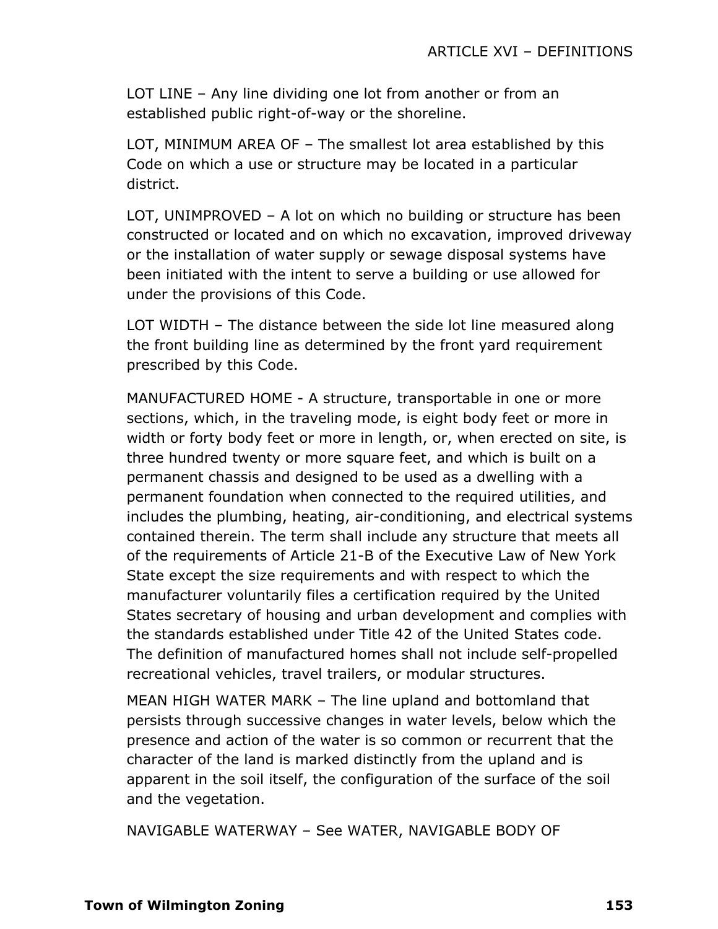LOT LINE – Any line dividing one lot from another or from an established public right-of-way or the shoreline.

LOT, MINIMUM AREA OF – The smallest lot area established by this Code on which a use or structure may be located in a particular district.

LOT, UNIMPROVED – A lot on which no building or structure has been constructed or located and on which no excavation, improved driveway or the installation of water supply or sewage disposal systems have been initiated with the intent to serve a building or use allowed for under the provisions of this Code.

LOT WIDTH – The distance between the side lot line measured along the front building line as determined by the front yard requirement prescribed by this Code.

MANUFACTURED HOME - A structure, transportable in one or more sections, which, in the traveling mode, is eight body feet or more in width or forty body feet or more in length, or, when erected on site, is three hundred twenty or more square feet, and which is built on a permanent chassis and designed to be used as a dwelling with a permanent foundation when connected to the required utilities, and includes the plumbing, heating, air-conditioning, and electrical systems contained therein. The term shall include any structure that meets all of the requirements of Article 21-B of the Executive Law of New York State except the size requirements and with respect to which the manufacturer voluntarily files a certification required by the United States secretary of housing and urban development and complies with the standards established under Title 42 of the United States code. The definition of manufactured homes shall not include self-propelled recreational vehicles, travel trailers, or modular structures.

MEAN HIGH WATER MARK – The line upland and bottomland that persists through successive changes in water levels, below which the presence and action of the water is so common or recurrent that the character of the land is marked distinctly from the upland and is apparent in the soil itself, the configuration of the surface of the soil and the vegetation.

NAVIGABLE WATERWAY – See WATER, NAVIGABLE BODY OF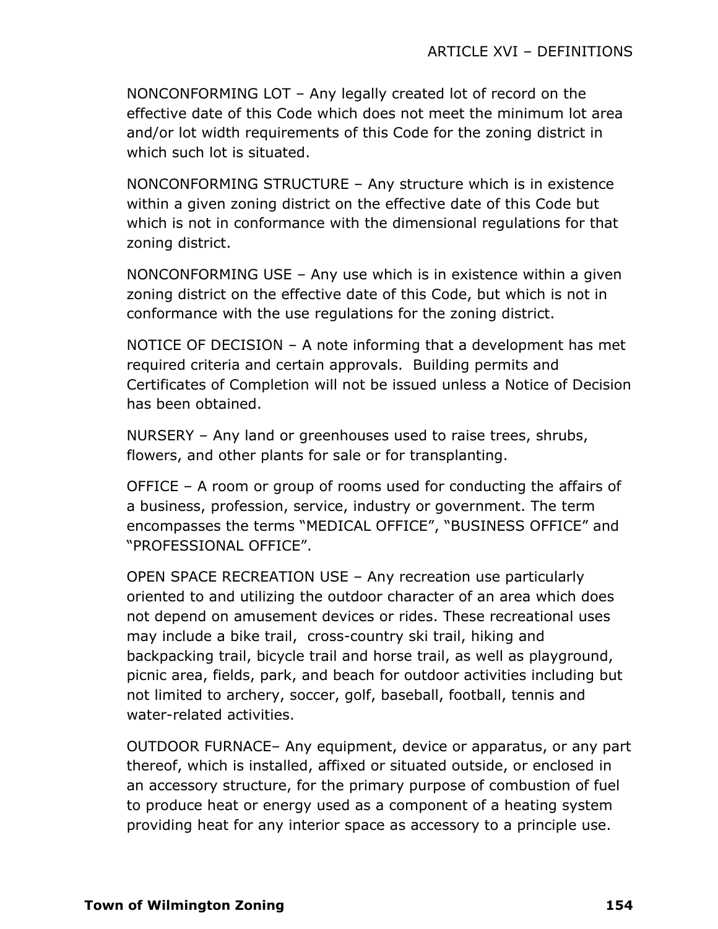NONCONFORMING LOT – Any legally created lot of record on the effective date of this Code which does not meet the minimum lot area and/or lot width requirements of this Code for the zoning district in which such lot is situated.

NONCONFORMING STRUCTURE – Any structure which is in existence within a given zoning district on the effective date of this Code but which is not in conformance with the dimensional regulations for that zoning district.

NONCONFORMING USE – Any use which is in existence within a given zoning district on the effective date of this Code, but which is not in conformance with the use regulations for the zoning district.

NOTICE OF DECISION – A note informing that a development has met required criteria and certain approvals. Building permits and Certificates of Completion will not be issued unless a Notice of Decision has been obtained.

NURSERY – Any land or greenhouses used to raise trees, shrubs, flowers, and other plants for sale or for transplanting.

OFFICE – A room or group of rooms used for conducting the affairs of a business, profession, service, industry or government. The term encompasses the terms "MEDICAL OFFICE", "BUSINESS OFFICE" and "PROFESSIONAL OFFICE".

OPEN SPACE RECREATION USE – Any recreation use particularly oriented to and utilizing the outdoor character of an area which does not depend on amusement devices or rides. These recreational uses may include a bike trail, cross-country ski trail, hiking and backpacking trail, bicycle trail and horse trail, as well as playground, picnic area, fields, park, and beach for outdoor activities including but not limited to archery, soccer, golf, baseball, football, tennis and water-related activities.

OUTDOOR FURNACE– Any equipment, device or apparatus, or any part thereof, which is installed, affixed or situated outside, or enclosed in an accessory structure, for the primary purpose of combustion of fuel to produce heat or energy used as a component of a heating system providing heat for any interior space as accessory to a principle use.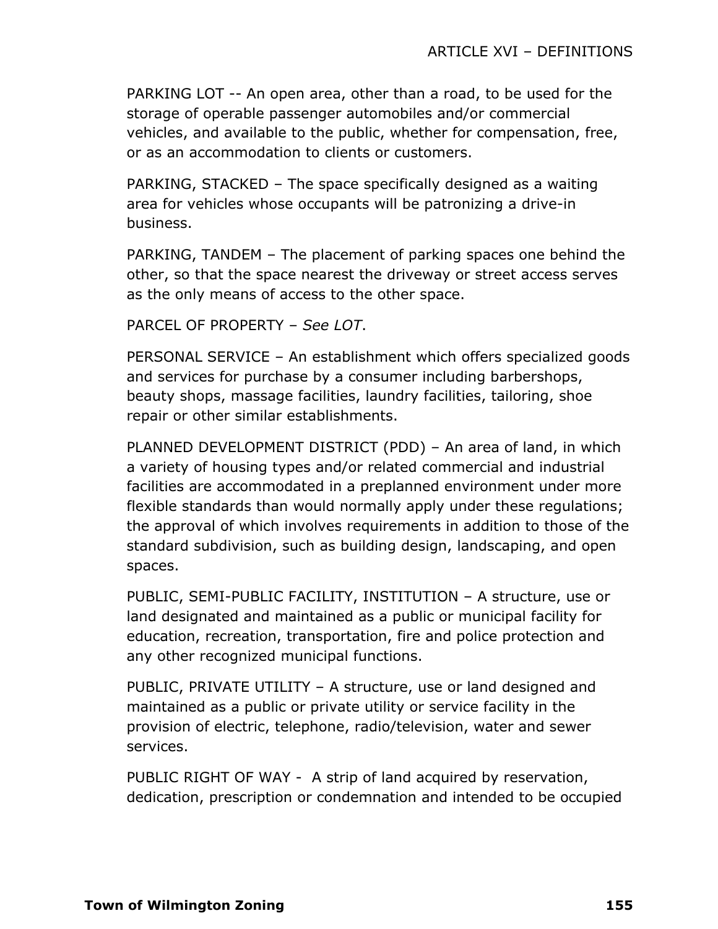PARKING LOT -- An open area, other than a road, to be used for the storage of operable passenger automobiles and/or commercial vehicles, and available to the public, whether for compensation, free, or as an accommodation to clients or customers.

PARKING, STACKED – The space specifically designed as a waiting area for vehicles whose occupants will be patronizing a drive-in business.

PARKING, TANDEM – The placement of parking spaces one behind the other, so that the space nearest the driveway or street access serves as the only means of access to the other space.

PARCEL OF PROPERTY – *See LOT*.

PERSONAL SERVICE – An establishment which offers specialized goods and services for purchase by a consumer including barbershops, beauty shops, massage facilities, laundry facilities, tailoring, shoe repair or other similar establishments.

PLANNED DEVELOPMENT DISTRICT (PDD) – An area of land, in which a variety of housing types and/or related commercial and industrial facilities are accommodated in a preplanned environment under more flexible standards than would normally apply under these regulations; the approval of which involves requirements in addition to those of the standard subdivision, such as building design, landscaping, and open spaces.

PUBLIC, SEMI-PUBLIC FACILITY, INSTITUTION – A structure, use or land designated and maintained as a public or municipal facility for education, recreation, transportation, fire and police protection and any other recognized municipal functions.

PUBLIC, PRIVATE UTILITY – A structure, use or land designed and maintained as a public or private utility or service facility in the provision of electric, telephone, radio/television, water and sewer services.

PUBLIC RIGHT OF WAY - A strip of land acquired by reservation, dedication, prescription or condemnation and intended to be occupied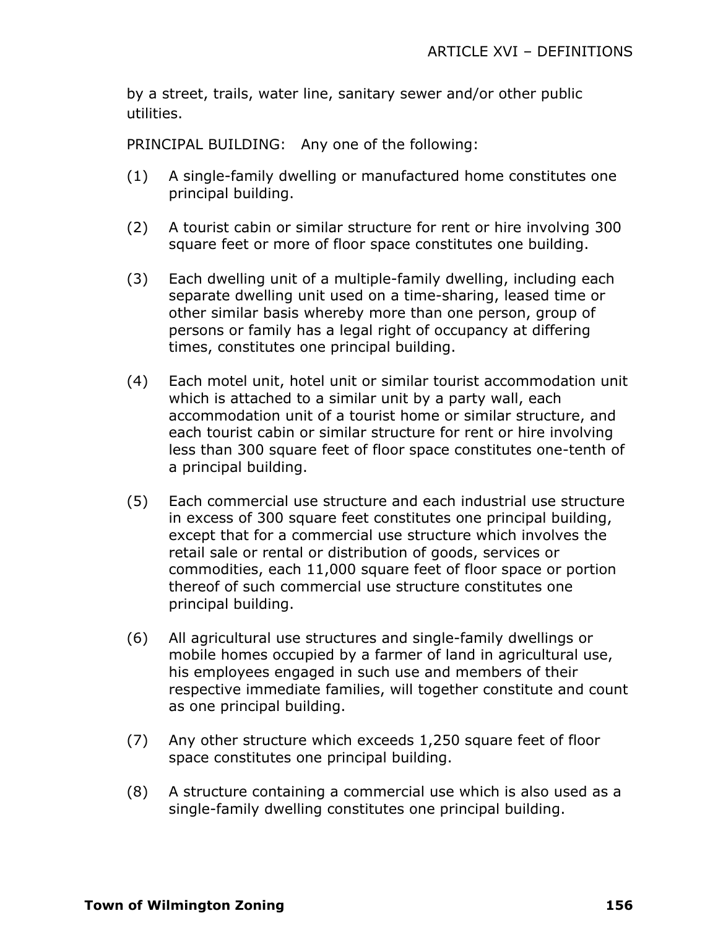by a street, trails, water line, sanitary sewer and/or other public utilities.

PRINCIPAL BUILDING: Any one of the following:

- (1) A single-family dwelling or manufactured home constitutes one principal building.
- (2) A tourist cabin or similar structure for rent or hire involving 300 square feet or more of floor space constitutes one building.
- (3) Each dwelling unit of a multiple-family dwelling, including each separate dwelling unit used on a time-sharing, leased time or other similar basis whereby more than one person, group of persons or family has a legal right of occupancy at differing times, constitutes one principal building.
- (4) Each motel unit, hotel unit or similar tourist accommodation unit which is attached to a similar unit by a party wall, each accommodation unit of a tourist home or similar structure, and each tourist cabin or similar structure for rent or hire involving less than 300 square feet of floor space constitutes one-tenth of a principal building.
- (5) Each commercial use structure and each industrial use structure in excess of 300 square feet constitutes one principal building, except that for a commercial use structure which involves the retail sale or rental or distribution of goods, services or commodities, each 11,000 square feet of floor space or portion thereof of such commercial use structure constitutes one principal building.
- (6) All agricultural use structures and single-family dwellings or mobile homes occupied by a farmer of land in agricultural use, his employees engaged in such use and members of their respective immediate families, will together constitute and count as one principal building.
- (7) Any other structure which exceeds 1,250 square feet of floor space constitutes one principal building.
- (8) A structure containing a commercial use which is also used as a single-family dwelling constitutes one principal building.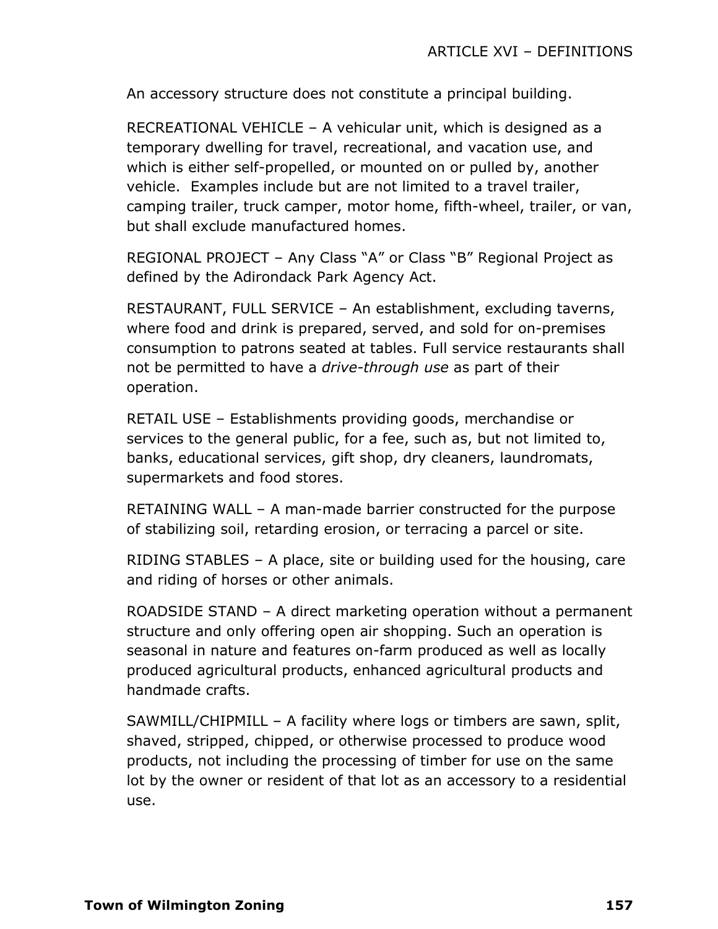An accessory structure does not constitute a principal building.

RECREATIONAL VEHICLE – A vehicular unit, which is designed as a temporary dwelling for travel, recreational, and vacation use, and which is either self-propelled, or mounted on or pulled by, another vehicle. Examples include but are not limited to a travel trailer, camping trailer, truck camper, motor home, fifth-wheel, trailer, or van, but shall exclude manufactured homes.

REGIONAL PROJECT – Any Class "A" or Class "B" Regional Project as defined by the Adirondack Park Agency Act.

RESTAURANT, FULL SERVICE – An establishment, excluding taverns, where food and drink is prepared, served, and sold for on-premises consumption to patrons seated at tables. Full service restaurants shall not be permitted to have a *drive-through use* as part of their operation.

RETAIL USE – Establishments providing goods, merchandise or services to the general public, for a fee, such as, but not limited to, banks, educational services, gift shop, dry cleaners, laundromats, supermarkets and food stores.

RETAINING WALL – A man-made barrier constructed for the purpose of stabilizing soil, retarding erosion, or terracing a parcel or site.

RIDING STABLES – A place, site or building used for the housing, care and riding of horses or other animals.

ROADSIDE STAND – A direct marketing operation without a permanent structure and only offering open air shopping. Such an operation is seasonal in nature and features on-farm produced as well as locally produced agricultural products, enhanced agricultural products and handmade crafts.

SAWMILL/CHIPMILL – A facility where logs or timbers are sawn, split, shaved, stripped, chipped, or otherwise processed to produce wood products, not including the processing of timber for use on the same lot by the owner or resident of that lot as an accessory to a residential use.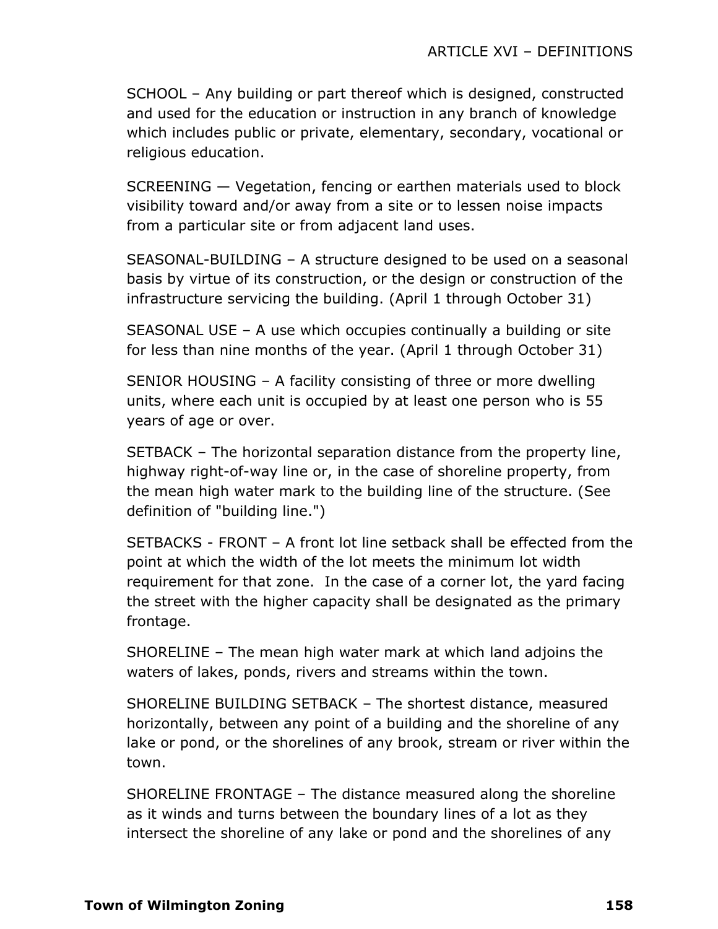SCHOOL – Any building or part thereof which is designed, constructed and used for the education or instruction in any branch of knowledge which includes public or private, elementary, secondary, vocational or religious education.

SCREENING — Vegetation, fencing or earthen materials used to block visibility toward and/or away from a site or to lessen noise impacts from a particular site or from adjacent land uses.

SEASONAL-BUILDING – A structure designed to be used on a seasonal basis by virtue of its construction, or the design or construction of the infrastructure servicing the building. (April 1 through October 31)

SEASONAL USE – A use which occupies continually a building or site for less than nine months of the year. (April 1 through October 31)

SENIOR HOUSING – A facility consisting of three or more dwelling units, where each unit is occupied by at least one person who is 55 years of age or over.

SETBACK – The horizontal separation distance from the property line, highway right-of-way line or, in the case of shoreline property, from the mean high water mark to the building line of the structure. (See definition of "building line.")

SETBACKS - FRONT – A front lot line setback shall be effected from the point at which the width of the lot meets the minimum lot width requirement for that zone. In the case of a corner lot, the yard facing the street with the higher capacity shall be designated as the primary frontage.

SHORELINE – The mean high water mark at which land adjoins the waters of lakes, ponds, rivers and streams within the town.

SHORELINE BUILDING SETBACK – The shortest distance, measured horizontally, between any point of a building and the shoreline of any lake or pond, or the shorelines of any brook, stream or river within the town.

SHORELINE FRONTAGE – The distance measured along the shoreline as it winds and turns between the boundary lines of a lot as they intersect the shoreline of any lake or pond and the shorelines of any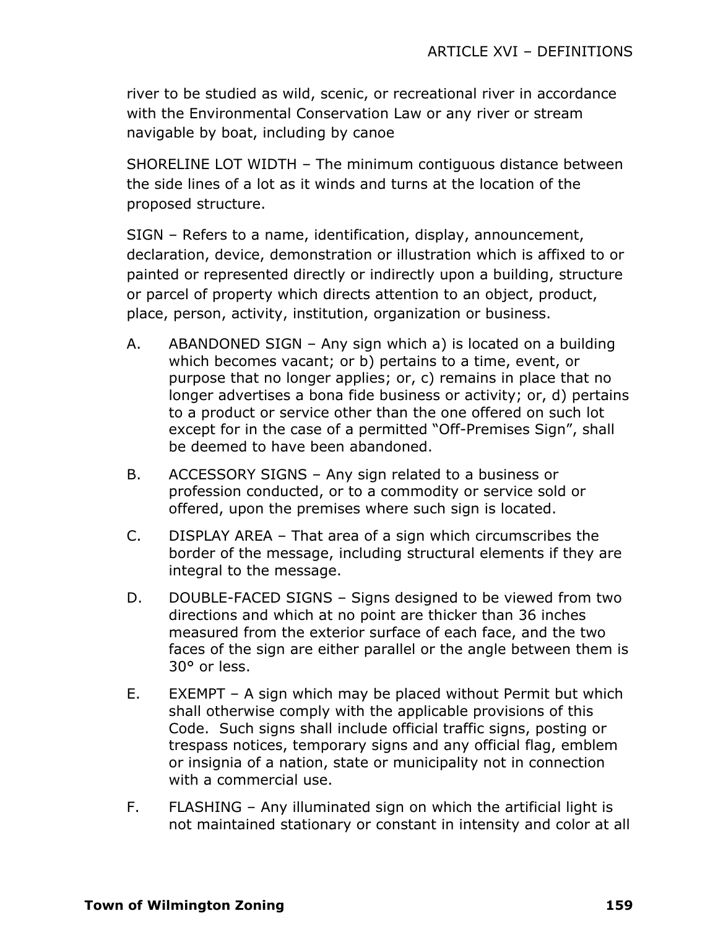river to be studied as wild, scenic, or recreational river in accordance with the Environmental Conservation Law or any river or stream navigable by boat, including by canoe

SHORELINE LOT WIDTH – The minimum contiguous distance between the side lines of a lot as it winds and turns at the location of the proposed structure.

SIGN – Refers to a name, identification, display, announcement, declaration, device, demonstration or illustration which is affixed to or painted or represented directly or indirectly upon a building, structure or parcel of property which directs attention to an object, product, place, person, activity, institution, organization or business.

- A. ABANDONED SIGN Any sign which a) is located on a building which becomes vacant; or b) pertains to a time, event, or purpose that no longer applies; or, c) remains in place that no longer advertises a bona fide business or activity; or, d) pertains to a product or service other than the one offered on such lot except for in the case of a permitted "Off-Premises Sign", shall be deemed to have been abandoned.
- B. ACCESSORY SIGNS Any sign related to a business or profession conducted, or to a commodity or service sold or offered, upon the premises where such sign is located.
- C. DISPLAY AREA That area of a sign which circumscribes the border of the message, including structural elements if they are integral to the message.
- D. DOUBLE-FACED SIGNS Signs designed to be viewed from two directions and which at no point are thicker than 36 inches measured from the exterior surface of each face, and the two faces of the sign are either parallel or the angle between them is 30° or less.
- E. EXEMPT A sign which may be placed without Permit but which shall otherwise comply with the applicable provisions of this Code. Such signs shall include official traffic signs, posting or trespass notices, temporary signs and any official flag, emblem or insignia of a nation, state or municipality not in connection with a commercial use.
- F. FLASHING Any illuminated sign on which the artificial light is not maintained stationary or constant in intensity and color at all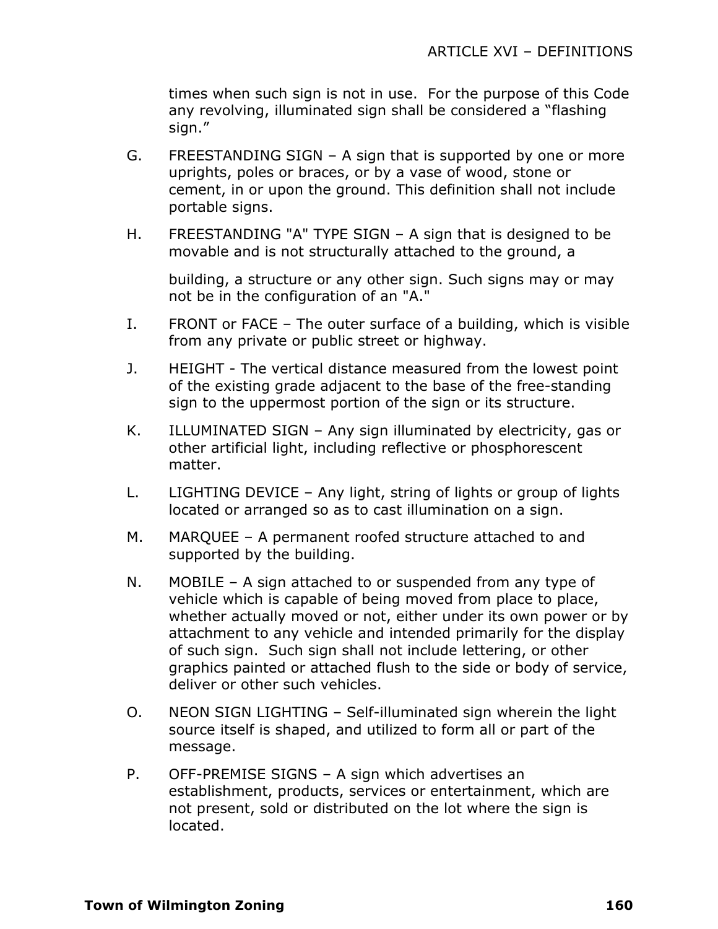times when such sign is not in use. For the purpose of this Code any revolving, illuminated sign shall be considered a "flashing sign."

- G. FREESTANDING SIGN A sign that is supported by one or more uprights, poles or braces, or by a vase of wood, stone or cement, in or upon the ground. This definition shall not include portable signs.
- H. FREESTANDING "A" TYPE SIGN A sign that is designed to be movable and is not structurally attached to the ground, a

building, a structure or any other sign. Such signs may or may not be in the configuration of an "A."

- I. FRONT or FACE The outer surface of a building, which is visible from any private or public street or highway.
- J. HEIGHT The vertical distance measured from the lowest point of the existing grade adjacent to the base of the free-standing sign to the uppermost portion of the sign or its structure.
- K. ILLUMINATED SIGN Any sign illuminated by electricity, gas or other artificial light, including reflective or phosphorescent matter.
- L. LIGHTING DEVICE Any light, string of lights or group of lights located or arranged so as to cast illumination on a sign.
- M. MARQUEE A permanent roofed structure attached to and supported by the building.
- N. MOBILE A sign attached to or suspended from any type of vehicle which is capable of being moved from place to place, whether actually moved or not, either under its own power or by attachment to any vehicle and intended primarily for the display of such sign. Such sign shall not include lettering, or other graphics painted or attached flush to the side or body of service, deliver or other such vehicles.
- O. NEON SIGN LIGHTING Self-illuminated sign wherein the light source itself is shaped, and utilized to form all or part of the message.
- P. OFF-PREMISE SIGNS A sign which advertises an establishment, products, services or entertainment, which are not present, sold or distributed on the lot where the sign is located.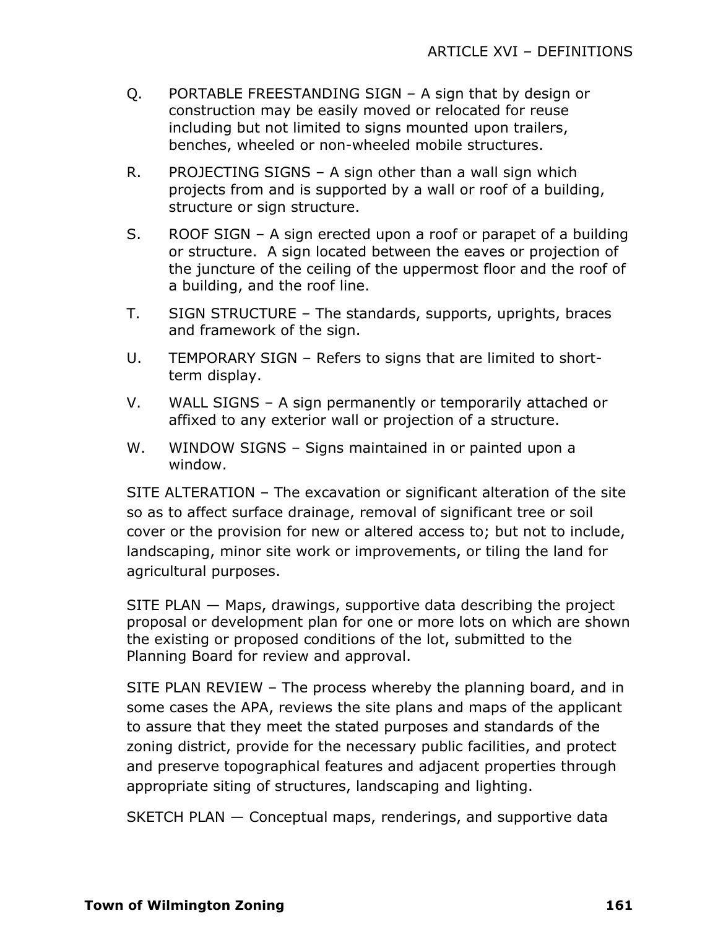- Q. PORTABLE FREESTANDING SIGN A sign that by design or construction may be easily moved or relocated for reuse including but not limited to signs mounted upon trailers, benches, wheeled or non-wheeled mobile structures.
- R. PROJECTING SIGNS A sign other than a wall sign which projects from and is supported by a wall or roof of a building, structure or sign structure.
- S. ROOF SIGN A sign erected upon a roof or parapet of a building or structure. A sign located between the eaves or projection of the juncture of the ceiling of the uppermost floor and the roof of a building, and the roof line.
- T. SIGN STRUCTURE The standards, supports, uprights, braces and framework of the sign.
- U. TEMPORARY SIGN Refers to signs that are limited to shortterm display.
- V. WALL SIGNS A sign permanently or temporarily attached or affixed to any exterior wall or projection of a structure.
- W. WINDOW SIGNS Signs maintained in or painted upon a window.

SITE ALTERATION – The excavation or significant alteration of the site so as to affect surface drainage, removal of significant tree or soil cover or the provision for new or altered access to; but not to include, landscaping, minor site work or improvements, or tiling the land for agricultural purposes.

SITE PLAN — Maps, drawings, supportive data describing the project proposal or development plan for one or more lots on which are shown the existing or proposed conditions of the lot, submitted to the Planning Board for review and approval.

SITE PLAN REVIEW – The process whereby the planning board, and in some cases the APA, reviews the site plans and maps of the applicant to assure that they meet the stated purposes and standards of the zoning district, provide for the necessary public facilities, and protect and preserve topographical features and adjacent properties through appropriate siting of structures, landscaping and lighting.

SKETCH PLAN — Conceptual maps, renderings, and supportive data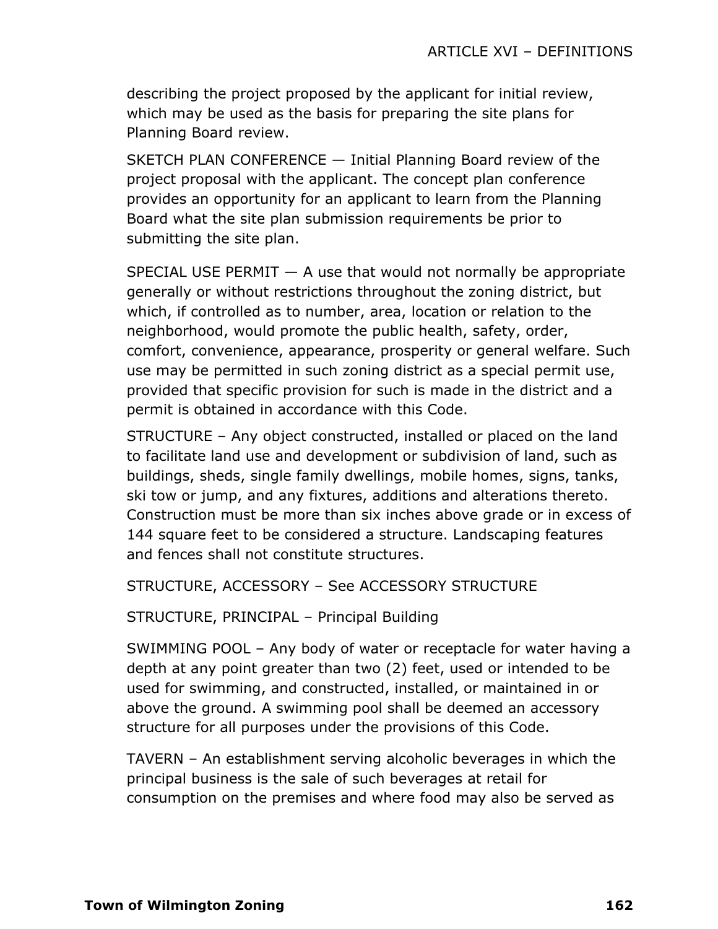describing the project proposed by the applicant for initial review, which may be used as the basis for preparing the site plans for Planning Board review.

SKETCH PLAN CONFERENCE — Initial Planning Board review of the project proposal with the applicant. The concept plan conference provides an opportunity for an applicant to learn from the Planning Board what the site plan submission requirements be prior to submitting the site plan.

SPECIAL USE PERMIT  $-$  A use that would not normally be appropriate generally or without restrictions throughout the zoning district, but which, if controlled as to number, area, location or relation to the neighborhood, would promote the public health, safety, order, comfort, convenience, appearance, prosperity or general welfare. Such use may be permitted in such zoning district as a special permit use, provided that specific provision for such is made in the district and a permit is obtained in accordance with this Code.

STRUCTURE – Any object constructed, installed or placed on the land to facilitate land use and development or subdivision of land, such as buildings, sheds, single family dwellings, mobile homes, signs, tanks, ski tow or jump, and any fixtures, additions and alterations thereto. Construction must be more than six inches above grade or in excess of 144 square feet to be considered a structure. Landscaping features and fences shall not constitute structures.

STRUCTURE, ACCESSORY – See ACCESSORY STRUCTURE

STRUCTURE, PRINCIPAL – Principal Building

SWIMMING POOL – Any body of water or receptacle for water having a depth at any point greater than two (2) feet, used or intended to be used for swimming, and constructed, installed, or maintained in or above the ground. A swimming pool shall be deemed an accessory structure for all purposes under the provisions of this Code.

TAVERN – An establishment serving alcoholic beverages in which the principal business is the sale of such beverages at retail for consumption on the premises and where food may also be served as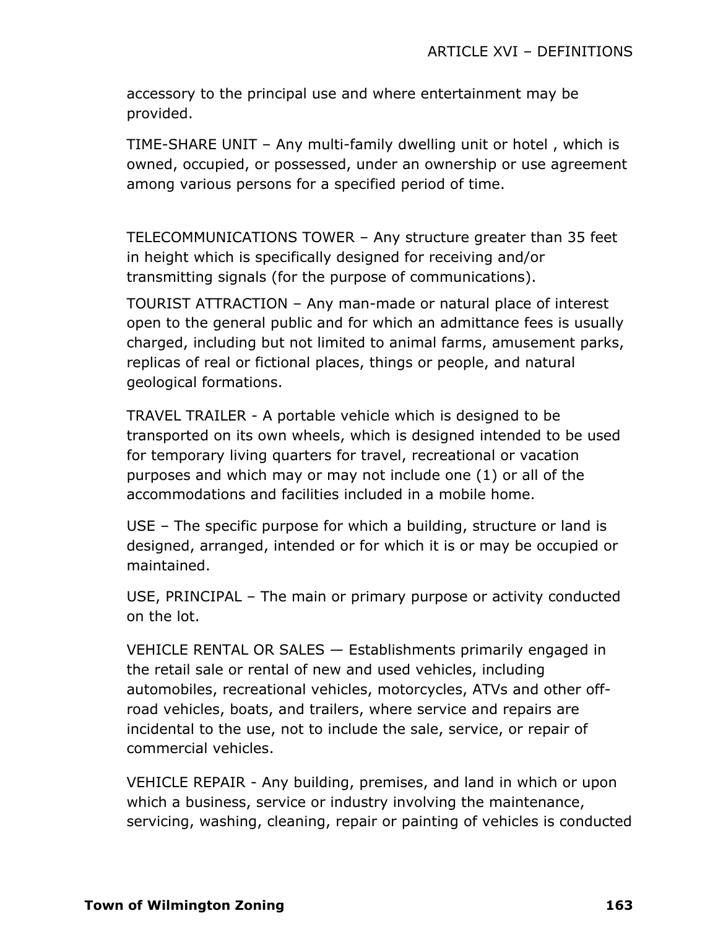accessory to the principal use and where entertainment may be provided.

TIME-SHARE UNIT – Any multi-family dwelling unit or hotel , which is owned, occupied, or possessed, under an ownership or use agreement among various persons for a specified period of time.

TELECOMMUNICATIONS TOWER – Any structure greater than 35 feet in height which is specifically designed for receiving and/or transmitting signals (for the purpose of communications).

TOURIST ATTRACTION – Any man-made or natural place of interest open to the general public and for which an admittance fees is usually charged, including but not limited to animal farms, amusement parks, replicas of real or fictional places, things or people, and natural geological formations.

TRAVEL TRAILER - A portable vehicle which is designed to be transported on its own wheels, which is designed intended to be used for temporary living quarters for travel, recreational or vacation purposes and which may or may not include one (1) or all of the accommodations and facilities included in a mobile home.

USE – The specific purpose for which a building, structure or land is designed, arranged, intended or for which it is or may be occupied or maintained.

USE, PRINCIPAL – The main or primary purpose or activity conducted on the lot.

VEHICLE RENTAL OR SALES — Establishments primarily engaged in the retail sale or rental of new and used vehicles, including automobiles, recreational vehicles, motorcycles, ATVs and other offroad vehicles, boats, and trailers, where service and repairs are incidental to the use, not to include the sale, service, or repair of commercial vehicles.

VEHICLE REPAIR - Any building, premises, and land in which or upon which a business, service or industry involving the maintenance, servicing, washing, cleaning, repair or painting of vehicles is conducted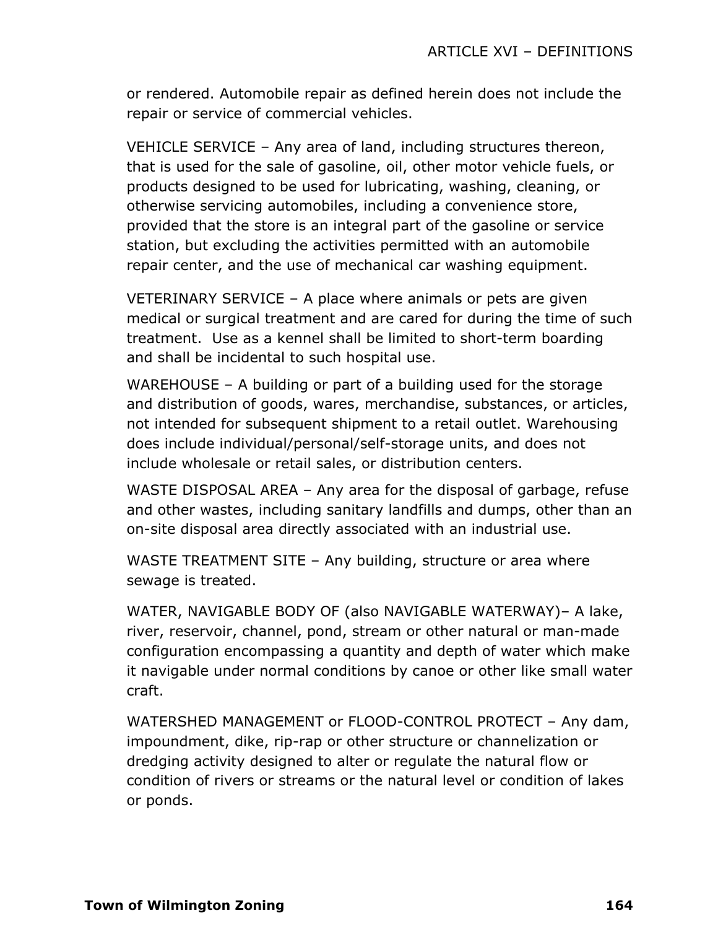or rendered. Automobile repair as defined herein does not include the repair or service of commercial vehicles.

VEHICLE SERVICE – Any area of land, including structures thereon, that is used for the sale of gasoline, oil, other motor vehicle fuels, or products designed to be used for lubricating, washing, cleaning, or otherwise servicing automobiles, including a convenience store, provided that the store is an integral part of the gasoline or service station, but excluding the activities permitted with an automobile repair center, and the use of mechanical car washing equipment.

VETERINARY SERVICE – A place where animals or pets are given medical or surgical treatment and are cared for during the time of such treatment. Use as a kennel shall be limited to short-term boarding and shall be incidental to such hospital use.

WAREHOUSE – A building or part of a building used for the storage and distribution of goods, wares, merchandise, substances, or articles, not intended for subsequent shipment to a retail outlet. Warehousing does include individual/personal/self-storage units, and does not include wholesale or retail sales, or distribution centers.

WASTE DISPOSAL AREA – Any area for the disposal of garbage, refuse and other wastes, including sanitary landfills and dumps, other than an on-site disposal area directly associated with an industrial use.

WASTE TREATMENT SITE – Any building, structure or area where sewage is treated.

WATER, NAVIGABLE BODY OF (also NAVIGABLE WATERWAY)– A lake, river, reservoir, channel, pond, stream or other natural or man-made configuration encompassing a quantity and depth of water which make it navigable under normal conditions by canoe or other like small water craft.

WATERSHED MANAGEMENT or FLOOD-CONTROL PROTECT – Any dam, impoundment, dike, rip-rap or other structure or channelization or dredging activity designed to alter or regulate the natural flow or condition of rivers or streams or the natural level or condition of lakes or ponds.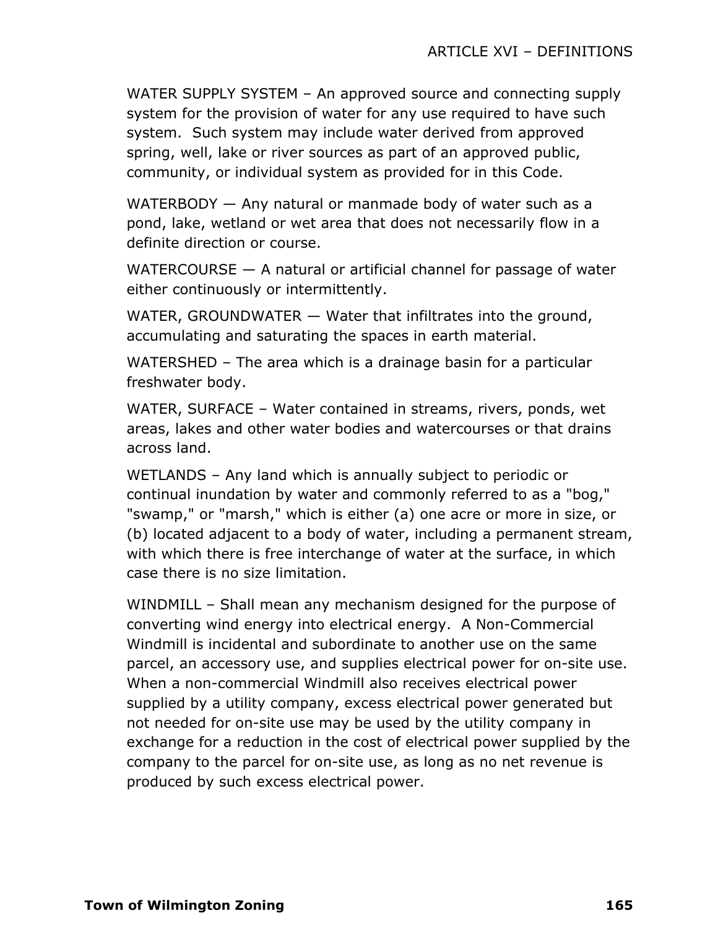WATER SUPPLY SYSTEM – An approved source and connecting supply system for the provision of water for any use required to have such system. Such system may include water derived from approved spring, well, lake or river sources as part of an approved public, community, or individual system as provided for in this Code.

WATERBODY — Any natural or manmade body of water such as a pond, lake, wetland or wet area that does not necessarily flow in a definite direction or course.

WATERCOURSE — A natural or artificial channel for passage of water either continuously or intermittently.

WATER, GROUNDWATER — Water that infiltrates into the ground, accumulating and saturating the spaces in earth material.

WATERSHED – The area which is a drainage basin for a particular freshwater body.

WATER, SURFACE – Water contained in streams, rivers, ponds, wet areas, lakes and other water bodies and watercourses or that drains across land.

WETLANDS – Any land which is annually subject to periodic or continual inundation by water and commonly referred to as a "bog," "swamp," or "marsh," which is either (a) one acre or more in size, or (b) located adjacent to a body of water, including a permanent stream, with which there is free interchange of water at the surface, in which case there is no size limitation.

WINDMILL – Shall mean any mechanism designed for the purpose of converting wind energy into electrical energy. A Non-Commercial Windmill is incidental and subordinate to another use on the same parcel, an accessory use, and supplies electrical power for on-site use. When a non-commercial Windmill also receives electrical power supplied by a utility company, excess electrical power generated but not needed for on-site use may be used by the utility company in exchange for a reduction in the cost of electrical power supplied by the company to the parcel for on-site use, as long as no net revenue is produced by such excess electrical power.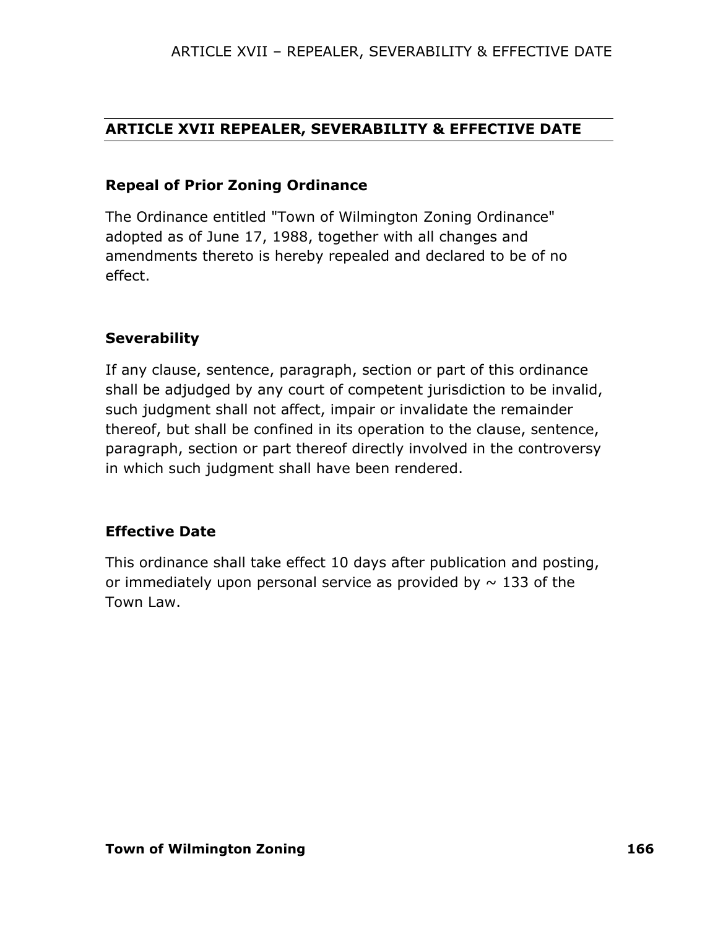# **ARTICLE XVII REPEALER, SEVERABILITY & EFFECTIVE DATE**

## **Repeal of Prior Zoning Ordinance**

The Ordinance entitled "Town of Wilmington Zoning Ordinance" adopted as of June 17, 1988, together with all changes and amendments thereto is hereby repealed and declared to be of no effect.

## **Severability**

If any clause, sentence, paragraph, section or part of this ordinance shall be adjudged by any court of competent jurisdiction to be invalid, such judgment shall not affect, impair or invalidate the remainder thereof, but shall be confined in its operation to the clause, sentence, paragraph, section or part thereof directly involved in the controversy in which such judgment shall have been rendered.

## **Effective Date**

This ordinance shall take effect 10 days after publication and posting, or immediately upon personal service as provided by  $\sim$  133 of the Town Law.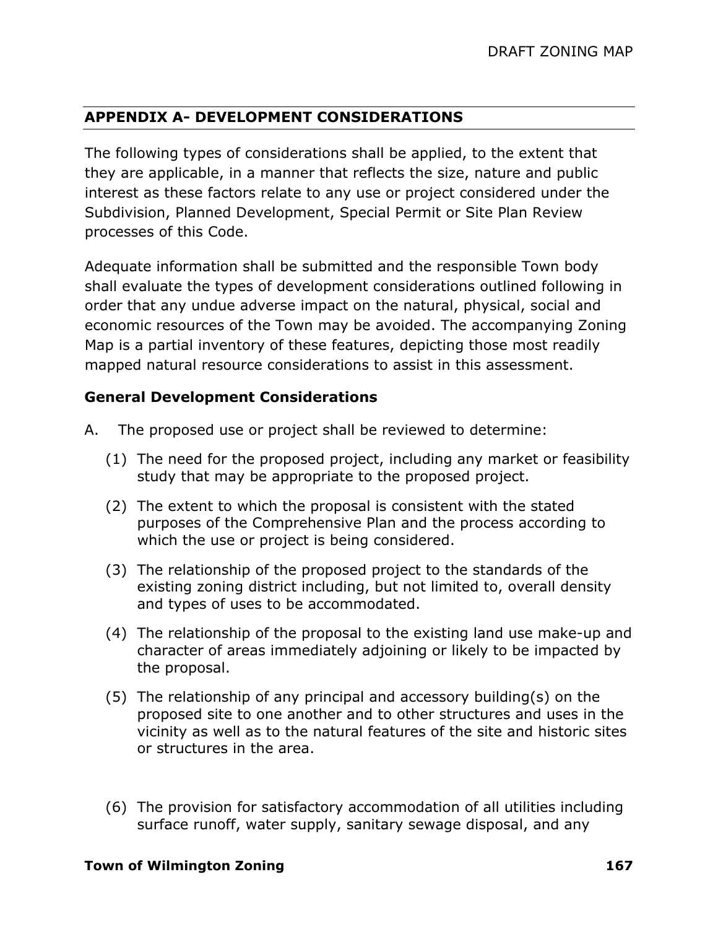## **APPENDIX A- DEVELOPMENT CONSIDERATIONS**

The following types of considerations shall be applied, to the extent that they are applicable, in a manner that reflects the size, nature and public interest as these factors relate to any use or project considered under the Subdivision, Planned Development, Special Permit or Site Plan Review processes of this Code.

Adequate information shall be submitted and the responsible Town body shall evaluate the types of development considerations outlined following in order that any undue adverse impact on the natural, physical, social and economic resources of the Town may be avoided. The accompanying Zoning Map is a partial inventory of these features, depicting those most readily mapped natural resource considerations to assist in this assessment.

### **General Development Considerations**

- A. The proposed use or project shall be reviewed to determine:
	- (1) The need for the proposed project, including any market or feasibility study that may be appropriate to the proposed project.
	- (2) The extent to which the proposal is consistent with the stated purposes of the Comprehensive Plan and the process according to which the use or project is being considered.
	- (3) The relationship of the proposed project to the standards of the existing zoning district including, but not limited to, overall density and types of uses to be accommodated.
	- (4) The relationship of the proposal to the existing land use make-up and character of areas immediately adjoining or likely to be impacted by the proposal.
	- (5) The relationship of any principal and accessory building(s) on the proposed site to one another and to other structures and uses in the vicinity as well as to the natural features of the site and historic sites or structures in the area.
	- (6) The provision for satisfactory accommodation of all utilities including surface runoff, water supply, sanitary sewage disposal, and any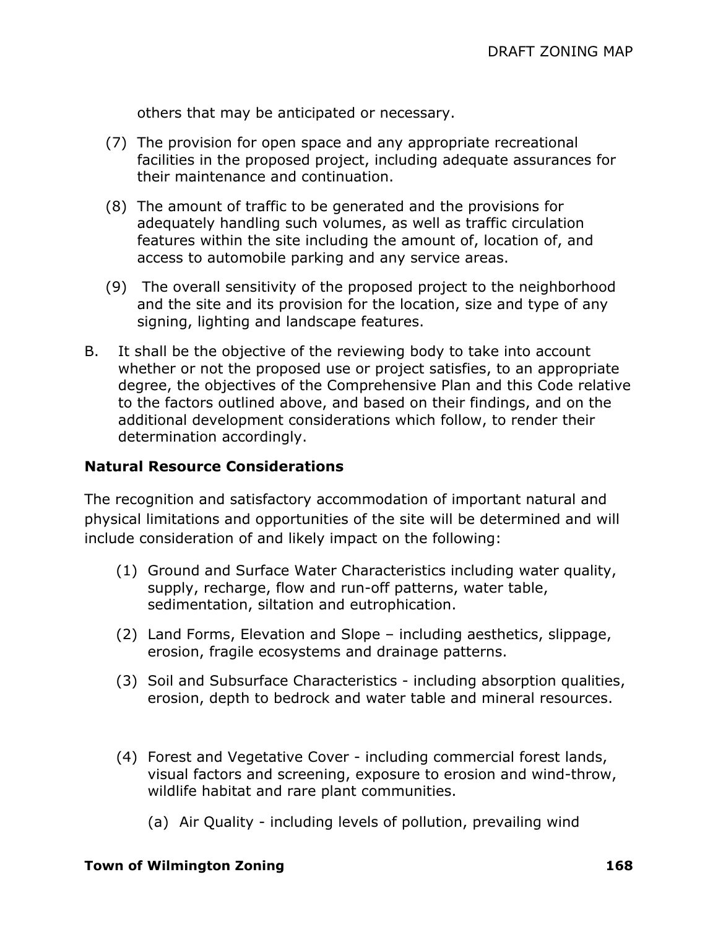others that may be anticipated or necessary.

- (7) The provision for open space and any appropriate recreational facilities in the proposed project, including adequate assurances for their maintenance and continuation.
- (8) The amount of traffic to be generated and the provisions for adequately handling such volumes, as well as traffic circulation features within the site including the amount of, location of, and access to automobile parking and any service areas.
- (9) The overall sensitivity of the proposed project to the neighborhood and the site and its provision for the location, size and type of any signing, lighting and landscape features.
- B. It shall be the objective of the reviewing body to take into account whether or not the proposed use or project satisfies, to an appropriate degree, the objectives of the Comprehensive Plan and this Code relative to the factors outlined above, and based on their findings, and on the additional development considerations which follow, to render their determination accordingly.

#### **Natural Resource Considerations**

The recognition and satisfactory accommodation of important natural and physical limitations and opportunities of the site will be determined and will include consideration of and likely impact on the following:

- (1) Ground and Surface Water Characteristics including water quality, supply, recharge, flow and run-off patterns, water table, sedimentation, siltation and eutrophication.
- (2) Land Forms, Elevation and Slope including aesthetics, slippage, erosion, fragile ecosystems and drainage patterns.
- (3) Soil and Subsurface Characteristics including absorption qualities, erosion, depth to bedrock and water table and mineral resources.
- (4) Forest and Vegetative Cover including commercial forest lands, visual factors and screening, exposure to erosion and wind-throw, wildlife habitat and rare plant communities.
	- (a) Air Quality including levels of pollution, prevailing wind